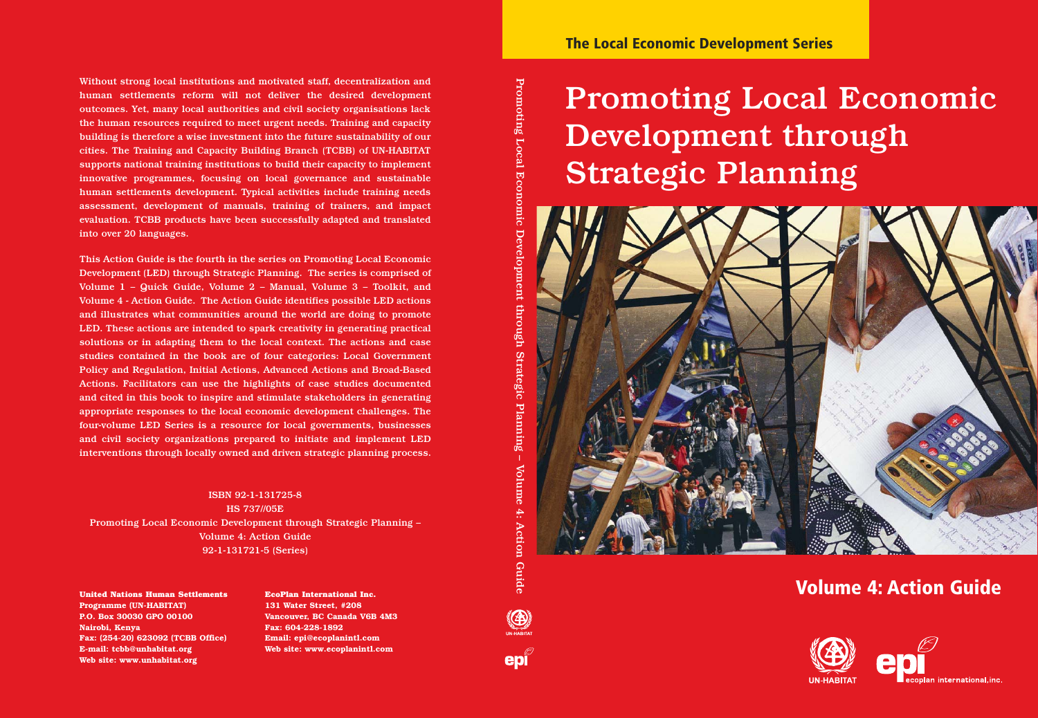Without strong local institutions and motivated staff, decentralization and human settlements reform will not deliver the desired development outcomes. Yet, many local authorities and civil society organisations lack the human resources required to meet urgent needs. Training and capacity building is therefore a wise investment into the future sustainability of our cities. The Training and Capacity Building Branch (TCBB) of UN-HABITAT supports national training institutions to build their capacity to implement innovative programmes, focusing on local governance and sustainable human settlements development. Typical activities include training needs assessment, development of manuals, training of trainers, and impact evaluation. TCBB products have been successfully adapted and translated into over 20 languages.

This Action Guide is the fourth in the series on Promoting Local Economic Development (LED) through Strategic Planning. The series is comprised of Volume 1 – Quick Guide, Volume 2 – Manual, Volume 3 – Toolkit, and Volume 4 - Action Guide. The Action Guide identifies possible LED actions and illustrates what communities around the world are doing to promote LED. These actions are intended to spark creativity in generating practical solutions or in adapting them to the local context. The actions and case studies contained in the book are of four categories: Local Government Policy and Regulation, Initial Actions, Advanced Actions and Broad-Based Actions. Facilitators can use the highlights of case studies documented and cited in this book to inspire and stimulate stakeholders in generating appropriate responses to the local economic development challenges. The four-volume LED Series is a resource for local governments, businesses and civil society organizations prepared to initiate and implement LED interventions through locally owned and driven strategic planning process.

ISBN 92-1-131725-8 HS 737//05E Promoting Local Economic Development through Strategic Planning – Volume 4: Action Guide 92-1-131721-5 (Series)

**Programme (UN-HABITAT) P.O. Box 30030 GPO 00100 Nairobi, Kenya Fax: (254-20) 623092 (TCBB Office) E-mail: tcbb@unhabitat.org Web site: www.unhabitat.org**

**EcoPlan International Inc. 131 Water Street, #208 Vancouver, BC Canada V6B 4M3 Fax: 604-228-1892 Email: epi@ecoplanintl.com Web site: www.ecoplanintl.com**

Promoting

Local

Ecor

epi

# Promoting Local Economic Development through Strategic Planning



### United Nations Human Settlements *Coelan International Inc.* And the settlements of the settlements **of the settlements** *Coelan International Inc.*

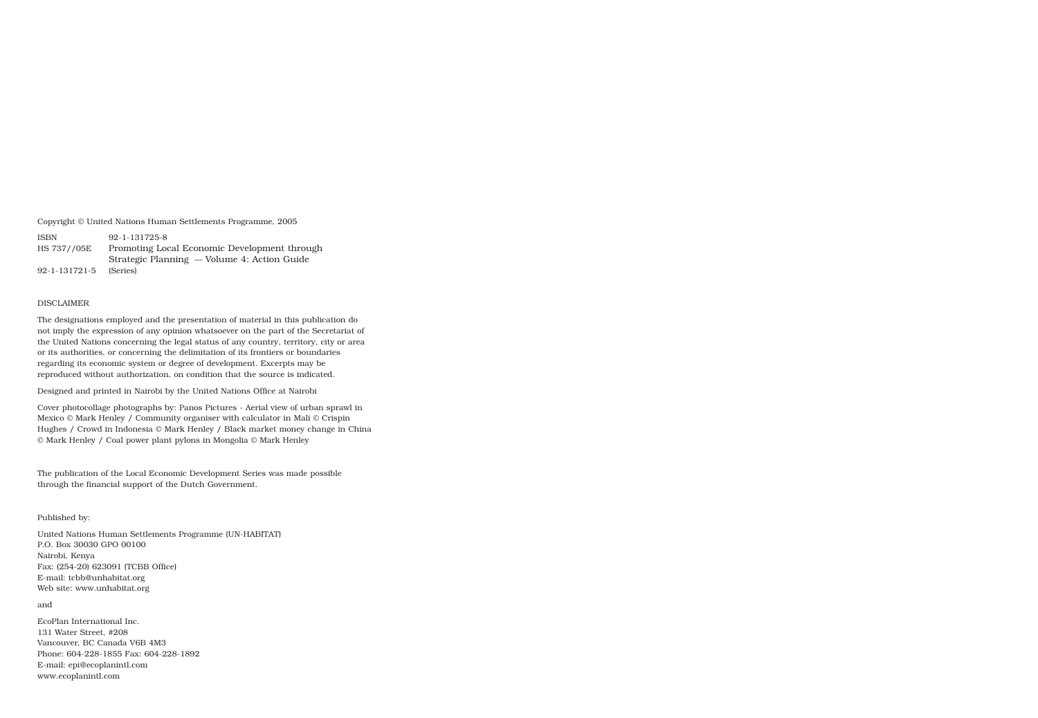Copyright © United Nations Human Settlements Programme, 2005

ISBN 92-1-131725-8 HS 737//05E Promoting Local Economic Development through Strategic Planning — Volume 4: Action Guide 92-1-131721-5 (Series)

#### DISCLAIMER

The designations employed and the presentation of material in this publication do not imply the expression of any opinion whatsoever on the part of the Secretariat of the United Nations concerning the legal status of any country, territory, city or area or its authorities, or concerning the delimitation of its frontiers or boundaries regarding its economic system or degree of development. Excerpts may be reproduced without authorization, on condition that the source is indicated.

Designed and printed in Nairobi by the United Nations Office at Nairobi

Cover photocollage photographs by: Panos Pictures - Aerial view of urban sprawl in Mexico © Mark Henley / Community organiser with calculator in Mali © Crispin Hughes / Crowd in Indonesia © Mark Henley / Black market money change in China © Mark Henley / Coal power plant pylons in Mongolia © Mark Henley

The publication of the Local Economic Development Series was made possible through the financial support of the Dutch Government.

#### Published by:

United Nations Human Settlements Programme (UN-HABITAT) P.O. Box 30030 GPO 00100 Nairobi, Kenya Fax: (254-20) 623091 (TCBB Office) E-mail: tcbb@unhabitat.org Web site: www.unhabitat.org

#### and

EcoPlan International Inc. 131 Water Street, #208 Vancouver, BC Canada V6B 4M3 Phone: 604-228-1855 Fax: 604-228-1892 E-mail: epi@ecoplanintl.com www.ecoplanintl.com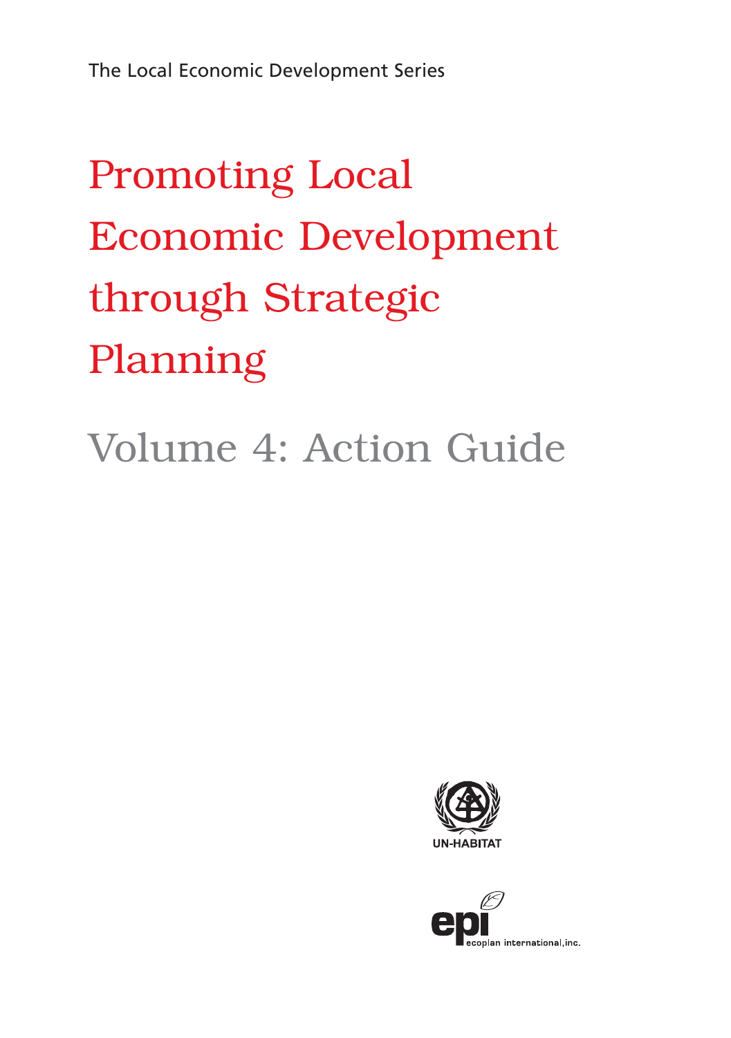# Promoting Local Economic Development through Strategic Planning

## Volume 4: Action Guide



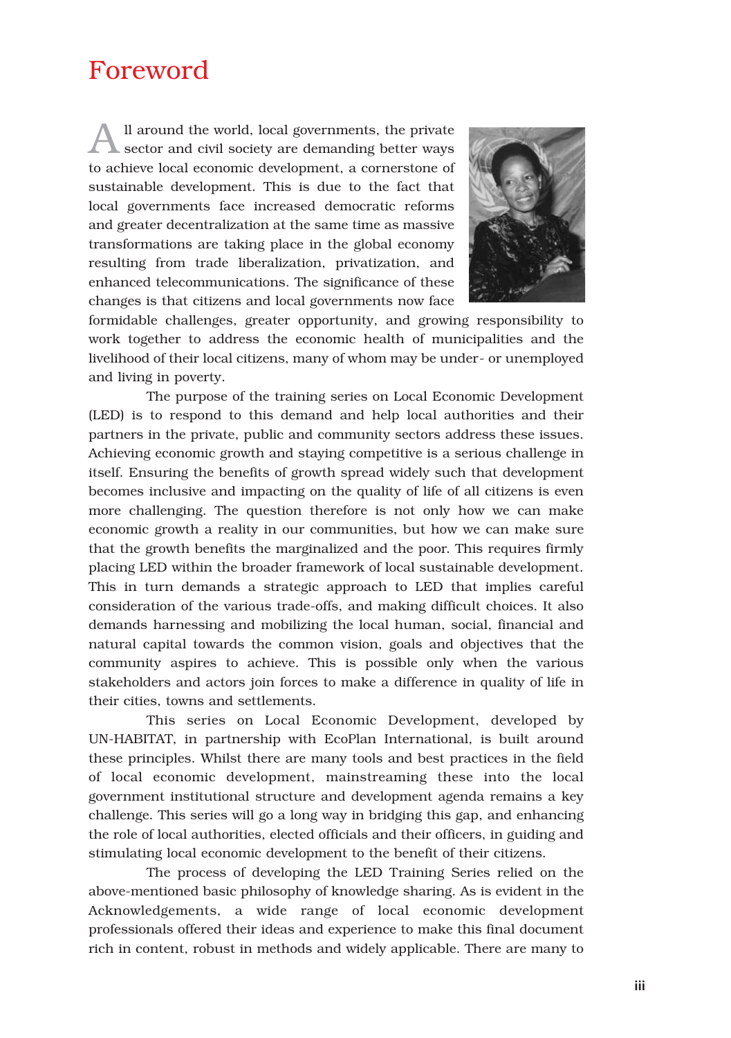### Foreword

All around the world, local governments, the private sector and civil society are demanding better ways to achieve local economic development, a cornerstone of sustainable development. This is due to the fact that local governments face increased democratic reforms and greater decentralization at the same time as massive transformations are taking place in the global economy resulting from trade liberalization, privatization, and enhanced telecommunications. The significance of these changes is that citizens and local governments now face



formidable challenges, greater opportunity, and growing responsibility to work together to address the economic health of municipalities and the livelihood of their local citizens, many of whom may be under- or unemployed and living in poverty.

The purpose of the training series on Local Economic Development (LED) is to respond to this demand and help local authorities and their partners in the private, public and community sectors address these issues. Achieving economic growth and staying competitive is a serious challenge in itself. Ensuring the benefits of growth spread widely such that development becomes inclusive and impacting on the quality of life of all citizens is even more challenging. The question therefore is not only how we can make economic growth a reality in our communities, but how we can make sure that the growth benefits the marginalized and the poor. This requires firmly placing LED within the broader framework of local sustainable development. This in turn demands a strategic approach to LED that implies careful consideration of the various trade-offs, and making difficult choices. It also demands harnessing and mobilizing the local human, social, financial and natural capital towards the common vision, goals and objectives that the community aspires to achieve. This is possible only when the various stakeholders and actors join forces to make a difference in quality of life in their cities, towns and settlements.

This series on Local Economic Development, developed by UN-HABITAT, in partnership with EcoPlan International, is built around these principles. Whilst there are many tools and best practices in the field of local economic development, mainstreaming these into the local government institutional structure and development agenda remains a key challenge. This series will go a long way in bridging this gap, and enhancing the role of local authorities, elected officials and their officers, in guiding and stimulating local economic development to the benefit of their citizens.

The process of developing the LED Training Series relied on the above-mentioned basic philosophy of knowledge sharing. As is evident in the Acknowledgements, a wide range of local economic development professionals offered their ideas and experience to make this final document rich in content, robust in methods and widely applicable. There are many to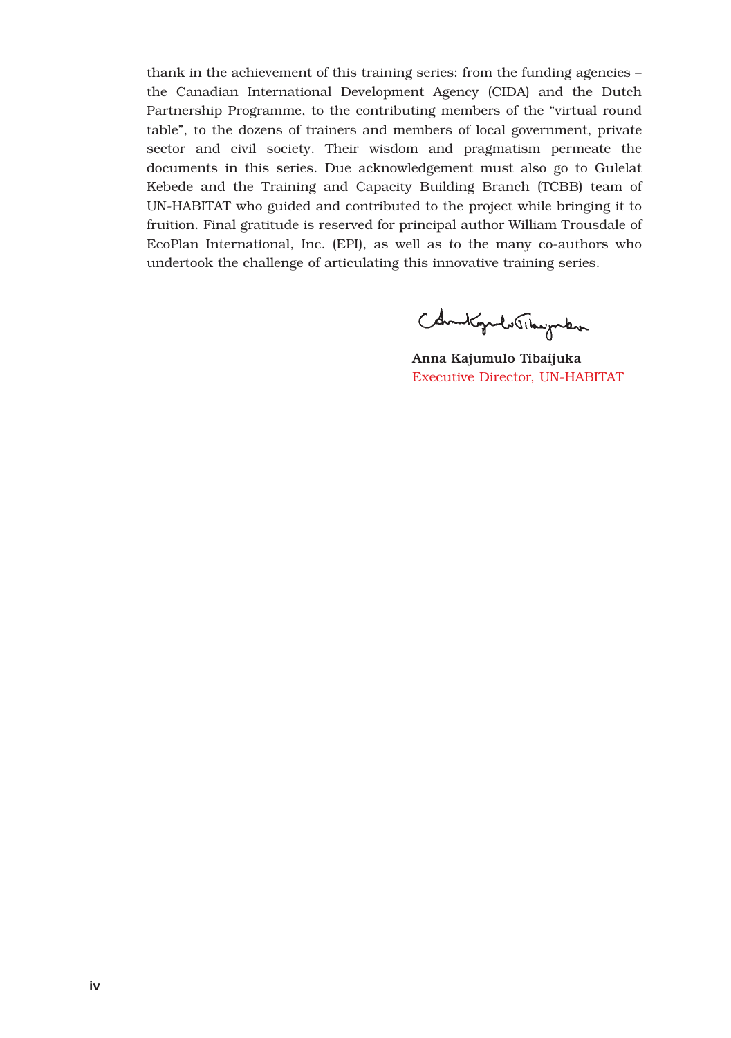thank in the achievement of this training series: from the funding agencies – the Canadian International Development Agency (CIDA) and the Dutch Partnership Programme, to the contributing members of the "virtual round table", to the dozens of trainers and members of local government, private sector and civil society. Their wisdom and pragmatism permeate the documents in this series. Due acknowledgement must also go to Gulelat Kebede and the Training and Capacity Building Branch (TCBB) team of UN-HABITAT who guided and contributed to the project while bringing it to fruition. Final gratitude is reserved for principal author William Trousdale of EcoPlan International, Inc. (EPI), as well as to the many co-authors who undertook the challenge of articulating this innovative training series.

Chambiguelo Theighton

Anna Kajumulo Tibaijuka Executive Director, UN-HABITAT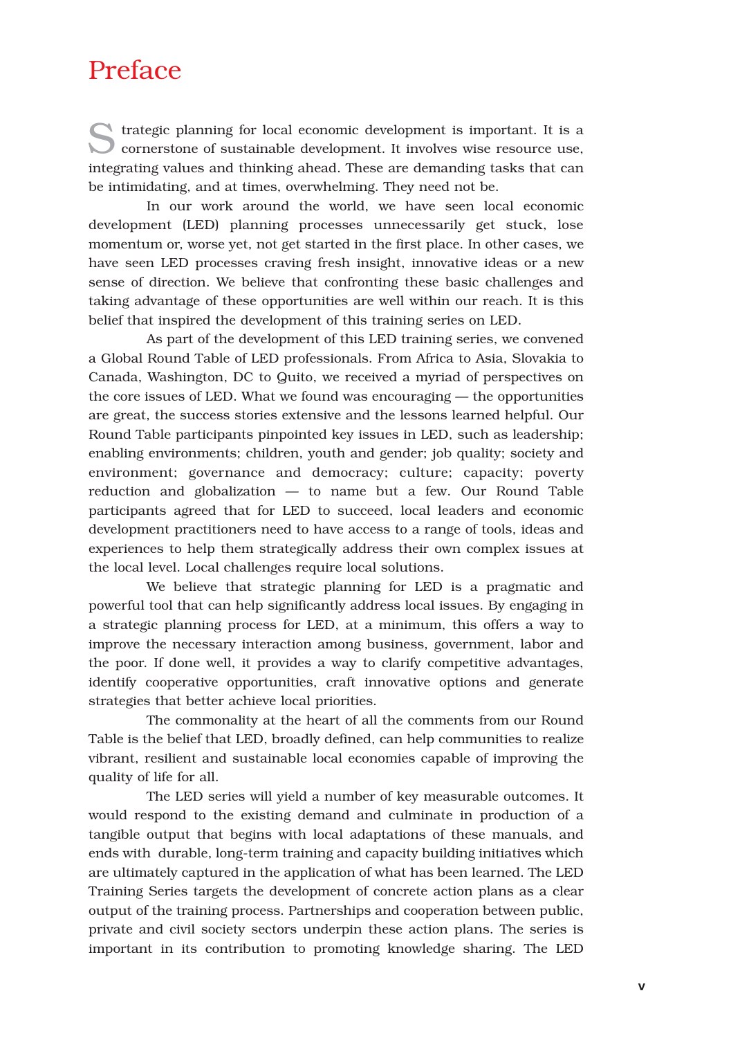### Preface

Strategic planning for local economic development is important. It is a cornerstone of sustainable development. It involves wise resource use, integrating values and thinking ahead. These are demanding tasks that can be intimidating, and at times, overwhelming. They need not be.

In our work around the world, we have seen local economic development (LED) planning processes unnecessarily get stuck, lose momentum or, worse yet, not get started in the first place. In other cases, we have seen LED processes craving fresh insight, innovative ideas or a new sense of direction. We believe that confronting these basic challenges and taking advantage of these opportunities are well within our reach. It is this belief that inspired the development of this training series on LED.

As part of the development of this LED training series, we convened a Global Round Table of LED professionals. From Africa to Asia, Slovakia to Canada, Washington, DC to Quito, we received a myriad of perspectives on the core issues of LED. What we found was encouraging — the opportunities are great, the success stories extensive and the lessons learned helpful. Our Round Table participants pinpointed key issues in LED, such as leadership; enabling environments; children, youth and gender; job quality; society and environment; governance and democracy; culture; capacity; poverty reduction and globalization — to name but a few. Our Round Table participants agreed that for LED to succeed, local leaders and economic development practitioners need to have access to a range of tools, ideas and experiences to help them strategically address their own complex issues at the local level. Local challenges require local solutions.

We believe that strategic planning for LED is a pragmatic and powerful tool that can help significantly address local issues. By engaging in a strategic planning process for LED, at a minimum, this offers a way to improve the necessary interaction among business, government, labor and the poor. If done well, it provides a way to clarify competitive advantages, identify cooperative opportunities, craft innovative options and generate strategies that better achieve local priorities.

The commonality at the heart of all the comments from our Round Table is the belief that LED, broadly defined, can help communities to realize vibrant, resilient and sustainable local economies capable of improving the quality of life for all.

The LED series will yield a number of key measurable outcomes. It would respond to the existing demand and culminate in production of a tangible output that begins with local adaptations of these manuals, and ends with durable, long-term training and capacity building initiatives which are ultimately captured in the application of what has been learned. The LED Training Series targets the development of concrete action plans as a clear output of the training process. Partnerships and cooperation between public, private and civil society sectors underpin these action plans. The series is important in its contribution to promoting knowledge sharing. The LED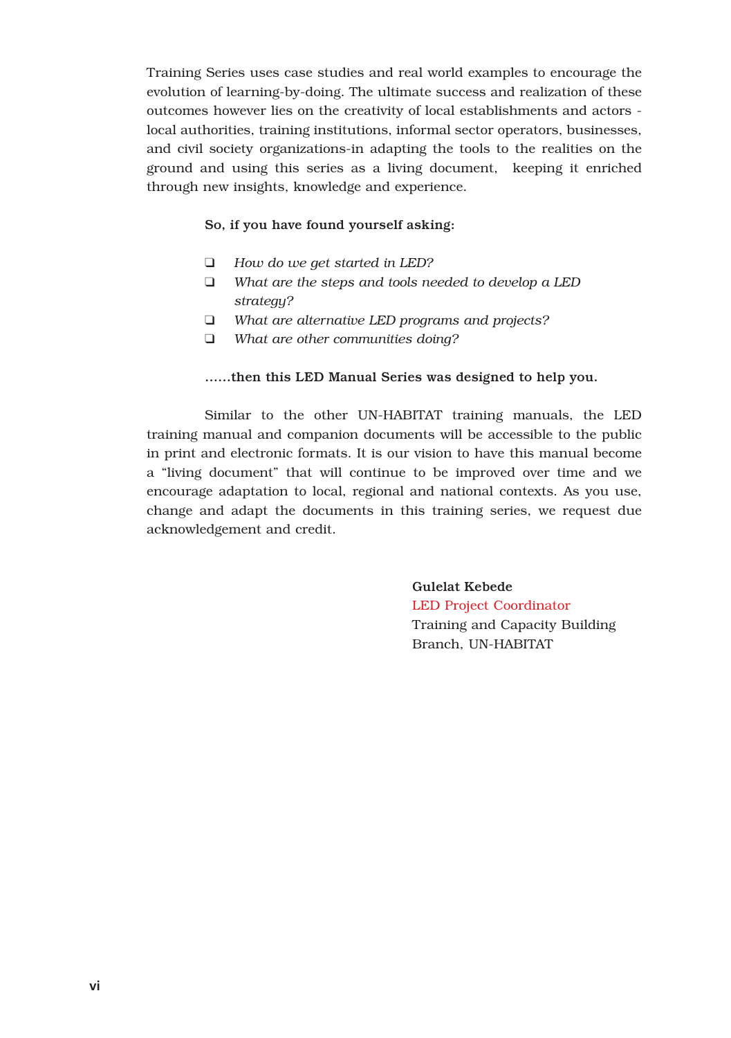Training Series uses case studies and real world examples to encourage the evolution of learning-by-doing. The ultimate success and realization of these outcomes however lies on the creativity of local establishments and actors local authorities, training institutions, informal sector operators, businesses, and civil society organizations-in adapting the tools to the realities on the ground and using this series as a living document, keeping it enriched through new insights, knowledge and experience.

#### So, if you have found yourself asking:

- ❑ *How do we get started in LED?*
- ❑ *What are the steps and tools needed to develop a LED strategy?*
- ❑ *What are alternative LED programs and projects?*
- ❑ *What are other communities doing?*

#### ……then this LED Manual Series was designed to help you.

Similar to the other UN-HABITAT training manuals, the LED training manual and companion documents will be accessible to the public in print and electronic formats. It is our vision to have this manual become a "living document" that will continue to be improved over time and we encourage adaptation to local, regional and national contexts. As you use, change and adapt the documents in this training series, we request due acknowledgement and credit.

> Gulelat Kebede LED Project Coordinator Training and Capacity Building Branch, UN-HABITAT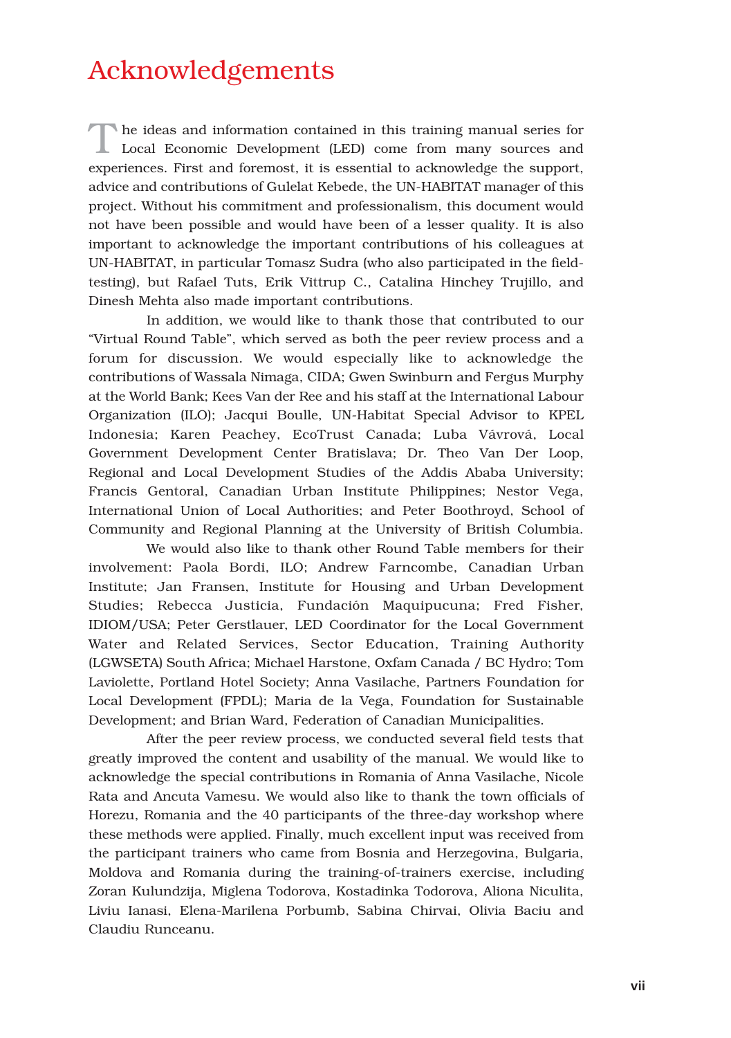### Acknowledgements

The ideas and information contained in this training manual series for Local Economic Development (LED) come from many sources and experiences. First and foremost, it is essential to acknowledge the support, advice and contributions of Gulelat Kebede, the UN-HABITAT manager of this project. Without his commitment and professionalism, this document would not have been possible and would have been of a lesser quality. It is also important to acknowledge the important contributions of his colleagues at UN-HABITAT, in particular Tomasz Sudra (who also participated in the fieldtesting), but Rafael Tuts, Erik Vittrup C., Catalina Hinchey Trujillo, and Dinesh Mehta also made important contributions.

In addition, we would like to thank those that contributed to our "Virtual Round Table", which served as both the peer review process and a forum for discussion. We would especially like to acknowledge the contributions of Wassala Nimaga, CIDA; Gwen Swinburn and Fergus Murphy at the World Bank; Kees Van der Ree and his staff at the International Labour Organization (ILO); Jacqui Boulle, UN-Habitat Special Advisor to KPEL Indonesia; Karen Peachey, EcoTrust Canada; Luba Vávrová, Local Government Development Center Bratislava; Dr. Theo Van Der Loop, Regional and Local Development Studies of the Addis Ababa University; Francis Gentoral, Canadian Urban Institute Philippines; Nestor Vega, International Union of Local Authorities; and Peter Boothroyd, School of Community and Regional Planning at the University of British Columbia.

We would also like to thank other Round Table members for their involvement: Paola Bordi, ILO; Andrew Farncombe, Canadian Urban Institute; Jan Fransen, Institute for Housing and Urban Development Studies; Rebecca Justicia, Fundación Maquipucuna; Fred Fisher, IDIOM/USA; Peter Gerstlauer, LED Coordinator for the Local Government Water and Related Services, Sector Education, Training Authority (LGWSETA) South Africa; Michael Harstone, Oxfam Canada / BC Hydro; Tom Laviolette, Portland Hotel Society; Anna Vasilache, Partners Foundation for Local Development (FPDL); Maria de la Vega, Foundation for Sustainable Development; and Brian Ward, Federation of Canadian Municipalities.

After the peer review process, we conducted several field tests that greatly improved the content and usability of the manual. We would like to acknowledge the special contributions in Romania of Anna Vasilache, Nicole Rata and Ancuta Vamesu. We would also like to thank the town officials of Horezu, Romania and the 40 participants of the three-day workshop where these methods were applied. Finally, much excellent input was received from the participant trainers who came from Bosnia and Herzegovina, Bulgaria, Moldova and Romania during the training-of-trainers exercise, including Zoran Kulundzija, Miglena Todorova, Kostadinka Todorova, Aliona Niculita, Liviu Ianasi, Elena-Marilena Porbumb, Sabina Chirvai, Olivia Baciu and Claudiu Runceanu.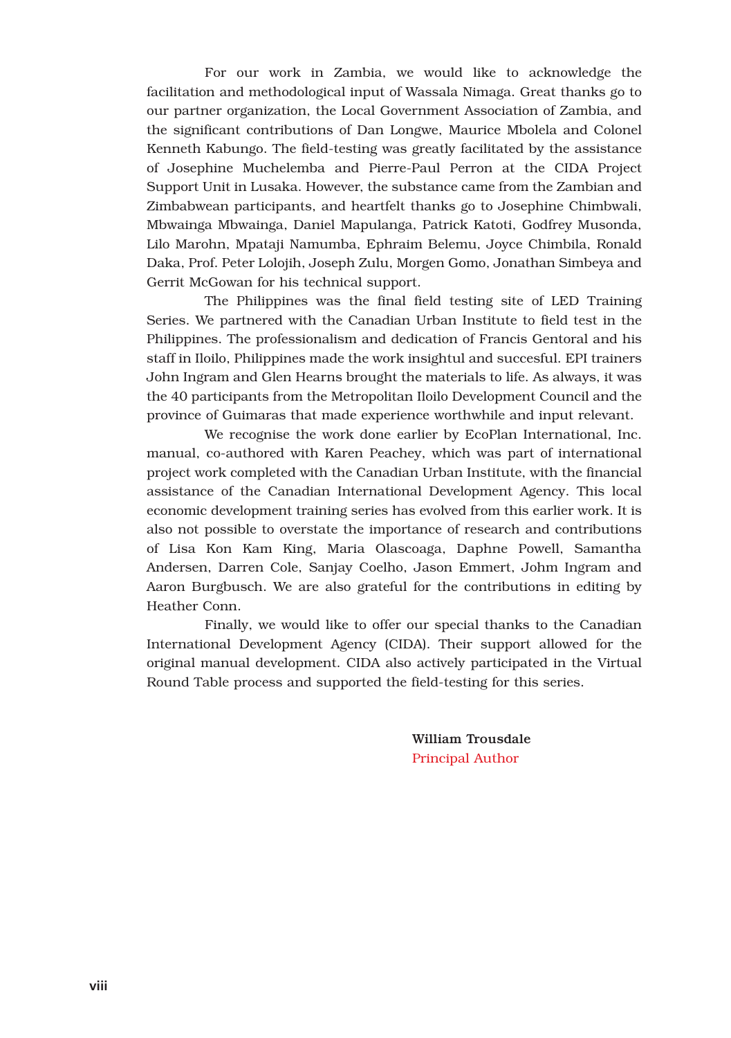For our work in Zambia, we would like to acknowledge the facilitation and methodological input of Wassala Nimaga. Great thanks go to our partner organization, the Local Government Association of Zambia, and the significant contributions of Dan Longwe, Maurice Mbolela and Colonel Kenneth Kabungo. The field-testing was greatly facilitated by the assistance of Josephine Muchelemba and Pierre-Paul Perron at the CIDA Project Support Unit in Lusaka. However, the substance came from the Zambian and Zimbabwean participants, and heartfelt thanks go to Josephine Chimbwali, Mbwainga Mbwainga, Daniel Mapulanga, Patrick Katoti, Godfrey Musonda, Lilo Marohn, Mpataji Namumba, Ephraim Belemu, Joyce Chimbila, Ronald Daka, Prof. Peter Lolojih, Joseph Zulu, Morgen Gomo, Jonathan Simbeya and Gerrit McGowan for his technical support.

The Philippines was the final field testing site of LED Training Series. We partnered with the Canadian Urban Institute to field test in the Philippines. The professionalism and dedication of Francis Gentoral and his staff in Iloilo, Philippines made the work insightul and succesful. EPI trainers John Ingram and Glen Hearns brought the materials to life. As always, it was the 40 participants from the Metropolitan Iloilo Development Council and the province of Guimaras that made experience worthwhile and input relevant.

We recognise the work done earlier by EcoPlan International, Inc. manual, co-authored with Karen Peachey, which was part of international project work completed with the Canadian Urban Institute, with the financial assistance of the Canadian International Development Agency. This local economic development training series has evolved from this earlier work. It is also not possible to overstate the importance of research and contributions of Lisa Kon Kam King, Maria Olascoaga, Daphne Powell, Samantha Andersen, Darren Cole, Sanjay Coelho, Jason Emmert, Johm Ingram and Aaron Burgbusch. We are also grateful for the contributions in editing by Heather Conn.

Finally, we would like to offer our special thanks to the Canadian International Development Agency (CIDA). Their support allowed for the original manual development. CIDA also actively participated in the Virtual Round Table process and supported the field-testing for this series.

> William Trousdale Principal Author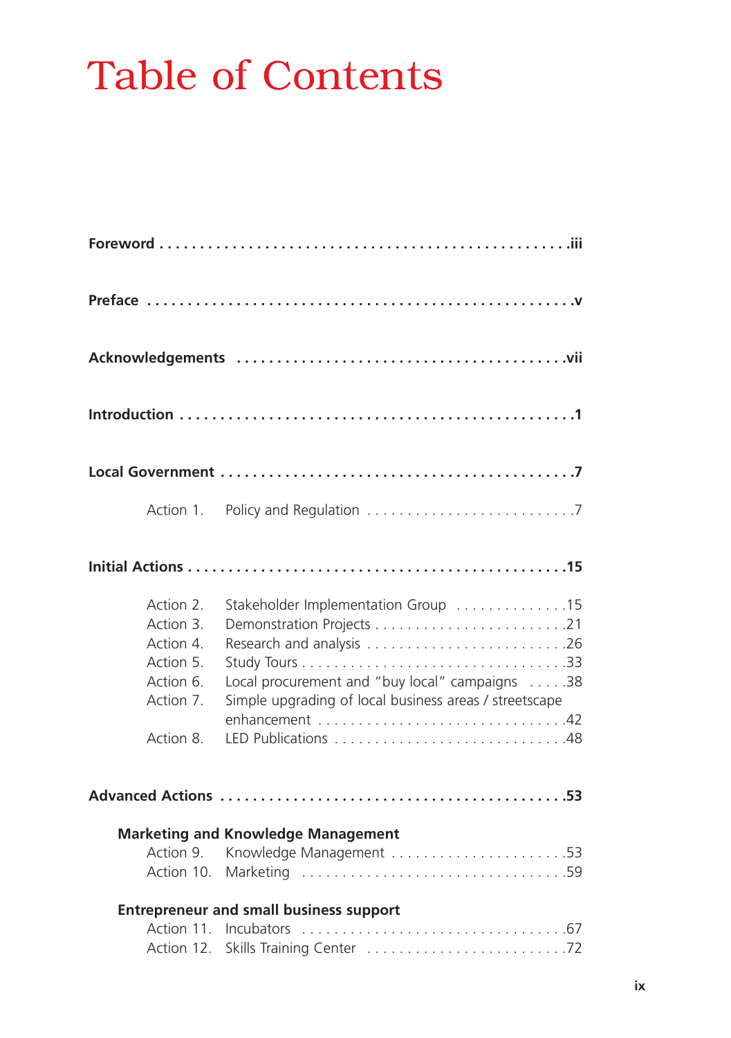## Table of Contents

| Action 2.<br>Action 3.<br>Action 4.<br>Action 5.<br>Action 6.<br>Action 7. | Stakeholder Implementation Group 15<br>Local procurement and "buy local" campaigns 38<br>Simple upgrading of local business areas / streetscape |
|----------------------------------------------------------------------------|-------------------------------------------------------------------------------------------------------------------------------------------------|
| Action 8.                                                                  |                                                                                                                                                 |
|                                                                            |                                                                                                                                                 |
| Action 10.                                                                 | <b>Marketing and Knowledge Management</b><br>Action 9. Knowledge Management 53                                                                  |
|                                                                            | <b>Entrepreneur and small business support</b>                                                                                                  |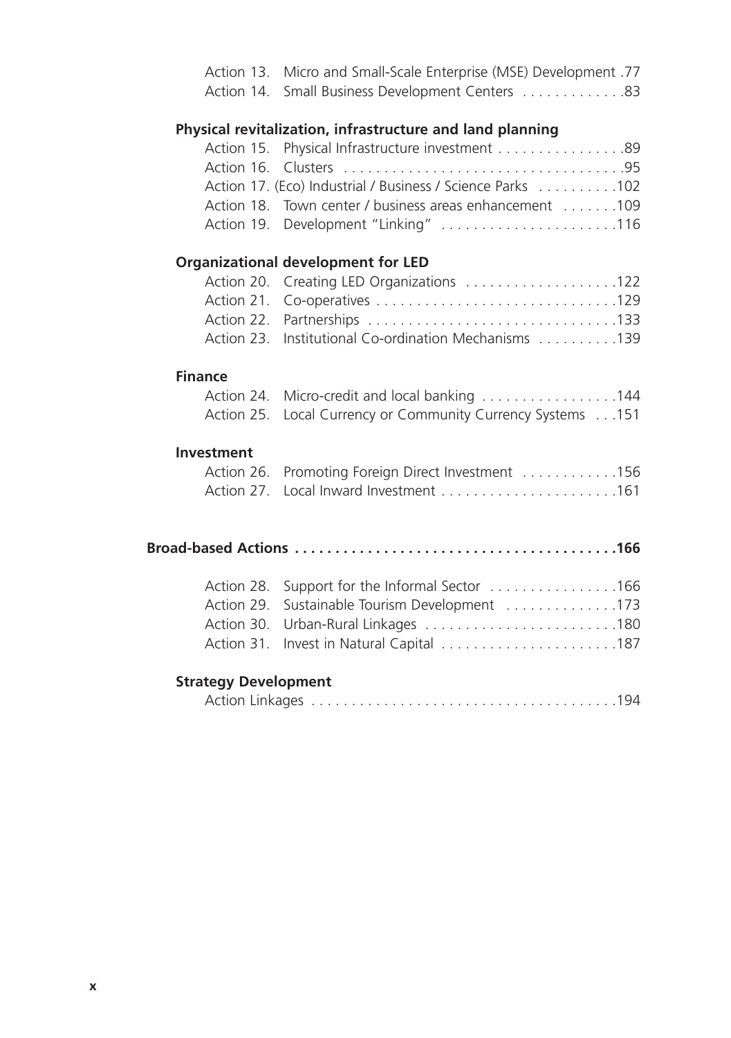|                             | Action 13. Micro and Small-Scale Enterprise (MSE) Development .77<br>Action 14. Small Business Development Centers 83 |
|-----------------------------|-----------------------------------------------------------------------------------------------------------------------|
|                             | Physical revitalization, infrastructure and land planning                                                             |
| Action 15.                  | Physical Infrastructure investment 89                                                                                 |
| Action 16.                  |                                                                                                                       |
|                             | Action 17. (Eco) Industrial / Business / Science Parks 102                                                            |
|                             | Action 18. Town center / business areas enhancement 109                                                               |
|                             | Action 19. Development "Linking" 116                                                                                  |
|                             | <b>Organizational development for LED</b>                                                                             |
| Action 20.                  | Creating LED Organizations 122                                                                                        |
| Action 21.                  |                                                                                                                       |
|                             |                                                                                                                       |
|                             | Action 23. Institutional Co-ordination Mechanisms 139                                                                 |
| <b>Finance</b>              |                                                                                                                       |
|                             | Action 24. Micro-credit and local banking 144                                                                         |
| Action 25.                  | Local Currency or Community Currency Systems 151                                                                      |
| <b>Investment</b>           |                                                                                                                       |
| Action 26.                  | Promoting Foreign Direct Investment 156                                                                               |
|                             | Action 27. Local Inward Investment 161                                                                                |
|                             |                                                                                                                       |
|                             |                                                                                                                       |
| Action 28.                  | Support for the Informal Sector 166                                                                                   |
| Action 29.                  | Sustainable Tourism Development 173                                                                                   |
| Action 30.                  |                                                                                                                       |
| Action 31.                  | Invest in Natural Capital 187                                                                                         |
| <b>Strategy Development</b> |                                                                                                                       |
|                             |                                                                                                                       |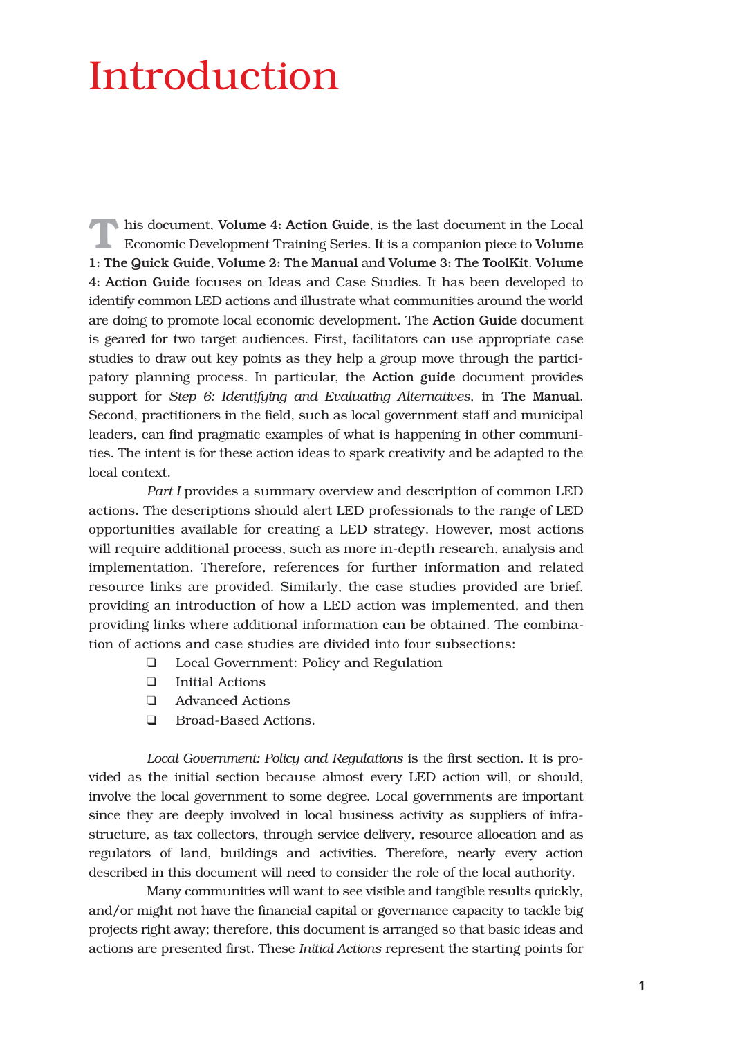## Introduction

**T**his document, Volume 4: Action Guide, is the last document in the Local Economic Development Training Series. It is a companion piece to Volume 1: The Quick Guide, Volume 2: The Manual and Volume 3: The ToolKit. Volume 4: Action Guide focuses on Ideas and Case Studies. It has been developed to identify common LED actions and illustrate what communities around the world are doing to promote local economic development. The Action Guide document is geared for two target audiences. First, facilitators can use appropriate case studies to draw out key points as they help a group move through the participatory planning process. In particular, the Action guide document provides support for *Step 6: Identifying and Evaluating Alternatives*, in The Manual. Second, practitioners in the field, such as local government staff and municipal leaders, can find pragmatic examples of what is happening in other communities. The intent is for these action ideas to spark creativity and be adapted to the local context.

*Part I* provides a summary overview and description of common LED actions. The descriptions should alert LED professionals to the range of LED opportunities available for creating a LED strategy. However, most actions will require additional process, such as more in-depth research, analysis and implementation. Therefore, references for further information and related resource links are provided. Similarly, the case studies provided are brief, providing an introduction of how a LED action was implemented, and then providing links where additional information can be obtained. The combination of actions and case studies are divided into four subsections:

- ❑ Local Government: Policy and Regulation
- ❑ Initial Actions
- ❑ Advanced Actions
- ❑ Broad-Based Actions.

*Local Government: Policy and Regulations* is the first section. It is provided as the initial section because almost every LED action will, or should, involve the local government to some degree. Local governments are important since they are deeply involved in local business activity as suppliers of infrastructure, as tax collectors, through service delivery, resource allocation and as regulators of land, buildings and activities. Therefore, nearly every action described in this document will need to consider the role of the local authority.

Many communities will want to see visible and tangible results quickly, and/or might not have the financial capital or governance capacity to tackle big projects right away; therefore, this document is arranged so that basic ideas and actions are presented first. These *Initial Actions* represent the starting points for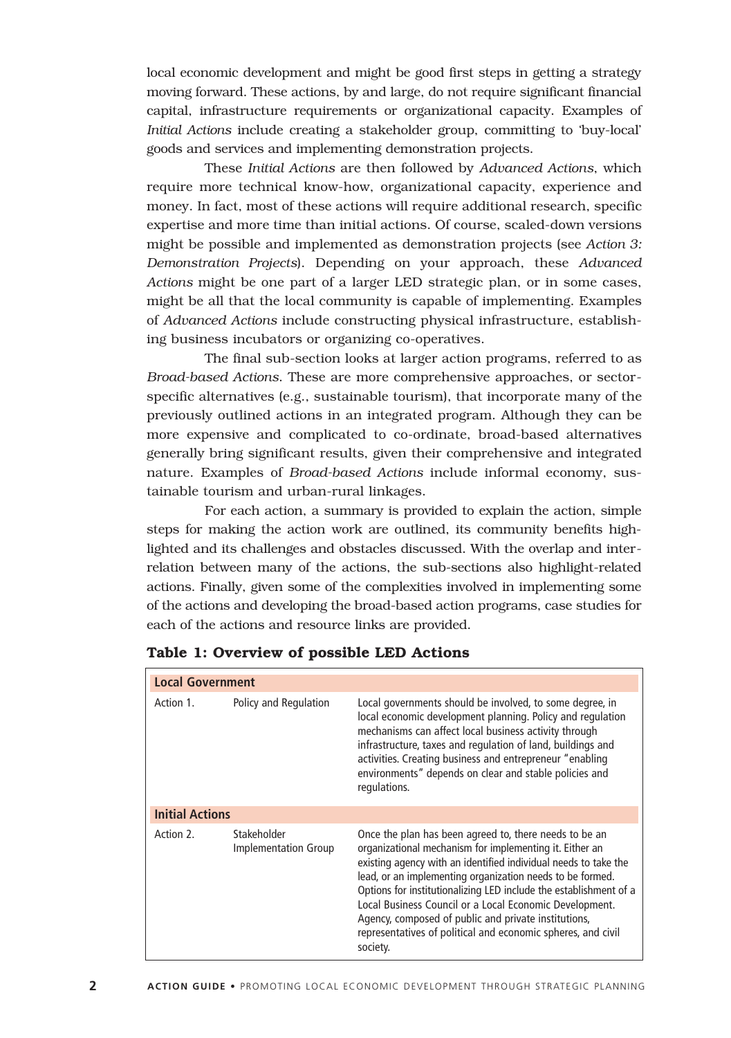local economic development and might be good first steps in getting a strategy moving forward. These actions, by and large, do not require significant financial capital, infrastructure requirements or organizational capacity. Examples of *Initial Actions* include creating a stakeholder group, committing to 'buy-local' goods and services and implementing demonstration projects.

These *Initial Actions* are then followed by *Advanced Actions*, which require more technical know-how, organizational capacity, experience and money. In fact, most of these actions will require additional research, specific expertise and more time than initial actions. Of course, scaled-down versions might be possible and implemented as demonstration projects (see *Action 3: Demonstration Projects*). Depending on your approach, these *Advanced Actions* might be one part of a larger LED strategic plan, or in some cases, might be all that the local community is capable of implementing. Examples of *Advanced Actions* include constructing physical infrastructure, establishing business incubators or organizing co-operatives.

The final sub-section looks at larger action programs, referred to as *Broad-based Actions*. These are more comprehensive approaches, or sectorspecific alternatives (e.g., sustainable tourism), that incorporate many of the previously outlined actions in an integrated program. Although they can be more expensive and complicated to co-ordinate, broad-based alternatives generally bring significant results, given their comprehensive and integrated nature. Examples of *Broad-based Actions* include informal economy, sustainable tourism and urban-rural linkages.

For each action, a summary is provided to explain the action, simple steps for making the action work are outlined, its community benefits highlighted and its challenges and obstacles discussed. With the overlap and interrelation between many of the actions, the sub-sections also highlight-related actions. Finally, given some of the complexities involved in implementing some of the actions and developing the broad-based action programs, case studies for each of the actions and resource links are provided.

| <b>Local Government</b> |                                     |                                                                                                                                                                                                                                                                                                                                                                                                                                                                                                                       |
|-------------------------|-------------------------------------|-----------------------------------------------------------------------------------------------------------------------------------------------------------------------------------------------------------------------------------------------------------------------------------------------------------------------------------------------------------------------------------------------------------------------------------------------------------------------------------------------------------------------|
| Action 1.               | Policy and Regulation               | Local governments should be involved, to some degree, in<br>local economic development planning. Policy and regulation<br>mechanisms can affect local business activity through<br>infrastructure, taxes and regulation of land, buildings and<br>activities. Creating business and entrepreneur "enabling<br>environments" depends on clear and stable policies and<br>regulations.                                                                                                                                  |
| <b>Initial Actions</b>  |                                     |                                                                                                                                                                                                                                                                                                                                                                                                                                                                                                                       |
| Action 2.               | Stakeholder<br>Implementation Group | Once the plan has been agreed to, there needs to be an<br>organizational mechanism for implementing it. Either an<br>existing agency with an identified individual needs to take the<br>lead, or an implementing organization needs to be formed.<br>Options for institutionalizing LED include the establishment of a<br>Local Business Council or a Local Economic Development.<br>Agency, composed of public and private institutions,<br>representatives of political and economic spheres, and civil<br>society. |

**Table 1: Overview of possible LED Actions**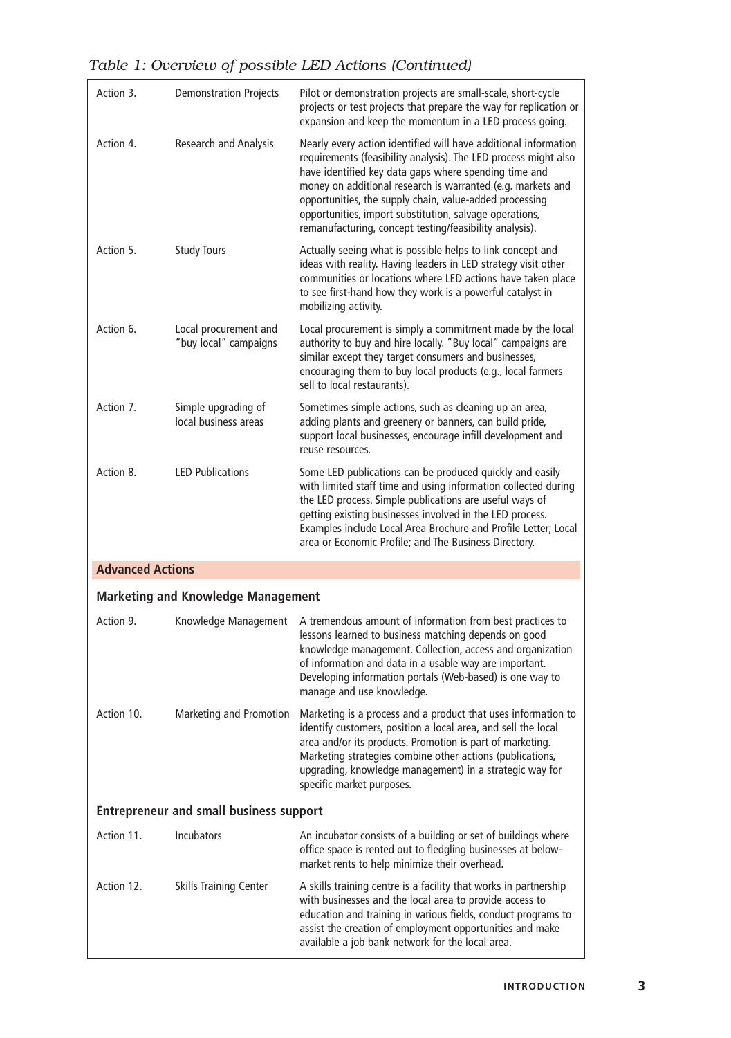| Action 3.                                      | <b>Demonstration Projects</b>                  | Pilot or demonstration projects are small-scale, short-cycle<br>projects or test projects that prepare the way for replication or<br>expansion and keep the momentum in a LED process going.                                                                                                                                                                                                                                                |
|------------------------------------------------|------------------------------------------------|---------------------------------------------------------------------------------------------------------------------------------------------------------------------------------------------------------------------------------------------------------------------------------------------------------------------------------------------------------------------------------------------------------------------------------------------|
| Action 4.                                      | <b>Research and Analysis</b>                   | Nearly every action identified will have additional information<br>requirements (feasibility analysis). The LED process might also<br>have identified key data gaps where spending time and<br>money on additional research is warranted (e.g. markets and<br>opportunities, the supply chain, value-added processing<br>opportunities, import substitution, salvage operations,<br>remanufacturing, concept testing/feasibility analysis). |
| Action 5.                                      | <b>Study Tours</b>                             | Actually seeing what is possible helps to link concept and<br>ideas with reality. Having leaders in LED strategy visit other<br>communities or locations where LED actions have taken place<br>to see first-hand how they work is a powerful catalyst in<br>mobilizing activity.                                                                                                                                                            |
| Action 6.                                      | Local procurement and<br>"buy local" campaigns | Local procurement is simply a commitment made by the local<br>authority to buy and hire locally. "Buy local" campaigns are<br>similar except they target consumers and businesses,<br>encouraging them to buy local products (e.g., local farmers<br>sell to local restaurants).                                                                                                                                                            |
| Action 7.                                      | Simple upgrading of<br>local business areas    | Sometimes simple actions, such as cleaning up an area,<br>adding plants and greenery or banners, can build pride,<br>support local businesses, encourage infill development and<br>reuse resources.                                                                                                                                                                                                                                         |
| Action 8.                                      | <b>LED Publications</b>                        | Some LED publications can be produced quickly and easily<br>with limited staff time and using information collected during<br>the LED process. Simple publications are useful ways of<br>getting existing businesses involved in the LED process.<br>Examples include Local Area Brochure and Profile Letter; Local<br>area or Economic Profile; and The Business Directory.                                                                |
| <b>Advanced Actions</b>                        |                                                |                                                                                                                                                                                                                                                                                                                                                                                                                                             |
|                                                | <b>Marketing and Knowledge Management</b>      |                                                                                                                                                                                                                                                                                                                                                                                                                                             |
| Action 9.                                      | Knowledge Management                           | A tremendous amount of information from best practices to<br>lessons learned to business matching depends on good<br>knowledge management. Collection, access and organization<br>of information and data in a usable way are important.<br>Developing information portals (Web-based) is one way to<br>manage and use knowledge.                                                                                                           |
| Action 10.                                     | Marketing and Promotion                        | Marketing is a process and a product that uses information to<br>identify customers, position a local area, and sell the local<br>area and/or its products. Promotion is part of marketing.<br>Marketing strategies combine other actions (publications,<br>upgrading, knowledge management) in a strategic way for<br>specific market purposes.                                                                                            |
| <b>Entrepreneur and small business support</b> |                                                |                                                                                                                                                                                                                                                                                                                                                                                                                                             |
| Action 11.                                     | <b>Incubators</b>                              | An incubator consists of a building or set of buildings where<br>office space is rented out to fledgling businesses at below-<br>market rents to help minimize their overhead.                                                                                                                                                                                                                                                              |
| Action 12.                                     | <b>Skills Training Center</b>                  | A skills training centre is a facility that works in partnership<br>with businesses and the local area to provide access to<br>education and training in various fields, conduct programs to<br>assist the creation of employment opportunities and make<br>available a job bank network for the local area.                                                                                                                                |

*Table 1: Overview of possible LED Actions (Continued)*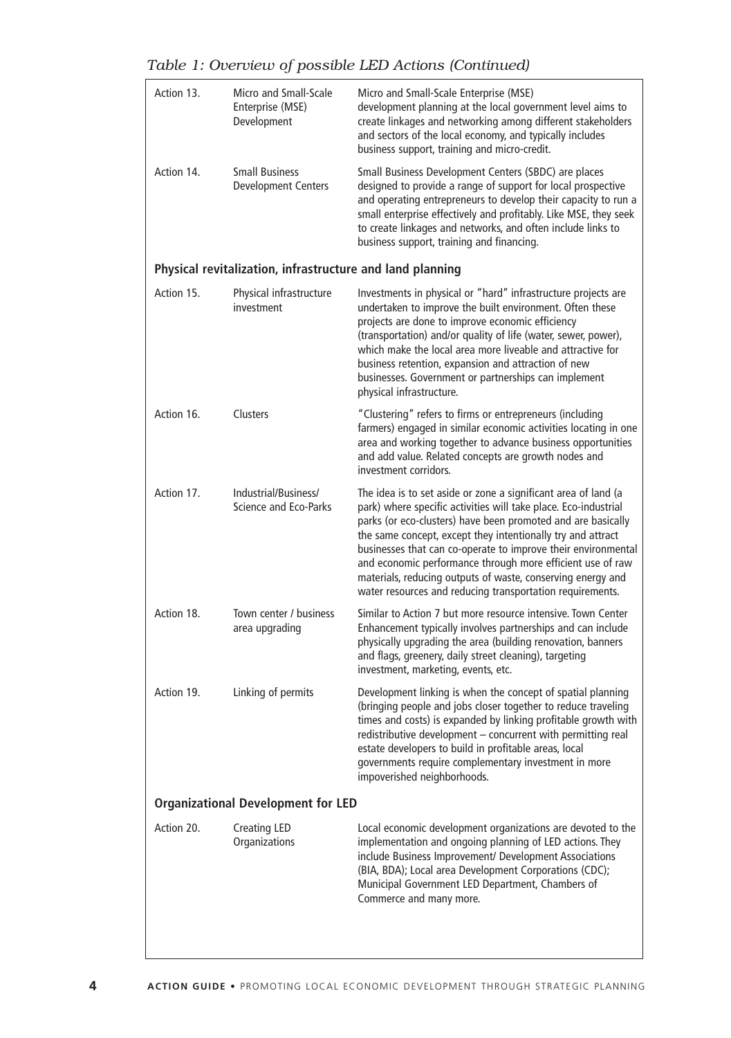| Action 13.                                | Micro and Small-Scale<br>Enterprise (MSE)<br>Development  | Micro and Small-Scale Enterprise (MSE)<br>development planning at the local government level aims to<br>create linkages and networking among different stakeholders<br>and sectors of the local economy, and typically includes<br>business support, training and micro-credit.                                                                                                                                                                                                                                             |
|-------------------------------------------|-----------------------------------------------------------|-----------------------------------------------------------------------------------------------------------------------------------------------------------------------------------------------------------------------------------------------------------------------------------------------------------------------------------------------------------------------------------------------------------------------------------------------------------------------------------------------------------------------------|
| Action 14.                                | <b>Small Business</b><br><b>Development Centers</b>       | Small Business Development Centers (SBDC) are places<br>designed to provide a range of support for local prospective<br>and operating entrepreneurs to develop their capacity to run a<br>small enterprise effectively and profitably. Like MSE, they seek<br>to create linkages and networks, and often include links to<br>business support, training and financing.                                                                                                                                                      |
|                                           | Physical revitalization, infrastructure and land planning |                                                                                                                                                                                                                                                                                                                                                                                                                                                                                                                             |
| Action 15.                                | Physical infrastructure<br>investment                     | Investments in physical or "hard" infrastructure projects are<br>undertaken to improve the built environment. Often these<br>projects are done to improve economic efficiency<br>(transportation) and/or quality of life (water, sewer, power),<br>which make the local area more liveable and attractive for<br>business retention, expansion and attraction of new<br>businesses. Government or partnerships can implement<br>physical infrastructure.                                                                    |
| Action 16.                                | Clusters                                                  | "Clustering" refers to firms or entrepreneurs (including<br>farmers) engaged in similar economic activities locating in one<br>area and working together to advance business opportunities<br>and add value. Related concepts are growth nodes and<br>investment corridors.                                                                                                                                                                                                                                                 |
| Action 17.                                | Industrial/Business/<br>Science and Eco-Parks             | The idea is to set aside or zone a significant area of land (a<br>park) where specific activities will take place. Eco-industrial<br>parks (or eco-clusters) have been promoted and are basically<br>the same concept, except they intentionally try and attract<br>businesses that can co-operate to improve their environmental<br>and economic performance through more efficient use of raw<br>materials, reducing outputs of waste, conserving energy and<br>water resources and reducing transportation requirements. |
| Action 18.                                | Town center / business<br>area upgrading                  | Similar to Action 7 but more resource intensive. Town Center<br>Enhancement typically involves partnerships and can include<br>physically upgrading the area (building renovation, banners<br>and flags, greenery, daily street cleaning), targeting<br>investment, marketing, events, etc.                                                                                                                                                                                                                                 |
| Action 19.                                | Linking of permits                                        | Development linking is when the concept of spatial planning<br>(bringing people and jobs closer together to reduce traveling<br>times and costs) is expanded by linking profitable growth with<br>redistributive development - concurrent with permitting real<br>estate developers to build in profitable areas, local<br>governments require complementary investment in more<br>impoverished neighborhoods.                                                                                                              |
| <b>Organizational Development for LED</b> |                                                           |                                                                                                                                                                                                                                                                                                                                                                                                                                                                                                                             |
| Action 20.                                | Creating LED<br>Organizations                             | Local economic development organizations are devoted to the<br>implementation and ongoing planning of LED actions. They<br>include Business Improvement/ Development Associations<br>(BIA, BDA); Local area Development Corporations (CDC);<br>Municipal Government LED Department, Chambers of<br>Commerce and many more.                                                                                                                                                                                                  |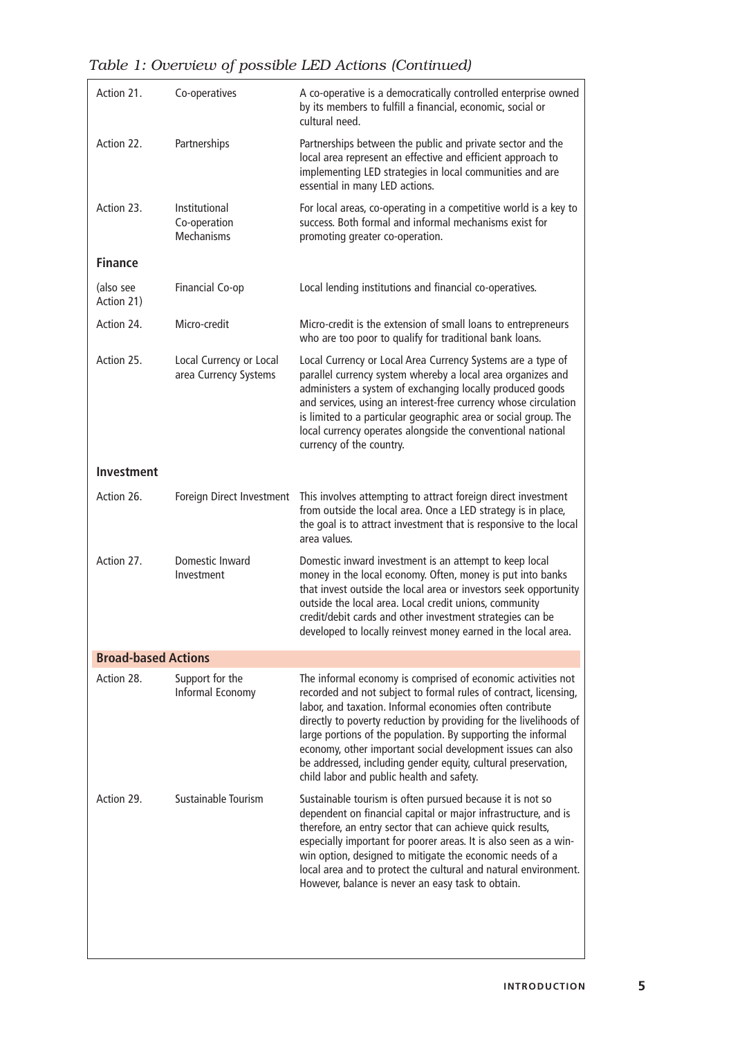| Action 21.                 | Co-operatives                                      | A co-operative is a democratically controlled enterprise owned<br>by its members to fulfill a financial, economic, social or<br>cultural need.                                                                                                                                                                                                                                                                                                                                                                 |
|----------------------------|----------------------------------------------------|----------------------------------------------------------------------------------------------------------------------------------------------------------------------------------------------------------------------------------------------------------------------------------------------------------------------------------------------------------------------------------------------------------------------------------------------------------------------------------------------------------------|
| Action 22.                 | Partnerships                                       | Partnerships between the public and private sector and the<br>local area represent an effective and efficient approach to<br>implementing LED strategies in local communities and are<br>essential in many LED actions.                                                                                                                                                                                                                                                                                        |
| Action 23.                 | Institutional<br>Co-operation<br><b>Mechanisms</b> | For local areas, co-operating in a competitive world is a key to<br>success. Both formal and informal mechanisms exist for<br>promoting greater co-operation.                                                                                                                                                                                                                                                                                                                                                  |
| <b>Finance</b>             |                                                    |                                                                                                                                                                                                                                                                                                                                                                                                                                                                                                                |
| (also see<br>Action 21)    | Financial Co-op                                    | Local lending institutions and financial co-operatives.                                                                                                                                                                                                                                                                                                                                                                                                                                                        |
| Action 24.                 | Micro-credit                                       | Micro-credit is the extension of small loans to entrepreneurs<br>who are too poor to qualify for traditional bank loans.                                                                                                                                                                                                                                                                                                                                                                                       |
| Action 25.                 | Local Currency or Local<br>area Currency Systems   | Local Currency or Local Area Currency Systems are a type of<br>parallel currency system whereby a local area organizes and<br>administers a system of exchanging locally produced goods<br>and services, using an interest-free currency whose circulation<br>is limited to a particular geographic area or social group. The<br>local currency operates alongside the conventional national<br>currency of the country.                                                                                       |
| Investment                 |                                                    |                                                                                                                                                                                                                                                                                                                                                                                                                                                                                                                |
| Action 26.                 | Foreign Direct Investment                          | This involves attempting to attract foreign direct investment<br>from outside the local area. Once a LED strategy is in place,<br>the goal is to attract investment that is responsive to the local<br>area values.                                                                                                                                                                                                                                                                                            |
| Action 27.                 | Domestic Inward<br>Investment                      | Domestic inward investment is an attempt to keep local<br>money in the local economy. Often, money is put into banks<br>that invest outside the local area or investors seek opportunity<br>outside the local area. Local credit unions, community<br>credit/debit cards and other investment strategies can be<br>developed to locally reinvest money earned in the local area.                                                                                                                               |
| <b>Broad-based Actions</b> |                                                    |                                                                                                                                                                                                                                                                                                                                                                                                                                                                                                                |
| Action 28.                 | Support for the<br>Informal Economy                | The informal economy is comprised of economic activities not<br>recorded and not subject to formal rules of contract, licensing,<br>labor, and taxation. Informal economies often contribute<br>directly to poverty reduction by providing for the livelihoods of<br>large portions of the population. By supporting the informal<br>economy, other important social development issues can also<br>be addressed, including gender equity, cultural preservation,<br>child labor and public health and safety. |
| Action 29.                 | Sustainable Tourism                                | Sustainable tourism is often pursued because it is not so<br>dependent on financial capital or major infrastructure, and is<br>therefore, an entry sector that can achieve quick results,<br>especially important for poorer areas. It is also seen as a win-<br>win option, designed to mitigate the economic needs of a<br>local area and to protect the cultural and natural environment.<br>However, balance is never an easy task to obtain.                                                              |
|                            |                                                    |                                                                                                                                                                                                                                                                                                                                                                                                                                                                                                                |

*Table 1: Overview of possible LED Actions (Continued)*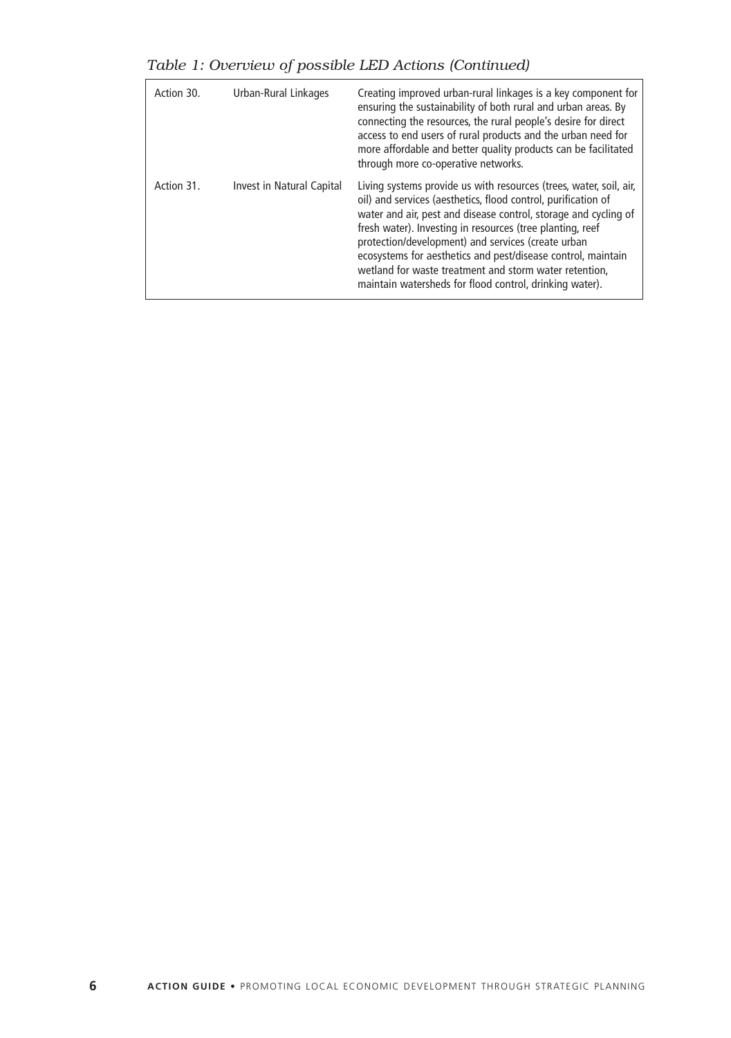*Table 1: Overview of possible LED Actions (Continued)*

| Action 30. | Urban-Rural Linkages      | Creating improved urban-rural linkages is a key component for<br>ensuring the sustainability of both rural and urban areas. By<br>connecting the resources, the rural people's desire for direct<br>access to end users of rural products and the urban need for<br>more affordable and better quality products can be facilitated<br>through more co-operative networks.                                                                                                                                      |
|------------|---------------------------|----------------------------------------------------------------------------------------------------------------------------------------------------------------------------------------------------------------------------------------------------------------------------------------------------------------------------------------------------------------------------------------------------------------------------------------------------------------------------------------------------------------|
| Action 31. | Invest in Natural Capital | Living systems provide us with resources (trees, water, soil, air,<br>oil) and services (aesthetics, flood control, purification of<br>water and air, pest and disease control, storage and cycling of<br>fresh water). Investing in resources (tree planting, reef<br>protection/development) and services (create urban<br>ecosystems for aesthetics and pest/disease control, maintain<br>wetland for waste treatment and storm water retention,<br>maintain watersheds for flood control, drinking water). |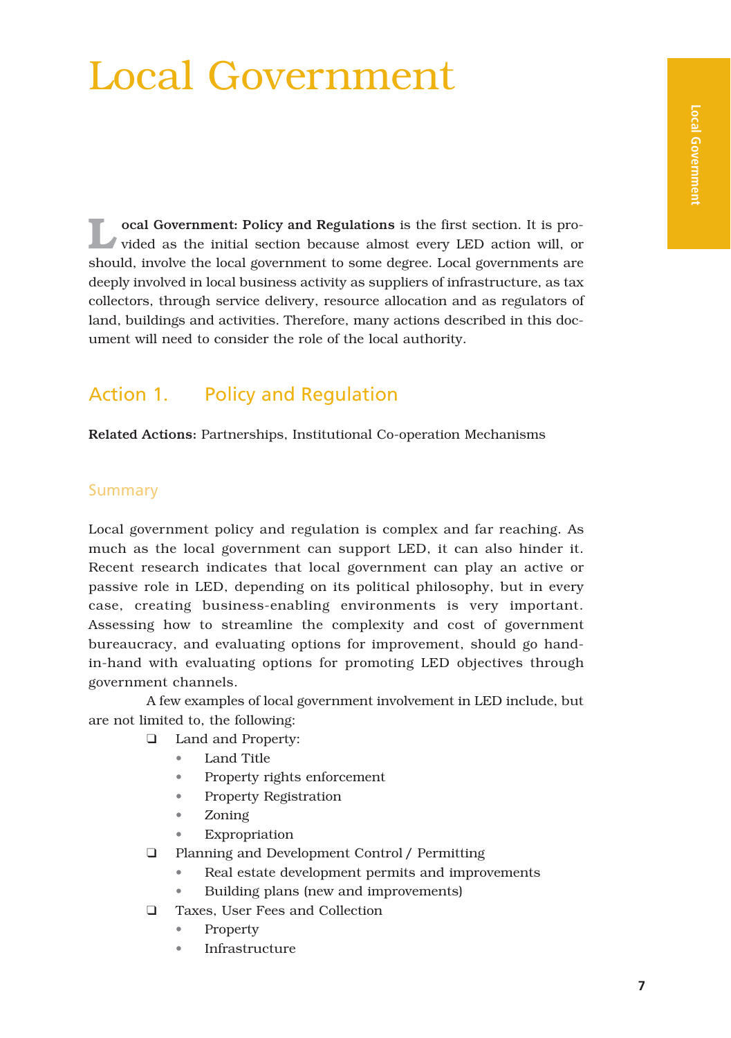## Local Government

**L**ocal Government: Policy and Regulations is the first section. It is pro-vided as the initial section because almost every LED action will, or should, involve the local government to some degree. Local governments are deeply involved in local business activity as suppliers of infrastructure, as tax collectors, through service delivery, resource allocation and as regulators of land, buildings and activities. Therefore, many actions described in this document will need to consider the role of the local authority.

### Action 1. Policy and Regulation

Related Actions: Partnerships, Institutional Co-operation Mechanisms

#### Summary

Local government policy and regulation is complex and far reaching. As much as the local government can support LED, it can also hinder it. Recent research indicates that local government can play an active or passive role in LED, depending on its political philosophy, but in every case, creating business-enabling environments is very important. Assessing how to streamline the complexity and cost of government bureaucracy, and evaluating options for improvement, should go handin-hand with evaluating options for promoting LED objectives through government channels.

A few examples of local government involvement in LED include, but are not limited to, the following:

- ❑ Land and Property:
	- Land Title
	- Property rights enforcement
	- Property Registration
	- Zoning
	- **Expropriation**
- ❑ Planning and Development Control / Permitting
	- Real estate development permits and improvements
	- Building plans (new and improvements)
- ❑ Taxes, User Fees and Collection
	- Property
	- **Infrastructure**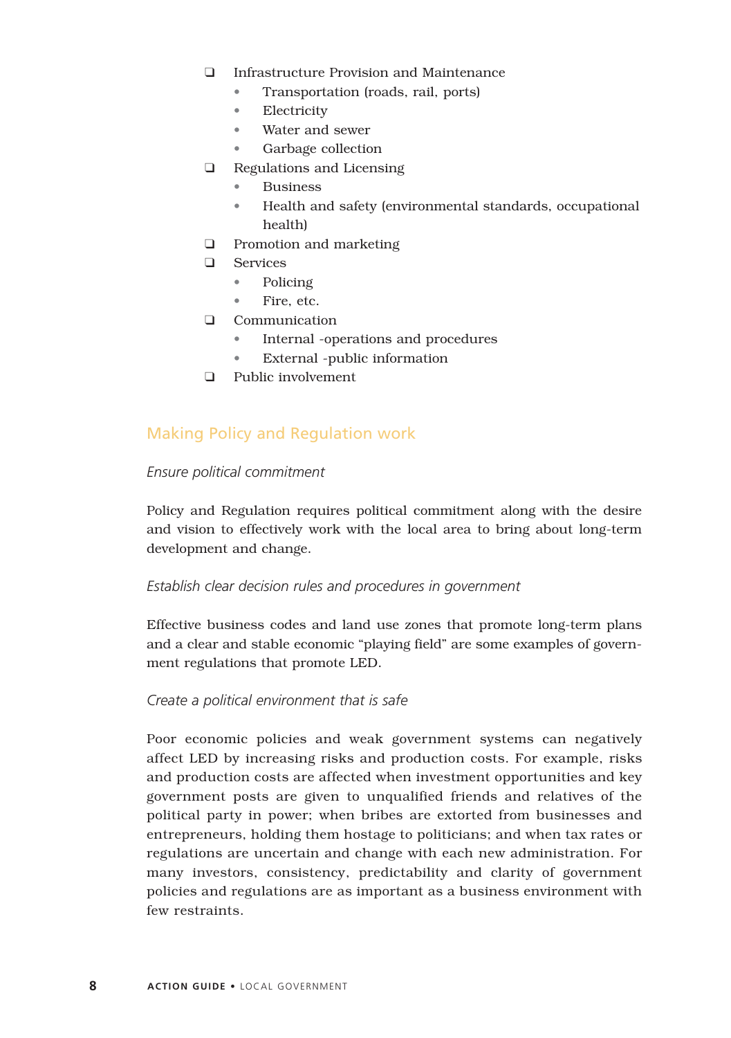- ❑ Infrastructure Provision and Maintenance
	- Transportation (roads, rail, ports)
	- Electricity
	- Water and sewer
	- Garbage collection
- ❑ Regulations and Licensing
	- **Business**
	- Health and safety (environmental standards, occupational health)
- ❑ Promotion and marketing
- ❑ Services
	- Policing
	- Fire, etc.
- ❑ Communication
	- Internal -operations and procedures
	- External -public information
- ❑ Public involvement

#### Making Policy and Regulation work

#### *Ensure political commitment*

Policy and Regulation requires political commitment along with the desire and vision to effectively work with the local area to bring about long-term development and change.

#### *Establish clear decision rules and procedures in government*

Effective business codes and land use zones that promote long-term plans and a clear and stable economic "playing field" are some examples of government regulations that promote LED.

#### *Create a political environment that is safe*

Poor economic policies and weak government systems can negatively affect LED by increasing risks and production costs. For example, risks and production costs are affected when investment opportunities and key government posts are given to unqualified friends and relatives of the political party in power; when bribes are extorted from businesses and entrepreneurs, holding them hostage to politicians; and when tax rates or regulations are uncertain and change with each new administration. For many investors, consistency, predictability and clarity of government policies and regulations are as important as a business environment with few restraints.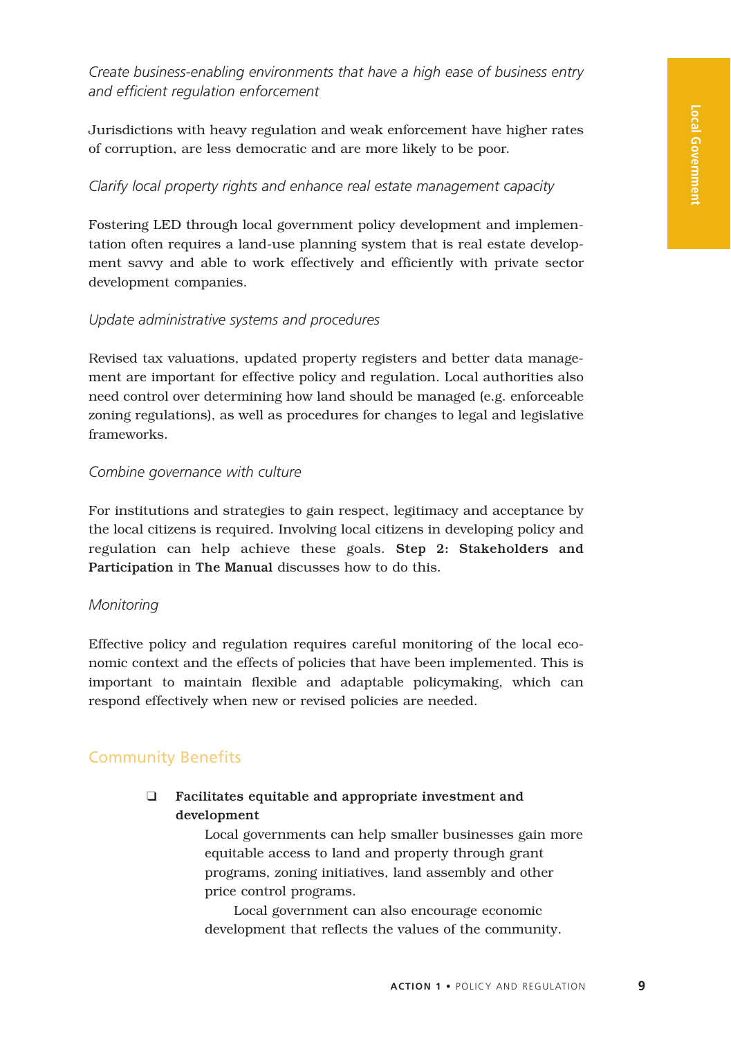*Create business-enabling environments that have a high ease of business entry and efficient regulation enforcement*

Jurisdictions with heavy regulation and weak enforcement have higher rates of corruption, are less democratic and are more likely to be poor.

#### *Clarify local property rights and enhance real estate management capacity*

Fostering LED through local government policy development and implementation often requires a land-use planning system that is real estate development savvy and able to work effectively and efficiently with private sector development companies.

#### *Update administrative systems and procedures*

Revised tax valuations, updated property registers and better data management are important for effective policy and regulation. Local authorities also need control over determining how land should be managed (e.g. enforceable zoning regulations), as well as procedures for changes to legal and legislative frameworks.

#### *Combine governance with culture*

For institutions and strategies to gain respect, legitimacy and acceptance by the local citizens is required. Involving local citizens in developing policy and regulation can help achieve these goals. Step 2: Stakeholders and Participation in The Manual discusses how to do this.

#### *Monitoring*

Effective policy and regulation requires careful monitoring of the local economic context and the effects of policies that have been implemented. This is important to maintain flexible and adaptable policymaking, which can respond effectively when new or revised policies are needed.

#### Community Benefits

❑ Facilitates equitable and appropriate investment and development

> Local governments can help smaller businesses gain more equitable access to land and property through grant programs, zoning initiatives, land assembly and other price control programs.

Local government can also encourage economic development that reflects the values of the community.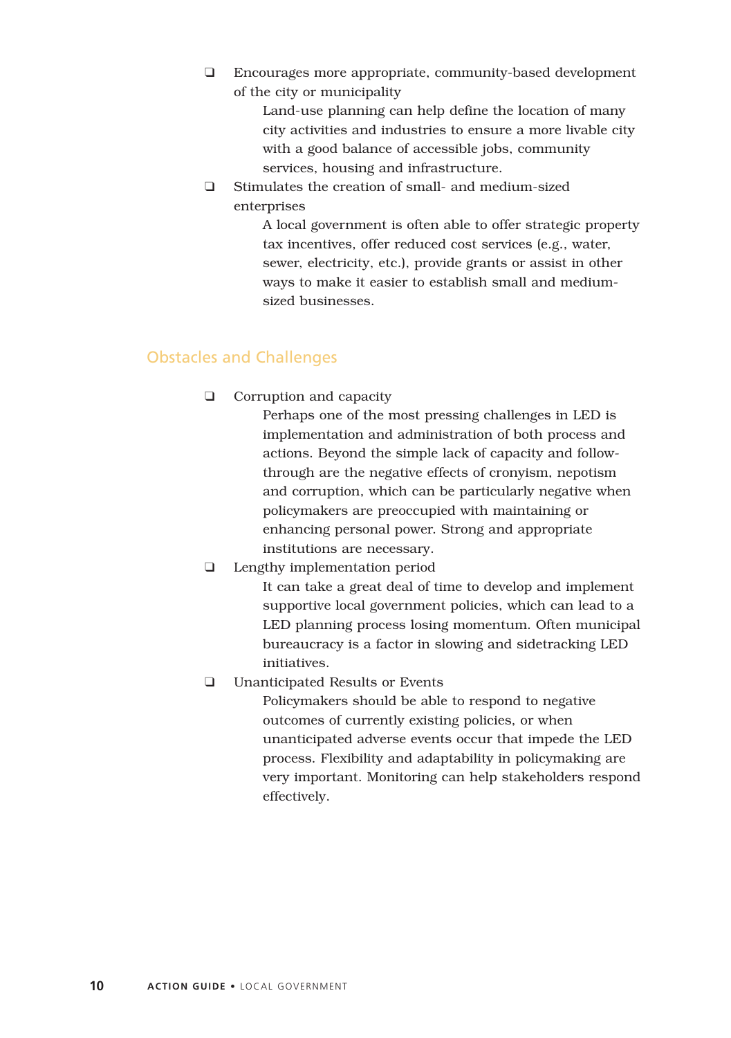❑ Encourages more appropriate, community-based development of the city or municipality

> Land-use planning can help define the location of many city activities and industries to ensure a more livable city with a good balance of accessible jobs, community services, housing and infrastructure.

❑ Stimulates the creation of small- and medium-sized enterprises

> A local government is often able to offer strategic property tax incentives, offer reduced cost services (e.g., water, sewer, electricity, etc.), provide grants or assist in other ways to make it easier to establish small and mediumsized businesses.

#### Obstacles and Challenges

❑ Corruption and capacity

Perhaps one of the most pressing challenges in LED is implementation and administration of both process and actions. Beyond the simple lack of capacity and followthrough are the negative effects of cronyism, nepotism and corruption, which can be particularly negative when policymakers are preoccupied with maintaining or enhancing personal power. Strong and appropriate institutions are necessary.

❑ Lengthy implementation period

It can take a great deal of time to develop and implement supportive local government policies, which can lead to a LED planning process losing momentum. Often municipal bureaucracy is a factor in slowing and sidetracking LED initiatives.

❑ Unanticipated Results or Events

Policymakers should be able to respond to negative outcomes of currently existing policies, or when unanticipated adverse events occur that impede the LED process. Flexibility and adaptability in policymaking are very important. Monitoring can help stakeholders respond effectively.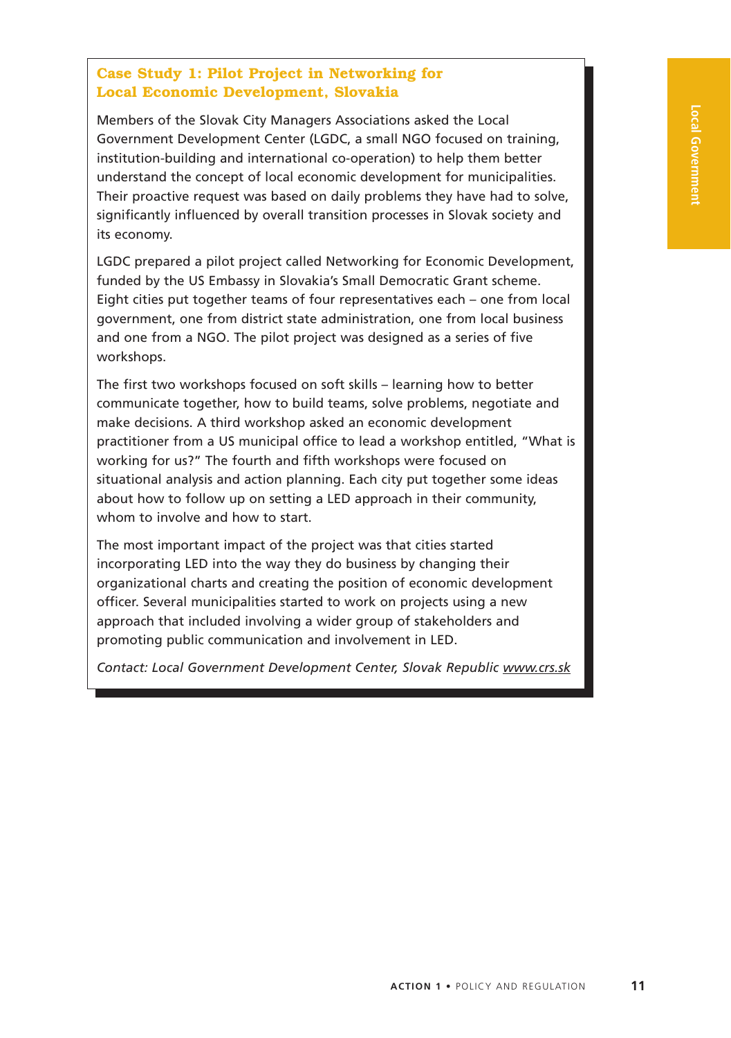#### **Case Study 1: Pilot Project in Networking for Local Economic Development, Slovakia**

Members of the Slovak City Managers Associations asked the Local Government Development Center (LGDC, a small NGO focused on training, institution-building and international co-operation) to help them better understand the concept of local economic development for municipalities. Their proactive request was based on daily problems they have had to solve, significantly influenced by overall transition processes in Slovak society and its economy.

LGDC prepared a pilot project called Networking for Economic Development, funded by the US Embassy in Slovakia's Small Democratic Grant scheme. Eight cities put together teams of four representatives each – one from local government, one from district state administration, one from local business and one from a NGO. The pilot project was designed as a series of five workshops.

The first two workshops focused on soft skills – learning how to better communicate together, how to build teams, solve problems, negotiate and make decisions. A third workshop asked an economic development practitioner from a US municipal office to lead a workshop entitled, "What is working for us?" The fourth and fifth workshops were focused on situational analysis and action planning. Each city put together some ideas about how to follow up on setting a LED approach in their community, whom to involve and how to start.

The most important impact of the project was that cities started incorporating LED into the way they do business by changing their organizational charts and creating the position of economic development officer. Several municipalities started to work on projects using a new approach that included involving a wider group of stakeholders and promoting public communication and involvement in LED.

*Contact: Local Government Development Center, Slovak Republic www.crs.sk*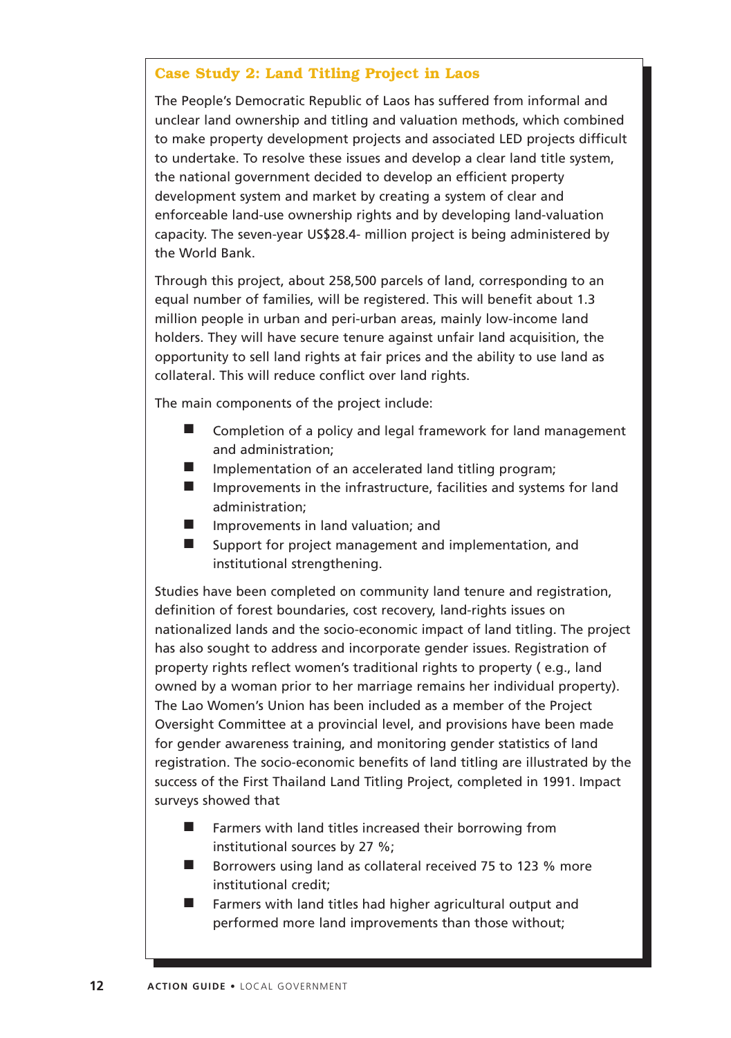#### **Case Study 2: Land Titling Project in Laos**

The People's Democratic Republic of Laos has suffered from informal and unclear land ownership and titling and valuation methods, which combined to make property development projects and associated LED projects difficult to undertake. To resolve these issues and develop a clear land title system, the national government decided to develop an efficient property development system and market by creating a system of clear and enforceable land-use ownership rights and by developing land-valuation capacity. The seven-year US\$28.4- million project is being administered by the World Bank.

Through this project, about 258,500 parcels of land, corresponding to an equal number of families, will be registered. This will benefit about 1.3 million people in urban and peri-urban areas, mainly low-income land holders. They will have secure tenure against unfair land acquisition, the opportunity to sell land rights at fair prices and the ability to use land as collateral. This will reduce conflict over land rights.

The main components of the project include:

- Completion of a policy and legal framework for land management and administration;
- Implementation of an accelerated land titling program;
- Improvements in the infrastructure, facilities and systems for land administration;
- Improvements in land valuation; and
- Support for project management and implementation, and institutional strengthening.

Studies have been completed on community land tenure and registration, definition of forest boundaries, cost recovery, land-rights issues on nationalized lands and the socio-economic impact of land titling. The project has also sought to address and incorporate gender issues. Registration of property rights reflect women's traditional rights to property ( e.g., land owned by a woman prior to her marriage remains her individual property). The Lao Women's Union has been included as a member of the Project Oversight Committee at a provincial level, and provisions have been made for gender awareness training, and monitoring gender statistics of land registration. The socio-economic benefits of land titling are illustrated by the success of the First Thailand Land Titling Project, completed in 1991. Impact surveys showed that

- Farmers with land titles increased their borrowing from institutional sources by 27 %;
- Borrowers using land as collateral received 75 to 123 % more institutional credit;
- Farmers with land titles had higher agricultural output and performed more land improvements than those without;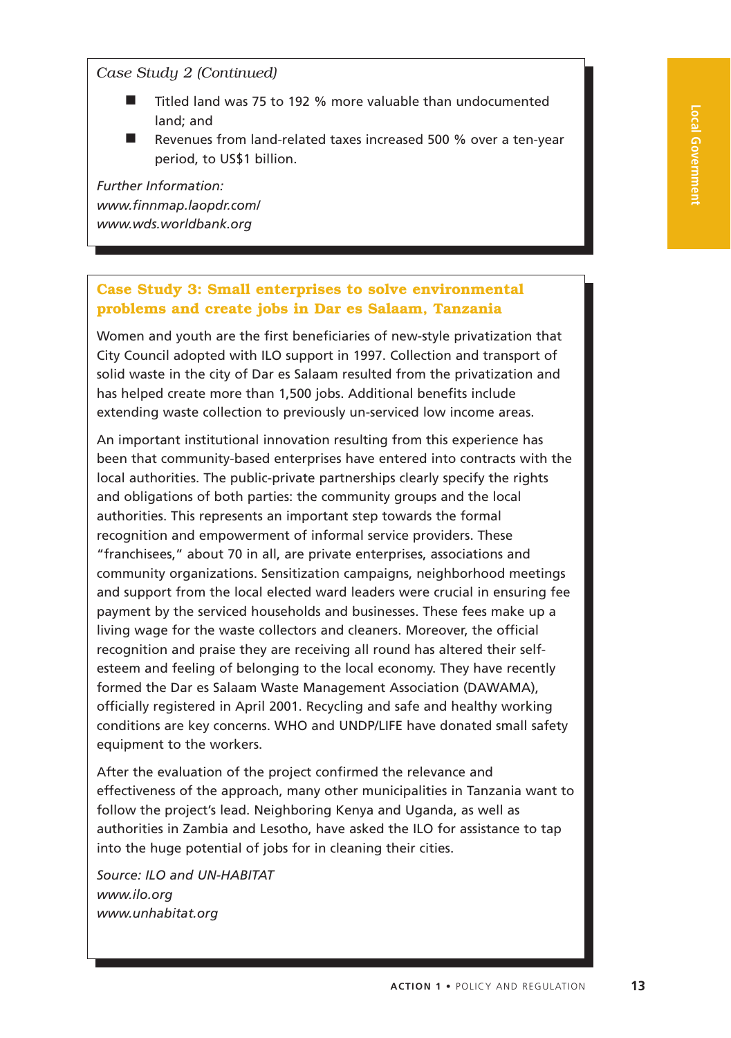#### *Case Study 2 (Continued)*

- Titled land was 75 to 192 % more valuable than undocumented land; and
- Revenues from land-related taxes increased 500 % over a ten-year period, to US\$1 billion.

*Further Information: www.finnmap.laopdr.com/ www.wds.worldbank.org*

#### **Case Study 3: Small enterprises to solve environmental problems and create jobs in Dar es Salaam, Tanzania**

Women and youth are the first beneficiaries of new-style privatization that City Council adopted with ILO support in 1997. Collection and transport of solid waste in the city of Dar es Salaam resulted from the privatization and has helped create more than 1,500 jobs. Additional benefits include extending waste collection to previously un-serviced low income areas.

An important institutional innovation resulting from this experience has been that community-based enterprises have entered into contracts with the local authorities. The public-private partnerships clearly specify the rights and obligations of both parties: the community groups and the local authorities. This represents an important step towards the formal recognition and empowerment of informal service providers. These "franchisees," about 70 in all, are private enterprises, associations and community organizations. Sensitization campaigns, neighborhood meetings and support from the local elected ward leaders were crucial in ensuring fee payment by the serviced households and businesses. These fees make up a living wage for the waste collectors and cleaners. Moreover, the official recognition and praise they are receiving all round has altered their selfesteem and feeling of belonging to the local economy. They have recently formed the Dar es Salaam Waste Management Association (DAWAMA), officially registered in April 2001. Recycling and safe and healthy working conditions are key concerns. WHO and UNDP/LIFE have donated small safety equipment to the workers.

After the evaluation of the project confirmed the relevance and effectiveness of the approach, many other municipalities in Tanzania want to follow the project's lead. Neighboring Kenya and Uganda, as well as authorities in Zambia and Lesotho, have asked the ILO for assistance to tap into the huge potential of jobs for in cleaning their cities.

*Source: ILO and UN-HABITAT www.ilo.org www.unhabitat.org*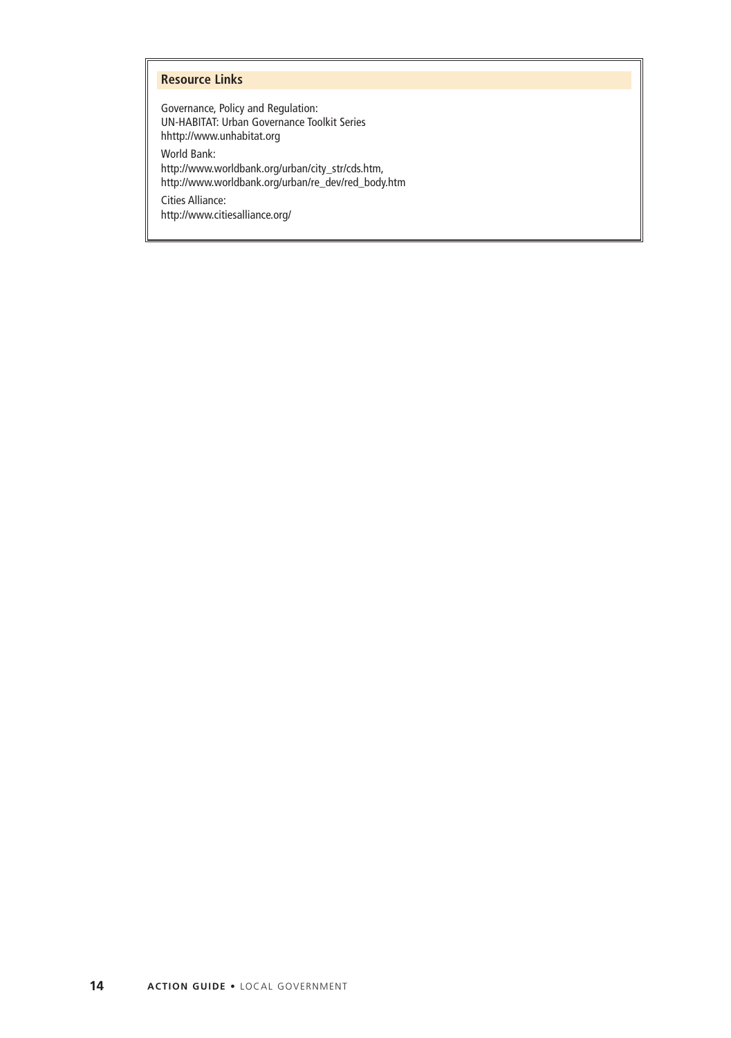#### **Resource Links**

Governance, Policy and Regulation: UN-HABITAT: Urban Governance Toolkit Series hhttp://www.unhabitat.org

World Bank: http://www.worldbank.org/urban/city\_str/cds.htm, http://www.worldbank.org/urban/re\_dev/red\_body.htm

Cities Alliance: http://www.citiesalliance.org/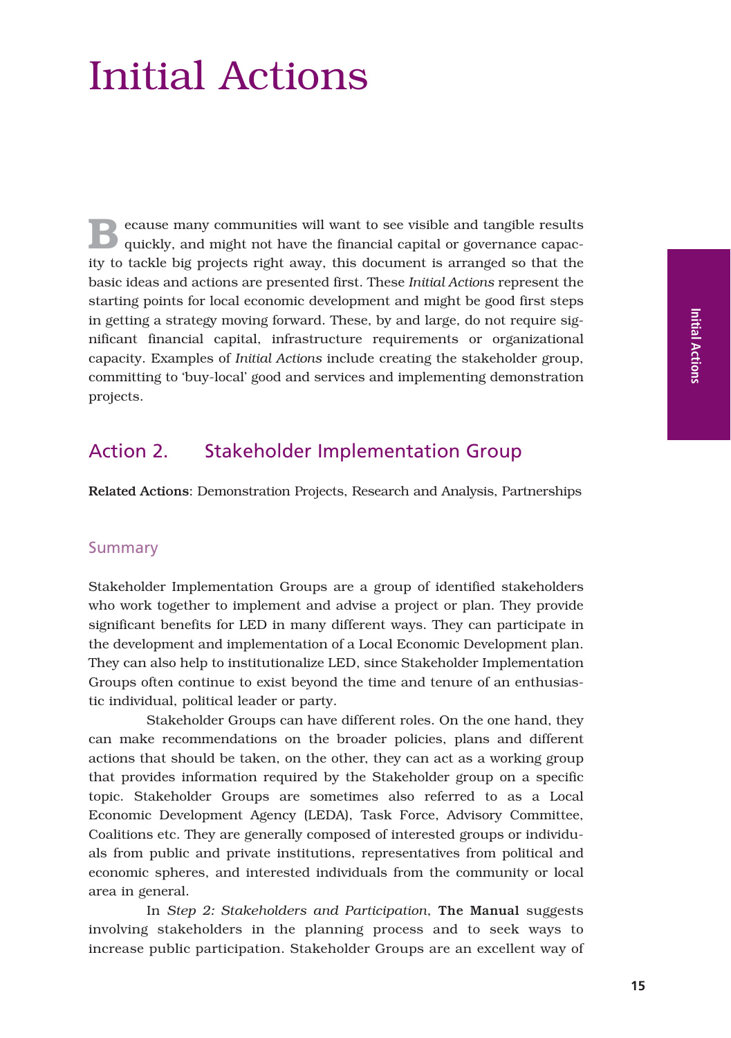## Initial Actions

**B**ecause many communities will want to see visible and tangible results quickly, and might not have the financial capital or governance capacity to tackle big projects right away, this document is arranged so that the basic ideas and actions are presented first. These *Initial Actions* represent the starting points for local economic development and might be good first steps in getting a strategy moving forward. These, by and large, do not require significant financial capital, infrastructure requirements or organizational capacity. Examples of *Initial Actions* include creating the stakeholder group, committing to 'buy-local' good and services and implementing demonstration projects.

#### Action 2. Stakeholder Implementation Group

Related Actions: Demonstration Projects, Research and Analysis, Partnerships

#### Summary

Stakeholder Implementation Groups are a group of identified stakeholders who work together to implement and advise a project or plan. They provide significant benefits for LED in many different ways. They can participate in the development and implementation of a Local Economic Development plan. They can also help to institutionalize LED, since Stakeholder Implementation Groups often continue to exist beyond the time and tenure of an enthusiastic individual, political leader or party.

Stakeholder Groups can have different roles. On the one hand, they can make recommendations on the broader policies, plans and different actions that should be taken, on the other, they can act as a working group that provides information required by the Stakeholder group on a specific topic. Stakeholder Groups are sometimes also referred to as a Local Economic Development Agency (LEDA), Task Force, Advisory Committee, Coalitions etc. They are generally composed of interested groups or individuals from public and private institutions, representatives from political and economic spheres, and interested individuals from the community or local area in general.

In *Step 2: Stakeholders and Participation*, The Manual suggests involving stakeholders in the planning process and to seek ways to increase public participation. Stakeholder Groups are an excellent way of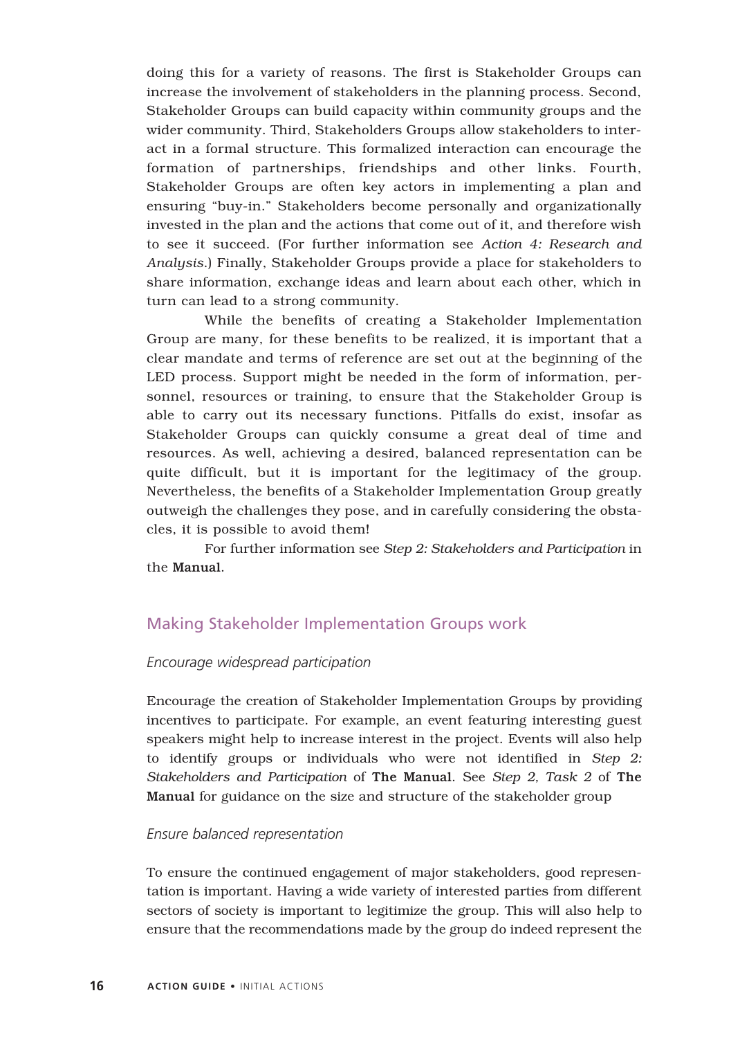doing this for a variety of reasons. The first is Stakeholder Groups can increase the involvement of stakeholders in the planning process. Second, Stakeholder Groups can build capacity within community groups and the wider community. Third, Stakeholders Groups allow stakeholders to interact in a formal structure. This formalized interaction can encourage the formation of partnerships, friendships and other links. Fourth, Stakeholder Groups are often key actors in implementing a plan and ensuring "buy-in." Stakeholders become personally and organizationally invested in the plan and the actions that come out of it, and therefore wish to see it succeed. (For further information see *Action 4: Research and Analysis*.) Finally, Stakeholder Groups provide a place for stakeholders to share information, exchange ideas and learn about each other, which in turn can lead to a strong community.

While the benefits of creating a Stakeholder Implementation Group are many, for these benefits to be realized, it is important that a clear mandate and terms of reference are set out at the beginning of the LED process. Support might be needed in the form of information, personnel, resources or training, to ensure that the Stakeholder Group is able to carry out its necessary functions. Pitfalls do exist, insofar as Stakeholder Groups can quickly consume a great deal of time and resources. As well, achieving a desired, balanced representation can be quite difficult, but it is important for the legitimacy of the group. Nevertheless, the benefits of a Stakeholder Implementation Group greatly outweigh the challenges they pose, and in carefully considering the obstacles, it is possible to avoid them!

For further information see *Step 2: Stakeholders and Participation* in the Manual.

#### Making Stakeholder Implementation Groups work

#### *Encourage widespread participation*

Encourage the creation of Stakeholder Implementation Groups by providing incentives to participate. For example, an event featuring interesting guest speakers might help to increase interest in the project. Events will also help to identify groups or individuals who were not identified in *Step 2: Stakeholders and Participation* of The Manual. See *Step 2, Task 2* of The Manual for guidance on the size and structure of the stakeholder group

#### *Ensure balanced representation*

To ensure the continued engagement of major stakeholders, good representation is important. Having a wide variety of interested parties from different sectors of society is important to legitimize the group. This will also help to ensure that the recommendations made by the group do indeed represent the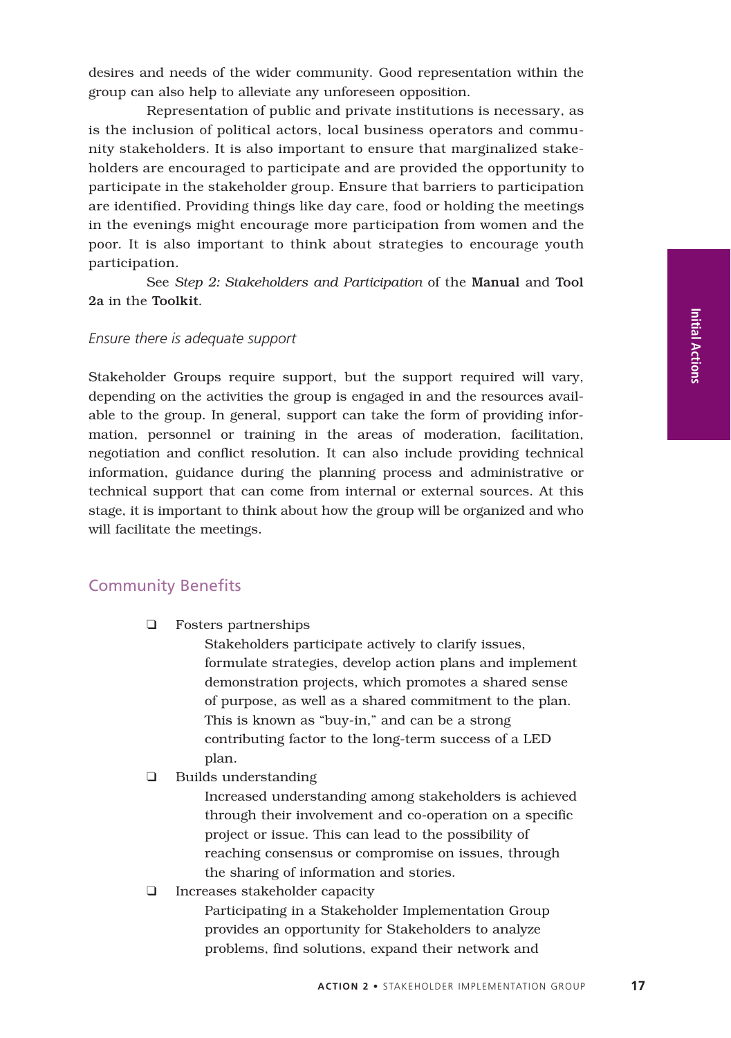**Actions**

desires and needs of the wider community. Good representation within the group can also help to alleviate any unforeseen opposition.

Representation of public and private institutions is necessary, as is the inclusion of political actors, local business operators and community stakeholders. It is also important to ensure that marginalized stakeholders are encouraged to participate and are provided the opportunity to participate in the stakeholder group. Ensure that barriers to participation are identified. Providing things like day care, food or holding the meetings in the evenings might encourage more participation from women and the poor. It is also important to think about strategies to encourage youth participation.

See *Step 2: Stakeholders and Participation* of the Manual and Tool 2a in the Toolkit.

#### *Ensure there is adequate support*

Stakeholder Groups require support, but the support required will vary, depending on the activities the group is engaged in and the resources available to the group. In general, support can take the form of providing information, personnel or training in the areas of moderation, facilitation, negotiation and conflict resolution. It can also include providing technical information, guidance during the planning process and administrative or technical support that can come from internal or external sources. At this stage, it is important to think about how the group will be organized and who will facilitate the meetings.

#### Community Benefits

❑ Fosters partnerships

Stakeholders participate actively to clarify issues, formulate strategies, develop action plans and implement demonstration projects, which promotes a shared sense of purpose, as well as a shared commitment to the plan. This is known as "buy-in," and can be a strong contributing factor to the long-term success of a LED plan.

❑ Builds understanding

Increased understanding among stakeholders is achieved through their involvement and co-operation on a specific project or issue. This can lead to the possibility of reaching consensus or compromise on issues, through the sharing of information and stories.

❑ Increases stakeholder capacity

Participating in a Stakeholder Implementation Group provides an opportunity for Stakeholders to analyze problems, find solutions, expand their network and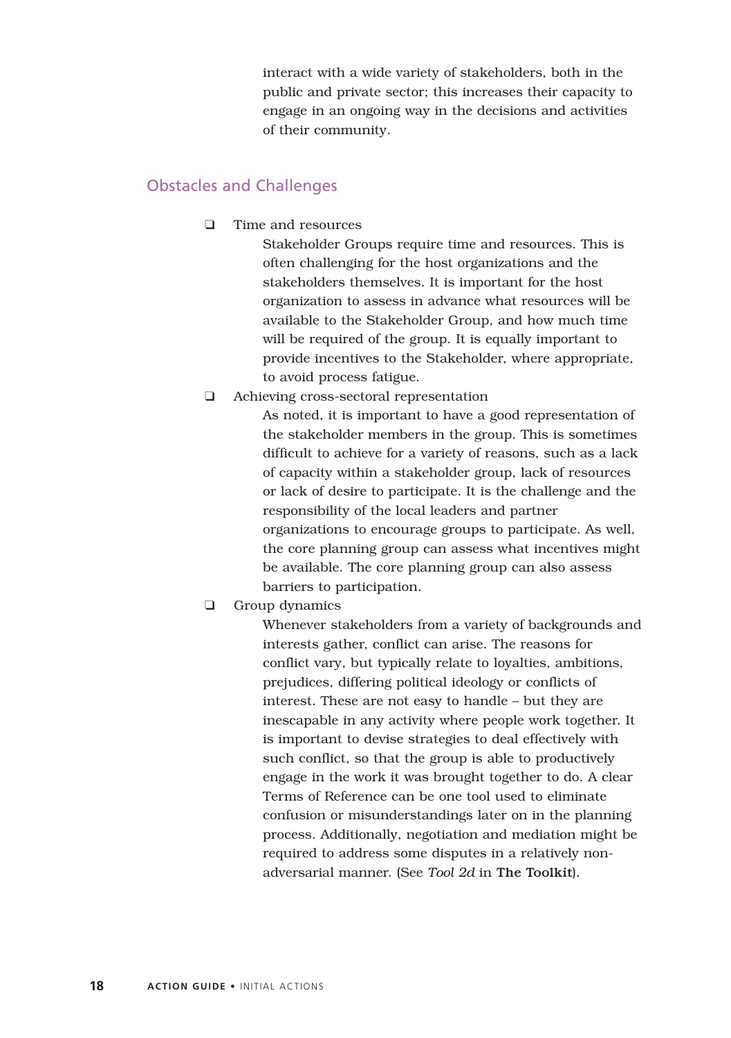interact with a wide variety of stakeholders, both in the public and private sector; this increases their capacity to engage in an ongoing way in the decisions and activities of their community.

#### Obstacles and Challenges

❑ Time and resources

Stakeholder Groups require time and resources. This is often challenging for the host organizations and the stakeholders themselves. It is important for the host organization to assess in advance what resources will be available to the Stakeholder Group, and how much time will be required of the group. It is equally important to provide incentives to the Stakeholder, where appropriate, to avoid process fatigue.

❑ Achieving cross-sectoral representation

As noted, it is important to have a good representation of the stakeholder members in the group. This is sometimes difficult to achieve for a variety of reasons, such as a lack of capacity within a stakeholder group, lack of resources or lack of desire to participate. It is the challenge and the responsibility of the local leaders and partner organizations to encourage groups to participate. As well, the core planning group can assess what incentives might be available. The core planning group can also assess barriers to participation.

❑ Group dynamics

Whenever stakeholders from a variety of backgrounds and interests gather, conflict can arise. The reasons for conflict vary, but typically relate to loyalties, ambitions, prejudices, differing political ideology or conflicts of interest. These are not easy to handle – but they are inescapable in any activity where people work together. It is important to devise strategies to deal effectively with such conflict, so that the group is able to productively engage in the work it was brought together to do. A clear Terms of Reference can be one tool used to eliminate confusion or misunderstandings later on in the planning process. Additionally, negotiation and mediation might be required to address some disputes in a relatively nonadversarial manner. (See *Tool 2d* in The Toolkit).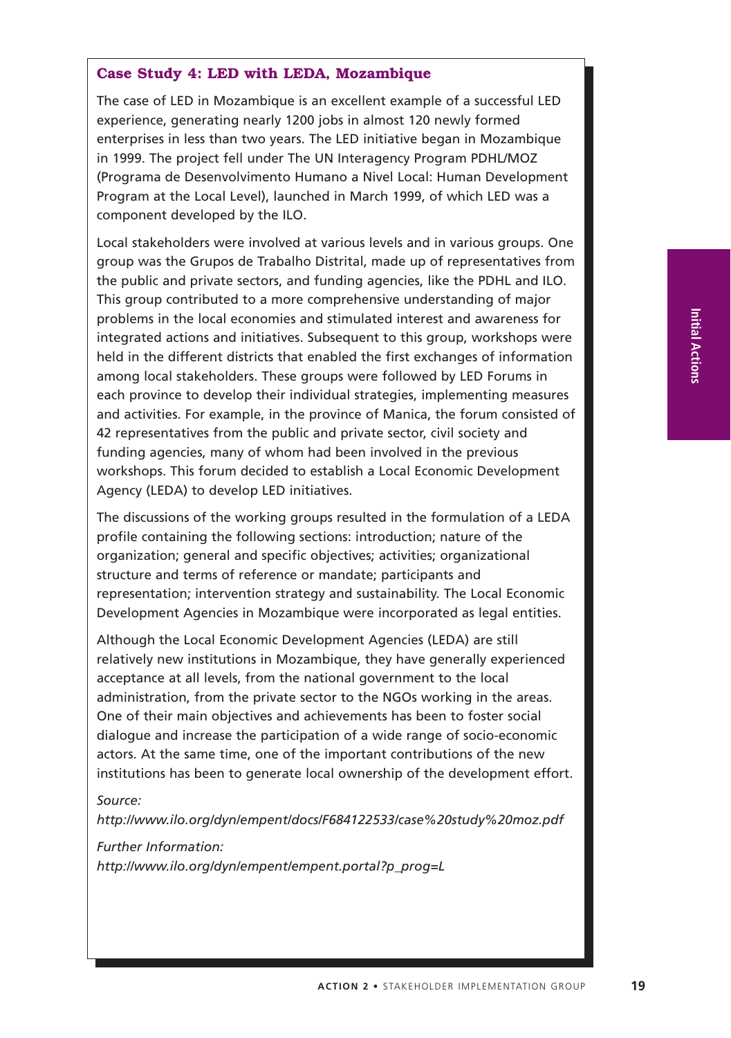#### **Case Study 4: LED with LEDA, Mozambique**

The case of LED in Mozambique is an excellent example of a successful LED experience, generating nearly 1200 jobs in almost 120 newly formed enterprises in less than two years. The LED initiative began in Mozambique in 1999. The project fell under The UN Interagency Program PDHL/MOZ (Programa de Desenvolvimento Humano a Nivel Local: Human Development Program at the Local Level), launched in March 1999, of which LED was a component developed by the ILO.

Local stakeholders were involved at various levels and in various groups. One group was the Grupos de Trabalho Distrital, made up of representatives from the public and private sectors, and funding agencies, like the PDHL and ILO. This group contributed to a more comprehensive understanding of major problems in the local economies and stimulated interest and awareness for integrated actions and initiatives. Subsequent to this group, workshops were held in the different districts that enabled the first exchanges of information among local stakeholders. These groups were followed by LED Forums in each province to develop their individual strategies, implementing measures and activities. For example, in the province of Manica, the forum consisted of 42 representatives from the public and private sector, civil society and funding agencies, many of whom had been involved in the previous workshops. This forum decided to establish a Local Economic Development Agency (LEDA) to develop LED initiatives.

The discussions of the working groups resulted in the formulation of a LEDA profile containing the following sections: introduction; nature of the organization; general and specific objectives; activities; organizational structure and terms of reference or mandate; participants and representation; intervention strategy and sustainability. The Local Economic Development Agencies in Mozambique were incorporated as legal entities.

Although the Local Economic Development Agencies (LEDA) are still relatively new institutions in Mozambique, they have generally experienced acceptance at all levels, from the national government to the local administration, from the private sector to the NGOs working in the areas. One of their main objectives and achievements has been to foster social dialogue and increase the participation of a wide range of socio-economic actors. At the same time, one of the important contributions of the new institutions has been to generate local ownership of the development effort.

#### *Source:*

*http://www.ilo.org/dyn/empent/docs/F684122533/case%20study%20moz.pdf*

*Further Information:*

*http://www.ilo.org/dyn/empent/empent.portal?p\_prog=L*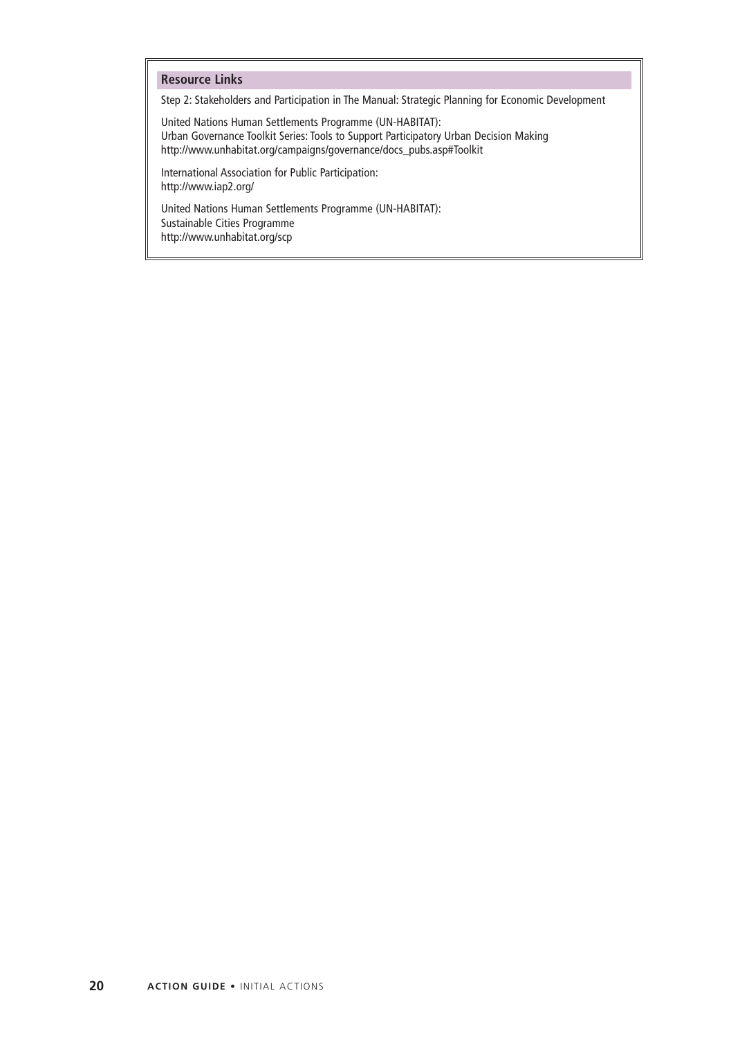#### **Resource Links**

Step 2: Stakeholders and Participation in The Manual: Strategic Planning for Economic Development

United Nations Human Settlements Programme (UN-HABITAT): Urban Governance Toolkit Series: Tools to Support Participatory Urban Decision Making http://www.unhabitat.org/campaigns/governance/docs\_pubs.asp#Toolkit

International Association for Public Participation: http://www.iap2.org/

United Nations Human Settlements Programme (UN-HABITAT): Sustainable Cities Programme http://www.unhabitat.org/scp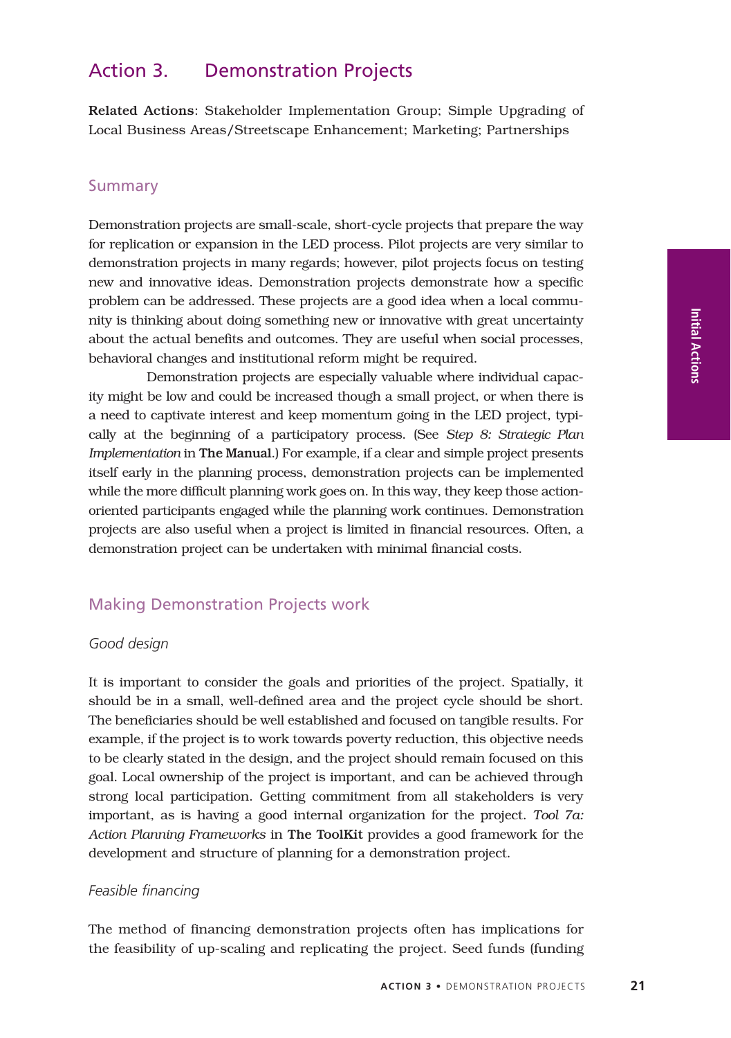#### Action 3. Demonstration Projects

Related Actions: Stakeholder Implementation Group; Simple Upgrading of Local Business Areas/Streetscape Enhancement; Marketing; Partnerships

#### **Summary**

Demonstration projects are small-scale, short-cycle projects that prepare the way for replication or expansion in the LED process. Pilot projects are very similar to demonstration projects in many regards; however, pilot projects focus on testing new and innovative ideas. Demonstration projects demonstrate how a specific problem can be addressed. These projects are a good idea when a local community is thinking about doing something new or innovative with great uncertainty about the actual benefits and outcomes. They are useful when social processes, behavioral changes and institutional reform might be required.

Demonstration projects are especially valuable where individual capacity might be low and could be increased though a small project, or when there is a need to captivate interest and keep momentum going in the LED project, typically at the beginning of a participatory process. (See *Step 8: Strategic Plan Implementation* in The Manual.) For example, if a clear and simple project presents itself early in the planning process, demonstration projects can be implemented while the more difficult planning work goes on. In this way, they keep those actionoriented participants engaged while the planning work continues. Demonstration projects are also useful when a project is limited in financial resources. Often, a demonstration project can be undertaken with minimal financial costs.

#### Making Demonstration Projects work

#### *Good design*

It is important to consider the goals and priorities of the project. Spatially, it should be in a small, well-defined area and the project cycle should be short. The beneficiaries should be well established and focused on tangible results. For example, if the project is to work towards poverty reduction, this objective needs to be clearly stated in the design, and the project should remain focused on this goal. Local ownership of the project is important, and can be achieved through strong local participation. Getting commitment from all stakeholders is very important, as is having a good internal organization for the project. *Tool 7a: Action Planning Frameworks* in The ToolKit provides a good framework for the development and structure of planning for a demonstration project.

#### *Feasible financing*

The method of financing demonstration projects often has implications for the feasibility of up-scaling and replicating the project. Seed funds (funding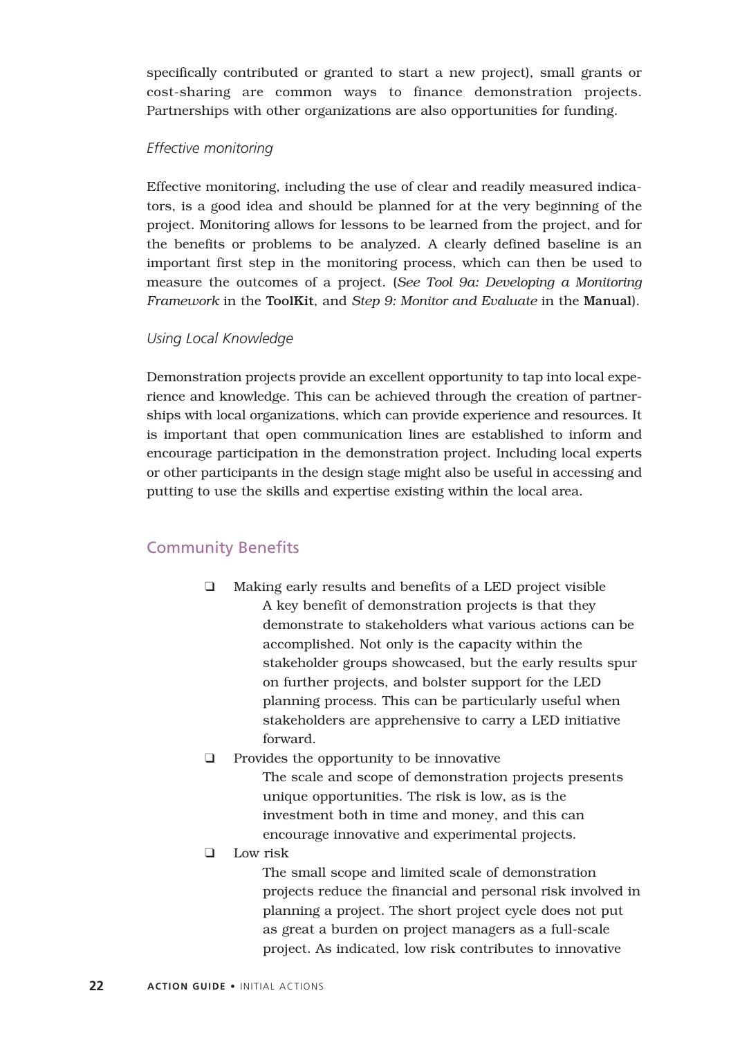specifically contributed or granted to start a new project), small grants or cost-sharing are common ways to finance demonstration projects. Partnerships with other organizations are also opportunities for funding.

#### *Effective monitoring*

Effective monitoring, including the use of clear and readily measured indicators, is a good idea and should be planned for at the very beginning of the project. Monitoring allows for lessons to be learned from the project, and for the benefits or problems to be analyzed. A clearly defined baseline is an important first step in the monitoring process, which can then be used to measure the outcomes of a project. (*See Tool 9a: Developing a Monitoring Framework* in the ToolKit, and *Step 9: Monitor and Evaluate* in the Manual).

#### *Using Local Knowledge*

Demonstration projects provide an excellent opportunity to tap into local experience and knowledge. This can be achieved through the creation of partnerships with local organizations, which can provide experience and resources. It is important that open communication lines are established to inform and encourage participation in the demonstration project. Including local experts or other participants in the design stage might also be useful in accessing and putting to use the skills and expertise existing within the local area.

#### Community Benefits

- ❑ Making early results and benefits of a LED project visible A key benefit of demonstration projects is that they demonstrate to stakeholders what various actions can be accomplished. Not only is the capacity within the stakeholder groups showcased, but the early results spur on further projects, and bolster support for the LED planning process. This can be particularly useful when stakeholders are apprehensive to carry a LED initiative forward.
- ❑ Provides the opportunity to be innovative

The scale and scope of demonstration projects presents unique opportunities. The risk is low, as is the investment both in time and money, and this can encourage innovative and experimental projects.

❑ Low risk

The small scope and limited scale of demonstration projects reduce the financial and personal risk involved in planning a project. The short project cycle does not put as great a burden on project managers as a full-scale project. As indicated, low risk contributes to innovative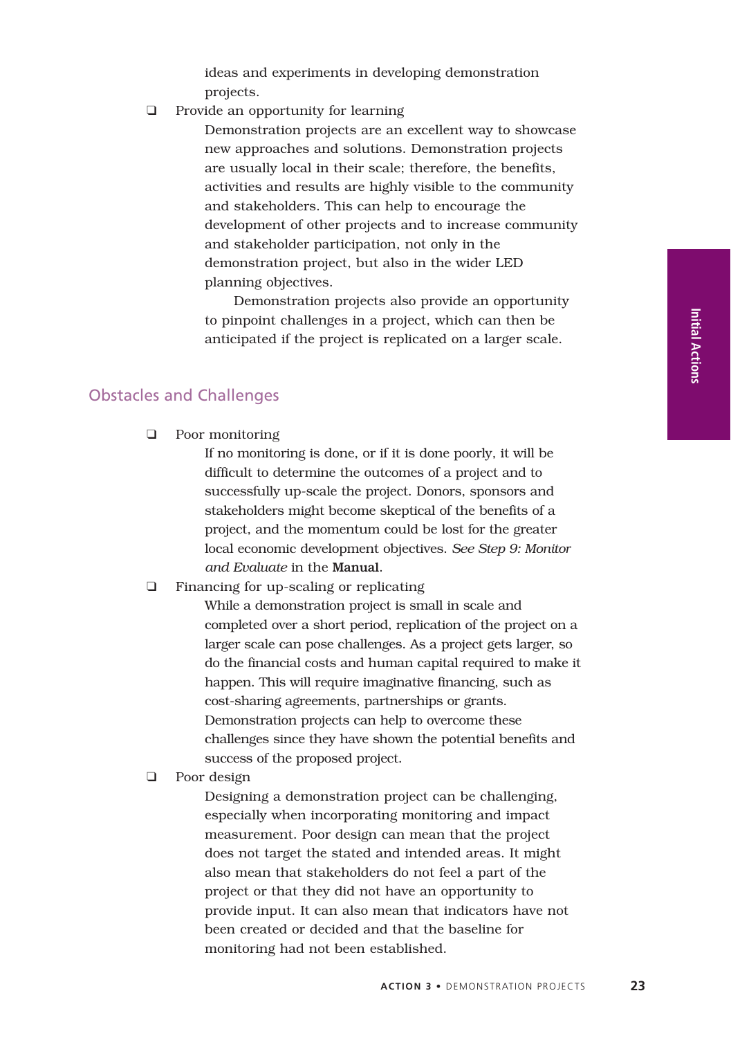ideas and experiments in developing demonstration projects.

❑ Provide an opportunity for learning

Demonstration projects are an excellent way to showcase new approaches and solutions. Demonstration projects are usually local in their scale; therefore, the benefits, activities and results are highly visible to the community and stakeholders. This can help to encourage the development of other projects and to increase community and stakeholder participation, not only in the demonstration project, but also in the wider LED planning objectives.

Demonstration projects also provide an opportunity to pinpoint challenges in a project, which can then be anticipated if the project is replicated on a larger scale.

#### Obstacles and Challenges

❑ Poor monitoring

If no monitoring is done, or if it is done poorly, it will be difficult to determine the outcomes of a project and to successfully up-scale the project. Donors, sponsors and stakeholders might become skeptical of the benefits of a project, and the momentum could be lost for the greater local economic development objectives. *See Step 9: Monitor and Evaluate* in the Manual.

❑ Financing for up-scaling or replicating

While a demonstration project is small in scale and completed over a short period, replication of the project on a larger scale can pose challenges. As a project gets larger, so do the financial costs and human capital required to make it happen. This will require imaginative financing, such as cost-sharing agreements, partnerships or grants. Demonstration projects can help to overcome these challenges since they have shown the potential benefits and success of the proposed project.

❑ Poor design

Designing a demonstration project can be challenging, especially when incorporating monitoring and impact measurement. Poor design can mean that the project does not target the stated and intended areas. It might also mean that stakeholders do not feel a part of the project or that they did not have an opportunity to provide input. It can also mean that indicators have not been created or decided and that the baseline for monitoring had not been established.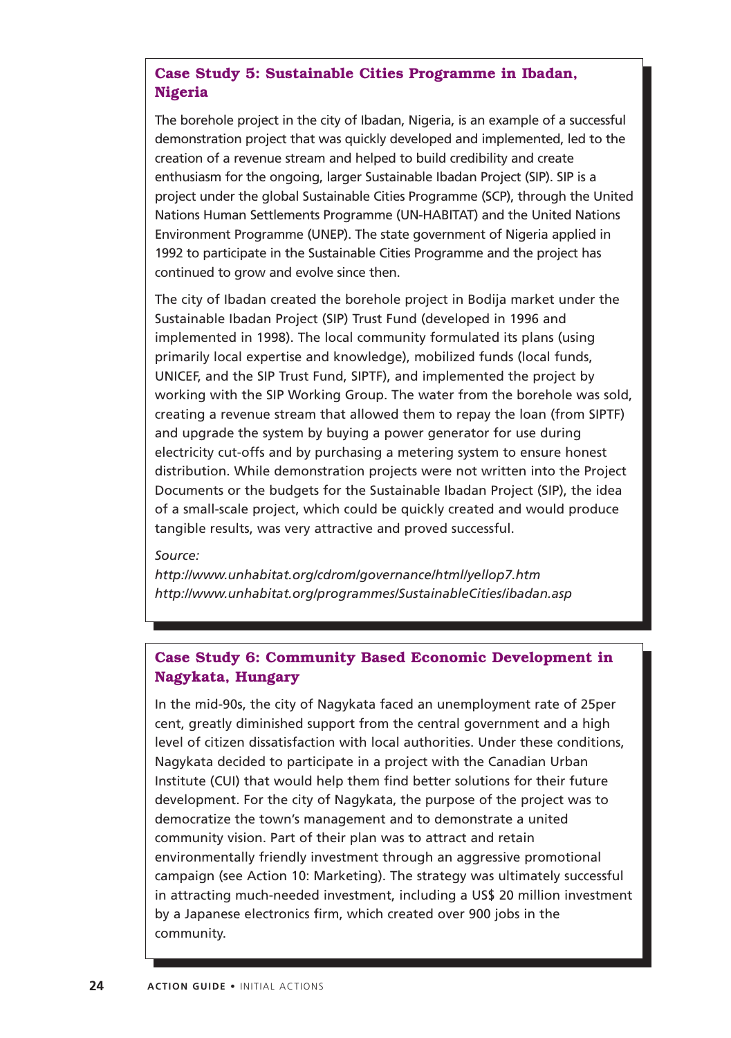#### **Case Study 5: Sustainable Cities Programme in Ibadan, Nigeria**

The borehole project in the city of Ibadan, Nigeria, is an example of a successful demonstration project that was quickly developed and implemented, led to the creation of a revenue stream and helped to build credibility and create enthusiasm for the ongoing, larger Sustainable Ibadan Project (SIP). SIP is a project under the global Sustainable Cities Programme (SCP), through the United Nations Human Settlements Programme (UN-HABITAT) and the United Nations Environment Programme (UNEP). The state government of Nigeria applied in 1992 to participate in the Sustainable Cities Programme and the project has continued to grow and evolve since then.

The city of Ibadan created the borehole project in Bodija market under the Sustainable Ibadan Project (SIP) Trust Fund (developed in 1996 and implemented in 1998). The local community formulated its plans (using primarily local expertise and knowledge), mobilized funds (local funds, UNICEF, and the SIP Trust Fund, SIPTF), and implemented the project by working with the SIP Working Group. The water from the borehole was sold, creating a revenue stream that allowed them to repay the loan (from SIPTF) and upgrade the system by buying a power generator for use during electricity cut-offs and by purchasing a metering system to ensure honest distribution. While demonstration projects were not written into the Project Documents or the budgets for the Sustainable Ibadan Project (SIP), the idea of a small-scale project, which could be quickly created and would produce tangible results, was very attractive and proved successful.

#### *Source:*

*http://www.unhabitat.org/cdrom/governance/html/yellop7.htm http://www.unhabitat.org/programmes/SustainableCities/ibadan.asp*

#### **Case Study 6: Community Based Economic Development in Nagykata, Hungary**

In the mid-90s, the city of Nagykata faced an unemployment rate of 25per cent, greatly diminished support from the central government and a high level of citizen dissatisfaction with local authorities. Under these conditions, Nagykata decided to participate in a project with the Canadian Urban Institute (CUI) that would help them find better solutions for their future development. For the city of Nagykata, the purpose of the project was to democratize the town's management and to demonstrate a united community vision. Part of their plan was to attract and retain environmentally friendly investment through an aggressive promotional campaign (see Action 10: Marketing). The strategy was ultimately successful in attracting much-needed investment, including a US\$ 20 million investment by a Japanese electronics firm, which created over 900 jobs in the community.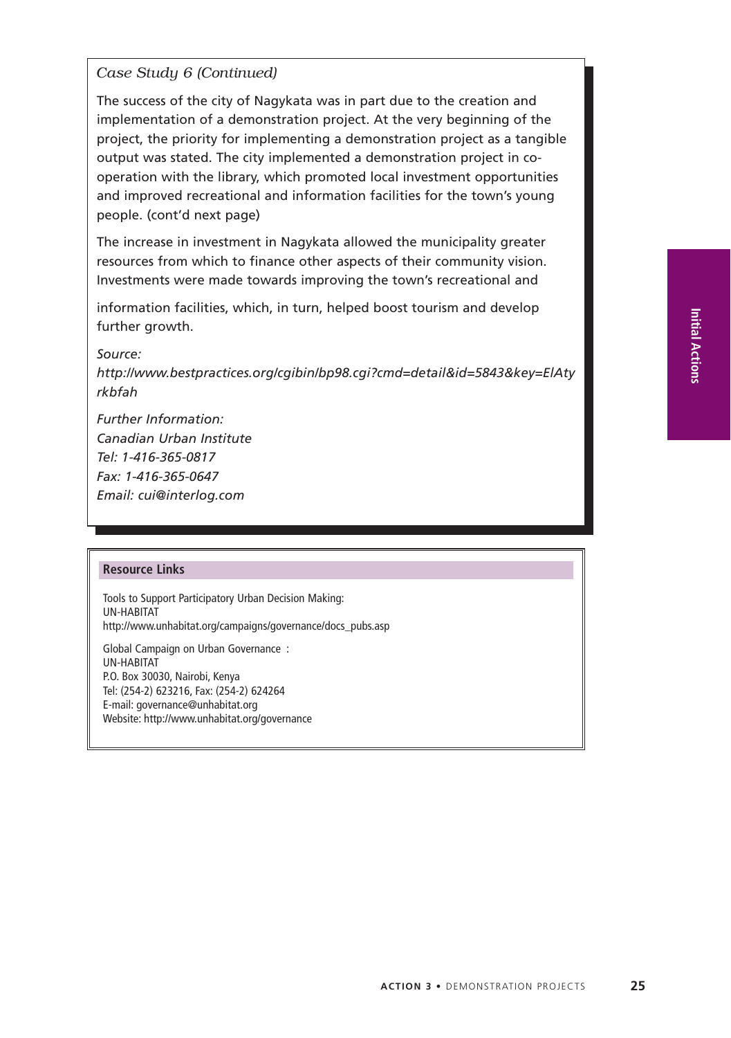*Case Study 6 (Continued)*

The success of the city of Nagykata was in part due to the creation and implementation of a demonstration project. At the very beginning of the project, the priority for implementing a demonstration project as a tangible output was stated. The city implemented a demonstration project in cooperation with the library, which promoted local investment opportunities and improved recreational and information facilities for the town's young people. (cont'd next page)

The increase in investment in Nagykata allowed the municipality greater resources from which to finance other aspects of their community vision. Investments were made towards improving the town's recreational and

information facilities, which, in turn, helped boost tourism and develop further growth.

*Source:*

*http://www.bestpractices.org/cgibin/bp98.cgi?cmd=detail&id=5843&key=ElAty rkbfah*

*Further Information: Canadian Urban Institute Tel: 1-416-365-0817 Fax: 1-416-365-0647 Email: cui@interlog.com*

#### **Resource Links**

Tools to Support Participatory Urban Decision Making: UN-HABITAT http://www.unhabitat.org/campaigns/governance/docs\_pubs.asp

Global Campaign on Urban Governance : UN-HABITAT P.O. Box 30030, Nairobi, Kenya Tel: (254-2) 623216, Fax: (254-2) 624264 E-mail: governance@unhabitat.org Website: http://www.unhabitat.org/governance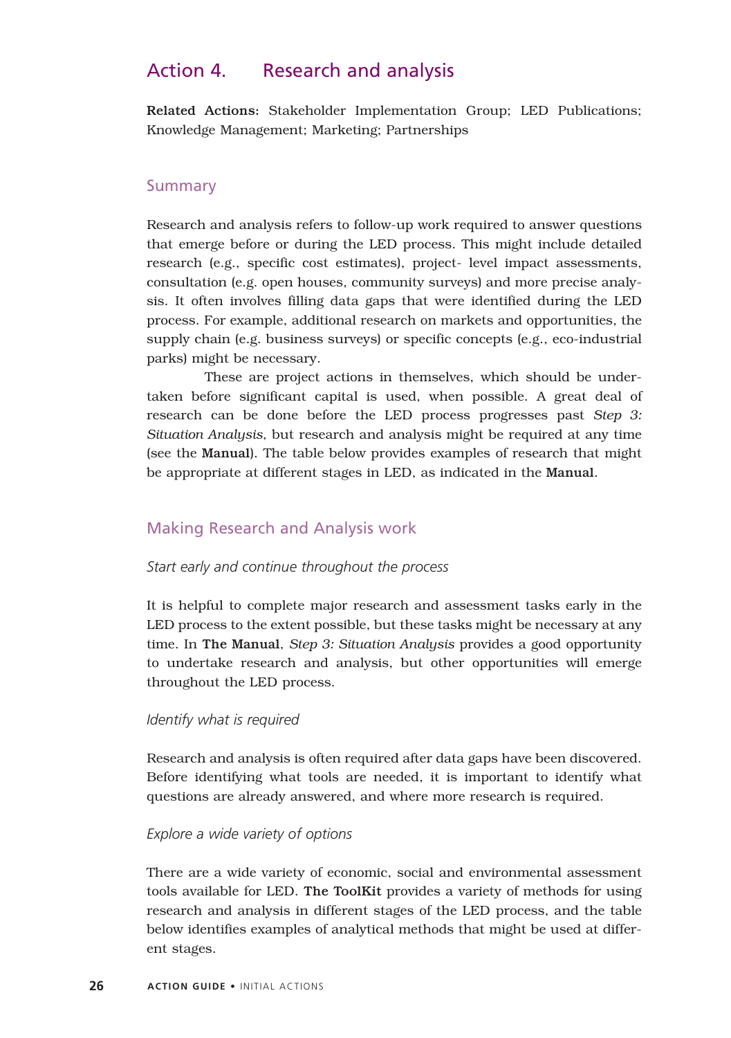# Action 4. Research and analysis

Related Actions: Stakeholder Implementation Group; LED Publications; Knowledge Management; Marketing; Partnerships

# **Summary**

Research and analysis refers to follow-up work required to answer questions that emerge before or during the LED process. This might include detailed research (e.g., specific cost estimates), project- level impact assessments, consultation (e.g. open houses, community surveys) and more precise analysis. It often involves filling data gaps that were identified during the LED process. For example, additional research on markets and opportunities, the supply chain (e.g. business surveys) or specific concepts (e.g., eco-industrial parks) might be necessary.

These are project actions in themselves, which should be undertaken before significant capital is used, when possible. A great deal of research can be done before the LED process progresses past *Step 3: Situation Analysis*, but research and analysis might be required at any time (see the Manual). The table below provides examples of research that might be appropriate at different stages in LED, as indicated in the Manual.

# Making Research and Analysis work

#### *Start early and continue throughout the process*

It is helpful to complete major research and assessment tasks early in the LED process to the extent possible, but these tasks might be necessary at any time. In The Manual, *Step 3: Situation Analysis* provides a good opportunity to undertake research and analysis, but other opportunities will emerge throughout the LED process.

#### *Identify what is required*

Research and analysis is often required after data gaps have been discovered. Before identifying what tools are needed, it is important to identify what questions are already answered, and where more research is required.

#### *Explore a wide variety of options*

There are a wide variety of economic, social and environmental assessment tools available for LED. The ToolKit provides a variety of methods for using research and analysis in different stages of the LED process, and the table below identifies examples of analytical methods that might be used at different stages.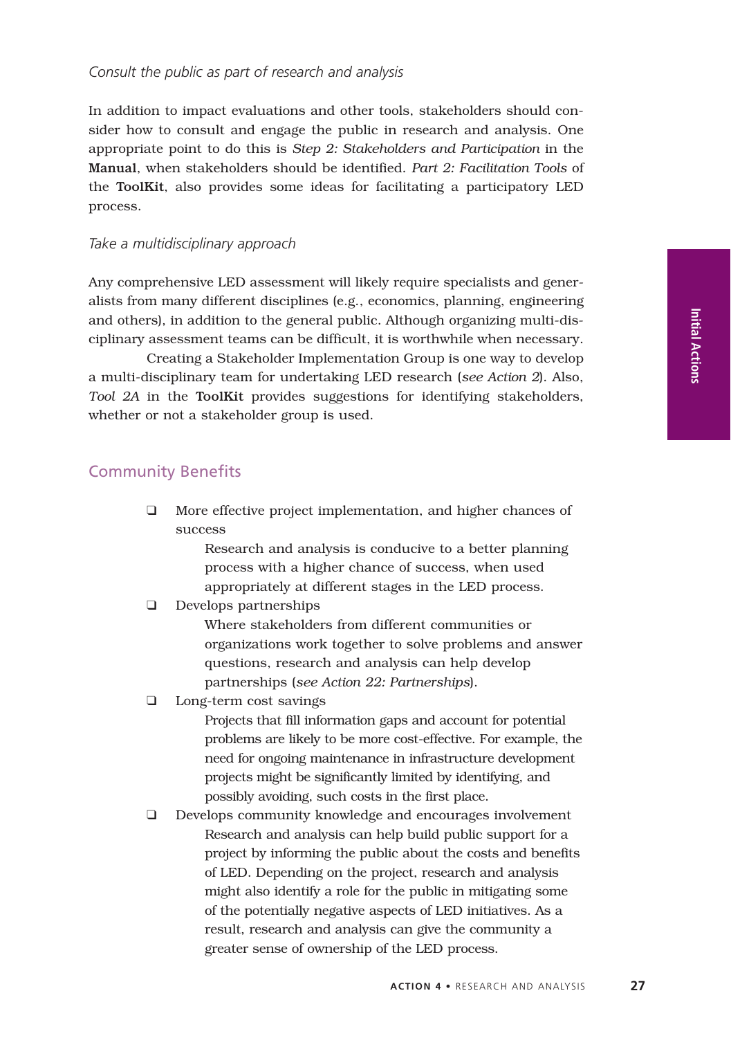#### *Consult the public as part of research and analysis*

In addition to impact evaluations and other tools, stakeholders should consider how to consult and engage the public in research and analysis. One appropriate point to do this is *Step 2: Stakeholders and Participation* in the Manual, when stakeholders should be identified. *Part 2: Facilitation Tools* of the ToolKit, also provides some ideas for facilitating a participatory LED process.

#### *Take a multidisciplinary approach*

Any comprehensive LED assessment will likely require specialists and generalists from many different disciplines (e.g., economics, planning, engineering and others), in addition to the general public. Although organizing multi-disciplinary assessment teams can be difficult, it is worthwhile when necessary.

Creating a Stakeholder Implementation Group is one way to develop a multi-disciplinary team for undertaking LED research (*see Action 2*). Also, *Tool 2A* in the ToolKit provides suggestions for identifying stakeholders, whether or not a stakeholder group is used.

# Community Benefits

❑ More effective project implementation, and higher chances of success

> Research and analysis is conducive to a better planning process with a higher chance of success, when used appropriately at different stages in the LED process.

❑ Develops partnerships

Where stakeholders from different communities or organizations work together to solve problems and answer questions, research and analysis can help develop partnerships (*see Action 22: Partnerships*).

❑ Long-term cost savings

Projects that fill information gaps and account for potential problems are likely to be more cost-effective. For example, the need for ongoing maintenance in infrastructure development projects might be significantly limited by identifying, and possibly avoiding, such costs in the first place.

❑ Develops community knowledge and encourages involvement Research and analysis can help build public support for a project by informing the public about the costs and benefits of LED. Depending on the project, research and analysis might also identify a role for the public in mitigating some of the potentially negative aspects of LED initiatives. As a result, research and analysis can give the community a greater sense of ownership of the LED process.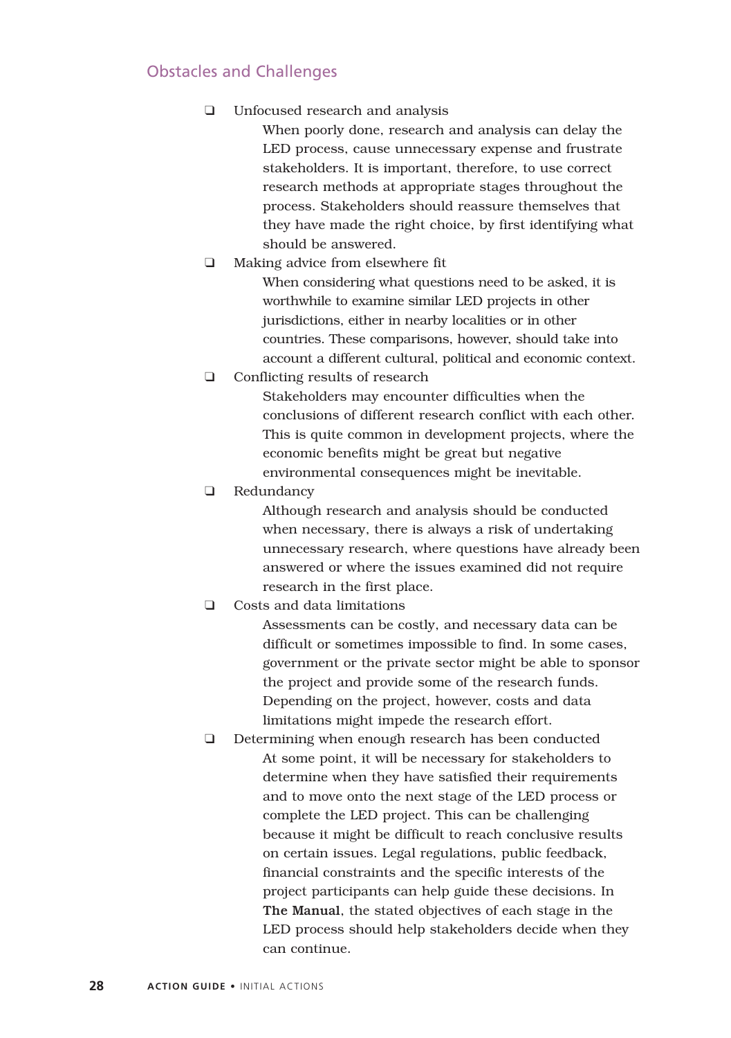# Obstacles and Challenges

❑ Unfocused research and analysis

When poorly done, research and analysis can delay the LED process, cause unnecessary expense and frustrate stakeholders. It is important, therefore, to use correct research methods at appropriate stages throughout the process. Stakeholders should reassure themselves that they have made the right choice, by first identifying what should be answered.

❑ Making advice from elsewhere fit

When considering what questions need to be asked, it is worthwhile to examine similar LED projects in other jurisdictions, either in nearby localities or in other countries. These comparisons, however, should take into account a different cultural, political and economic context.

❑ Conflicting results of research

Stakeholders may encounter difficulties when the conclusions of different research conflict with each other. This is quite common in development projects, where the economic benefits might be great but negative environmental consequences might be inevitable.

❑ Redundancy

Although research and analysis should be conducted when necessary, there is always a risk of undertaking unnecessary research, where questions have already been answered or where the issues examined did not require research in the first place.

❑ Costs and data limitations

Assessments can be costly, and necessary data can be difficult or sometimes impossible to find. In some cases, government or the private sector might be able to sponsor the project and provide some of the research funds. Depending on the project, however, costs and data limitations might impede the research effort.

❑ Determining when enough research has been conducted At some point, it will be necessary for stakeholders to determine when they have satisfied their requirements and to move onto the next stage of the LED process or complete the LED project. This can be challenging because it might be difficult to reach conclusive results on certain issues. Legal regulations, public feedback, financial constraints and the specific interests of the project participants can help guide these decisions. In The Manual, the stated objectives of each stage in the LED process should help stakeholders decide when they can continue.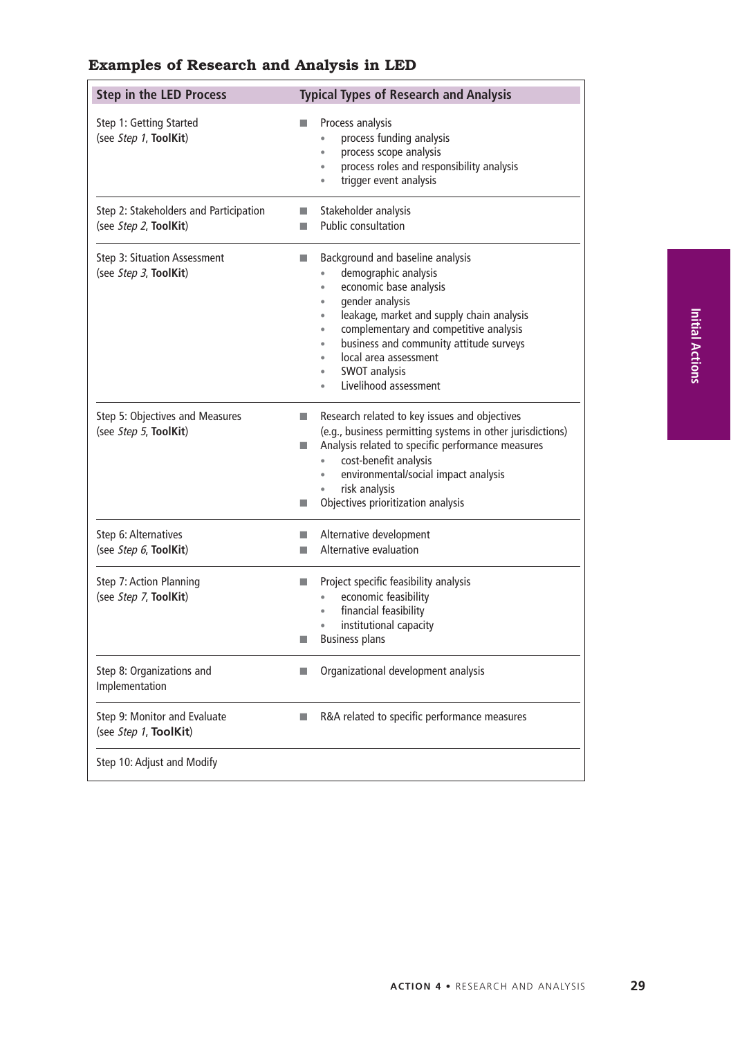| <b>Step in the LED Process</b>                                  | <b>Typical Types of Research and Analysis</b>                                                                                                                                                                                                                                                                                                                                                     |
|-----------------------------------------------------------------|---------------------------------------------------------------------------------------------------------------------------------------------------------------------------------------------------------------------------------------------------------------------------------------------------------------------------------------------------------------------------------------------------|
| Step 1: Getting Started<br>(see Step 1, ToolKit)                | Process analysis<br>process funding analysis<br>$\bullet$<br>process scope analysis<br>ò<br>process roles and responsibility analysis<br>$\bullet$<br>trigger event analysis<br>ò                                                                                                                                                                                                                 |
| Step 2: Stakeholders and Participation<br>(see Step 2, ToolKit) | Stakeholder analysis<br>П<br><b>Public consultation</b><br><b>In</b>                                                                                                                                                                                                                                                                                                                              |
| Step 3: Situation Assessment<br>(see Step 3, ToolKit)           | Background and baseline analysis<br>ш<br>demographic analysis<br>economic base analysis<br>$\bullet$<br>gender analysis<br>$\bullet$<br>leakage, market and supply chain analysis<br>$\bullet$<br>complementary and competitive analysis<br>٠<br>business and community attitude surveys<br>$\bullet$<br>local area assessment<br>٠<br><b>SWOT analysis</b><br>$\bullet$<br>Livelihood assessment |
| Step 5: Objectives and Measures<br>(see Step 5, ToolKit)        | Research related to key issues and objectives<br>×<br>(e.g., business permitting systems in other jurisdictions)<br>Analysis related to specific performance measures<br>п<br>cost-benefit analysis<br>environmental/social impact analysis<br>risk analysis<br>Objectives prioritization analysis<br>П                                                                                           |
| Step 6: Alternatives<br>(see Step 6, ToolKit)                   | Alternative development<br>П<br>Alternative evaluation<br>П                                                                                                                                                                                                                                                                                                                                       |
| Step 7: Action Planning<br>(see Step 7, ToolKit)                | Project specific feasibility analysis<br>×<br>economic feasibility<br>financial feasibility<br>$\bullet$<br>institutional capacity<br><b>Business plans</b><br>ш                                                                                                                                                                                                                                  |
| Step 8: Organizations and<br>Implementation                     | Organizational development analysis<br>ш                                                                                                                                                                                                                                                                                                                                                          |
| Step 9: Monitor and Evaluate<br>(see Step 1, ToolKit)           | R&A related to specific performance measures<br>п                                                                                                                                                                                                                                                                                                                                                 |
| Step 10: Adjust and Modify                                      |                                                                                                                                                                                                                                                                                                                                                                                                   |

# **Examples of Research and Analysis in LED**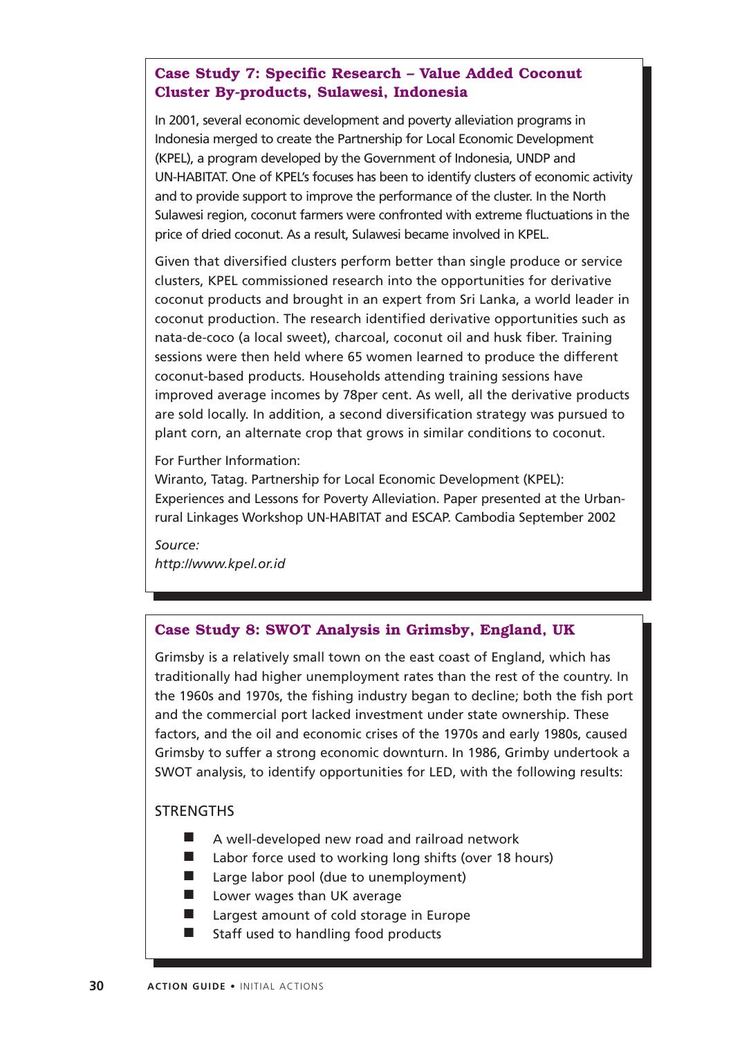# **Case Study 7: Specific Research – Value Added Coconut Cluster By-products, Sulawesi, Indonesia**

In 2001, several economic development and poverty alleviation programs in Indonesia merged to create the Partnership for Local Economic Development (KPEL), a program developed by the Government of Indonesia, UNDP and UN-HABITAT. One of KPEL's focuses has been to identify clusters of economic activity and to provide support to improve the performance of the cluster. In the North Sulawesi region, coconut farmers were confronted with extreme fluctuations in the price of dried coconut. As a result, Sulawesi became involved in KPEL.

Given that diversified clusters perform better than single produce or service clusters, KPEL commissioned research into the opportunities for derivative coconut products and brought in an expert from Sri Lanka, a world leader in coconut production. The research identified derivative opportunities such as nata-de-coco (a local sweet), charcoal, coconut oil and husk fiber. Training sessions were then held where 65 women learned to produce the different coconut-based products. Households attending training sessions have improved average incomes by 78per cent. As well, all the derivative products are sold locally. In addition, a second diversification strategy was pursued to plant corn, an alternate crop that grows in similar conditions to coconut.

For Further Information:

Wiranto, Tatag. Partnership for Local Economic Development (KPEL): Experiences and Lessons for Poverty Alleviation. Paper presented at the Urbanrural Linkages Workshop UN-HABITAT and ESCAP. Cambodia September 2002

*Source: http://www.kpel.or.id*

# **Case Study 8: SWOT Analysis in Grimsby, England, UK**

Grimsby is a relatively small town on the east coast of England, which has traditionally had higher unemployment rates than the rest of the country. In the 1960s and 1970s, the fishing industry began to decline; both the fish port and the commercial port lacked investment under state ownership. These factors, and the oil and economic crises of the 1970s and early 1980s, caused Grimsby to suffer a strong economic downturn. In 1986, Grimby undertook a SWOT analysis, to identify opportunities for LED, with the following results:

# **STRENGTHS**

- A well-developed new road and railroad network
- Labor force used to working long shifts (over 18 hours)
- Large labor pool (due to unemployment)
- Lower wages than UK average
- Largest amount of cold storage in Europe
- Staff used to handling food products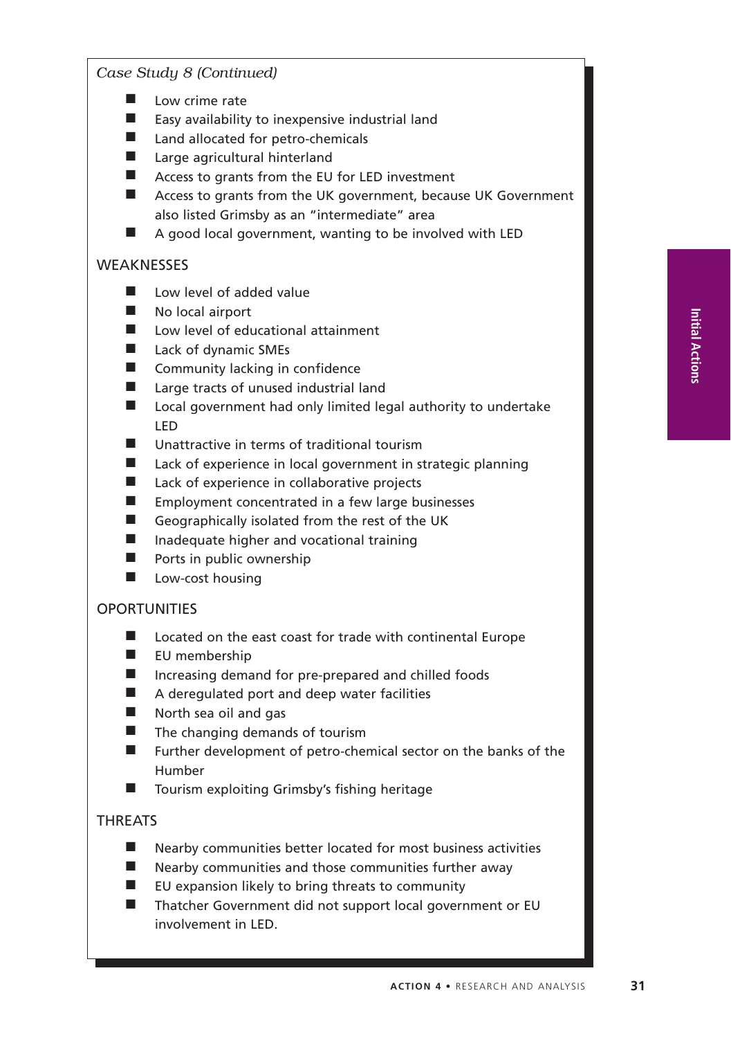*Case Study 8 (Continued)*

- Low crime rate
- Easy availability to inexpensive industrial land
- Land allocated for petro-chemicals
- Large agricultural hinterland
- Access to grants from the EU for LED investment
- Access to grants from the UK government, because UK Government also listed Grimsby as an "intermediate" area
- A good local government, wanting to be involved with LED

## **WEAKNESSES**

- Low level of added value
- No local airport
- Low level of educational attainment
- Lack of dynamic SMEs
- Community lacking in confidence
- Large tracts of unused industrial land
- Local government had only limited legal authority to undertake LED
- Unattractive in terms of traditional tourism
- Lack of experience in local government in strategic planning
- Lack of experience in collaborative projects
- Employment concentrated in a few large businesses
- Geographically isolated from the rest of the UK
- Inadequate higher and vocational training
- Ports in public ownership
- Low-cost housing

# **OPORTUNITIES**

- Located on the east coast for trade with continental Europe
- EU membership
- Increasing demand for pre-prepared and chilled foods
- A deregulated port and deep water facilities
- North sea oil and gas
- The changing demands of tourism
- Further development of petro-chemical sector on the banks of the Humber
- Tourism exploiting Grimsby's fishing heritage

# THREATS

- Nearby communities better located for most business activities
- Nearby communities and those communities further away
- EU expansion likely to bring threats to community
- Thatcher Government did not support local government or EU involvement in LED.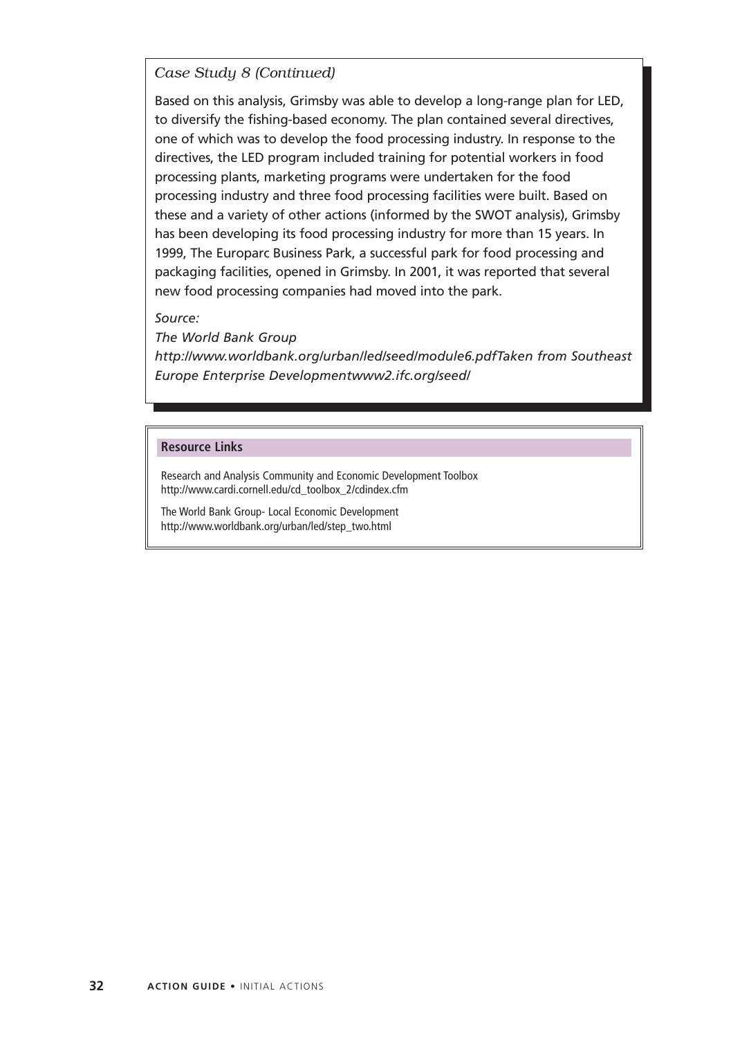# *Case Study 8 (Continued)*

Based on this analysis, Grimsby was able to develop a long-range plan for LED, to diversify the fishing-based economy. The plan contained several directives, one of which was to develop the food processing industry. In response to the directives, the LED program included training for potential workers in food processing plants, marketing programs were undertaken for the food processing industry and three food processing facilities were built. Based on these and a variety of other actions (informed by the SWOT analysis), Grimsby has been developing its food processing industry for more than 15 years. In 1999, The Europarc Business Park, a successful park for food processing and packaging facilities, opened in Grimsby. In 2001, it was reported that several new food processing companies had moved into the park.

#### *Source:*

*The World Bank Group http://www.worldbank.org/urban/led/seed/module6.pdfTaken from Southeast Europe Enterprise Developmentwww2.ifc.org/seed/*

#### **Resource Links**

Research and Analysis Community and Economic Development Toolbox http://www.cardi.cornell.edu/cd\_toolbox\_2/cdindex.cfm

The World Bank Group- Local Economic Development http://www.worldbank.org/urban/led/step\_two.html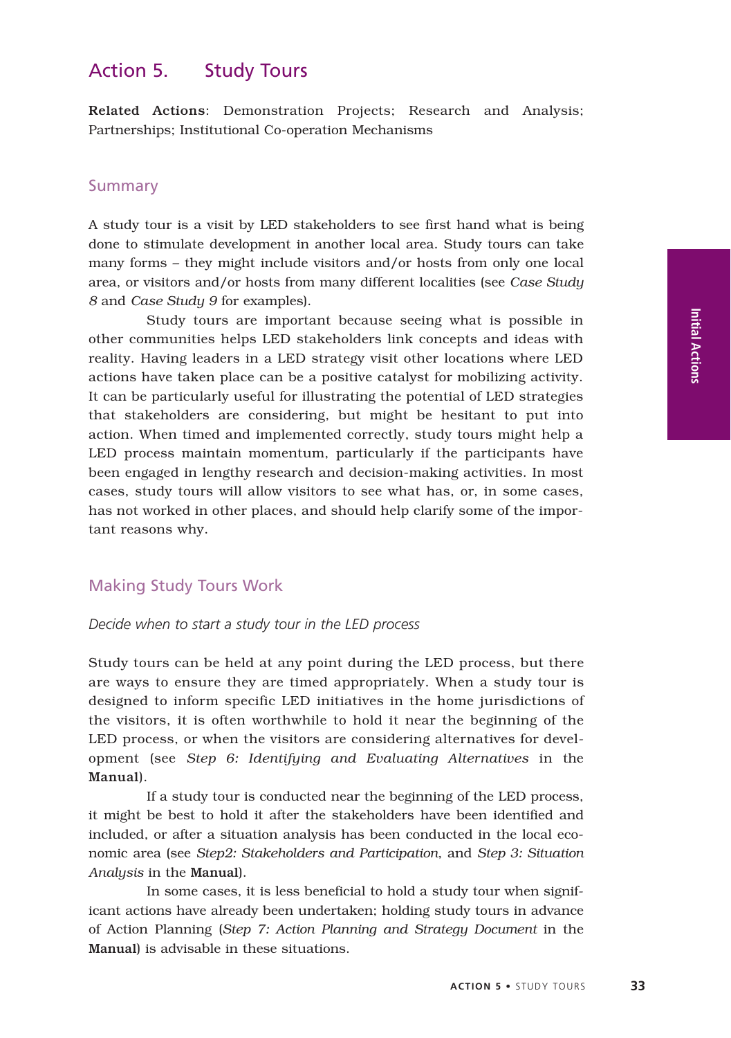# Action 5. Study Tours

Related Actions: Demonstration Projects; Research and Analysis; Partnerships; Institutional Co-operation Mechanisms

## **Summary**

A study tour is a visit by LED stakeholders to see first hand what is being done to stimulate development in another local area. Study tours can take many forms – they might include visitors and/or hosts from only one local area, or visitors and/or hosts from many different localities (see *Case Study 8* and *Case Study 9* for examples).

Study tours are important because seeing what is possible in other communities helps LED stakeholders link concepts and ideas with reality. Having leaders in a LED strategy visit other locations where LED actions have taken place can be a positive catalyst for mobilizing activity. It can be particularly useful for illustrating the potential of LED strategies that stakeholders are considering, but might be hesitant to put into action. When timed and implemented correctly, study tours might help a LED process maintain momentum, particularly if the participants have been engaged in lengthy research and decision-making activities. In most cases, study tours will allow visitors to see what has, or, in some cases, has not worked in other places, and should help clarify some of the important reasons why.

## Making Study Tours Work

#### *Decide when to start a study tour in the LED process*

Study tours can be held at any point during the LED process, but there are ways to ensure they are timed appropriately. When a study tour is designed to inform specific LED initiatives in the home jurisdictions of the visitors, it is often worthwhile to hold it near the beginning of the LED process, or when the visitors are considering alternatives for development (see *Step 6: Identifying and Evaluating Alternatives* in the Manual).

If a study tour is conducted near the beginning of the LED process, it might be best to hold it after the stakeholders have been identified and included, or after a situation analysis has been conducted in the local economic area (see *Step2: Stakeholders and Participation*, and *Step 3: Situation Analysis* in the Manual).

In some cases, it is less beneficial to hold a study tour when significant actions have already been undertaken; holding study tours in advance of Action Planning (*Step 7: Action Planning and Strategy Document* in the Manual) is advisable in these situations.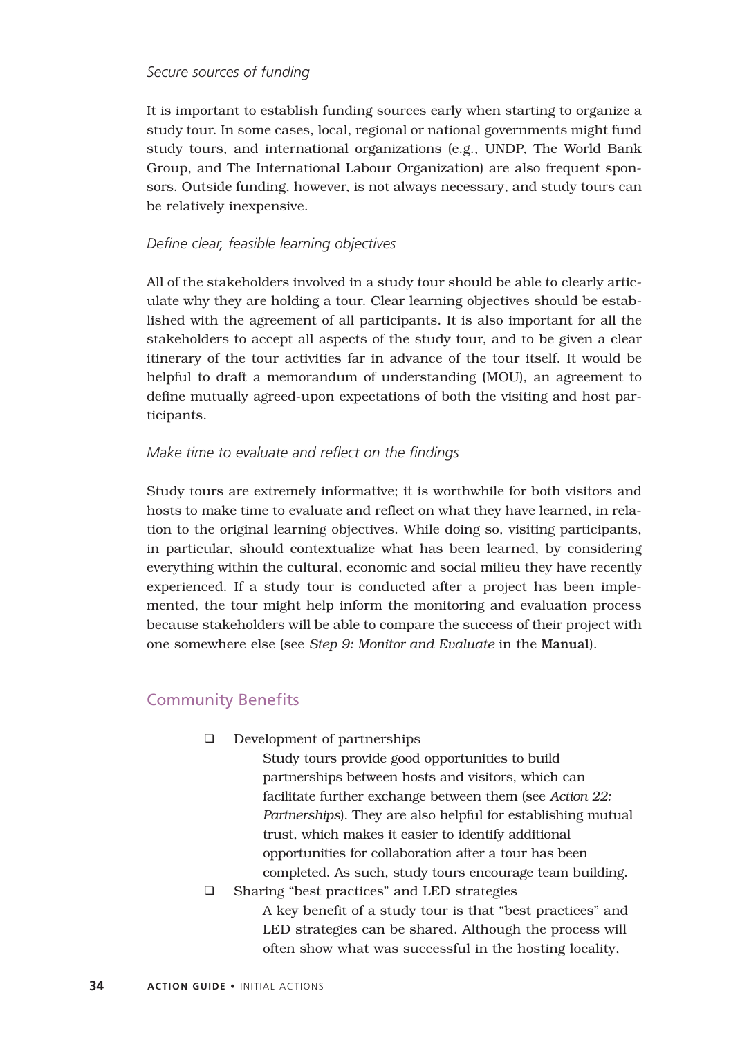#### *Secure sources of funding*

It is important to establish funding sources early when starting to organize a study tour. In some cases, local, regional or national governments might fund study tours, and international organizations (e.g., UNDP, The World Bank Group, and The International Labour Organization) are also frequent sponsors. Outside funding, however, is not always necessary, and study tours can be relatively inexpensive.

## *Define clear, feasible learning objectives*

All of the stakeholders involved in a study tour should be able to clearly articulate why they are holding a tour. Clear learning objectives should be established with the agreement of all participants. It is also important for all the stakeholders to accept all aspects of the study tour, and to be given a clear itinerary of the tour activities far in advance of the tour itself. It would be helpful to draft a memorandum of understanding (MOU), an agreement to define mutually agreed-upon expectations of both the visiting and host participants.

## *Make time to evaluate and reflect on the findings*

Study tours are extremely informative; it is worthwhile for both visitors and hosts to make time to evaluate and reflect on what they have learned, in relation to the original learning objectives. While doing so, visiting participants, in particular, should contextualize what has been learned, by considering everything within the cultural, economic and social milieu they have recently experienced. If a study tour is conducted after a project has been implemented, the tour might help inform the monitoring and evaluation process because stakeholders will be able to compare the success of their project with one somewhere else (see *Step 9: Monitor and Evaluate* in the Manual).

# Community Benefits

❑ Development of partnerships

Study tours provide good opportunities to build partnerships between hosts and visitors, which can facilitate further exchange between them (see *Action 22: Partnerships*). They are also helpful for establishing mutual trust, which makes it easier to identify additional opportunities for collaboration after a tour has been completed. As such, study tours encourage team building.

❑ Sharing "best practices" and LED strategies A key benefit of a study tour is that "best practices" and LED strategies can be shared. Although the process will often show what was successful in the hosting locality,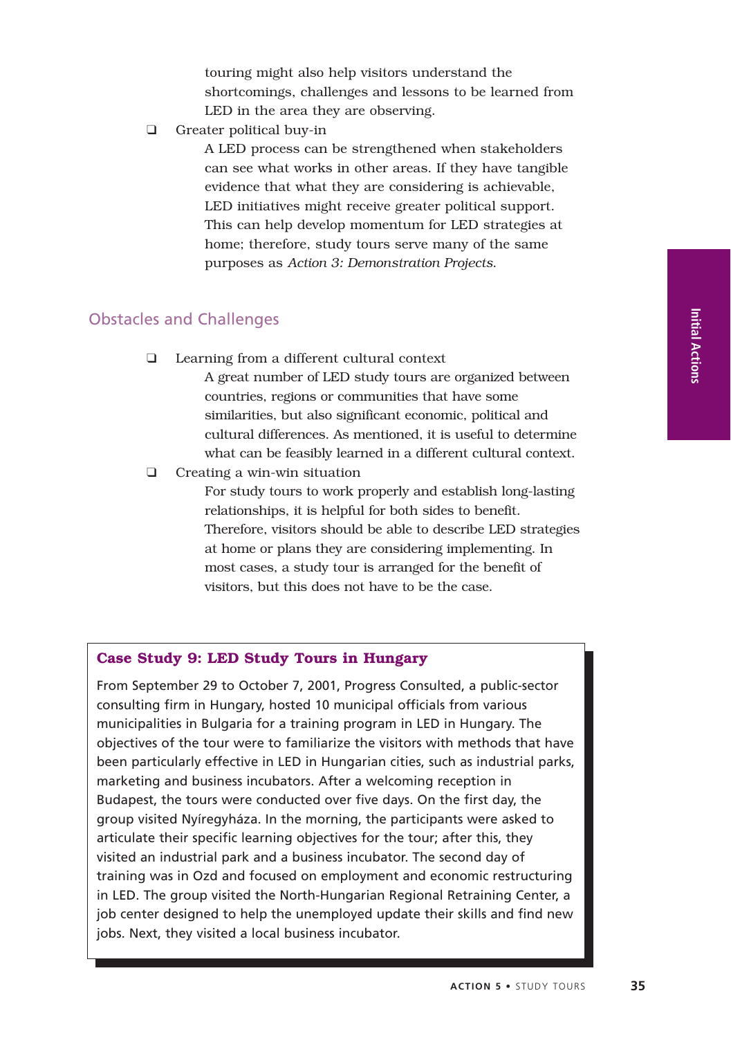touring might also help visitors understand the shortcomings, challenges and lessons to be learned from LED in the area they are observing.

❑ Greater political buy-in

A LED process can be strengthened when stakeholders can see what works in other areas. If they have tangible evidence that what they are considering is achievable, LED initiatives might receive greater political support. This can help develop momentum for LED strategies at home; therefore, study tours serve many of the same purposes as *Action 3: Demonstration Projects*.

# Obstacles and Challenges

❑ Learning from a different cultural context

A great number of LED study tours are organized between countries, regions or communities that have some similarities, but also significant economic, political and cultural differences. As mentioned, it is useful to determine what can be feasibly learned in a different cultural context.

❑ Creating a win-win situation

For study tours to work properly and establish long-lasting relationships, it is helpful for both sides to benefit. Therefore, visitors should be able to describe LED strategies at home or plans they are considering implementing. In most cases, a study tour is arranged for the benefit of visitors, but this does not have to be the case.

## **Case Study 9: LED Study Tours in Hungary**

From September 29 to October 7, 2001, Progress Consulted, a public-sector consulting firm in Hungary, hosted 10 municipal officials from various municipalities in Bulgaria for a training program in LED in Hungary. The objectives of the tour were to familiarize the visitors with methods that have been particularly effective in LED in Hungarian cities, such as industrial parks, marketing and business incubators. After a welcoming reception in Budapest, the tours were conducted over five days. On the first day, the group visited Nyíregyháza. In the morning, the participants were asked to articulate their specific learning objectives for the tour; after this, they visited an industrial park and a business incubator. The second day of training was in Ozd and focused on employment and economic restructuring in LED. The group visited the North-Hungarian Regional Retraining Center, a job center designed to help the unemployed update their skills and find new jobs. Next, they visited a local business incubator.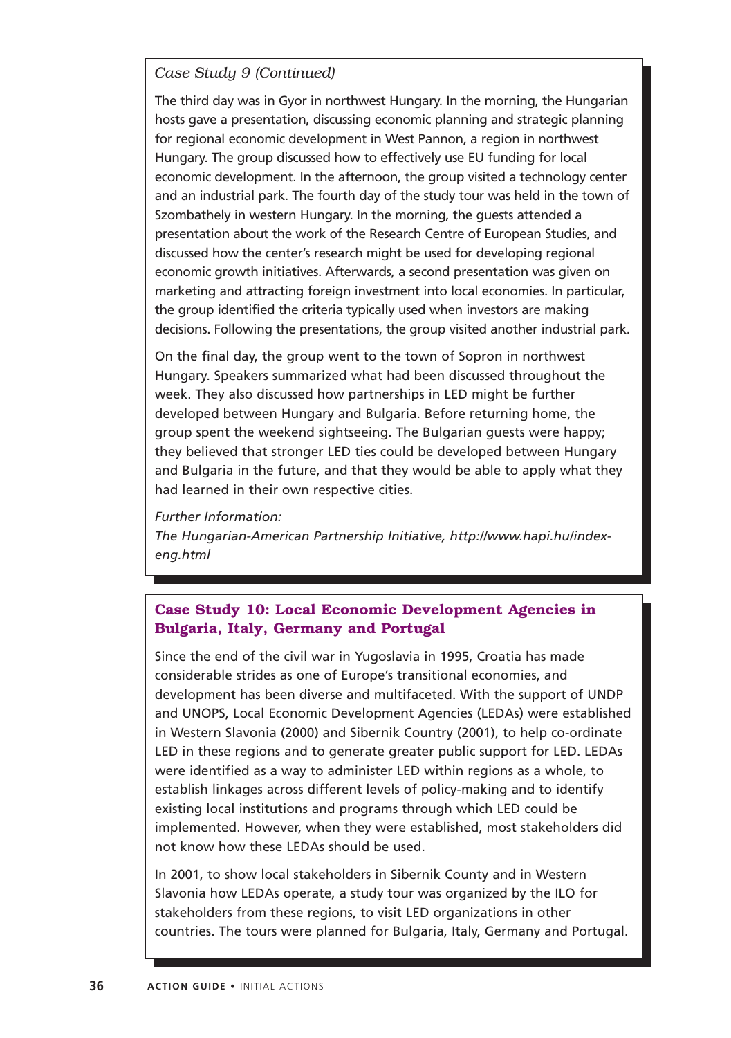# *Case Study 9 (Continued)*

The third day was in Gyor in northwest Hungary. In the morning, the Hungarian hosts gave a presentation, discussing economic planning and strategic planning for regional economic development in West Pannon, a region in northwest Hungary. The group discussed how to effectively use EU funding for local economic development. In the afternoon, the group visited a technology center and an industrial park. The fourth day of the study tour was held in the town of Szombathely in western Hungary. In the morning, the guests attended a presentation about the work of the Research Centre of European Studies, and discussed how the center's research might be used for developing regional economic growth initiatives. Afterwards, a second presentation was given on marketing and attracting foreign investment into local economies. In particular, the group identified the criteria typically used when investors are making decisions. Following the presentations, the group visited another industrial park.

On the final day, the group went to the town of Sopron in northwest Hungary. Speakers summarized what had been discussed throughout the week. They also discussed how partnerships in LED might be further developed between Hungary and Bulgaria. Before returning home, the group spent the weekend sightseeing. The Bulgarian guests were happy; they believed that stronger LED ties could be developed between Hungary and Bulgaria in the future, and that they would be able to apply what they had learned in their own respective cities.

#### *Further Information:*

*The Hungarian-American Partnership Initiative, http://www.hapi.hu/indexeng.html*

# **Case Study 10: Local Economic Development Agencies in Bulgaria, Italy, Germany and Portugal**

Since the end of the civil war in Yugoslavia in 1995, Croatia has made considerable strides as one of Europe's transitional economies, and development has been diverse and multifaceted. With the support of UNDP and UNOPS, Local Economic Development Agencies (LEDAs) were established in Western Slavonia (2000) and Sibernik Country (2001), to help co-ordinate LED in these regions and to generate greater public support for LED. LEDAs were identified as a way to administer LED within regions as a whole, to establish linkages across different levels of policy-making and to identify existing local institutions and programs through which LED could be implemented. However, when they were established, most stakeholders did not know how these LEDAs should be used.

In 2001, to show local stakeholders in Sibernik County and in Western Slavonia how LEDAs operate, a study tour was organized by the ILO for stakeholders from these regions, to visit LED organizations in other countries. The tours were planned for Bulgaria, Italy, Germany and Portugal.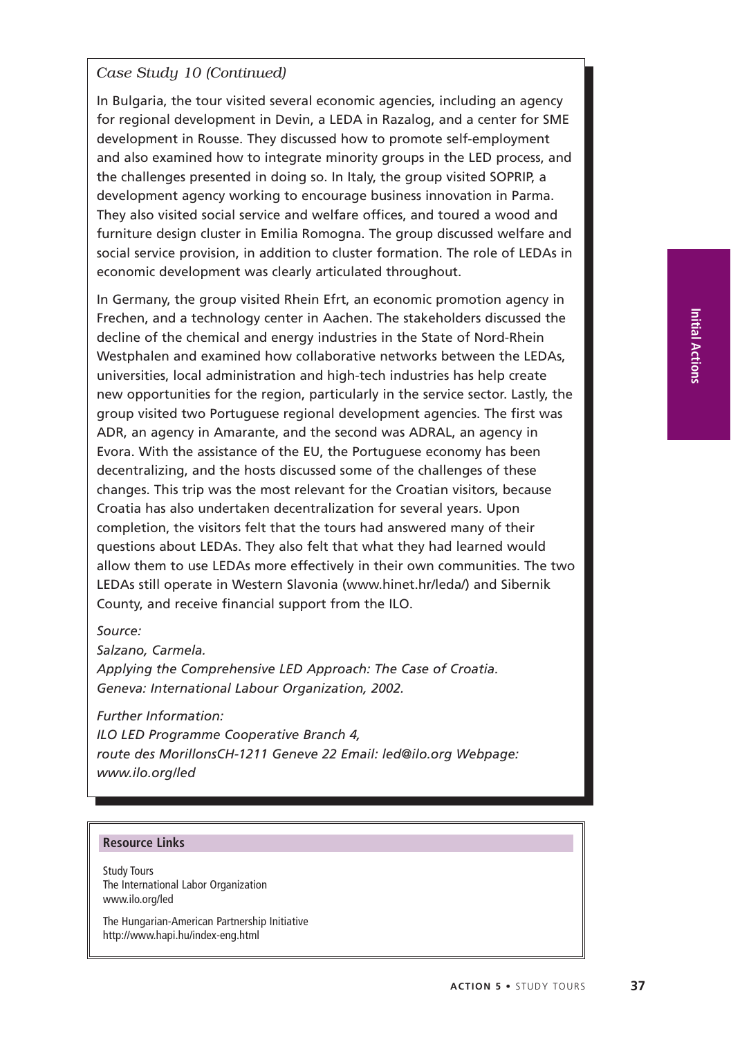# *Case Study 10 (Continued)*

In Bulgaria, the tour visited several economic agencies, including an agency for regional development in Devin, a LEDA in Razalog, and a center for SME development in Rousse. They discussed how to promote self-employment and also examined how to integrate minority groups in the LED process, and the challenges presented in doing so. In Italy, the group visited SOPRIP, a development agency working to encourage business innovation in Parma. They also visited social service and welfare offices, and toured a wood and furniture design cluster in Emilia Romogna. The group discussed welfare and social service provision, in addition to cluster formation. The role of LEDAs in economic development was clearly articulated throughout.

In Germany, the group visited Rhein Efrt, an economic promotion agency in Frechen, and a technology center in Aachen. The stakeholders discussed the decline of the chemical and energy industries in the State of Nord-Rhein Westphalen and examined how collaborative networks between the LEDAs, universities, local administration and high-tech industries has help create new opportunities for the region, particularly in the service sector. Lastly, the group visited two Portuguese regional development agencies. The first was ADR, an agency in Amarante, and the second was ADRAL, an agency in Evora. With the assistance of the EU, the Portuguese economy has been decentralizing, and the hosts discussed some of the challenges of these changes. This trip was the most relevant for the Croatian visitors, because Croatia has also undertaken decentralization for several years. Upon completion, the visitors felt that the tours had answered many of their questions about LEDAs. They also felt that what they had learned would allow them to use LEDAs more effectively in their own communities. The two LEDAs still operate in Western Slavonia (www.hinet.hr/leda/) and Sibernik County, and receive financial support from the ILO.

#### *Source:*

*Salzano, Carmela. Applying the Comprehensive LED Approach: The Case of Croatia. Geneva: International Labour Organization, 2002.*

*Further Information:*

*ILO LED Programme Cooperative Branch 4, route des MorillonsCH-1211 Geneve 22 Email: led@ilo.org Webpage: www.ilo.org/led*

#### **Resource Links**

Study Tours The International Labor Organization www.ilo.org/led

The Hungarian-American Partnership Initiative http://www.hapi.hu/index-eng.html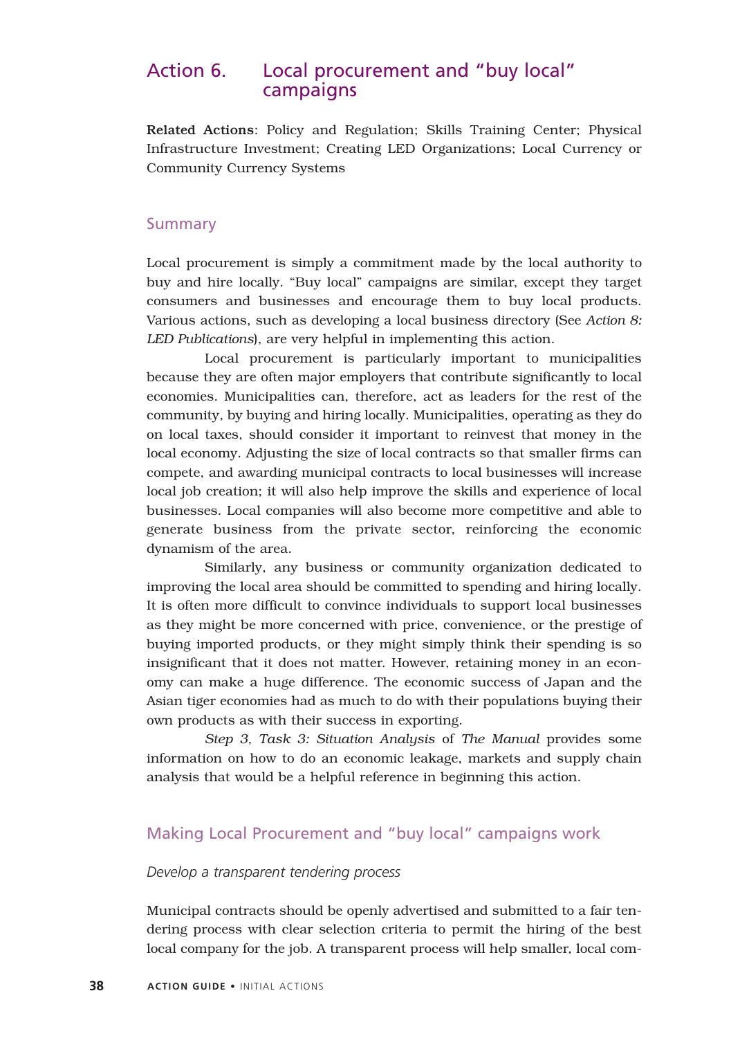# Action 6. Local procurement and "buy local" campaigns

Related Actions: Policy and Regulation; Skills Training Center; Physical Infrastructure Investment; Creating LED Organizations; Local Currency or Community Currency Systems

#### Summary

Local procurement is simply a commitment made by the local authority to buy and hire locally. "Buy local" campaigns are similar, except they target consumers and businesses and encourage them to buy local products. Various actions, such as developing a local business directory (See *Action 8: LED Publications*), are very helpful in implementing this action.

Local procurement is particularly important to municipalities because they are often major employers that contribute significantly to local economies. Municipalities can, therefore, act as leaders for the rest of the community, by buying and hiring locally. Municipalities, operating as they do on local taxes, should consider it important to reinvest that money in the local economy. Adjusting the size of local contracts so that smaller firms can compete, and awarding municipal contracts to local businesses will increase local job creation; it will also help improve the skills and experience of local businesses. Local companies will also become more competitive and able to generate business from the private sector, reinforcing the economic dynamism of the area.

Similarly, any business or community organization dedicated to improving the local area should be committed to spending and hiring locally. It is often more difficult to convince individuals to support local businesses as they might be more concerned with price, convenience, or the prestige of buying imported products, or they might simply think their spending is so insignificant that it does not matter. However, retaining money in an economy can make a huge difference. The economic success of Japan and the Asian tiger economies had as much to do with their populations buying their own products as with their success in exporting.

*Step 3, Task 3: Situation Analysis* of *The Manual* provides some information on how to do an economic leakage, markets and supply chain analysis that would be a helpful reference in beginning this action.

# Making Local Procurement and "buy local" campaigns work

#### *Develop a transparent tendering process*

Municipal contracts should be openly advertised and submitted to a fair tendering process with clear selection criteria to permit the hiring of the best local company for the job. A transparent process will help smaller, local com-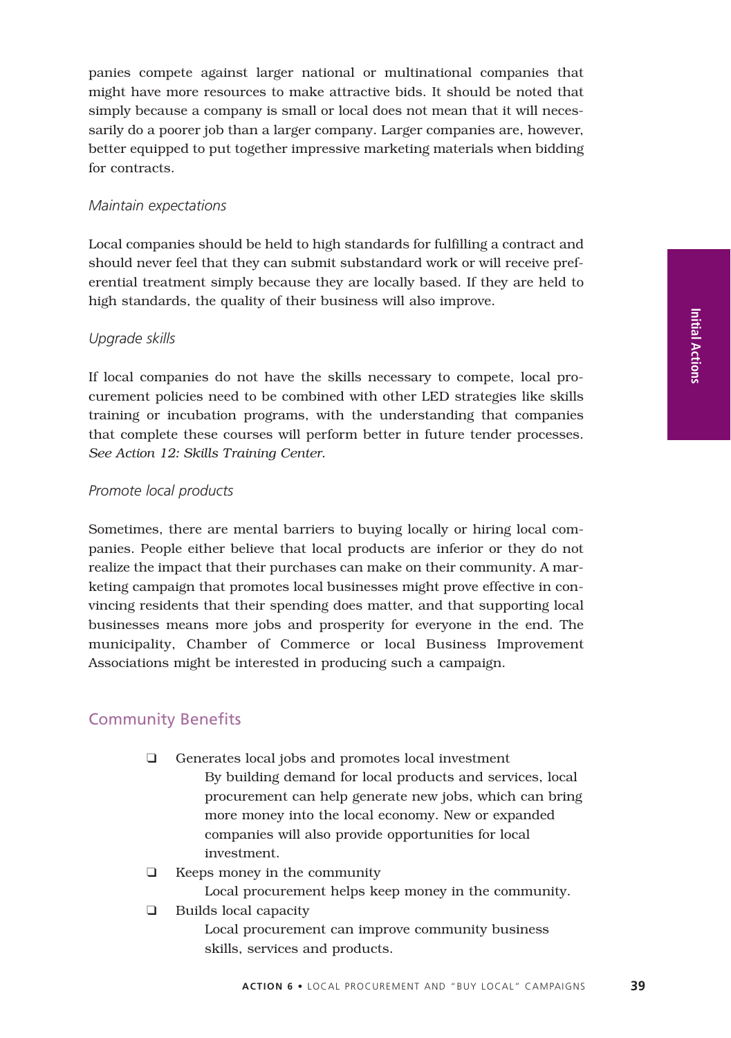**Initial Actions**

panies compete against larger national or multinational companies that might have more resources to make attractive bids. It should be noted that simply because a company is small or local does not mean that it will necessarily do a poorer job than a larger company. Larger companies are, however, better equipped to put together impressive marketing materials when bidding for contracts.

#### *Maintain expectations*

Local companies should be held to high standards for fulfilling a contract and should never feel that they can submit substandard work or will receive preferential treatment simply because they are locally based. If they are held to high standards, the quality of their business will also improve.

## *Upgrade skills*

If local companies do not have the skills necessary to compete, local procurement policies need to be combined with other LED strategies like skills training or incubation programs, with the understanding that companies that complete these courses will perform better in future tender processes. *See Action 12: Skills Training Center*.

## *Promote local products*

Sometimes, there are mental barriers to buying locally or hiring local companies. People either believe that local products are inferior or they do not realize the impact that their purchases can make on their community. A marketing campaign that promotes local businesses might prove effective in convincing residents that their spending does matter, and that supporting local businesses means more jobs and prosperity for everyone in the end. The municipality, Chamber of Commerce or local Business Improvement Associations might be interested in producing such a campaign.

# Community Benefits

- ❑ Generates local jobs and promotes local investment By building demand for local products and services, local procurement can help generate new jobs, which can bring more money into the local economy. New or expanded companies will also provide opportunities for local investment.
- ❑ Keeps money in the community
	- Local procurement helps keep money in the community.
- ❑ Builds local capacity Local procurement can improve community business skills, services and products.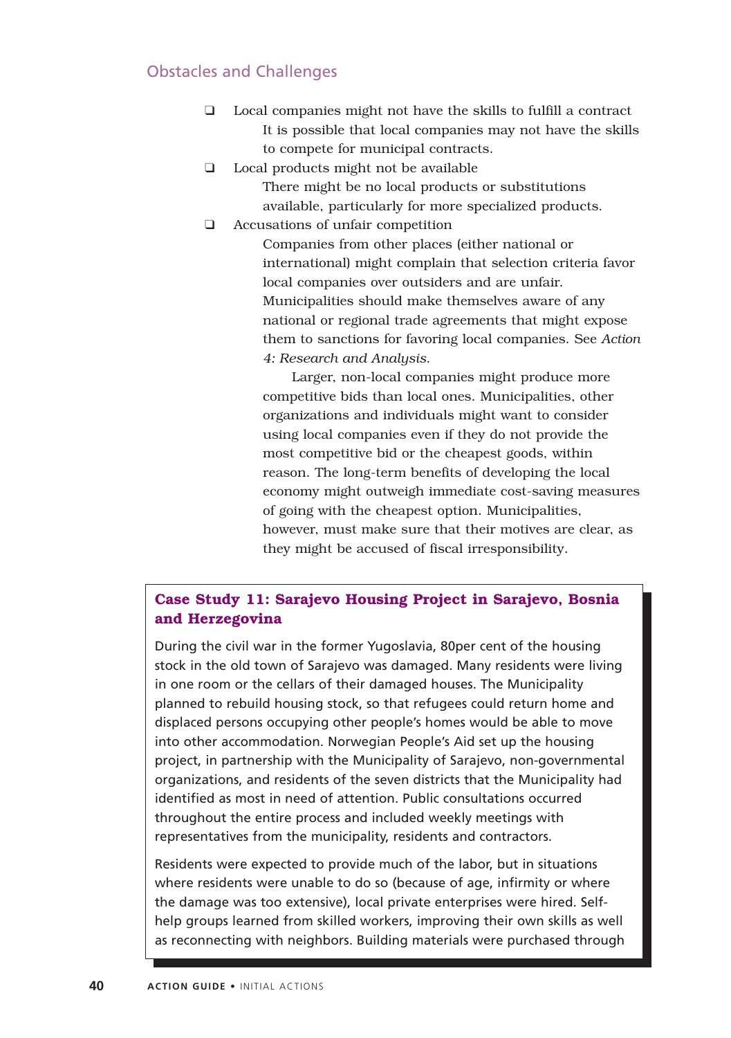# Obstacles and Challenges

- ❑ Local companies might not have the skills to fulfill a contract It is possible that local companies may not have the skills to compete for municipal contracts.
- ❑ Local products might not be available There might be no local products or substitutions available, particularly for more specialized products.
- ❑ Accusations of unfair competition

Companies from other places (either national or international) might complain that selection criteria favor local companies over outsiders and are unfair. Municipalities should make themselves aware of any national or regional trade agreements that might expose them to sanctions for favoring local companies. See *Action 4: Research and Analysis*.

Larger, non-local companies might produce more competitive bids than local ones. Municipalities, other organizations and individuals might want to consider using local companies even if they do not provide the most competitive bid or the cheapest goods, within reason. The long-term benefits of developing the local economy might outweigh immediate cost-saving measures of going with the cheapest option. Municipalities, however, must make sure that their motives are clear, as they might be accused of fiscal irresponsibility.

# **Case Study 11: Sarajevo Housing Project in Sarajevo, Bosnia and Herzegovina**

During the civil war in the former Yugoslavia, 80per cent of the housing stock in the old town of Sarajevo was damaged. Many residents were living in one room or the cellars of their damaged houses. The Municipality planned to rebuild housing stock, so that refugees could return home and displaced persons occupying other people's homes would be able to move into other accommodation. Norwegian People's Aid set up the housing project, in partnership with the Municipality of Sarajevo, non-governmental organizations, and residents of the seven districts that the Municipality had identified as most in need of attention. Public consultations occurred throughout the entire process and included weekly meetings with representatives from the municipality, residents and contractors.

Residents were expected to provide much of the labor, but in situations where residents were unable to do so (because of age, infirmity or where the damage was too extensive), local private enterprises were hired. Selfhelp groups learned from skilled workers, improving their own skills as well as reconnecting with neighbors. Building materials were purchased through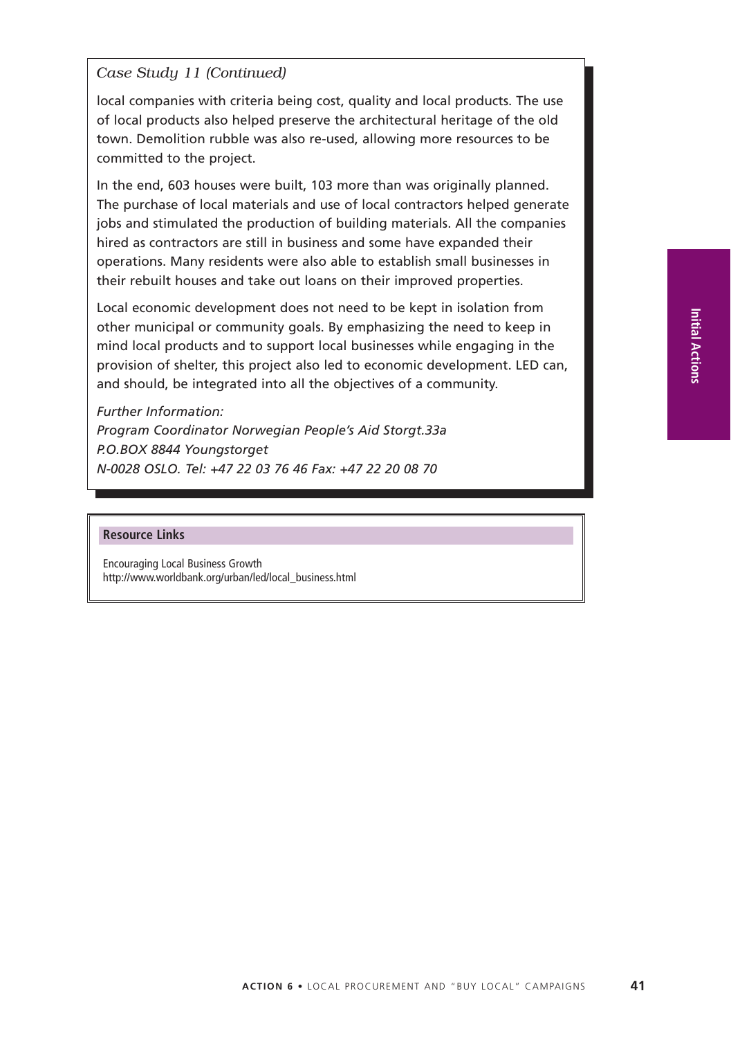## *Case Study 11 (Continued)*

local companies with criteria being cost, quality and local products. The use of local products also helped preserve the architectural heritage of the old town. Demolition rubble was also re-used, allowing more resources to be committed to the project.

In the end, 603 houses were built, 103 more than was originally planned. The purchase of local materials and use of local contractors helped generate jobs and stimulated the production of building materials. All the companies hired as contractors are still in business and some have expanded their operations. Many residents were also able to establish small businesses in their rebuilt houses and take out loans on their improved properties.

Local economic development does not need to be kept in isolation from other municipal or community goals. By emphasizing the need to keep in mind local products and to support local businesses while engaging in the provision of shelter, this project also led to economic development. LED can, and should, be integrated into all the objectives of a community.

*Further Information: Program Coordinator Norwegian People's Aid Storgt.33a P.O.BOX 8844 Youngstorget N-0028 OSLO. Tel: +47 22 03 76 46 Fax: +47 22 20 08 70*

#### **Resource Links**

Encouraging Local Business Growth http://www.worldbank.org/urban/led/local\_business.html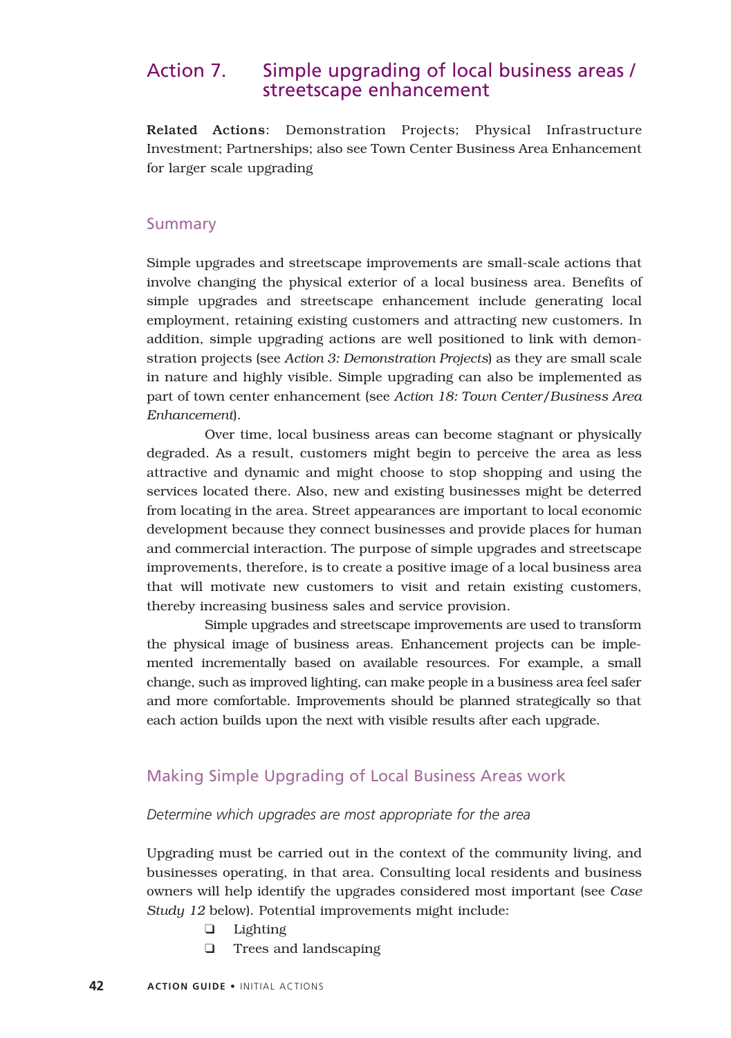# Action 7. Simple upgrading of local business areas / streetscape enhancement

Related Actions: Demonstration Projects; Physical Infrastructure Investment; Partnerships; also see Town Center Business Area Enhancement for larger scale upgrading

#### Summary

Simple upgrades and streetscape improvements are small-scale actions that involve changing the physical exterior of a local business area. Benefits of simple upgrades and streetscape enhancement include generating local employment, retaining existing customers and attracting new customers. In addition, simple upgrading actions are well positioned to link with demonstration projects (see *Action 3: Demonstration Projects*) as they are small scale in nature and highly visible. Simple upgrading can also be implemented as part of town center enhancement (see *Action 18: Town Center/Business Area Enhancement*).

Over time, local business areas can become stagnant or physically degraded. As a result, customers might begin to perceive the area as less attractive and dynamic and might choose to stop shopping and using the services located there. Also, new and existing businesses might be deterred from locating in the area. Street appearances are important to local economic development because they connect businesses and provide places for human and commercial interaction. The purpose of simple upgrades and streetscape improvements, therefore, is to create a positive image of a local business area that will motivate new customers to visit and retain existing customers, thereby increasing business sales and service provision.

Simple upgrades and streetscape improvements are used to transform the physical image of business areas. Enhancement projects can be implemented incrementally based on available resources. For example, a small change, such as improved lighting, can make people in a business area feel safer and more comfortable. Improvements should be planned strategically so that each action builds upon the next with visible results after each upgrade.

# Making Simple Upgrading of Local Business Areas work

#### *Determine which upgrades are most appropriate for the area*

Upgrading must be carried out in the context of the community living, and businesses operating, in that area. Consulting local residents and business owners will help identify the upgrades considered most important (see *Case Study 12* below). Potential improvements might include:

- ❑ Lighting
- ❑ Trees and landscaping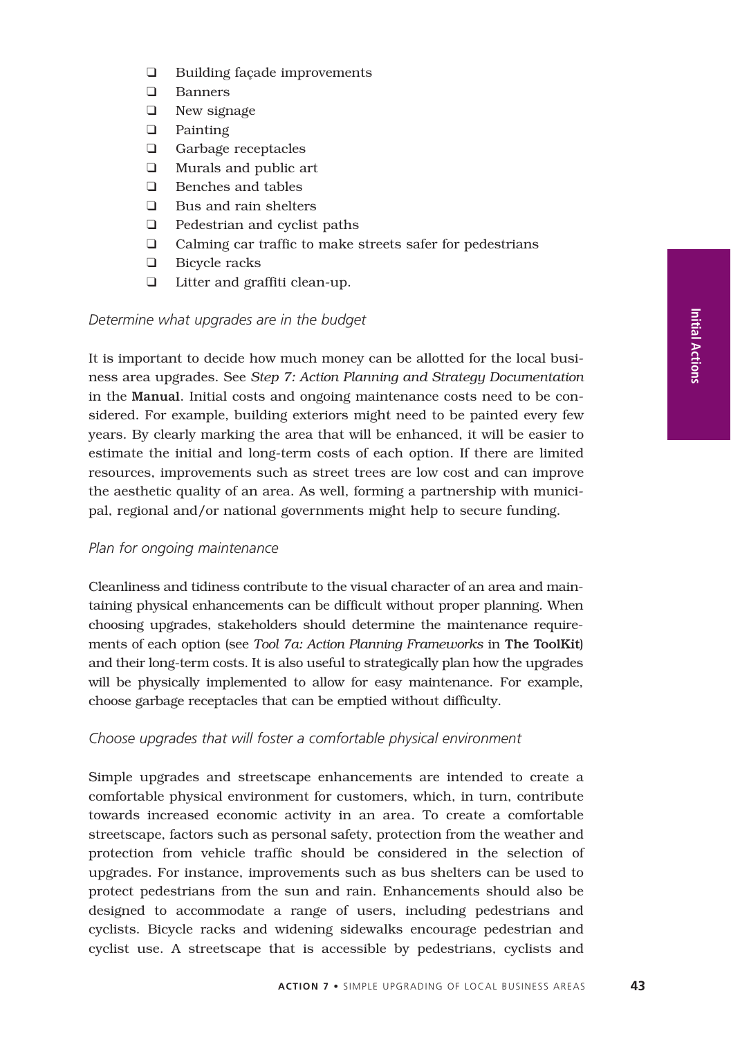- ❑ Building façade improvements
- ❑ Banners
- ❑ New signage
- ❑ Painting
- ❑ Garbage receptacles
- ❑ Murals and public art
- ❑ Benches and tables
- ❑ Bus and rain shelters
- ❑ Pedestrian and cyclist paths
- ❑ Calming car traffic to make streets safer for pedestrians
- ❑ Bicycle racks
- ❑ Litter and graffiti clean-up.

#### *Determine what upgrades are in the budget*

It is important to decide how much money can be allotted for the local business area upgrades. See *Step 7: Action Planning and Strategy Documentation* in the Manual. Initial costs and ongoing maintenance costs need to be considered. For example, building exteriors might need to be painted every few years. By clearly marking the area that will be enhanced, it will be easier to estimate the initial and long-term costs of each option. If there are limited resources, improvements such as street trees are low cost and can improve the aesthetic quality of an area. As well, forming a partnership with municipal, regional and/or national governments might help to secure funding.

#### *Plan for ongoing maintenance*

Cleanliness and tidiness contribute to the visual character of an area and maintaining physical enhancements can be difficult without proper planning. When choosing upgrades, stakeholders should determine the maintenance requirements of each option (see *Tool 7a: Action Planning Frameworks* in The ToolKit) and their long-term costs. It is also useful to strategically plan how the upgrades will be physically implemented to allow for easy maintenance. For example, choose garbage receptacles that can be emptied without difficulty.

#### *Choose upgrades that will foster a comfortable physical environment*

Simple upgrades and streetscape enhancements are intended to create a comfortable physical environment for customers, which, in turn, contribute towards increased economic activity in an area. To create a comfortable streetscape, factors such as personal safety, protection from the weather and protection from vehicle traffic should be considered in the selection of upgrades. For instance, improvements such as bus shelters can be used to protect pedestrians from the sun and rain. Enhancements should also be designed to accommodate a range of users, including pedestrians and cyclists. Bicycle racks and widening sidewalks encourage pedestrian and cyclist use. A streetscape that is accessible by pedestrians, cyclists and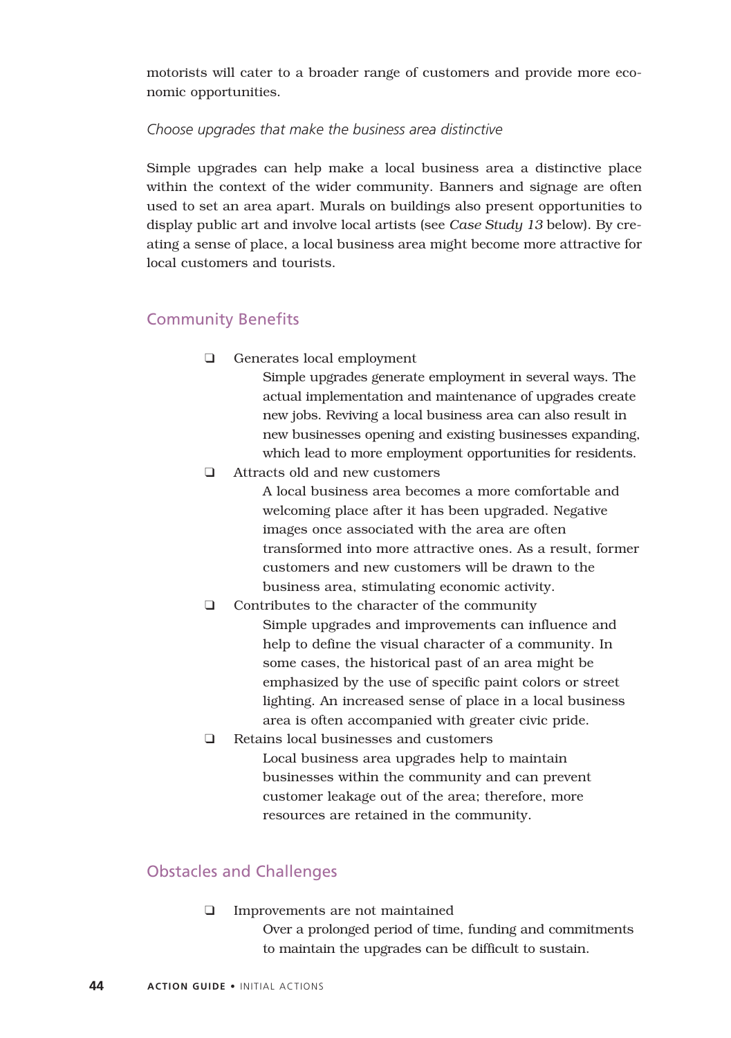motorists will cater to a broader range of customers and provide more economic opportunities.

#### *Choose upgrades that make the business area distinctive*

Simple upgrades can help make a local business area a distinctive place within the context of the wider community. Banners and signage are often used to set an area apart. Murals on buildings also present opportunities to display public art and involve local artists (see *Case Study 13* below). By creating a sense of place, a local business area might become more attractive for local customers and tourists.

# Community Benefits

❑ Generates local employment

Simple upgrades generate employment in several ways. The actual implementation and maintenance of upgrades create new jobs. Reviving a local business area can also result in new businesses opening and existing businesses expanding, which lead to more employment opportunities for residents.

❑ Attracts old and new customers

A local business area becomes a more comfortable and welcoming place after it has been upgraded. Negative images once associated with the area are often transformed into more attractive ones. As a result, former customers and new customers will be drawn to the business area, stimulating economic activity.

- ❑ Contributes to the character of the community Simple upgrades and improvements can influence and help to define the visual character of a community. In some cases, the historical past of an area might be emphasized by the use of specific paint colors or street lighting. An increased sense of place in a local business area is often accompanied with greater civic pride.
- ❑ Retains local businesses and customers Local business area upgrades help to maintain businesses within the community and can prevent customer leakage out of the area; therefore, more resources are retained in the community.

# Obstacles and Challenges

❑ Improvements are not maintained Over a prolonged period of time, funding and commitments to maintain the upgrades can be difficult to sustain.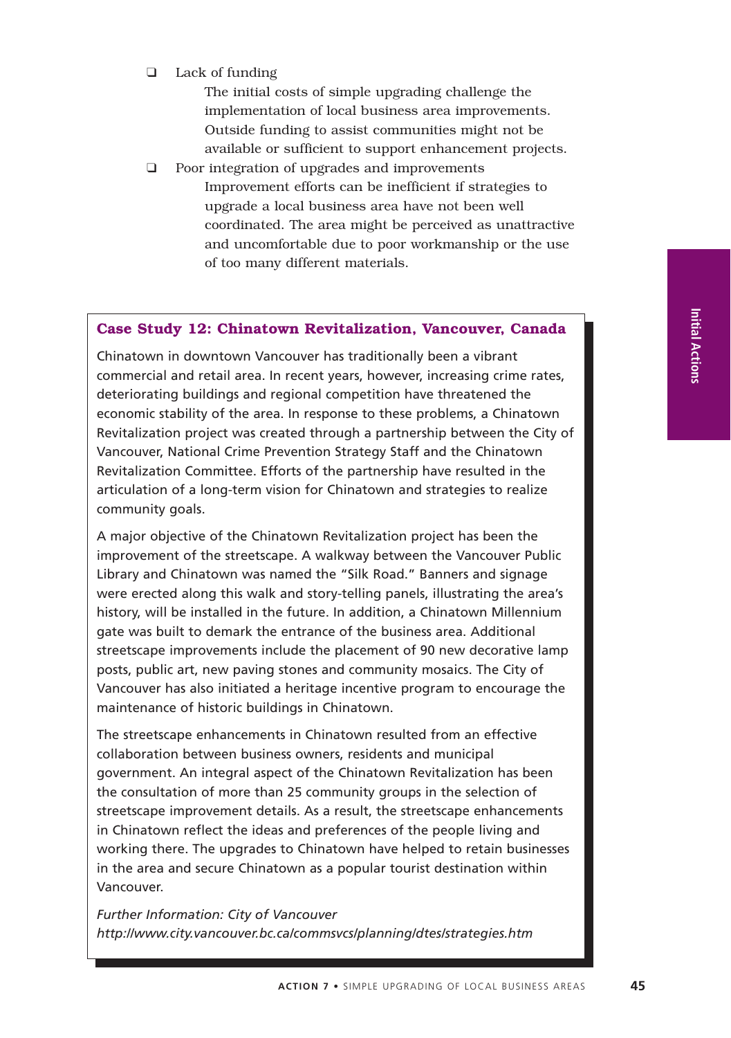❑ Lack of funding

The initial costs of simple upgrading challenge the implementation of local business area improvements. Outside funding to assist communities might not be available or sufficient to support enhancement projects.

❑ Poor integration of upgrades and improvements Improvement efforts can be inefficient if strategies to upgrade a local business area have not been well coordinated. The area might be perceived as unattractive and uncomfortable due to poor workmanship or the use of too many different materials.

#### **Case Study 12: Chinatown Revitalization, Vancouver, Canada**

Chinatown in downtown Vancouver has traditionally been a vibrant commercial and retail area. In recent years, however, increasing crime rates, deteriorating buildings and regional competition have threatened the economic stability of the area. In response to these problems, a Chinatown Revitalization project was created through a partnership between the City of Vancouver, National Crime Prevention Strategy Staff and the Chinatown Revitalization Committee. Efforts of the partnership have resulted in the articulation of a long-term vision for Chinatown and strategies to realize community goals.

A major objective of the Chinatown Revitalization project has been the improvement of the streetscape. A walkway between the Vancouver Public Library and Chinatown was named the "Silk Road." Banners and signage were erected along this walk and story-telling panels, illustrating the area's history, will be installed in the future. In addition, a Chinatown Millennium gate was built to demark the entrance of the business area. Additional streetscape improvements include the placement of 90 new decorative lamp posts, public art, new paving stones and community mosaics. The City of Vancouver has also initiated a heritage incentive program to encourage the maintenance of historic buildings in Chinatown.

The streetscape enhancements in Chinatown resulted from an effective collaboration between business owners, residents and municipal government. An integral aspect of the Chinatown Revitalization has been the consultation of more than 25 community groups in the selection of streetscape improvement details. As a result, the streetscape enhancements in Chinatown reflect the ideas and preferences of the people living and working there. The upgrades to Chinatown have helped to retain businesses in the area and secure Chinatown as a popular tourist destination within Vancouver.

*Further Information: City of Vancouver http://www.city.vancouver.bc.ca/commsvcs/planning/dtes/strategies.htm*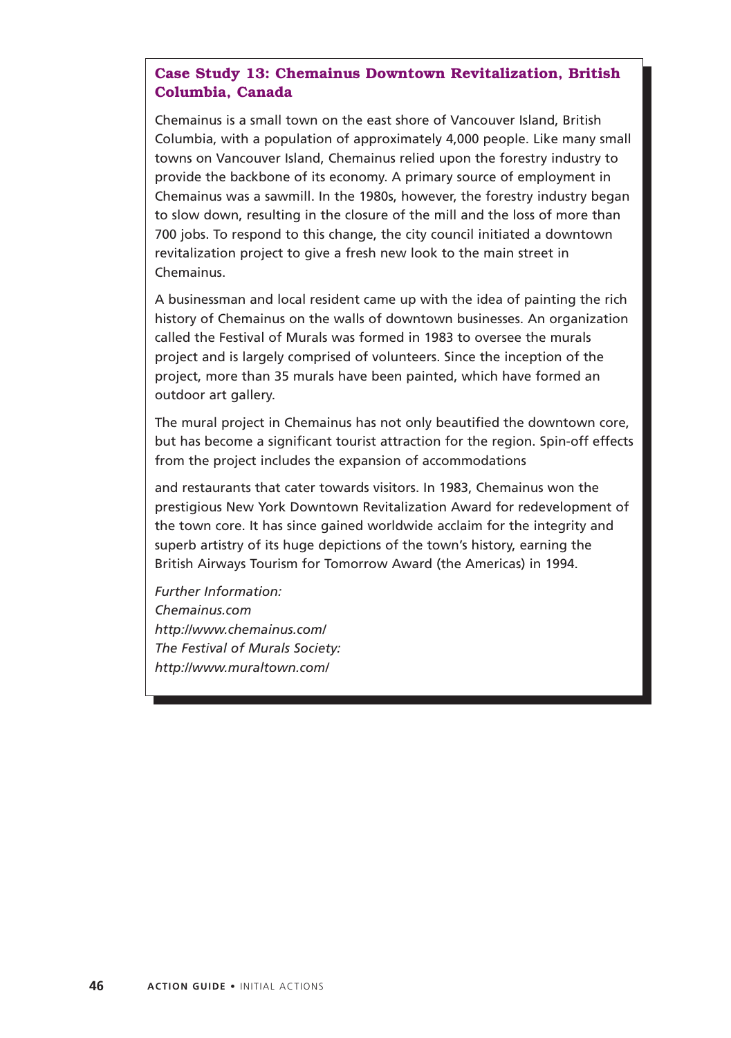# **Case Study 13: Chemainus Downtown Revitalization, British Columbia, Canada**

Chemainus is a small town on the east shore of Vancouver Island, British Columbia, with a population of approximately 4,000 people. Like many small towns on Vancouver Island, Chemainus relied upon the forestry industry to provide the backbone of its economy. A primary source of employment in Chemainus was a sawmill. In the 1980s, however, the forestry industry began to slow down, resulting in the closure of the mill and the loss of more than 700 jobs. To respond to this change, the city council initiated a downtown revitalization project to give a fresh new look to the main street in Chemainus.

A businessman and local resident came up with the idea of painting the rich history of Chemainus on the walls of downtown businesses. An organization called the Festival of Murals was formed in 1983 to oversee the murals project and is largely comprised of volunteers. Since the inception of the project, more than 35 murals have been painted, which have formed an outdoor art gallery.

The mural project in Chemainus has not only beautified the downtown core, but has become a significant tourist attraction for the region. Spin-off effects from the project includes the expansion of accommodations

and restaurants that cater towards visitors. In 1983, Chemainus won the prestigious New York Downtown Revitalization Award for redevelopment of the town core. It has since gained worldwide acclaim for the integrity and superb artistry of its huge depictions of the town's history, earning the British Airways Tourism for Tomorrow Award (the Americas) in 1994.

*Further Information: Chemainus.com http://www.chemainus.com/ The Festival of Murals Society: http://www.muraltown.com/*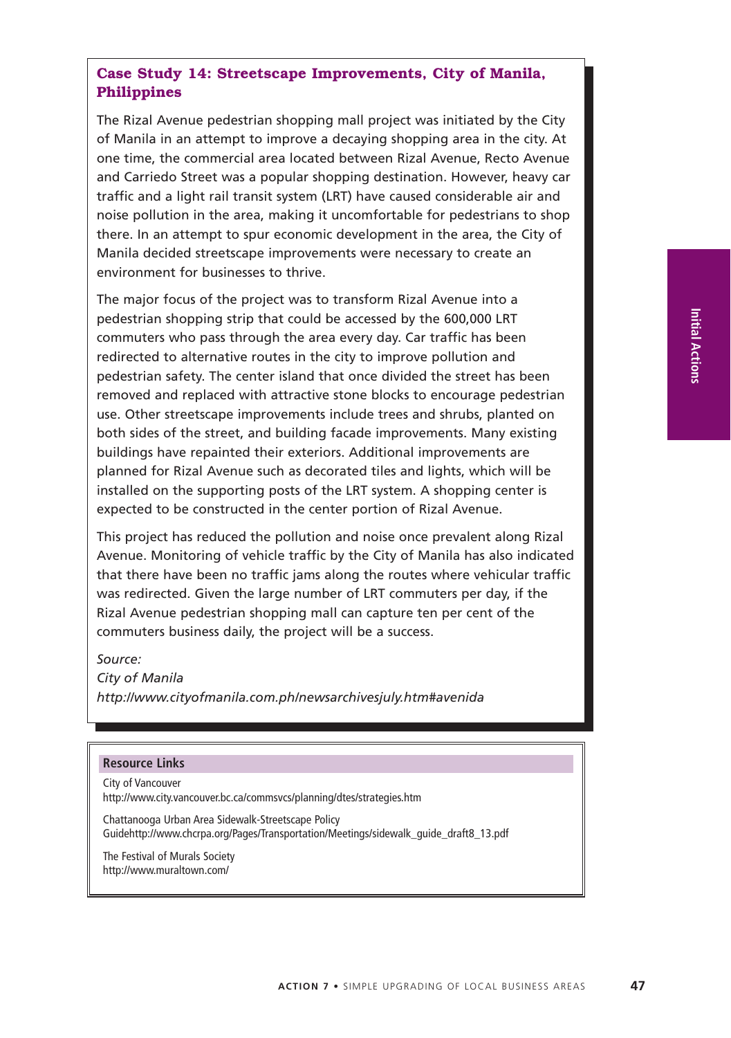#### **ACTION 7** • SIMPLE UPGRADING OF LOCAL BUSINESS AREAS **47**

The Rizal Avenue pedestrian shopping mall project was initiated by the City of Manila in an attempt to improve a decaying shopping area in the city. At one time, the commercial area located between Rizal Avenue, Recto Avenue and Carriedo Street was a popular shopping destination. However, heavy car traffic and a light rail transit system (LRT) have caused considerable air and noise pollution in the area, making it uncomfortable for pedestrians to shop there. In an attempt to spur economic development in the area, the City of Manila decided streetscape improvements were necessary to create an environment for businesses to thrive.

The major focus of the project was to transform Rizal Avenue into a pedestrian shopping strip that could be accessed by the 600,000 LRT commuters who pass through the area every day. Car traffic has been redirected to alternative routes in the city to improve pollution and pedestrian safety. The center island that once divided the street has been removed and replaced with attractive stone blocks to encourage pedestrian use. Other streetscape improvements include trees and shrubs, planted on both sides of the street, and building facade improvements. Many existing buildings have repainted their exteriors. Additional improvements are planned for Rizal Avenue such as decorated tiles and lights, which will be installed on the supporting posts of the LRT system. A shopping center is expected to be constructed in the center portion of Rizal Avenue.

This project has reduced the pollution and noise once prevalent along Rizal Avenue. Monitoring of vehicle traffic by the City of Manila has also indicated that there have been no traffic jams along the routes where vehicular traffic was redirected. Given the large number of LRT commuters per day, if the Rizal Avenue pedestrian shopping mall can capture ten per cent of the commuters business daily, the project will be a success.

*Source: City of Manila http://www.cityofmanila.com.ph/newsarchivesjuly.htm#avenida*

#### **Resource Links**

City of Vancouver http://www.city.vancouver.bc.ca/commsvcs/planning/dtes/strategies.htm

Chattanooga Urban Area Sidewalk-Streetscape Policy Guidehttp://www.chcrpa.org/Pages/Transportation/Meetings/sidewalk\_guide\_draft8\_13.pdf

The Festival of Murals Society http://www.muraltown.com/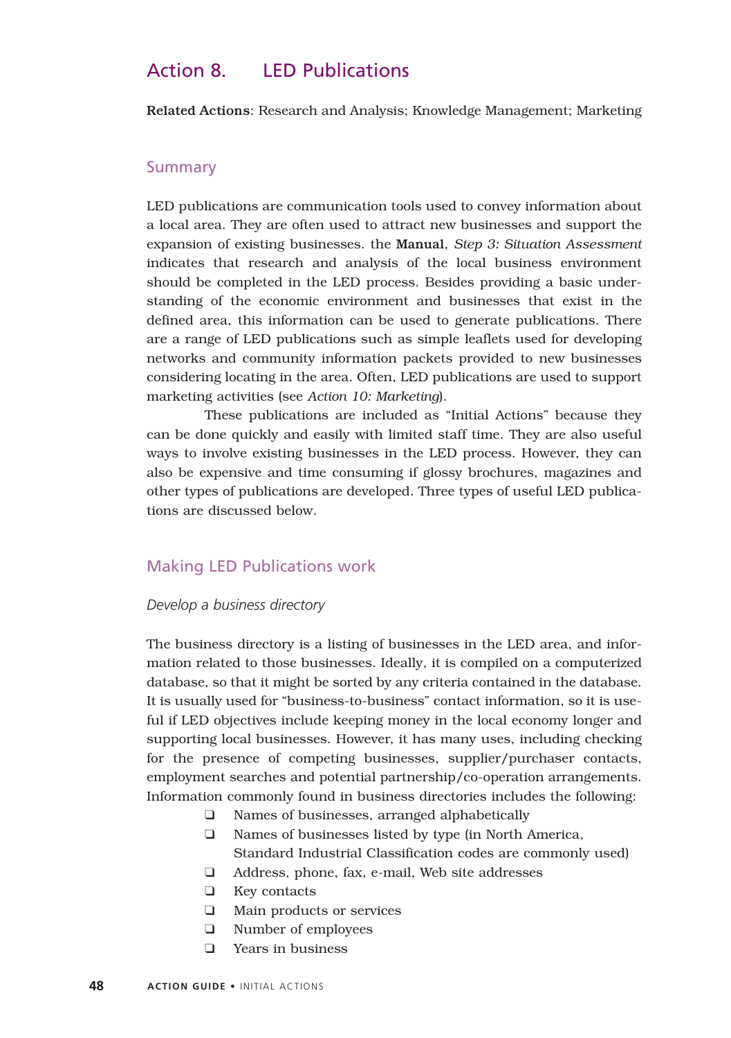# Action 8. LED Publications

Related Actions: Research and Analysis; Knowledge Management; Marketing

#### Summary

LED publications are communication tools used to convey information about a local area. They are often used to attract new businesses and support the expansion of existing businesses. the Manual, *Step 3: Situation Assessment* indicates that research and analysis of the local business environment should be completed in the LED process. Besides providing a basic understanding of the economic environment and businesses that exist in the defined area, this information can be used to generate publications. There are a range of LED publications such as simple leaflets used for developing networks and community information packets provided to new businesses considering locating in the area. Often, LED publications are used to support marketing activities (see *Action 10: Marketing*).

These publications are included as "Initial Actions" because they can be done quickly and easily with limited staff time. They are also useful ways to involve existing businesses in the LED process. However, they can also be expensive and time consuming if glossy brochures, magazines and other types of publications are developed. Three types of useful LED publications are discussed below.

#### Making LED Publications work

#### *Develop a business directory*

The business directory is a listing of businesses in the LED area, and information related to those businesses. Ideally, it is compiled on a computerized database, so that it might be sorted by any criteria contained in the database. It is usually used for "business-to-business" contact information, so it is useful if LED objectives include keeping money in the local economy longer and supporting local businesses. However, it has many uses, including checking for the presence of competing businesses, supplier/purchaser contacts, employment searches and potential partnership/co-operation arrangements. Information commonly found in business directories includes the following:

- ❑ Names of businesses, arranged alphabetically
- ❑ Names of businesses listed by type (in North America, Standard Industrial Classification codes are commonly used)
- ❑ Address, phone, fax, e-mail, Web site addresses
- ❑ Key contacts
- ❑ Main products or services
- ❑ Number of employees
- ❑ Years in business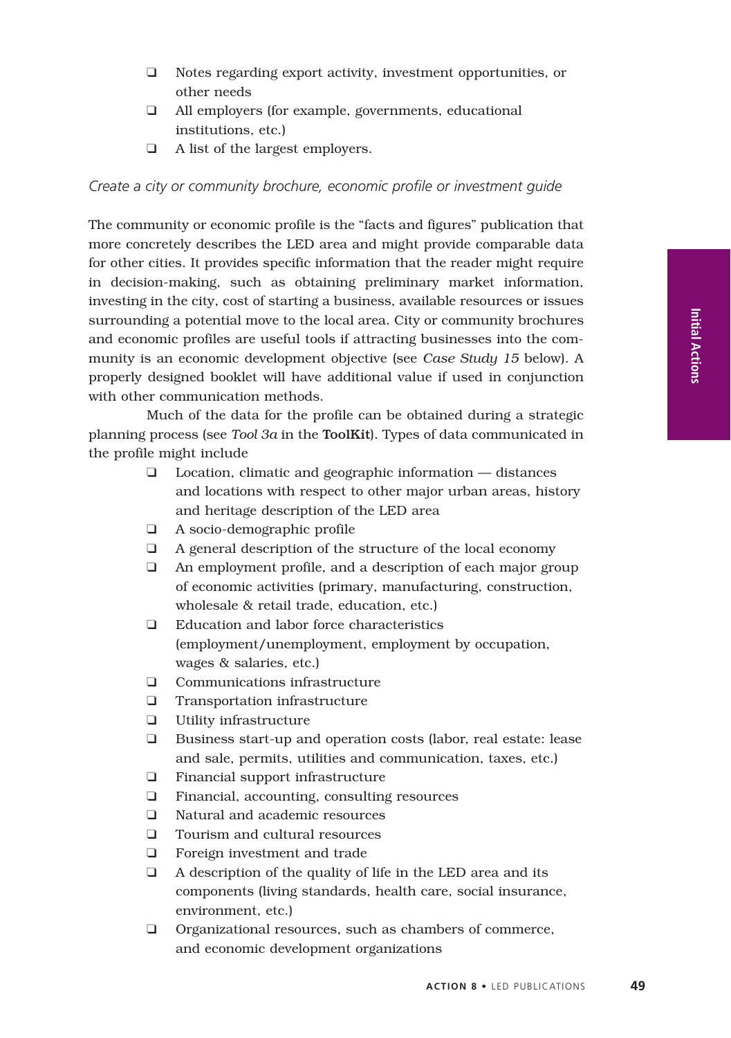- ❑ Notes regarding export activity, investment opportunities, or other needs
- ❑ All employers (for example, governments, educational institutions, etc.)
- ❑ A list of the largest employers.

*Create a city or community brochure, economic profile or investment guide*

The community or economic profile is the "facts and figures" publication that more concretely describes the LED area and might provide comparable data for other cities. It provides specific information that the reader might require in decision-making, such as obtaining preliminary market information, investing in the city, cost of starting a business, available resources or issues surrounding a potential move to the local area. City or community brochures and economic profiles are useful tools if attracting businesses into the community is an economic development objective (see *Case Study 15* below). A properly designed booklet will have additional value if used in conjunction with other communication methods.

Much of the data for the profile can be obtained during a strategic planning process (see *Tool 3a* in the ToolKit). Types of data communicated in the profile might include

- ❑ Location, climatic and geographic information distances and locations with respect to other major urban areas, history and heritage description of the LED area
- ❑ A socio-demographic profile
- ❑ A general description of the structure of the local economy
- ❑ An employment profile, and a description of each major group of economic activities (primary, manufacturing, construction, wholesale & retail trade, education, etc.)
- ❑ Education and labor force characteristics (employment/unemployment, employment by occupation, wages & salaries, etc.)
- ❑ Communications infrastructure
- ❑ Transportation infrastructure
- ❑ Utility infrastructure
- ❑ Business start-up and operation costs (labor, real estate: lease and sale, permits, utilities and communication, taxes, etc.)
- ❑ Financial support infrastructure
- ❑ Financial, accounting, consulting resources
- ❑ Natural and academic resources
- ❑ Tourism and cultural resources
- ❑ Foreign investment and trade
- ❑ A description of the quality of life in the LED area and its components (living standards, health care, social insurance, environment, etc.)
- ❑ Organizational resources, such as chambers of commerce, and economic development organizations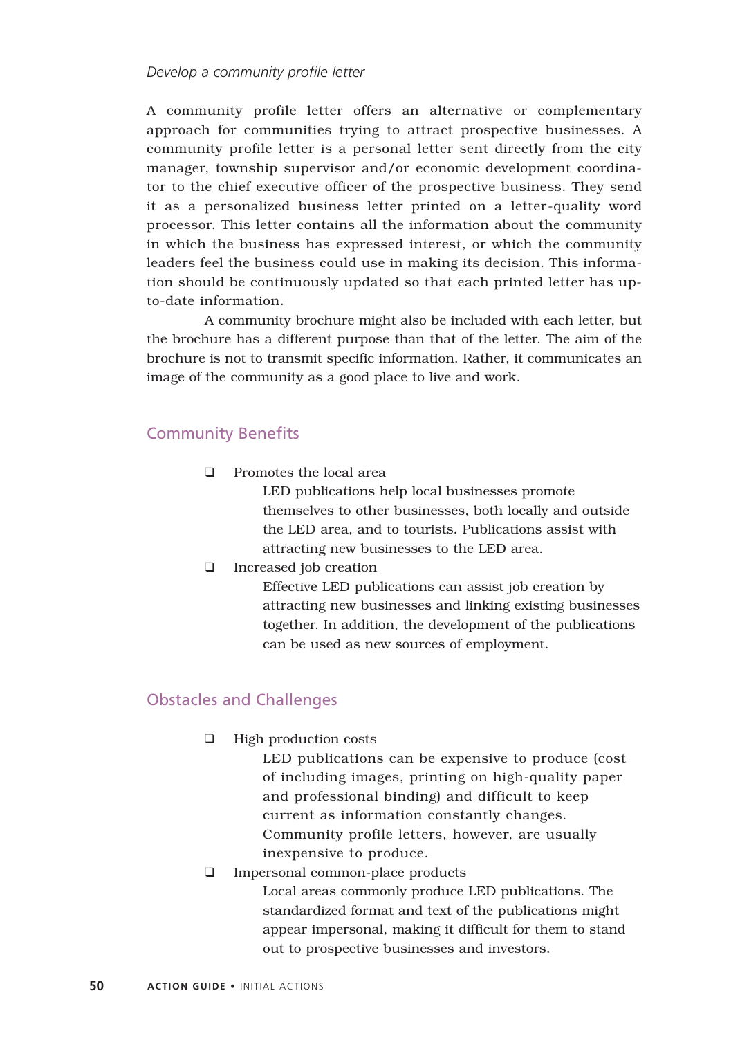#### *Develop a community profile letter*

A community profile letter offers an alternative or complementary approach for communities trying to attract prospective businesses. A community profile letter is a personal letter sent directly from the city manager, township supervisor and/or economic development coordinator to the chief executive officer of the prospective business. They send it as a personalized business letter printed on a letter-quality word processor. This letter contains all the information about the community in which the business has expressed interest, or which the community leaders feel the business could use in making its decision. This information should be continuously updated so that each printed letter has upto-date information.

A community brochure might also be included with each letter, but the brochure has a different purpose than that of the letter. The aim of the brochure is not to transmit specific information. Rather, it communicates an image of the community as a good place to live and work.

## Community Benefits

❑ Promotes the local area

LED publications help local businesses promote themselves to other businesses, both locally and outside the LED area, and to tourists. Publications assist with attracting new businesses to the LED area.

❑ Increased job creation

Effective LED publications can assist job creation by attracting new businesses and linking existing businesses together. In addition, the development of the publications can be used as new sources of employment.

# Obstacles and Challenges

❑ High production costs

LED publications can be expensive to produce (cost of including images, printing on high-quality paper and professional binding) and difficult to keep current as information constantly changes. Community profile letters, however, are usually inexpensive to produce.

❑ Impersonal common-place products

Local areas commonly produce LED publications. The standardized format and text of the publications might appear impersonal, making it difficult for them to stand out to prospective businesses and investors.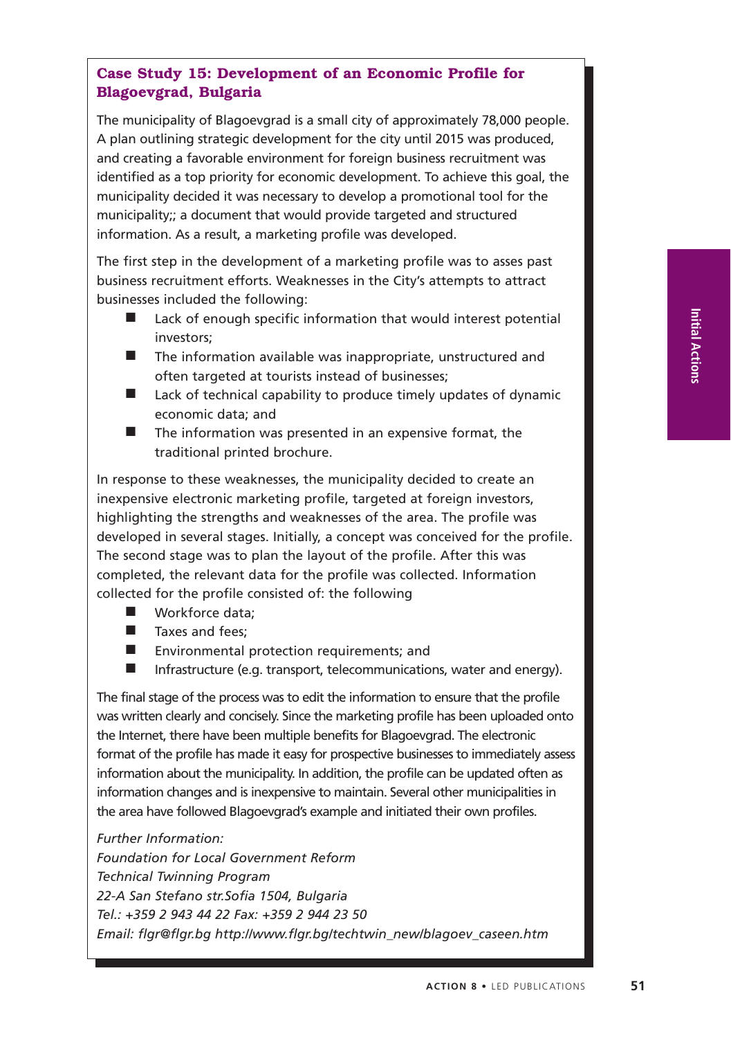# **Case Study 15: Development of an Economic Profile for Blagoevgrad, Bulgaria**

The municipality of Blagoevgrad is a small city of approximately 78,000 people. A plan outlining strategic development for the city until 2015 was produced, and creating a favorable environment for foreign business recruitment was identified as a top priority for economic development. To achieve this goal, the municipality decided it was necessary to develop a promotional tool for the municipality;; a document that would provide targeted and structured information. As a result, a marketing profile was developed.

The first step in the development of a marketing profile was to asses past business recruitment efforts. Weaknesses in the City's attempts to attract businesses included the following:

- Lack of enough specific information that would interest potential investors;
- The information available was inappropriate, unstructured and often targeted at tourists instead of businesses;
- Lack of technical capability to produce timely updates of dynamic economic data; and
- The information was presented in an expensive format, the traditional printed brochure.

In response to these weaknesses, the municipality decided to create an inexpensive electronic marketing profile, targeted at foreign investors, highlighting the strengths and weaknesses of the area. The profile was developed in several stages. Initially, a concept was conceived for the profile. The second stage was to plan the layout of the profile. After this was completed, the relevant data for the profile was collected. Information collected for the profile consisted of: the following

- Workforce data:
- Taxes and fees:
- Environmental protection requirements; and
- Infrastructure (e.g. transport, telecommunications, water and energy).

The final stage of the process was to edit the information to ensure that the profile was written clearly and concisely. Since the marketing profile has been uploaded onto the Internet, there have been multiple benefits for Blagoevgrad. The electronic format of the profile has made it easy for prospective businesses to immediately assess information about the municipality. In addition, the profile can be updated often as information changes and is inexpensive to maintain. Several other municipalities in the area have followed Blagoevgrad's example and initiated their own profiles.

*Further Information: Foundation for Local Government Reform Technical Twinning Program 22-A San Stefano str.Sofia 1504, Bulgaria Tel.: +359 2 943 44 22 Fax: +359 2 944 23 50 Email: flgr@flgr.bg http://www.flgr.bg/techtwin\_new/blagoev\_caseen.htm*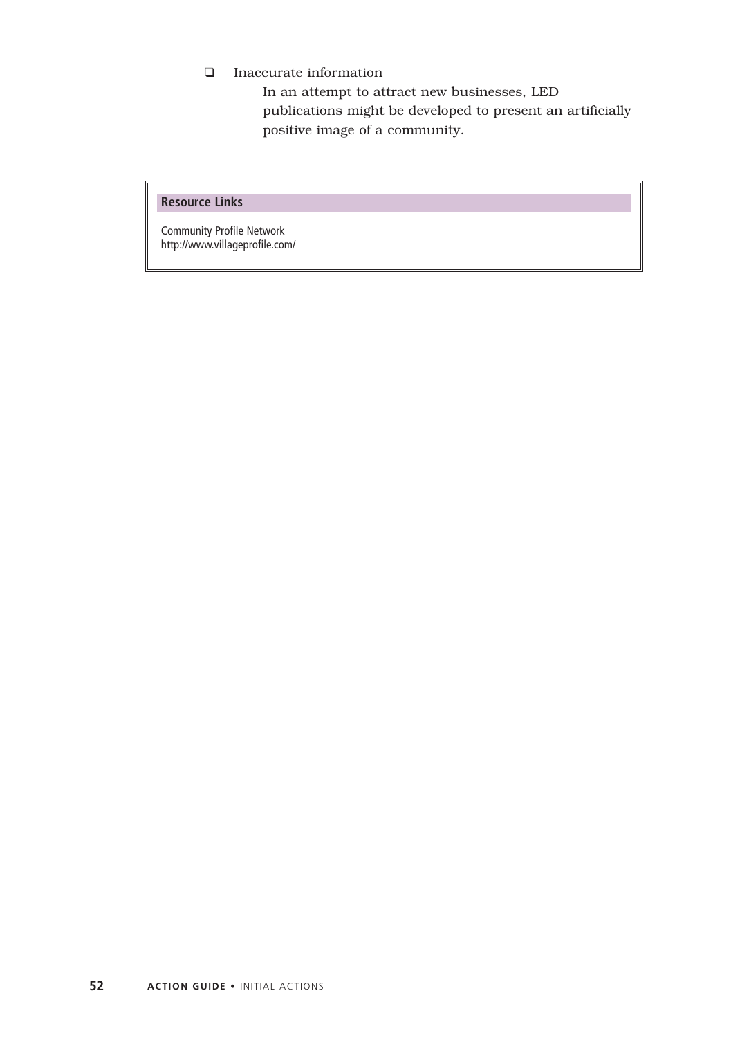❑ Inaccurate information

In an attempt to attract new businesses, LED publications might be developed to present an artificially positive image of a community.

#### **Resource Links**

Community Profile Network http://www.villageprofile.com/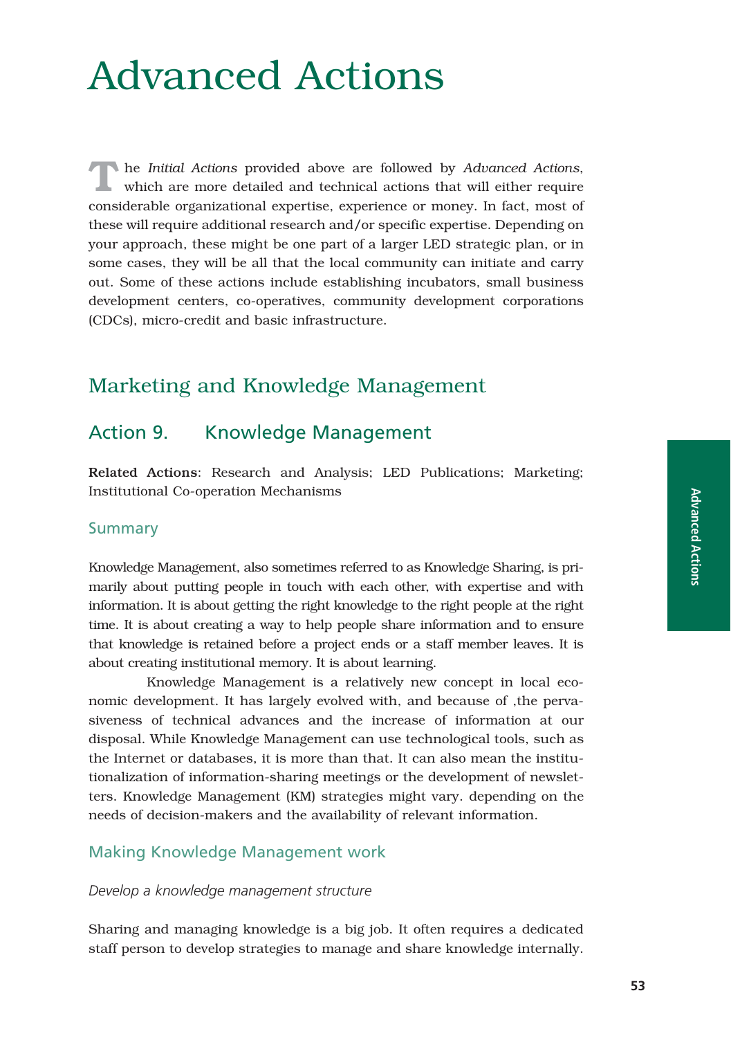# Advanced Actions

**T**he *Initial Actions* provided above are followed by *Advanced Actions*, which are more detailed and technical actions that will either require considerable organizational expertise, experience or money. In fact, most of these will require additional research and/or specific expertise. Depending on your approach, these might be one part of a larger LED strategic plan, or in some cases, they will be all that the local community can initiate and carry out. Some of these actions include establishing incubators, small business development centers, co-operatives, community development corporations (CDCs), micro-credit and basic infrastructure.

# Marketing and Knowledge Management

# Action 9. Knowledge Management

Related Actions: Research and Analysis; LED Publications; Marketing; Institutional Co-operation Mechanisms

# **Summary**

Knowledge Management, also sometimes referred to as Knowledge Sharing, is primarily about putting people in touch with each other, with expertise and with information. It is about getting the right knowledge to the right people at the right time. It is about creating a way to help people share information and to ensure that knowledge is retained before a project ends or a staff member leaves. It is about creating institutional memory. It is about learning.

Knowledge Management is a relatively new concept in local economic development. It has largely evolved with, and because of ,the pervasiveness of technical advances and the increase of information at our disposal. While Knowledge Management can use technological tools, such as the Internet or databases, it is more than that. It can also mean the institutionalization of information-sharing meetings or the development of newsletters. Knowledge Management (KM) strategies might vary. depending on the needs of decision-makers and the availability of relevant information.

# Making Knowledge Management work

#### *Develop a knowledge management structure*

Sharing and managing knowledge is a big job. It often requires a dedicated staff person to develop strategies to manage and share knowledge internally.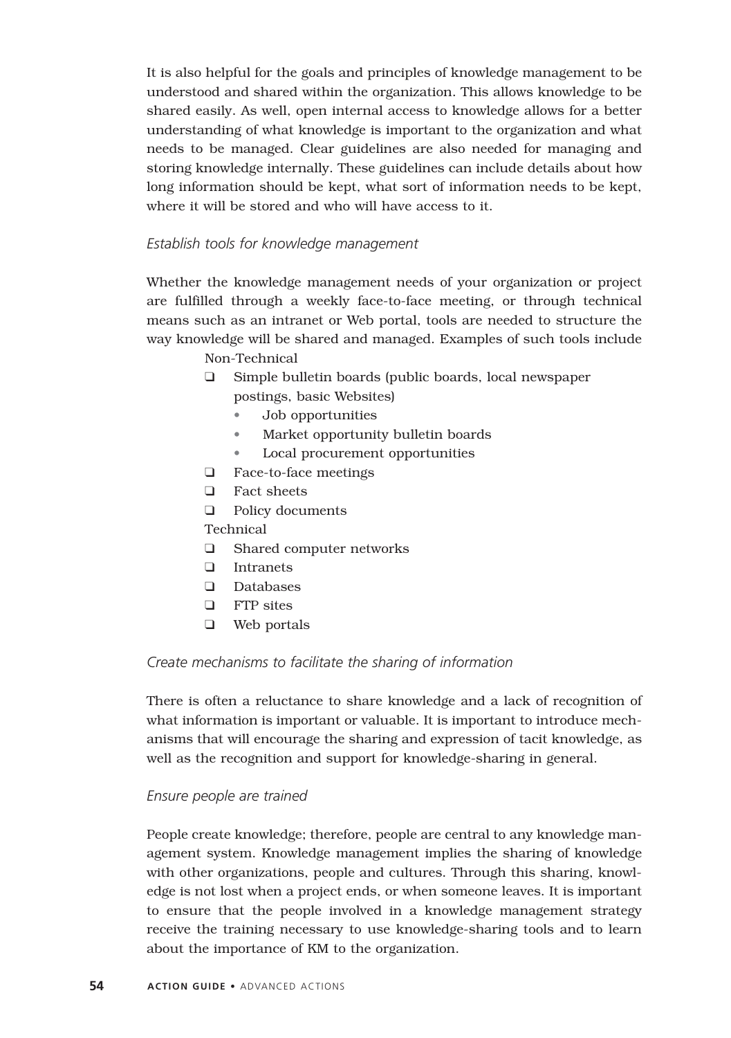It is also helpful for the goals and principles of knowledge management to be understood and shared within the organization. This allows knowledge to be shared easily. As well, open internal access to knowledge allows for a better understanding of what knowledge is important to the organization and what needs to be managed. Clear guidelines are also needed for managing and storing knowledge internally. These guidelines can include details about how long information should be kept, what sort of information needs to be kept, where it will be stored and who will have access to it.

## *Establish tools for knowledge management*

Whether the knowledge management needs of your organization or project are fulfilled through a weekly face-to-face meeting, or through technical means such as an intranet or Web portal, tools are needed to structure the way knowledge will be shared and managed. Examples of such tools include

Non-Technical

- ❑ Simple bulletin boards (public boards, local newspaper postings, basic Websites)
	- Job opportunities
	- Market opportunity bulletin boards
	- Local procurement opportunities
- ❑ Face-to-face meetings
- ❑ Fact sheets
- ❑ Policy documents

#### Technical

- ❑ Shared computer networks
- ❑ Intranets
- ❑ Databases
- ❑ FTP sites
- ❑ Web portals

#### *Create mechanisms to facilitate the sharing of information*

There is often a reluctance to share knowledge and a lack of recognition of what information is important or valuable. It is important to introduce mechanisms that will encourage the sharing and expression of tacit knowledge, as well as the recognition and support for knowledge-sharing in general.

#### *Ensure people are trained*

People create knowledge; therefore, people are central to any knowledge management system. Knowledge management implies the sharing of knowledge with other organizations, people and cultures. Through this sharing, knowledge is not lost when a project ends, or when someone leaves. It is important to ensure that the people involved in a knowledge management strategy receive the training necessary to use knowledge-sharing tools and to learn about the importance of KM to the organization.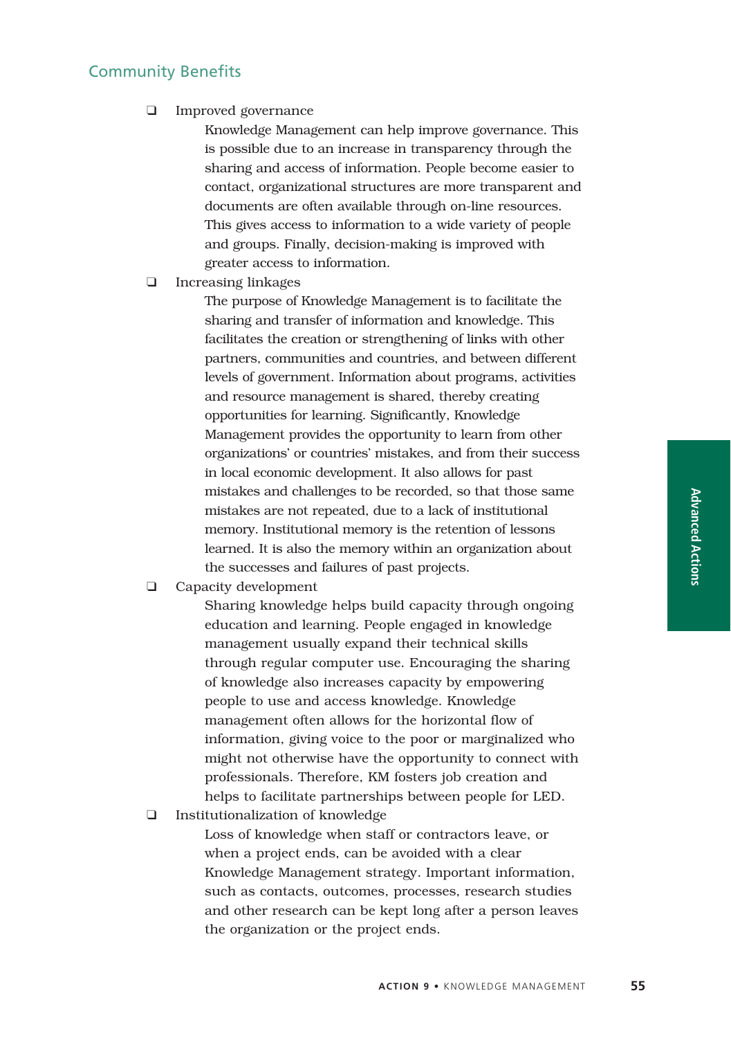# Community Benefits

❑ Improved governance

Knowledge Management can help improve governance. This is possible due to an increase in transparency through the sharing and access of information. People become easier to contact, organizational structures are more transparent and documents are often available through on-line resources. This gives access to information to a wide variety of people and groups. Finally, decision-making is improved with greater access to information.

❑ Increasing linkages

The purpose of Knowledge Management is to facilitate the sharing and transfer of information and knowledge. This facilitates the creation or strengthening of links with other partners, communities and countries, and between different levels of government. Information about programs, activities and resource management is shared, thereby creating opportunities for learning. Significantly, Knowledge Management provides the opportunity to learn from other organizations' or countries' mistakes, and from their success in local economic development. It also allows for past mistakes and challenges to be recorded, so that those same mistakes are not repeated, due to a lack of institutional memory. Institutional memory is the retention of lessons learned. It is also the memory within an organization about the successes and failures of past projects.

❑ Capacity development

Sharing knowledge helps build capacity through ongoing education and learning. People engaged in knowledge management usually expand their technical skills through regular computer use. Encouraging the sharing of knowledge also increases capacity by empowering people to use and access knowledge. Knowledge management often allows for the horizontal flow of information, giving voice to the poor or marginalized who might not otherwise have the opportunity to connect with professionals. Therefore, KM fosters job creation and helps to facilitate partnerships between people for LED.

❑ Institutionalization of knowledge

Loss of knowledge when staff or contractors leave, or when a project ends, can be avoided with a clear Knowledge Management strategy. Important information, such as contacts, outcomes, processes, research studies and other research can be kept long after a person leaves the organization or the project ends.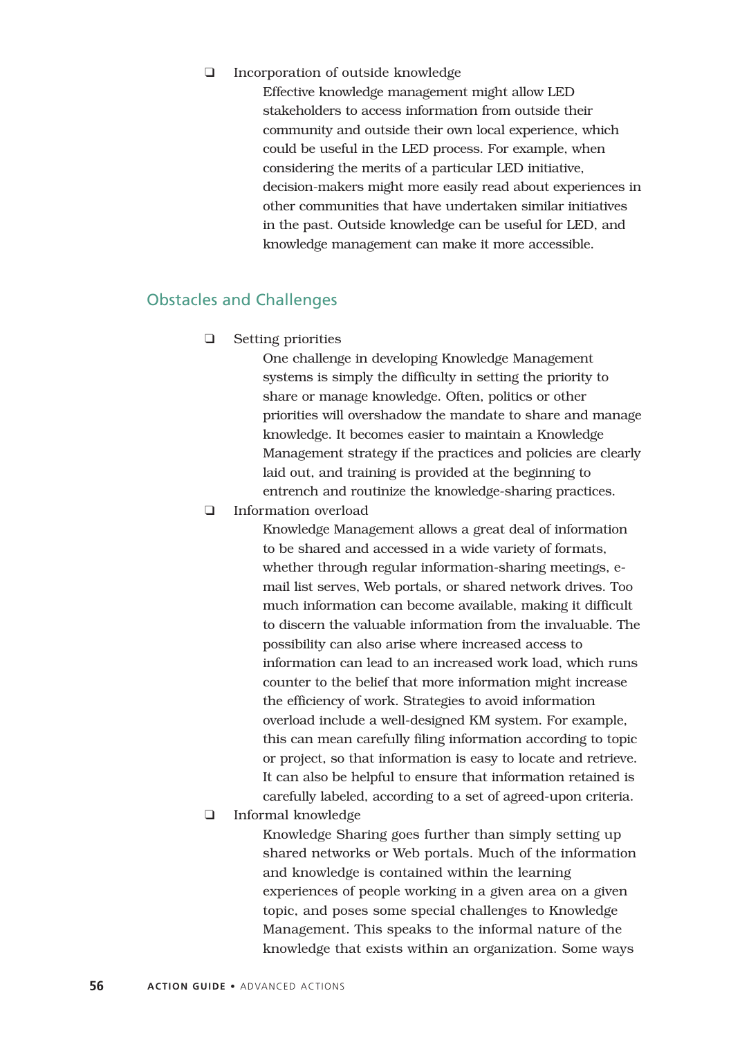#### ❑ Incorporation of outside knowledge

Effective knowledge management might allow LED stakeholders to access information from outside their community and outside their own local experience, which could be useful in the LED process. For example, when considering the merits of a particular LED initiative, decision-makers might more easily read about experiences in other communities that have undertaken similar initiatives in the past. Outside knowledge can be useful for LED, and knowledge management can make it more accessible.

# Obstacles and Challenges

❑ Setting priorities

One challenge in developing Knowledge Management systems is simply the difficulty in setting the priority to share or manage knowledge. Often, politics or other priorities will overshadow the mandate to share and manage knowledge. It becomes easier to maintain a Knowledge Management strategy if the practices and policies are clearly laid out, and training is provided at the beginning to entrench and routinize the knowledge-sharing practices.

❑ Information overload

Knowledge Management allows a great deal of information to be shared and accessed in a wide variety of formats, whether through regular information-sharing meetings, email list serves, Web portals, or shared network drives. Too much information can become available, making it difficult to discern the valuable information from the invaluable. The possibility can also arise where increased access to information can lead to an increased work load, which runs counter to the belief that more information might increase the efficiency of work. Strategies to avoid information overload include a well-designed KM system. For example, this can mean carefully filing information according to topic or project, so that information is easy to locate and retrieve. It can also be helpful to ensure that information retained is carefully labeled, according to a set of agreed-upon criteria.

❑ Informal knowledge

Knowledge Sharing goes further than simply setting up shared networks or Web portals. Much of the information and knowledge is contained within the learning experiences of people working in a given area on a given topic, and poses some special challenges to Knowledge Management. This speaks to the informal nature of the knowledge that exists within an organization. Some ways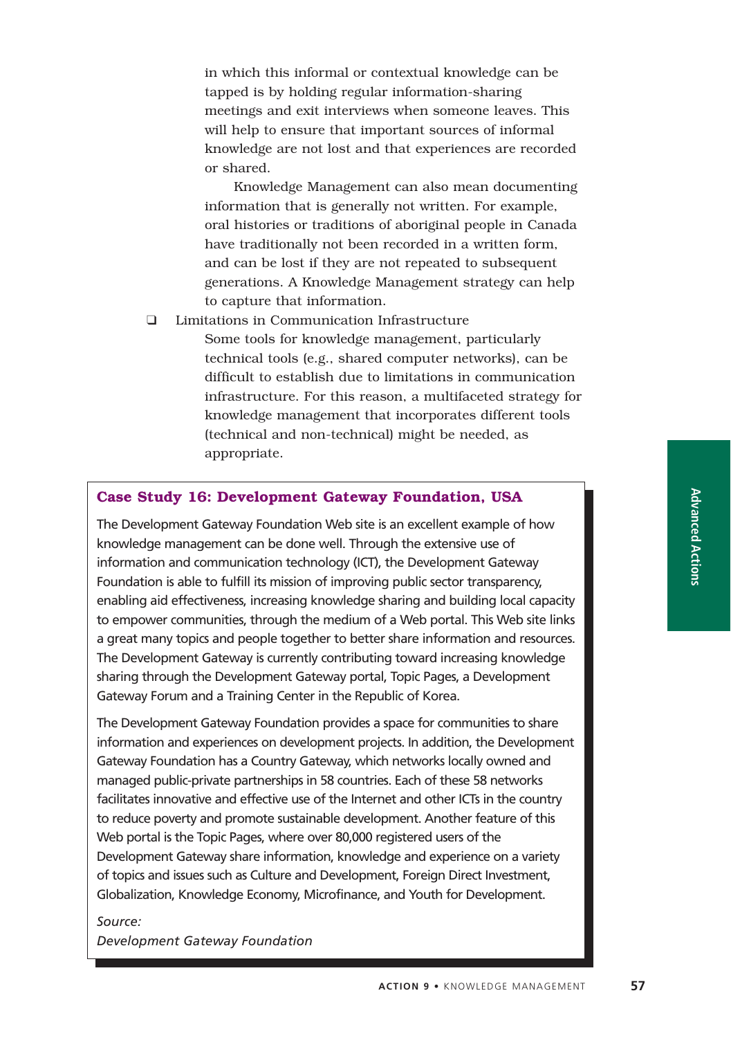in which this informal or contextual knowledge can be tapped is by holding regular information-sharing meetings and exit interviews when someone leaves. This will help to ensure that important sources of informal knowledge are not lost and that experiences are recorded or shared.

Knowledge Management can also mean documenting information that is generally not written. For example, oral histories or traditions of aboriginal people in Canada have traditionally not been recorded in a written form, and can be lost if they are not repeated to subsequent generations. A Knowledge Management strategy can help to capture that information.

❑ Limitations in Communication Infrastructure

Some tools for knowledge management, particularly technical tools (e.g., shared computer networks), can be difficult to establish due to limitations in communication infrastructure. For this reason, a multifaceted strategy for knowledge management that incorporates different tools (technical and non-technical) might be needed, as appropriate.

#### **Case Study 16: Development Gateway Foundation, USA**

The Development Gateway Foundation Web site is an excellent example of how knowledge management can be done well. Through the extensive use of information and communication technology (ICT), the Development Gateway Foundation is able to fulfill its mission of improving public sector transparency, enabling aid effectiveness, increasing knowledge sharing and building local capacity to empower communities, through the medium of a Web portal. This Web site links a great many topics and people together to better share information and resources. The Development Gateway is currently contributing toward increasing knowledge sharing through the Development Gateway portal, Topic Pages, a Development Gateway Forum and a Training Center in the Republic of Korea.

The Development Gateway Foundation provides a space for communities to share information and experiences on development projects. In addition, the Development Gateway Foundation has a Country Gateway, which networks locally owned and managed public-private partnerships in 58 countries. Each of these 58 networks facilitates innovative and effective use of the Internet and other ICTs in the country to reduce poverty and promote sustainable development. Another feature of this Web portal is the Topic Pages, where over 80,000 registered users of the Development Gateway share information, knowledge and experience on a variety of topics and issues such as Culture and Development, Foreign Direct Investment, Globalization, Knowledge Economy, Microfinance, and Youth for Development.

# *Source: Development Gateway Foundation*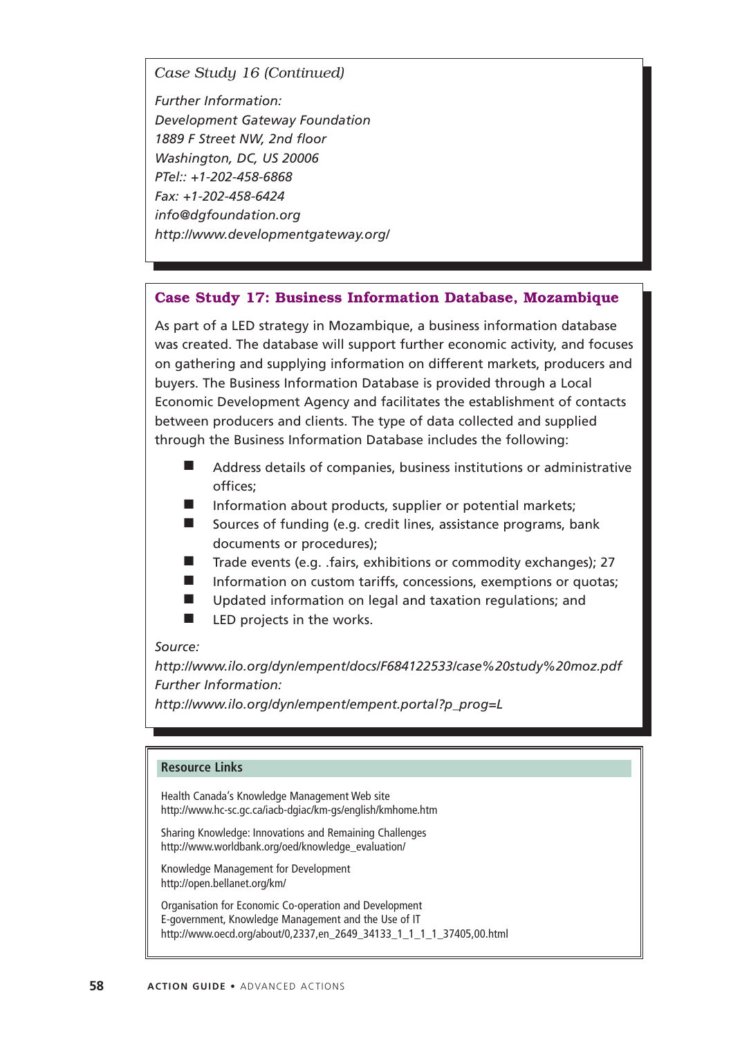*Case Study 16 (Continued)*

*Further Information: Development Gateway Foundation 1889 F Street NW, 2nd floor Washington, DC, US 20006 PTel:: +1-202-458-6868 Fax: +1-202-458-6424 info@dgfoundation.org http://www.developmentgateway.org/*

#### **Case Study 17: Business Information Database, Mozambique**

As part of a LED strategy in Mozambique, a business information database was created. The database will support further economic activity, and focuses on gathering and supplying information on different markets, producers and buyers. The Business Information Database is provided through a Local Economic Development Agency and facilitates the establishment of contacts between producers and clients. The type of data collected and supplied through the Business Information Database includes the following:

- Address details of companies, business institutions or administrative offices;
- Information about products, supplier or potential markets;
- Sources of funding (e.g. credit lines, assistance programs, bank documents or procedures);
- Trade events (e.g. .fairs, exhibitions or commodity exchanges); 27
- Information on custom tariffs, concessions, exemptions or quotas;
- Updated information on legal and taxation regulations; and
- LED projects in the works.

#### *Source:*

*http://www.ilo.org/dyn/empent/docs/F684122533/case%20study%20moz.pdf Further Information:*

*http://www.ilo.org/dyn/empent/empent.portal?p\_prog=L*

#### **Resource Links**

Health Canada's Knowledge Management Web site http://www.hc-sc.gc.ca/iacb-dgiac/km-gs/english/kmhome.htm

Sharing Knowledge: Innovations and Remaining Challenges http://www.worldbank.org/oed/knowledge\_evaluation/

Knowledge Management for Development http://open.bellanet.org/km/

Organisation for Economic Co-operation and Development E-government, Knowledge Management and the Use of IT http://www.oecd.org/about/0,2337,en\_2649\_34133\_1\_1\_1\_1\_37405,00.html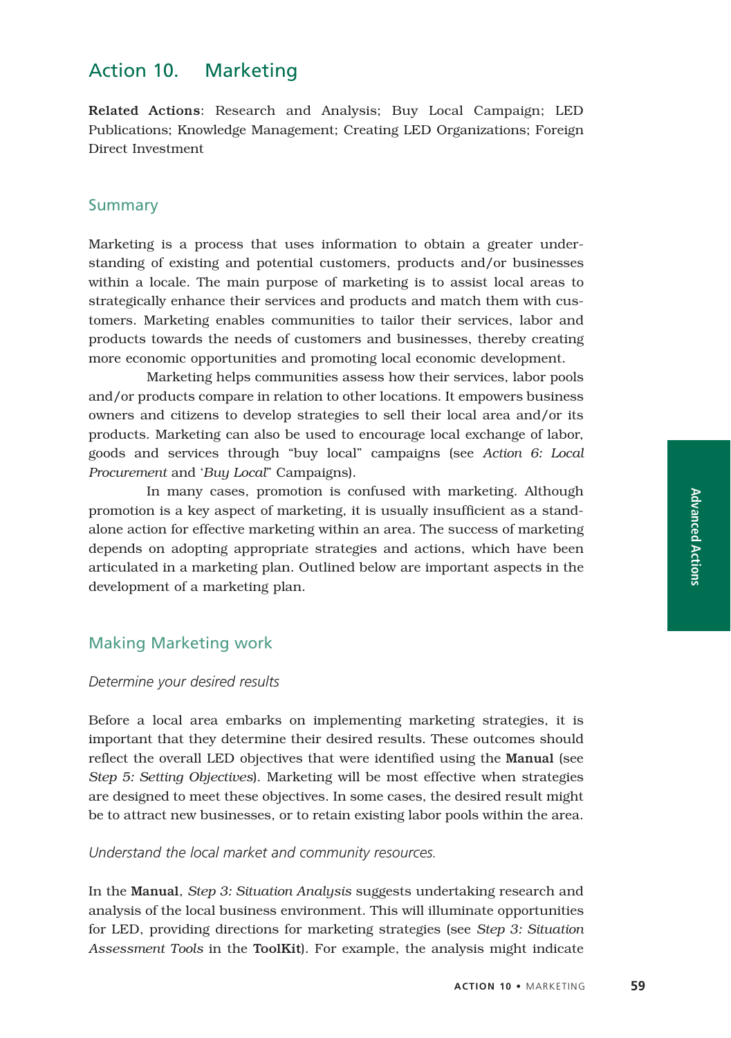# Action 10. Marketing

Related Actions: Research and Analysis; Buy Local Campaign; LED Publications; Knowledge Management; Creating LED Organizations; Foreign Direct Investment

## Summary

Marketing is a process that uses information to obtain a greater understanding of existing and potential customers, products and/or businesses within a locale. The main purpose of marketing is to assist local areas to strategically enhance their services and products and match them with customers. Marketing enables communities to tailor their services, labor and products towards the needs of customers and businesses, thereby creating more economic opportunities and promoting local economic development.

Marketing helps communities assess how their services, labor pools and/or products compare in relation to other locations. It empowers business owners and citizens to develop strategies to sell their local area and/or its products. Marketing can also be used to encourage local exchange of labor, goods and services through "buy local" campaigns (see *Action 6: Local Procurement* and '*Buy Local*" Campaigns).

In many cases, promotion is confused with marketing. Although promotion is a key aspect of marketing, it is usually insufficient as a standalone action for effective marketing within an area. The success of marketing depends on adopting appropriate strategies and actions, which have been articulated in a marketing plan. Outlined below are important aspects in the development of a marketing plan.

# Making Marketing work

#### *Determine your desired results*

Before a local area embarks on implementing marketing strategies, it is important that they determine their desired results. These outcomes should reflect the overall LED objectives that were identified using the Manual (see *Step 5: Setting Objectives*). Marketing will be most effective when strategies are designed to meet these objectives. In some cases, the desired result might be to attract new businesses, or to retain existing labor pools within the area.

#### *Understand the local market and community resources.*

In the Manual, *Step 3: Situation Analysis* suggests undertaking research and analysis of the local business environment. This will illuminate opportunities for LED, providing directions for marketing strategies (see *Step 3: Situation Assessment Tools* in the ToolKit). For example, the analysis might indicate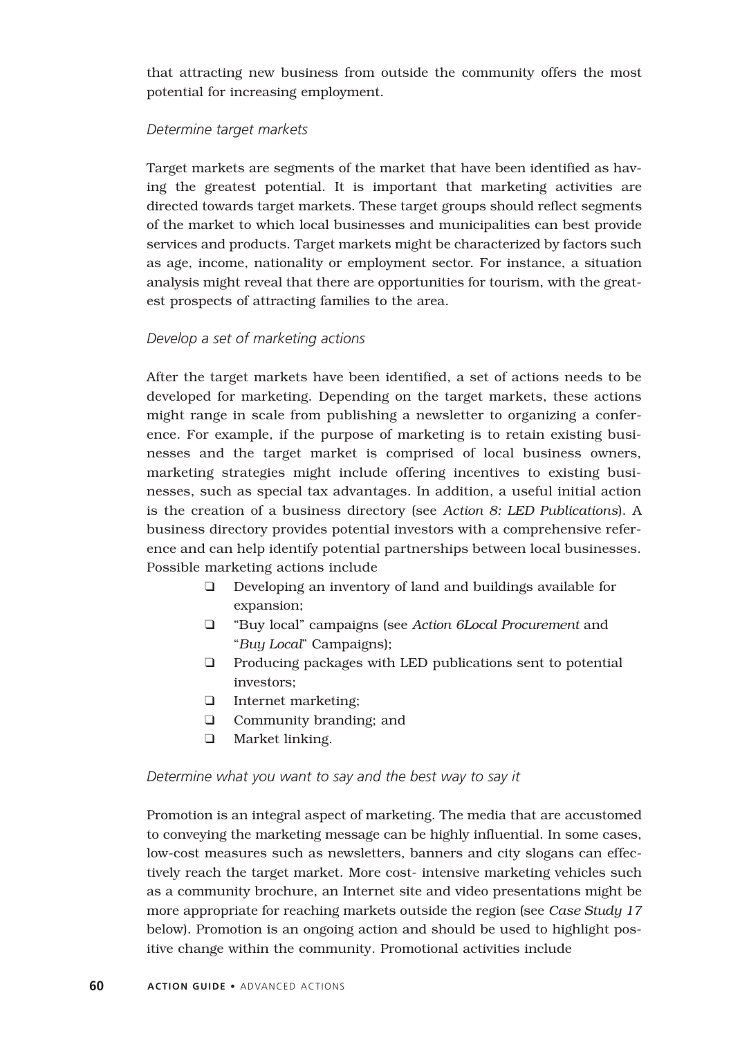that attracting new business from outside the community offers the most potential for increasing employment.

#### *Determine target markets*

Target markets are segments of the market that have been identified as having the greatest potential. It is important that marketing activities are directed towards target markets. These target groups should reflect segments of the market to which local businesses and municipalities can best provide services and products. Target markets might be characterized by factors such as age, income, nationality or employment sector. For instance, a situation analysis might reveal that there are opportunities for tourism, with the greatest prospects of attracting families to the area.

#### *Develop a set of marketing actions*

After the target markets have been identified, a set of actions needs to be developed for marketing. Depending on the target markets, these actions might range in scale from publishing a newsletter to organizing a conference. For example, if the purpose of marketing is to retain existing businesses and the target market is comprised of local business owners, marketing strategies might include offering incentives to existing businesses, such as special tax advantages. In addition, a useful initial action is the creation of a business directory (see *Action 8: LED Publications*). A business directory provides potential investors with a comprehensive reference and can help identify potential partnerships between local businesses. Possible marketing actions include

- ❑ Developing an inventory of land and buildings available for expansion;
- ❑ "Buy local" campaigns (see *Action 6Local Procurement* and "*Buy Local*" Campaigns);
- ❑ Producing packages with LED publications sent to potential investors;
- ❑ Internet marketing;
- ❑ Community branding; and
- ❑ Market linking.

#### *Determine what you want to say and the best way to say it*

Promotion is an integral aspect of marketing. The media that are accustomed to conveying the marketing message can be highly influential. In some cases, low-cost measures such as newsletters, banners and city slogans can effectively reach the target market. More cost- intensive marketing vehicles such as a community brochure, an Internet site and video presentations might be more appropriate for reaching markets outside the region (see *Case Study 17* below). Promotion is an ongoing action and should be used to highlight positive change within the community. Promotional activities include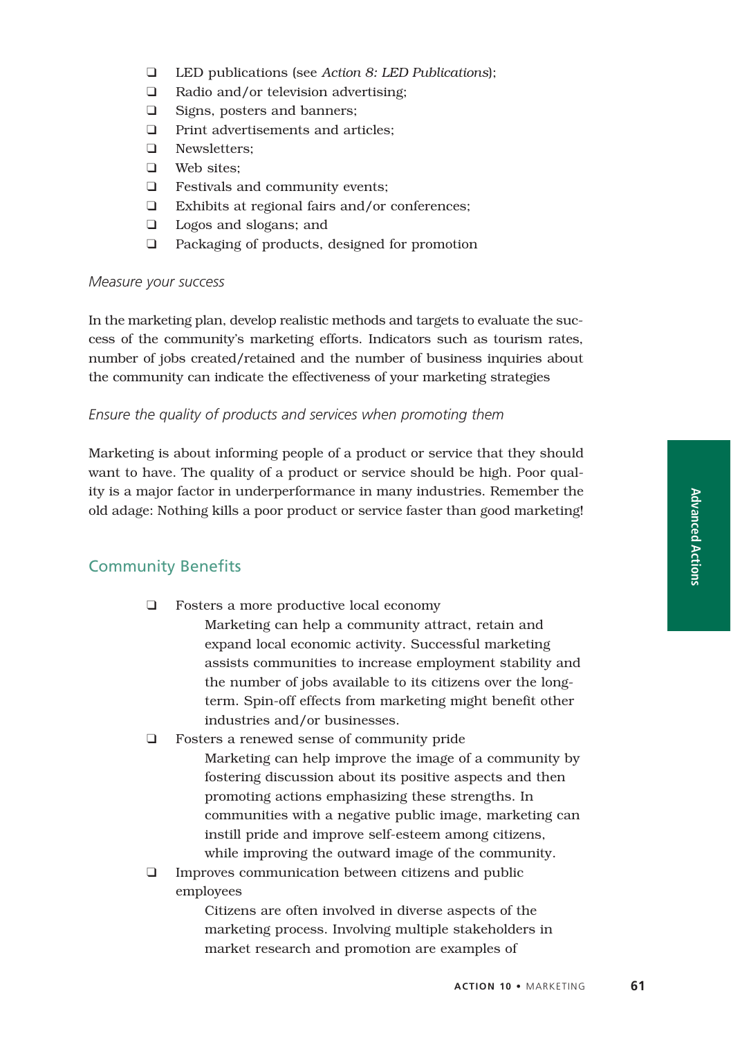- ❑ LED publications (see *Action 8: LED Publications*);
- ❑ Radio and/or television advertising;
- ❑ Signs, posters and banners;
- ❑ Print advertisements and articles;
- ❑ Newsletters;
- ❑ Web sites;
- ❑ Festivals and community events;
- ❑ Exhibits at regional fairs and/or conferences;
- ❑ Logos and slogans; and
- ❑ Packaging of products, designed for promotion

#### *Measure your success*

In the marketing plan, develop realistic methods and targets to evaluate the success of the community's marketing efforts. Indicators such as tourism rates, number of jobs created/retained and the number of business inquiries about the community can indicate the effectiveness of your marketing strategies

### *Ensure the quality of products and services when promoting them*

Marketing is about informing people of a product or service that they should want to have. The quality of a product or service should be high. Poor quality is a major factor in underperformance in many industries. Remember the old adage: Nothing kills a poor product or service faster than good marketing!

# Community Benefits

❑ Fosters a more productive local economy

Marketing can help a community attract, retain and expand local economic activity. Successful marketing assists communities to increase employment stability and the number of jobs available to its citizens over the longterm. Spin-off effects from marketing might benefit other industries and/or businesses.

- ❑ Fosters a renewed sense of community pride Marketing can help improve the image of a community by fostering discussion about its positive aspects and then promoting actions emphasizing these strengths. In communities with a negative public image, marketing can instill pride and improve self-esteem among citizens, while improving the outward image of the community.
- ❑ Improves communication between citizens and public employees

Citizens are often involved in diverse aspects of the marketing process. Involving multiple stakeholders in market research and promotion are examples of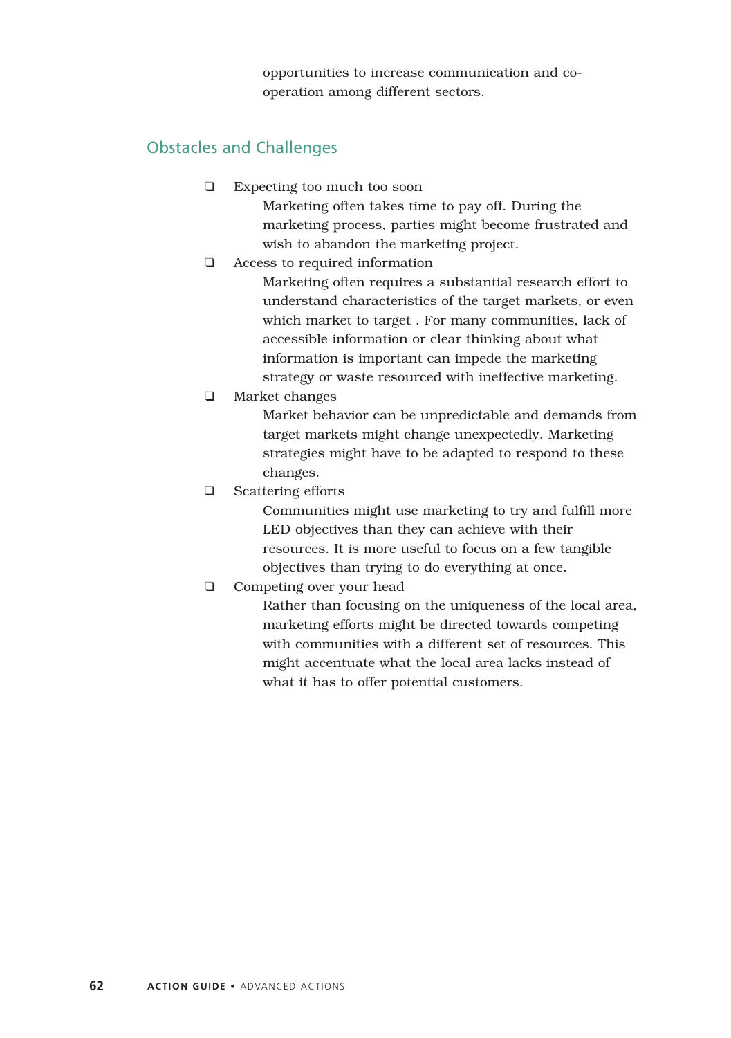opportunities to increase communication and cooperation among different sectors.

## Obstacles and Challenges

- ❑ Expecting too much too soon Marketing often takes time to pay off. During the marketing process, parties might become frustrated and wish to abandon the marketing project.
- ❑ Access to required information

Marketing often requires a substantial research effort to understand characteristics of the target markets, or even which market to target . For many communities, lack of accessible information or clear thinking about what information is important can impede the marketing strategy or waste resourced with ineffective marketing.

❑ Market changes

Market behavior can be unpredictable and demands from target markets might change unexpectedly. Marketing strategies might have to be adapted to respond to these changes.

❑ Scattering efforts

Communities might use marketing to try and fulfill more LED objectives than they can achieve with their resources. It is more useful to focus on a few tangible objectives than trying to do everything at once.

❑ Competing over your head

Rather than focusing on the uniqueness of the local area, marketing efforts might be directed towards competing with communities with a different set of resources. This might accentuate what the local area lacks instead of what it has to offer potential customers.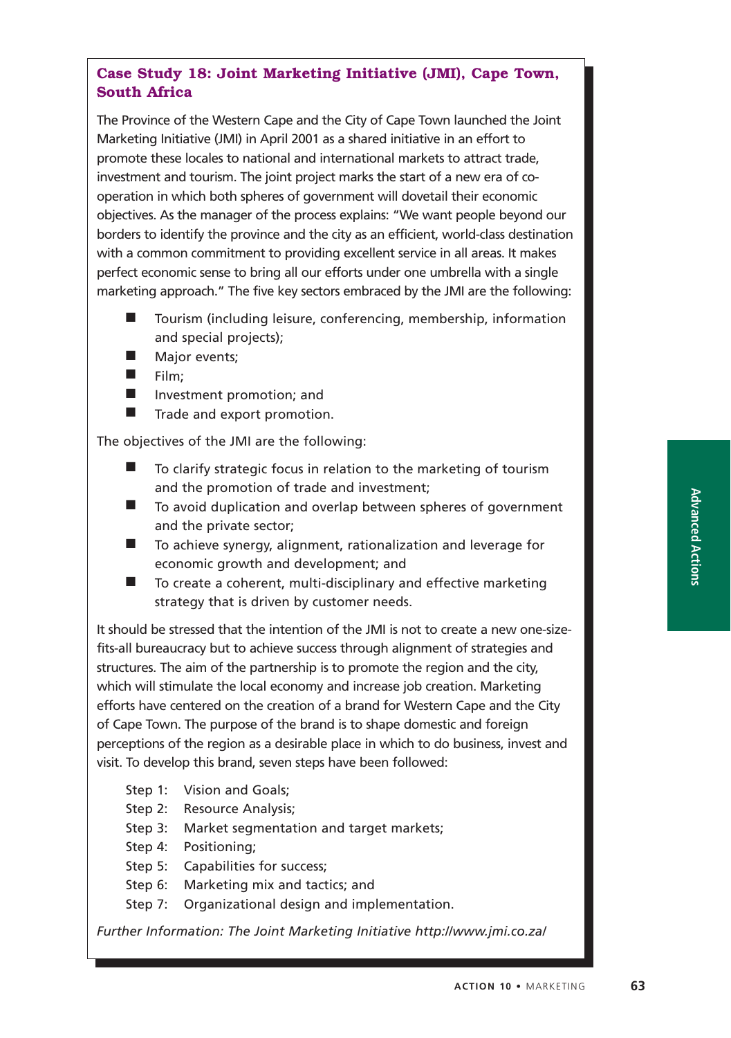# **Case Study 18: Joint Marketing Initiative (JMI), Cape Town, South Africa**

The Province of the Western Cape and the City of Cape Town launched the Joint Marketing Initiative (JMI) in April 2001 as a shared initiative in an effort to promote these locales to national and international markets to attract trade, investment and tourism. The joint project marks the start of a new era of cooperation in which both spheres of government will dovetail their economic objectives. As the manager of the process explains: "We want people beyond our borders to identify the province and the city as an efficient, world-class destination with a common commitment to providing excellent service in all areas. It makes perfect economic sense to bring all our efforts under one umbrella with a single marketing approach." The five key sectors embraced by the JMI are the following:

- Tourism (including leisure, conferencing, membership, information and special projects);
- Major events;
- Film;
- Investment promotion; and
- Trade and export promotion.

The objectives of the JMI are the following:

- To clarify strategic focus in relation to the marketing of tourism and the promotion of trade and investment;
- To avoid duplication and overlap between spheres of government and the private sector;
- To achieve synergy, alignment, rationalization and leverage for economic growth and development; and
- To create a coherent, multi-disciplinary and effective marketing strategy that is driven by customer needs.

It should be stressed that the intention of the JMI is not to create a new one-sizefits-all bureaucracy but to achieve success through alignment of strategies and structures. The aim of the partnership is to promote the region and the city, which will stimulate the local economy and increase job creation. Marketing efforts have centered on the creation of a brand for Western Cape and the City of Cape Town. The purpose of the brand is to shape domestic and foreign perceptions of the region as a desirable place in which to do business, invest and visit. To develop this brand, seven steps have been followed:

- Step 1: Vision and Goals;
- Step 2: Resource Analysis:
- Step 3: Market segmentation and target markets;
- Step 4: Positioning;
- Step 5: Capabilities for success;
- Step 6: Marketing mix and tactics; and
- Step 7: Organizational design and implementation.

*Further Information: The Joint Marketing Initiative http://www.jmi.co.za/*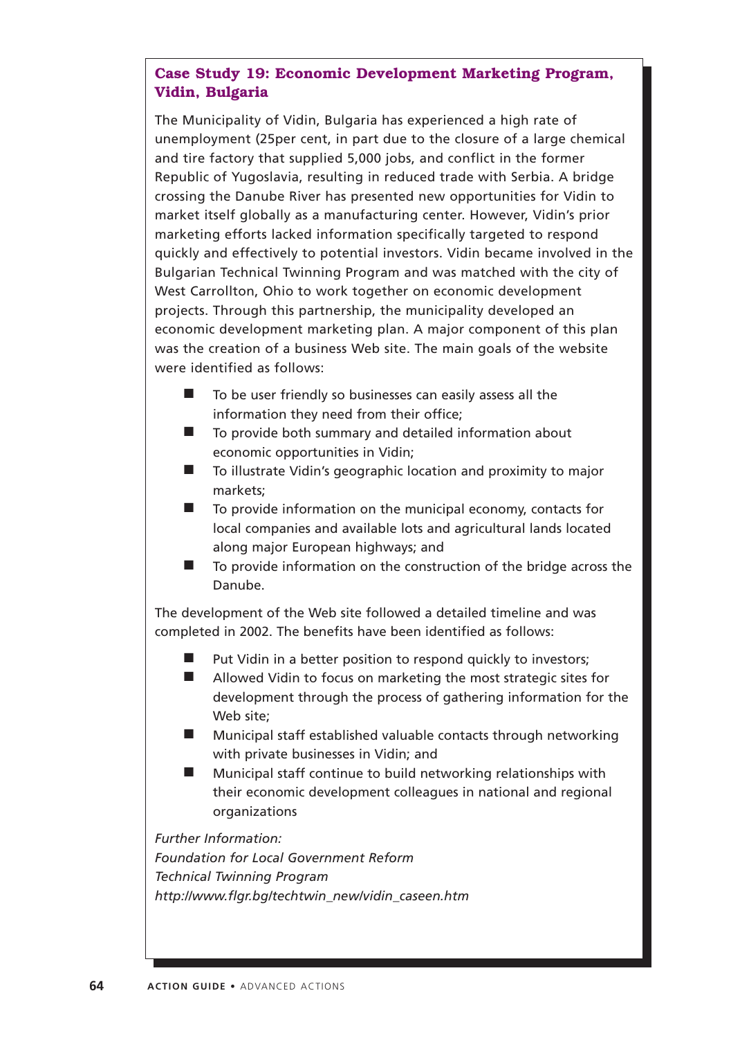# **Case Study 19: Economic Development Marketing Program, Vidin, Bulgaria**

The Municipality of Vidin, Bulgaria has experienced a high rate of unemployment (25per cent, in part due to the closure of a large chemical and tire factory that supplied 5,000 jobs, and conflict in the former Republic of Yugoslavia, resulting in reduced trade with Serbia. A bridge crossing the Danube River has presented new opportunities for Vidin to market itself globally as a manufacturing center. However, Vidin's prior marketing efforts lacked information specifically targeted to respond quickly and effectively to potential investors. Vidin became involved in the Bulgarian Technical Twinning Program and was matched with the city of West Carrollton, Ohio to work together on economic development projects. Through this partnership, the municipality developed an economic development marketing plan. A major component of this plan was the creation of a business Web site. The main goals of the website were identified as follows:

- To be user friendly so businesses can easily assess all the information they need from their office;
- To provide both summary and detailed information about economic opportunities in Vidin;
- To illustrate Vidin's geographic location and proximity to major markets;
- To provide information on the municipal economy, contacts for local companies and available lots and agricultural lands located along major European highways; and
- To provide information on the construction of the bridge across the Danube.

The development of the Web site followed a detailed timeline and was completed in 2002. The benefits have been identified as follows:

- Put Vidin in a better position to respond quickly to investors;
- Allowed Vidin to focus on marketing the most strategic sites for development through the process of gathering information for the Web site;
- Municipal staff established valuable contacts through networking with private businesses in Vidin; and
- Municipal staff continue to build networking relationships with their economic development colleagues in national and regional organizations

*Further Information: Foundation for Local Government Reform Technical Twinning Program http://www.flgr.bg/techtwin\_new/vidin\_caseen.htm*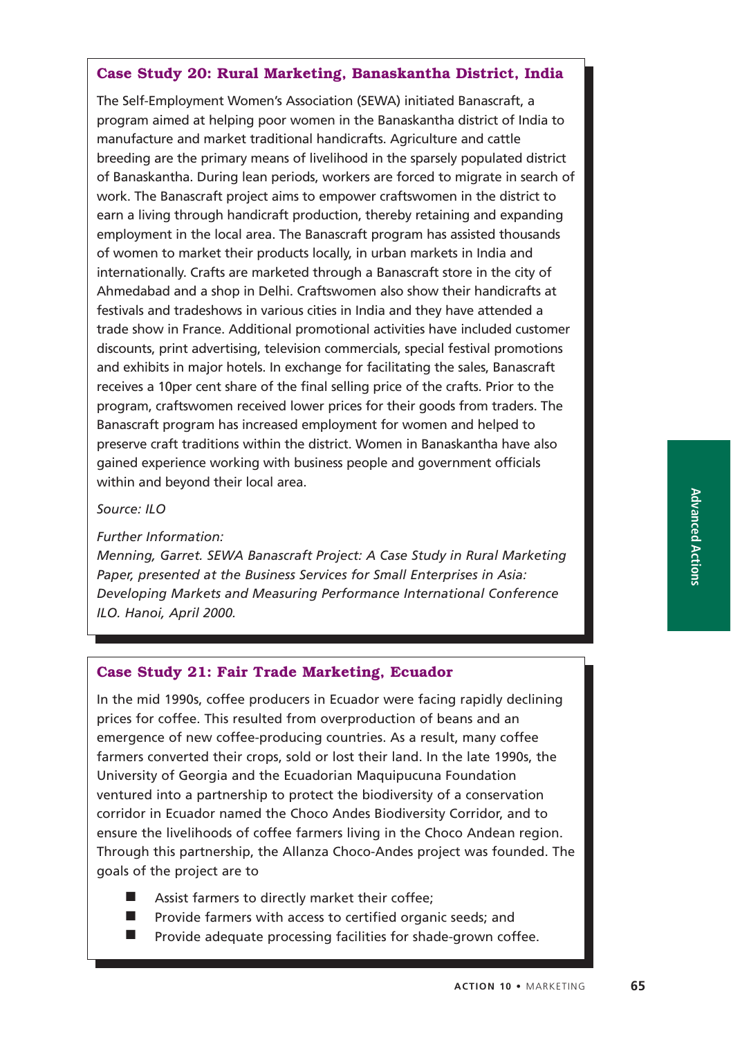## **Case Study 20: Rural Marketing, Banaskantha District, India**

The Self-Employment Women's Association (SEWA) initiated Banascraft, a program aimed at helping poor women in the Banaskantha district of India to manufacture and market traditional handicrafts. Agriculture and cattle breeding are the primary means of livelihood in the sparsely populated district of Banaskantha. During lean periods, workers are forced to migrate in search of work. The Banascraft project aims to empower craftswomen in the district to earn a living through handicraft production, thereby retaining and expanding employment in the local area. The Banascraft program has assisted thousands of women to market their products locally, in urban markets in India and internationally. Crafts are marketed through a Banascraft store in the city of Ahmedabad and a shop in Delhi. Craftswomen also show their handicrafts at festivals and tradeshows in various cities in India and they have attended a trade show in France. Additional promotional activities have included customer discounts, print advertising, television commercials, special festival promotions and exhibits in major hotels. In exchange for facilitating the sales, Banascraft receives a 10per cent share of the final selling price of the crafts. Prior to the program, craftswomen received lower prices for their goods from traders. The Banascraft program has increased employment for women and helped to preserve craft traditions within the district. Women in Banaskantha have also gained experience working with business people and government officials within and beyond their local area.

#### *Source: ILO*

*Further Information:*

*Menning, Garret. SEWA Banascraft Project: A Case Study in Rural Marketing Paper, presented at the Business Services for Small Enterprises in Asia: Developing Markets and Measuring Performance International Conference ILO. Hanoi, April 2000.*

### **Case Study 21: Fair Trade Marketing, Ecuador**

In the mid 1990s, coffee producers in Ecuador were facing rapidly declining prices for coffee. This resulted from overproduction of beans and an emergence of new coffee-producing countries. As a result, many coffee farmers converted their crops, sold or lost their land. In the late 1990s, the University of Georgia and the Ecuadorian Maquipucuna Foundation ventured into a partnership to protect the biodiversity of a conservation corridor in Ecuador named the Choco Andes Biodiversity Corridor, and to ensure the livelihoods of coffee farmers living in the Choco Andean region. Through this partnership, the Allanza Choco-Andes project was founded. The goals of the project are to

- Assist farmers to directly market their coffee;
- Provide farmers with access to certified organic seeds; and
- Provide adequate processing facilities for shade-grown coffee.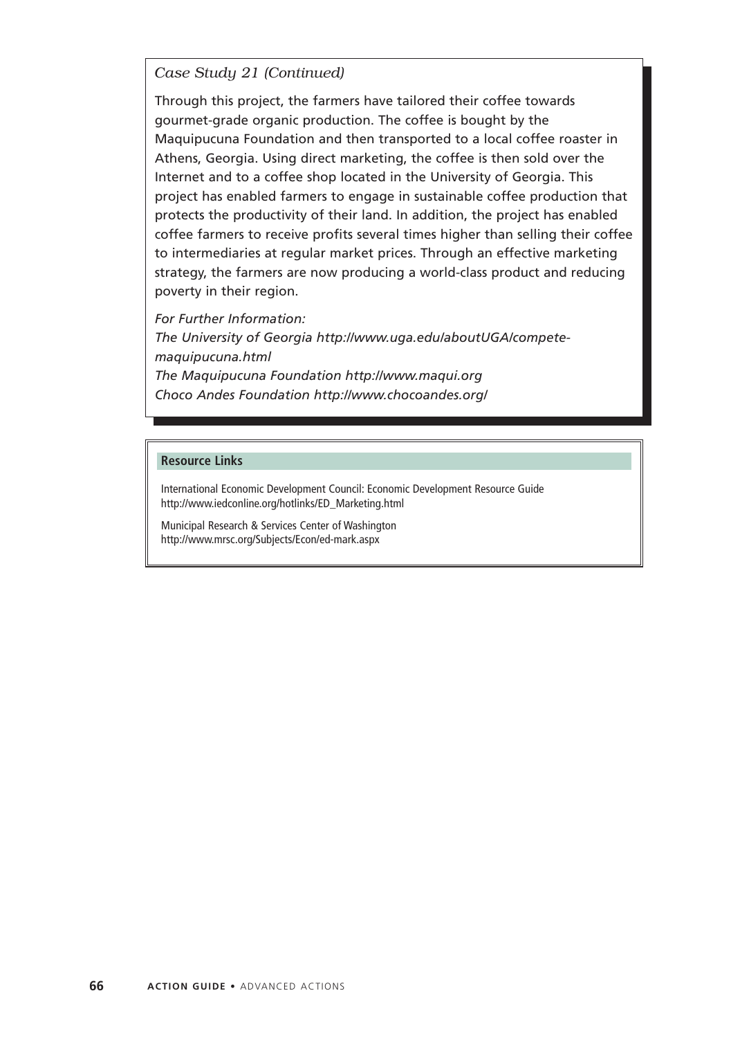*Case Study 21 (Continued)*

Through this project, the farmers have tailored their coffee towards gourmet-grade organic production. The coffee is bought by the Maquipucuna Foundation and then transported to a local coffee roaster in Athens, Georgia. Using direct marketing, the coffee is then sold over the Internet and to a coffee shop located in the University of Georgia. This project has enabled farmers to engage in sustainable coffee production that protects the productivity of their land. In addition, the project has enabled coffee farmers to receive profits several times higher than selling their coffee to intermediaries at regular market prices. Through an effective marketing strategy, the farmers are now producing a world-class product and reducing poverty in their region.

*For Further Information:*

*The University of Georgia http://www.uga.edu/aboutUGA/competemaquipucuna.html The Maquipucuna Foundation http://www.maqui.org Choco Andes Foundation http://www.chocoandes.org/*

#### **Resource Links**

International Economic Development Council: Economic Development Resource Guide http://www.iedconline.org/hotlinks/ED\_Marketing.html

Municipal Research & Services Center of Washington http://www.mrsc.org/Subjects/Econ/ed-mark.aspx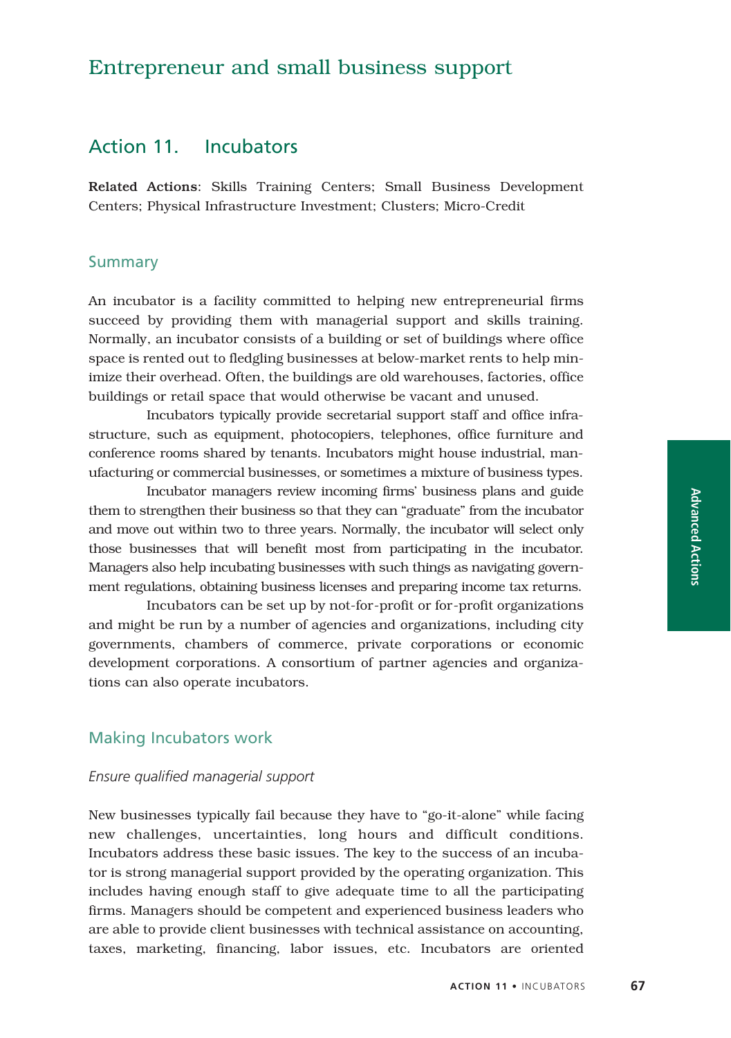# Entrepreneur and small business support

# Action 11. Incubators

Related Actions: Skills Training Centers; Small Business Development Centers; Physical Infrastructure Investment; Clusters; Micro-Credit

### Summary

An incubator is a facility committed to helping new entrepreneurial firms succeed by providing them with managerial support and skills training. Normally, an incubator consists of a building or set of buildings where office space is rented out to fledgling businesses at below-market rents to help minimize their overhead. Often, the buildings are old warehouses, factories, office buildings or retail space that would otherwise be vacant and unused.

Incubators typically provide secretarial support staff and office infrastructure, such as equipment, photocopiers, telephones, office furniture and conference rooms shared by tenants. Incubators might house industrial, manufacturing or commercial businesses, or sometimes a mixture of business types.

Incubator managers review incoming firms' business plans and guide them to strengthen their business so that they can "graduate" from the incubator and move out within two to three years. Normally, the incubator will select only those businesses that will benefit most from participating in the incubator. Managers also help incubating businesses with such things as navigating government regulations, obtaining business licenses and preparing income tax returns.

Incubators can be set up by not-for-profit or for-profit organizations and might be run by a number of agencies and organizations, including city governments, chambers of commerce, private corporations or economic development corporations. A consortium of partner agencies and organizations can also operate incubators.

## Making Incubators work

### *Ensure qualified managerial support*

New businesses typically fail because they have to "go-it-alone" while facing new challenges, uncertainties, long hours and difficult conditions. Incubators address these basic issues. The key to the success of an incubator is strong managerial support provided by the operating organization. This includes having enough staff to give adequate time to all the participating firms. Managers should be competent and experienced business leaders who are able to provide client businesses with technical assistance on accounting, taxes, marketing, financing, labor issues, etc. Incubators are oriented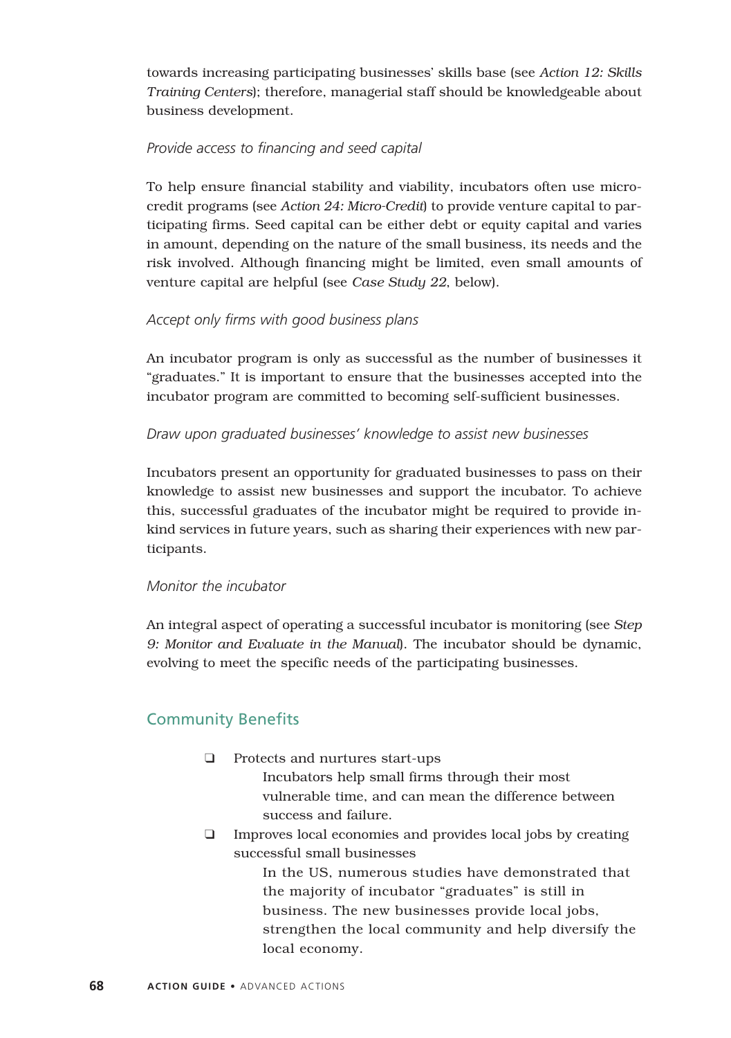towards increasing participating businesses' skills base (see *Action 12: Skills Training Centers*); therefore, managerial staff should be knowledgeable about business development.

## *Provide access to financing and seed capital*

To help ensure financial stability and viability, incubators often use microcredit programs (see *Action 24: Micro-Credit*) to provide venture capital to participating firms. Seed capital can be either debt or equity capital and varies in amount, depending on the nature of the small business, its needs and the risk involved. Although financing might be limited, even small amounts of venture capital are helpful (see *Case Study 22*, below).

## *Accept only firms with good business plans*

An incubator program is only as successful as the number of businesses it "graduates." It is important to ensure that the businesses accepted into the incubator program are committed to becoming self-sufficient businesses.

### *Draw upon graduated businesses' knowledge to assist new businesses*

Incubators present an opportunity for graduated businesses to pass on their knowledge to assist new businesses and support the incubator. To achieve this, successful graduates of the incubator might be required to provide inkind services in future years, such as sharing their experiences with new participants.

### *Monitor the incubator*

An integral aspect of operating a successful incubator is monitoring (see *Step 9: Monitor and Evaluate in the Manual*). The incubator should be dynamic, evolving to meet the specific needs of the participating businesses.

# Community Benefits

❑ Protects and nurtures start-ups

Incubators help small firms through their most vulnerable time, and can mean the difference between success and failure.

❑ Improves local economies and provides local jobs by creating successful small businesses

> In the US, numerous studies have demonstrated that the majority of incubator "graduates" is still in business. The new businesses provide local jobs, strengthen the local community and help diversify the local economy.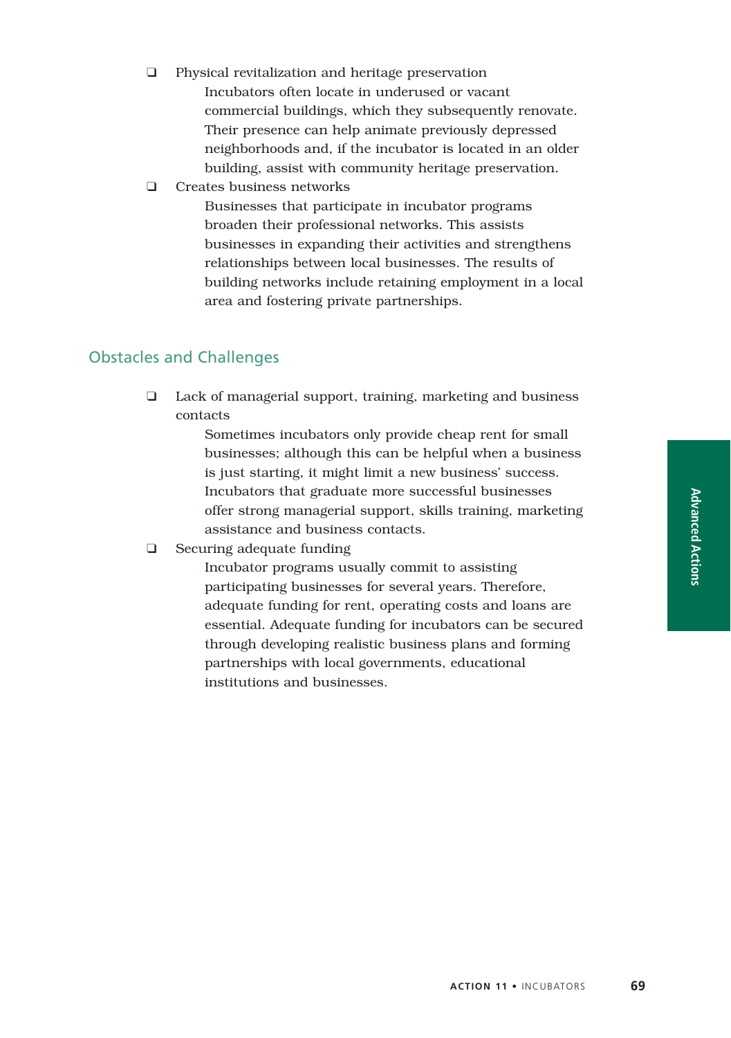- ❑ Physical revitalization and heritage preservation Incubators often locate in underused or vacant commercial buildings, which they subsequently renovate. Their presence can help animate previously depressed neighborhoods and, if the incubator is located in an older building, assist with community heritage preservation.
- ❑ Creates business networks

Businesses that participate in incubator programs broaden their professional networks. This assists businesses in expanding their activities and strengthens relationships between local businesses. The results of building networks include retaining employment in a local area and fostering private partnerships.

# Obstacles and Challenges

❑ Lack of managerial support, training, marketing and business contacts

> Sometimes incubators only provide cheap rent for small businesses; although this can be helpful when a business is just starting, it might limit a new business' success. Incubators that graduate more successful businesses offer strong managerial support, skills training, marketing assistance and business contacts.

❑ Securing adequate funding

Incubator programs usually commit to assisting participating businesses for several years. Therefore, adequate funding for rent, operating costs and loans are essential. Adequate funding for incubators can be secured through developing realistic business plans and forming partnerships with local governments, educational institutions and businesses.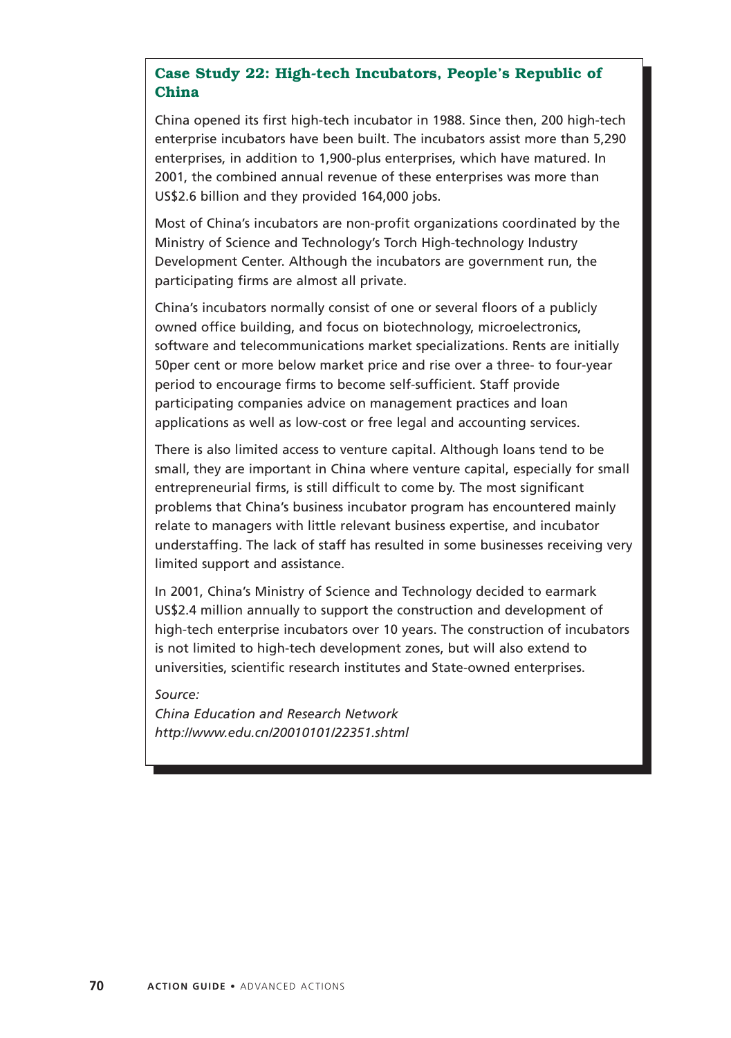## **Case Study 22: High-tech Incubators, People's Republic of China**

China opened its first high-tech incubator in 1988. Since then, 200 high-tech enterprise incubators have been built. The incubators assist more than 5,290 enterprises, in addition to 1,900-plus enterprises, which have matured. In 2001, the combined annual revenue of these enterprises was more than US\$2.6 billion and they provided 164,000 jobs.

Most of China's incubators are non-profit organizations coordinated by the Ministry of Science and Technology's Torch High-technology Industry Development Center. Although the incubators are government run, the participating firms are almost all private.

China's incubators normally consist of one or several floors of a publicly owned office building, and focus on biotechnology, microelectronics, software and telecommunications market specializations. Rents are initially 50per cent or more below market price and rise over a three- to four-year period to encourage firms to become self-sufficient. Staff provide participating companies advice on management practices and loan applications as well as low-cost or free legal and accounting services.

There is also limited access to venture capital. Although loans tend to be small, they are important in China where venture capital, especially for small entrepreneurial firms, is still difficult to come by. The most significant problems that China's business incubator program has encountered mainly relate to managers with little relevant business expertise, and incubator understaffing. The lack of staff has resulted in some businesses receiving very limited support and assistance.

In 2001, China's Ministry of Science and Technology decided to earmark US\$2.4 million annually to support the construction and development of high-tech enterprise incubators over 10 years. The construction of incubators is not limited to high-tech development zones, but will also extend to universities, scientific research institutes and State-owned enterprises.

*Source:*

*China Education and Research Network http://www.edu.cn/20010101/22351.shtml*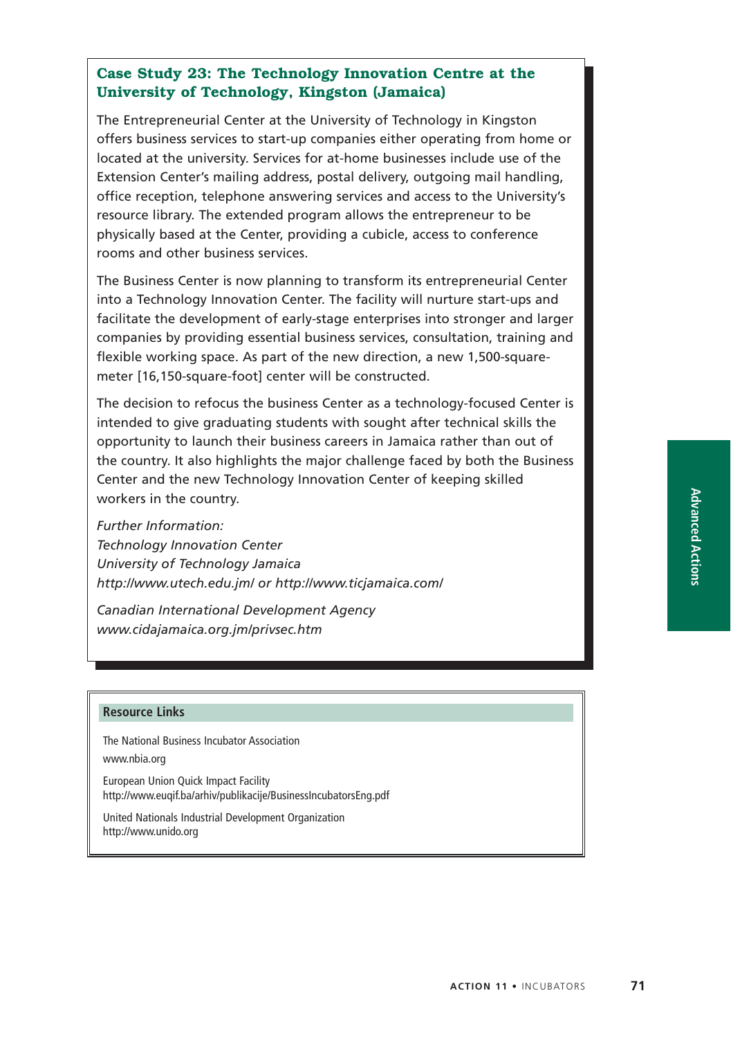## **Case Study 23: The Technology Innovation Centre at the University of Technology, Kingston (Jamaica)**

The Entrepreneurial Center at the University of Technology in Kingston offers business services to start-up companies either operating from home or located at the university. Services for at-home businesses include use of the Extension Center's mailing address, postal delivery, outgoing mail handling, office reception, telephone answering services and access to the University's resource library. The extended program allows the entrepreneur to be physically based at the Center, providing a cubicle, access to conference rooms and other business services.

The Business Center is now planning to transform its entrepreneurial Center into a Technology Innovation Center. The facility will nurture start-ups and facilitate the development of early-stage enterprises into stronger and larger companies by providing essential business services, consultation, training and flexible working space. As part of the new direction, a new 1,500-squaremeter [16,150-square-foot] center will be constructed.

The decision to refocus the business Center as a technology-focused Center is intended to give graduating students with sought after technical skills the opportunity to launch their business careers in Jamaica rather than out of the country. It also highlights the major challenge faced by both the Business Center and the new Technology Innovation Center of keeping skilled workers in the country.

*Further Information: Technology Innovation Center University of Technology Jamaica http://www.utech.edu.jm/ or http://www.ticjamaica.com/*

*Canadian International Development Agency www.cidajamaica.org.jm/privsec.htm*

#### **Resource Links**

The National Business Incubator Association

www.nbia.org

European Union Quick Impact Facility http://www.euqif.ba/arhiv/publikacije/BusinessIncubatorsEng.pdf

United Nationals Industrial Development Organization http://www.unido.org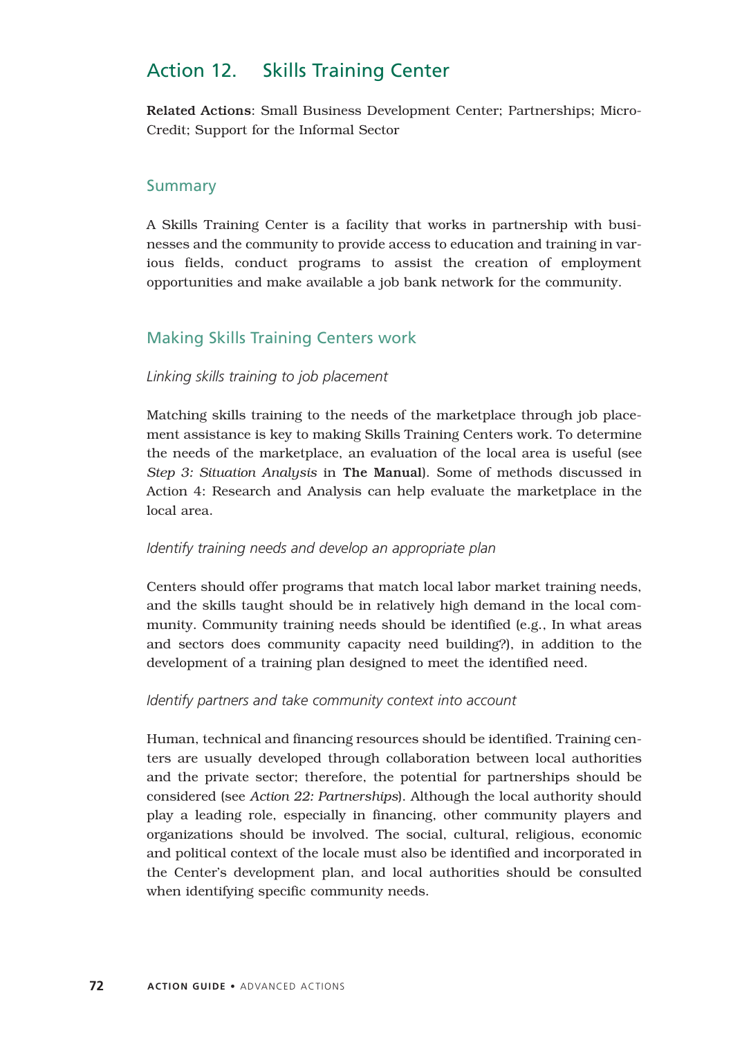# Action 12. Skills Training Center

Related Actions: Small Business Development Center; Partnerships; Micro-Credit; Support for the Informal Sector

## **Summary**

A Skills Training Center is a facility that works in partnership with businesses and the community to provide access to education and training in various fields, conduct programs to assist the creation of employment opportunities and make available a job bank network for the community.

# Making Skills Training Centers work

### *Linking skills training to job placement*

Matching skills training to the needs of the marketplace through job placement assistance is key to making Skills Training Centers work. To determine the needs of the marketplace, an evaluation of the local area is useful (see *Step 3: Situation Analysis* in The Manual). Some of methods discussed in Action 4: Research and Analysis can help evaluate the marketplace in the local area.

### *Identify training needs and develop an appropriate plan*

Centers should offer programs that match local labor market training needs, and the skills taught should be in relatively high demand in the local community. Community training needs should be identified (e.g., In what areas and sectors does community capacity need building?), in addition to the development of a training plan designed to meet the identified need.

### *Identify partners and take community context into account*

Human, technical and financing resources should be identified. Training centers are usually developed through collaboration between local authorities and the private sector; therefore, the potential for partnerships should be considered (see *Action 22: Partnerships*). Although the local authority should play a leading role, especially in financing, other community players and organizations should be involved. The social, cultural, religious, economic and political context of the locale must also be identified and incorporated in the Center's development plan, and local authorities should be consulted when identifying specific community needs.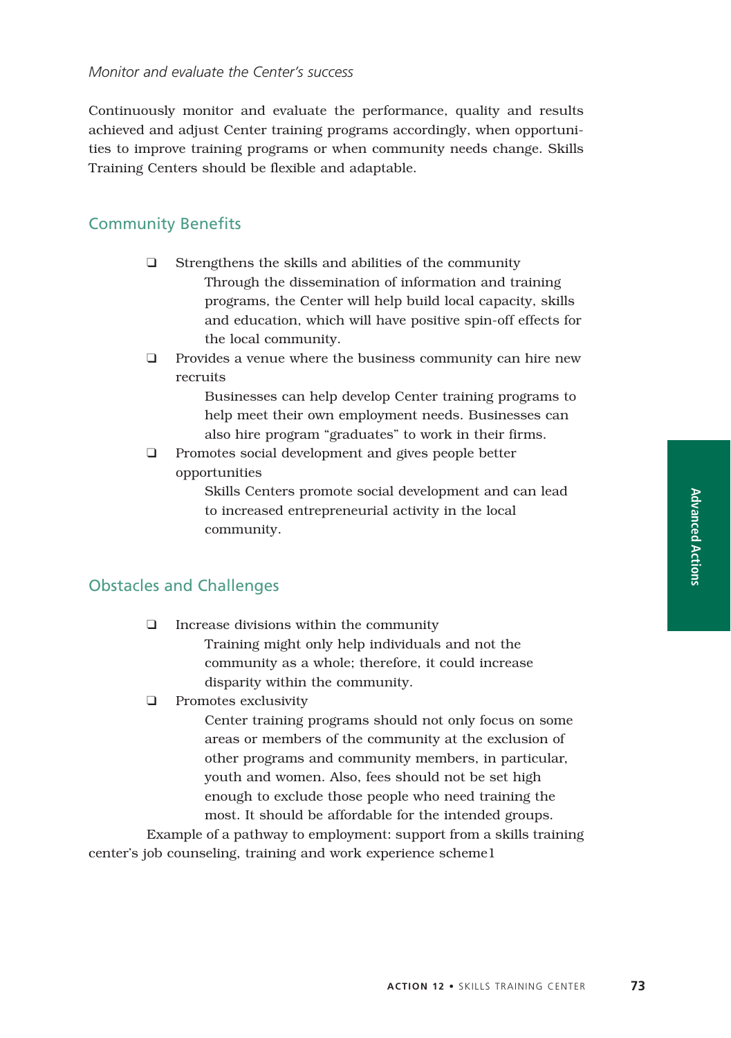#### *Monitor and evaluate the Center's success*

Continuously monitor and evaluate the performance, quality and results achieved and adjust Center training programs accordingly, when opportunities to improve training programs or when community needs change. Skills Training Centers should be flexible and adaptable.

### Community Benefits

- ❑ Strengthens the skills and abilities of the community Through the dissemination of information and training programs, the Center will help build local capacity, skills and education, which will have positive spin-off effects for the local community.
- ❑ Provides a venue where the business community can hire new recruits

Businesses can help develop Center training programs to help meet their own employment needs. Businesses can also hire program "graduates" to work in their firms.

❑ Promotes social development and gives people better opportunities

> Skills Centers promote social development and can lead to increased entrepreneurial activity in the local community.

### Obstacles and Challenges

- ❑ Increase divisions within the community Training might only help individuals and not the community as a whole; therefore, it could increase disparity within the community.
- ❑ Promotes exclusivity

Center training programs should not only focus on some areas or members of the community at the exclusion of other programs and community members, in particular, youth and women. Also, fees should not be set high enough to exclude those people who need training the most. It should be affordable for the intended groups.

Example of a pathway to employment: support from a skills training center's job counseling, training and work experience scheme1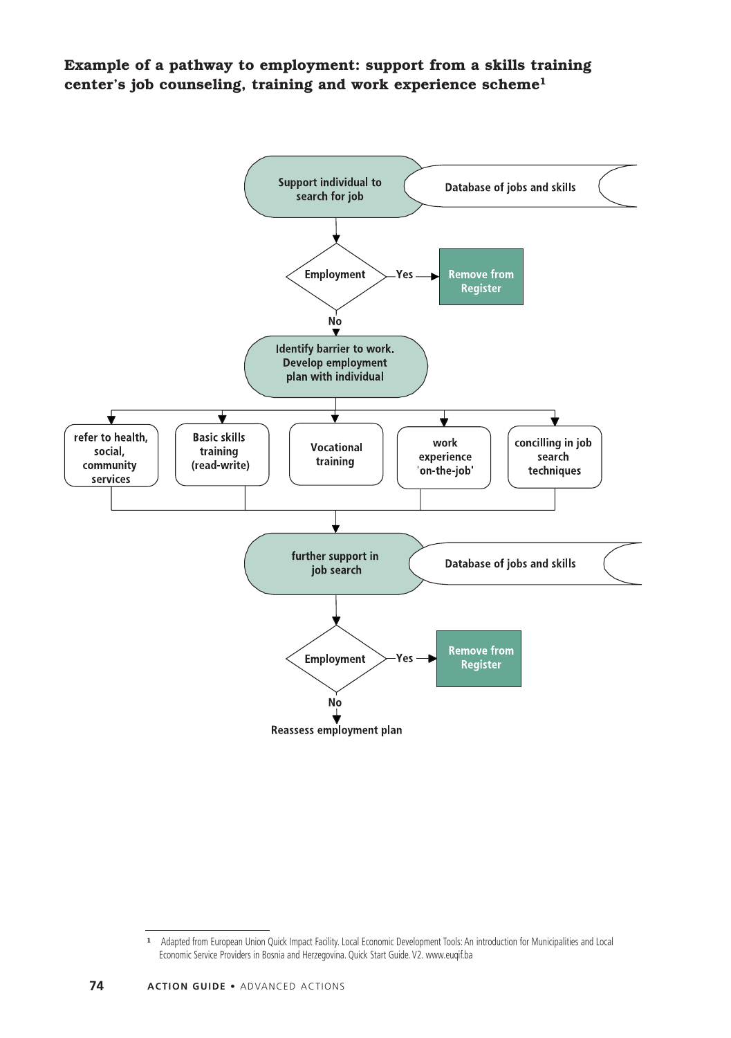**Example of a pathway to employment: support from a skills training center's job counseling, training and work experience scheme1**



**<sup>1</sup>** Adapted from European Union Quick Impact Facility. Local Economic Development Tools: An introduction for Municipalities and Local Economic Service Providers in Bosnia and Herzegovina. Quick Start Guide. V2. www.euqif.ba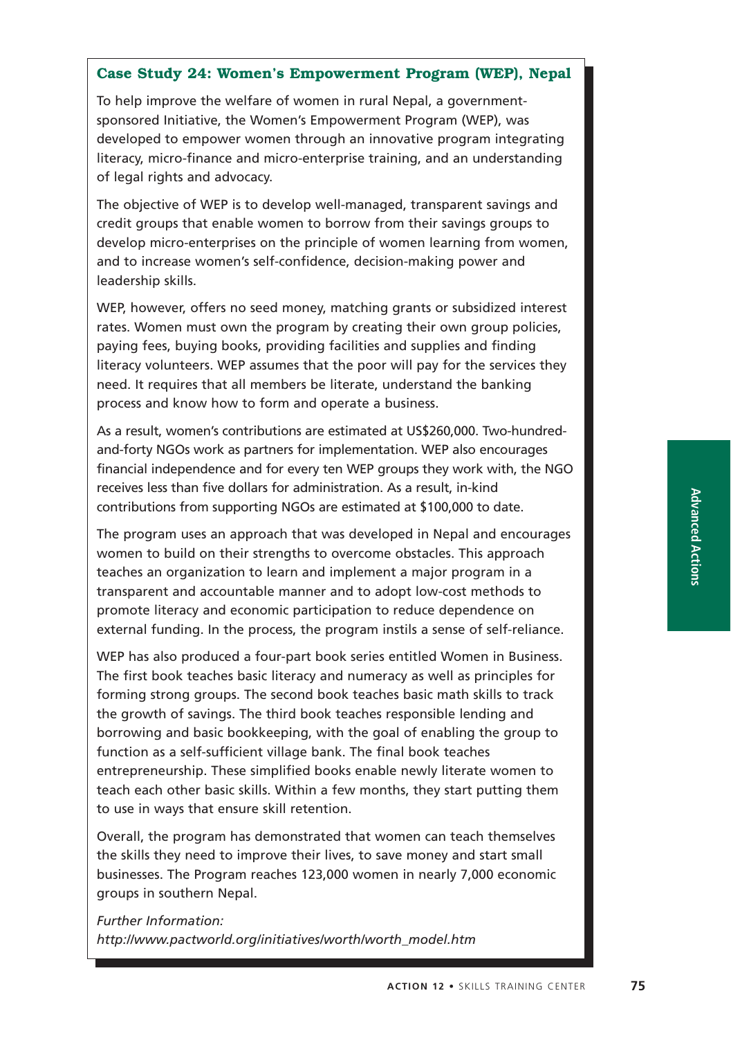## **Case Study 24: Women's Empowerment Program (WEP), Nepal**

To help improve the welfare of women in rural Nepal, a governmentsponsored Initiative, the Women's Empowerment Program (WEP), was developed to empower women through an innovative program integrating literacy, micro-finance and micro-enterprise training, and an understanding of legal rights and advocacy.

The objective of WEP is to develop well-managed, transparent savings and credit groups that enable women to borrow from their savings groups to develop micro-enterprises on the principle of women learning from women, and to increase women's self-confidence, decision-making power and leadership skills.

WEP, however, offers no seed money, matching grants or subsidized interest rates. Women must own the program by creating their own group policies, paying fees, buying books, providing facilities and supplies and finding literacy volunteers. WEP assumes that the poor will pay for the services they need. It requires that all members be literate, understand the banking process and know how to form and operate a business.

As a result, women's contributions are estimated at US\$260,000. Two-hundredand-forty NGOs work as partners for implementation. WEP also encourages financial independence and for every ten WEP groups they work with, the NGO receives less than five dollars for administration. As a result, in-kind contributions from supporting NGOs are estimated at \$100,000 to date.

The program uses an approach that was developed in Nepal and encourages women to build on their strengths to overcome obstacles. This approach teaches an organization to learn and implement a major program in a transparent and accountable manner and to adopt low-cost methods to promote literacy and economic participation to reduce dependence on external funding. In the process, the program instils a sense of self-reliance.

WEP has also produced a four-part book series entitled Women in Business. The first book teaches basic literacy and numeracy as well as principles for forming strong groups. The second book teaches basic math skills to track the growth of savings. The third book teaches responsible lending and borrowing and basic bookkeeping, with the goal of enabling the group to function as a self-sufficient village bank. The final book teaches entrepreneurship. These simplified books enable newly literate women to teach each other basic skills. Within a few months, they start putting them to use in ways that ensure skill retention.

Overall, the program has demonstrated that women can teach themselves the skills they need to improve their lives, to save money and start small businesses. The Program reaches 123,000 women in nearly 7,000 economic groups in southern Nepal.

*Further Information: http://www.pactworld.org/initiatives/worth/worth\_model.htm*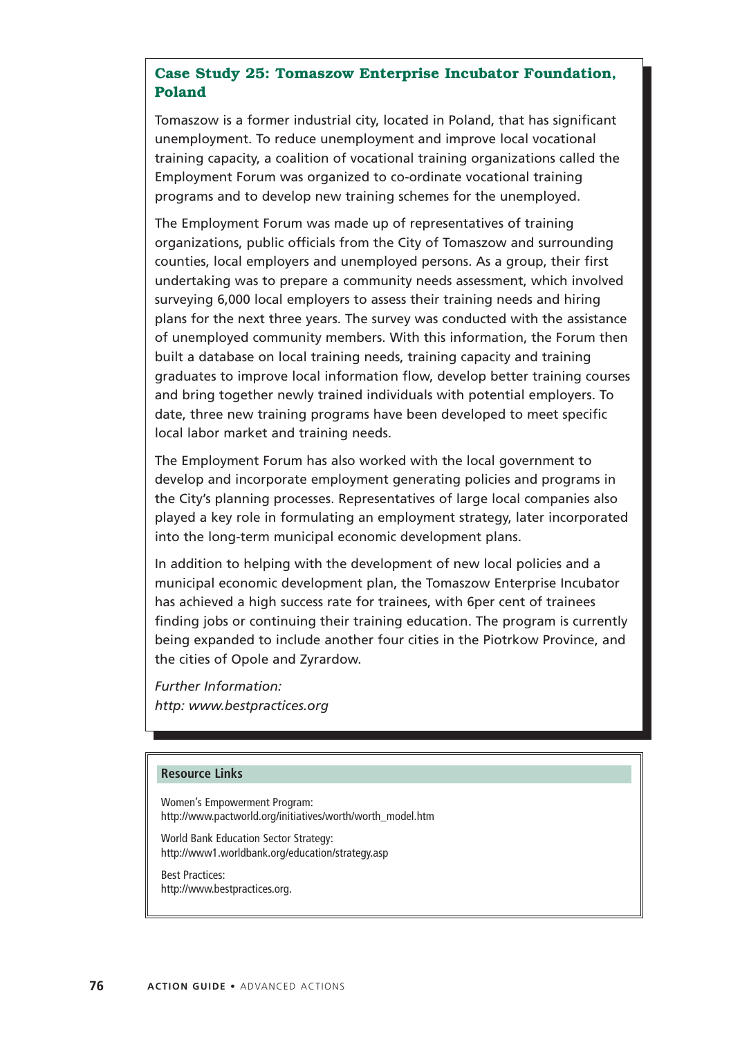## **Case Study 25: Tomaszow Enterprise Incubator Foundation, Poland**

Tomaszow is a former industrial city, located in Poland, that has significant unemployment. To reduce unemployment and improve local vocational training capacity, a coalition of vocational training organizations called the Employment Forum was organized to co-ordinate vocational training programs and to develop new training schemes for the unemployed.

The Employment Forum was made up of representatives of training organizations, public officials from the City of Tomaszow and surrounding counties, local employers and unemployed persons. As a group, their first undertaking was to prepare a community needs assessment, which involved surveying 6,000 local employers to assess their training needs and hiring plans for the next three years. The survey was conducted with the assistance of unemployed community members. With this information, the Forum then built a database on local training needs, training capacity and training graduates to improve local information flow, develop better training courses and bring together newly trained individuals with potential employers. To date, three new training programs have been developed to meet specific local labor market and training needs.

The Employment Forum has also worked with the local government to develop and incorporate employment generating policies and programs in the City's planning processes. Representatives of large local companies also played a key role in formulating an employment strategy, later incorporated into the long-term municipal economic development plans.

In addition to helping with the development of new local policies and a municipal economic development plan, the Tomaszow Enterprise Incubator has achieved a high success rate for trainees, with 6per cent of trainees finding jobs or continuing their training education. The program is currently being expanded to include another four cities in the Piotrkow Province, and the cities of Opole and Zyrardow.

*Further Information: http: www.bestpractices.org*

### **Resource Links**

Women's Empowerment Program: http://www.pactworld.org/initiatives/worth/worth\_model.htm

World Bank Education Sector Strategy: http://www1.worldbank.org/education/strategy.asp

Best Practices: http://www.bestpractices.org.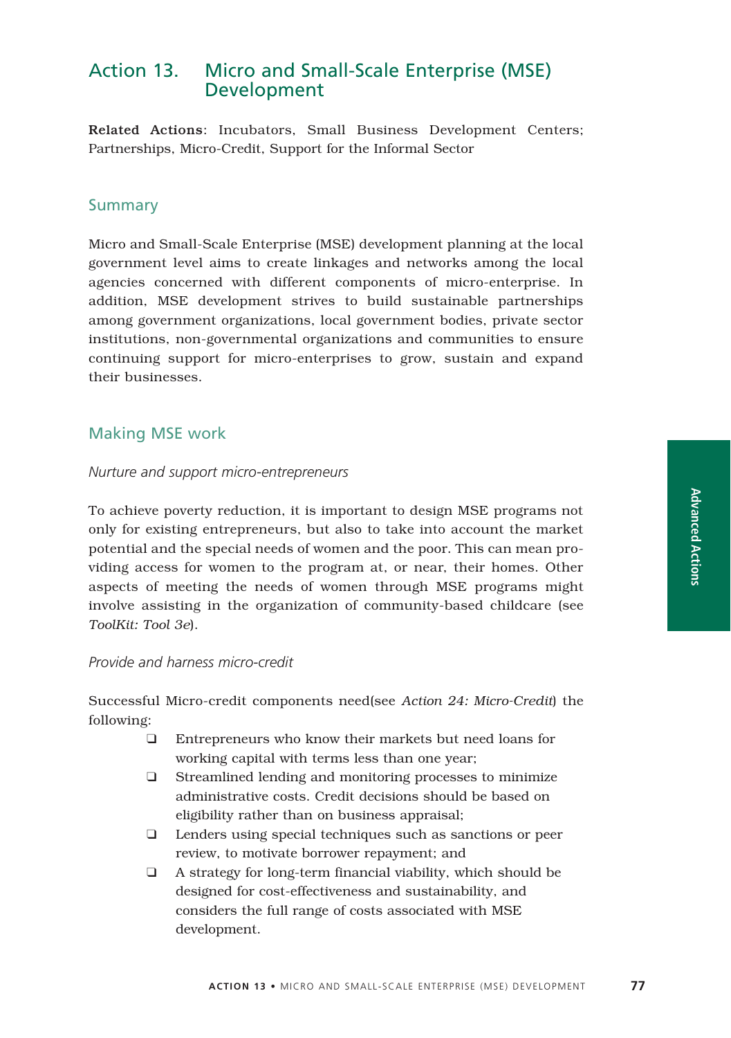# Action 13. Micro and Small-Scale Enterprise (MSE) Development

Related Actions: Incubators, Small Business Development Centers; Partnerships, Micro-Credit, Support for the Informal Sector

## Summary

Micro and Small-Scale Enterprise (MSE) development planning at the local government level aims to create linkages and networks among the local agencies concerned with different components of micro-enterprise. In addition, MSE development strives to build sustainable partnerships among government organizations, local government bodies, private sector institutions, non-governmental organizations and communities to ensure continuing support for micro-enterprises to grow, sustain and expand their businesses.

### Making MSE work

#### *Nurture and support micro-entrepreneurs*

To achieve poverty reduction, it is important to design MSE programs not only for existing entrepreneurs, but also to take into account the market potential and the special needs of women and the poor. This can mean providing access for women to the program at, or near, their homes. Other aspects of meeting the needs of women through MSE programs might involve assisting in the organization of community-based childcare (see *ToolKit: Tool 3e*).

### *Provide and harness micro-credit*

Successful Micro-credit components need(see *Action 24: Micro-Credit*) the following:

- ❑ Entrepreneurs who know their markets but need loans for working capital with terms less than one year;
- ❑ Streamlined lending and monitoring processes to minimize administrative costs. Credit decisions should be based on eligibility rather than on business appraisal;
- ❑ Lenders using special techniques such as sanctions or peer review, to motivate borrower repayment; and
- ❑ A strategy for long-term financial viability, which should be designed for cost-effectiveness and sustainability, and considers the full range of costs associated with MSE development.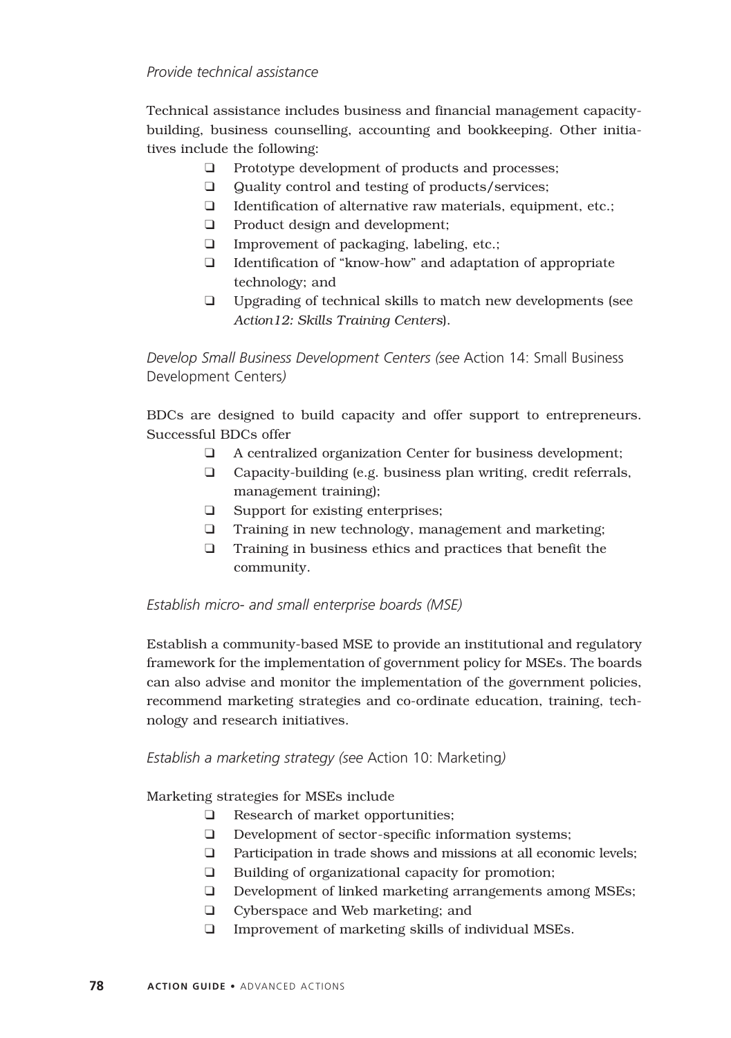### *Provide technical assistance*

Technical assistance includes business and financial management capacitybuilding, business counselling, accounting and bookkeeping. Other initiatives include the following:

- ❑ Prototype development of products and processes;
- ❑ Quality control and testing of products/services;
- ❑ Identification of alternative raw materials, equipment, etc.;
- ❑ Product design and development;
- ❑ Improvement of packaging, labeling, etc.;
- ❑ Identification of "know-how" and adaptation of appropriate technology; and
- ❑ Upgrading of technical skills to match new developments (see *Action12: Skills Training Centers*).

*Develop Small Business Development Centers (see* Action 14: Small Business Development Centers*)*

BDCs are designed to build capacity and offer support to entrepreneurs. Successful BDCs offer

- ❑ A centralized organization Center for business development;
- ❑ Capacity-building (e.g. business plan writing, credit referrals, management training);
- ❑ Support for existing enterprises;
- ❑ Training in new technology, management and marketing;
- ❑ Training in business ethics and practices that benefit the community.

## *Establish micro- and small enterprise boards (MSE)*

Establish a community-based MSE to provide an institutional and regulatory framework for the implementation of government policy for MSEs. The boards can also advise and monitor the implementation of the government policies, recommend marketing strategies and co-ordinate education, training, technology and research initiatives.

## *Establish a marketing strategy (see* Action 10: Marketing*)*

Marketing strategies for MSEs include

- ❑ Research of market opportunities;
- ❑ Development of sector-specific information systems;
- ❑ Participation in trade shows and missions at all economic levels;
- ❑ Building of organizational capacity for promotion;
- ❑ Development of linked marketing arrangements among MSEs;
- ❑ Cyberspace and Web marketing; and
- ❑ Improvement of marketing skills of individual MSEs.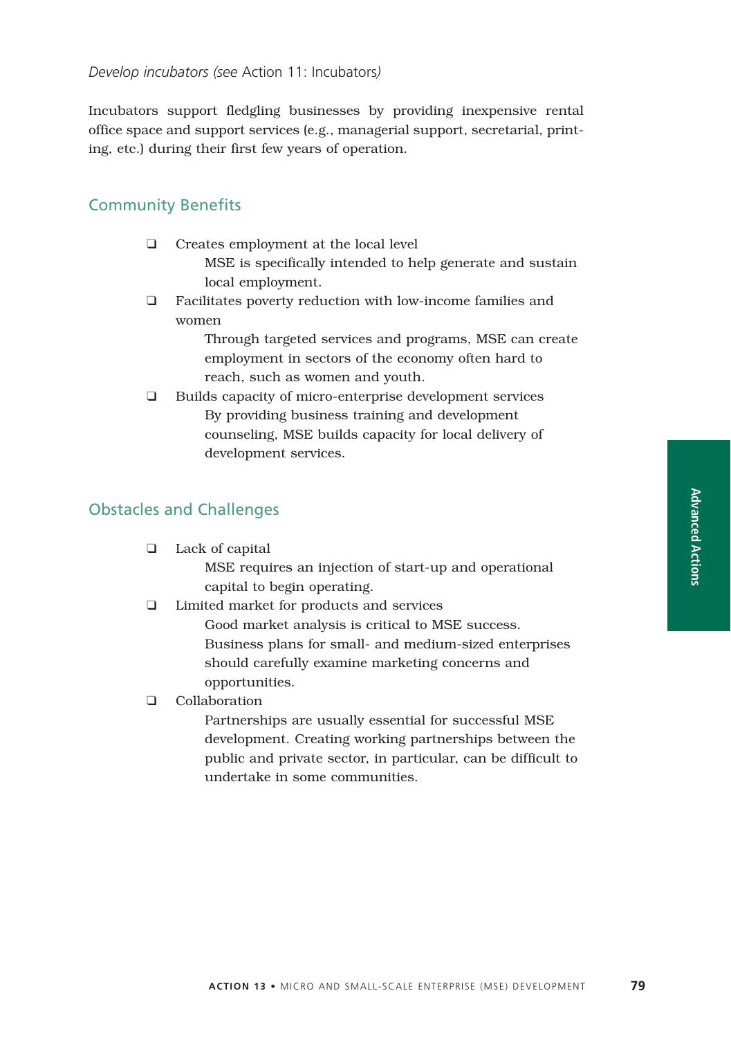Incubators support fledgling businesses by providing inexpensive rental office space and support services (e.g., managerial support, secretarial, printing, etc.) during their first few years of operation.

### Community Benefits

- ❑ Creates employment at the local level MSE is specifically intended to help generate and sustain local employment.
- ❑ Facilitates poverty reduction with low-income families and women

Through targeted services and programs, MSE can create employment in sectors of the economy often hard to reach, such as women and youth.

❑ Builds capacity of micro-enterprise development services By providing business training and development counseling, MSE builds capacity for local delivery of development services.

### Obstacles and Challenges

| Lack of capital                                        |
|--------------------------------------------------------|
| MSE requires an injection of start-up and operational  |
| capital to begin operating.                            |
| Limited market for products and services               |
| Good market analysis is critical to MSE success.       |
| Business plans for small- and medium-sized enterprises |
| should carefully examine marketing concerns and        |

❑ Collaboration

opportunities.

Partnerships are usually essential for successful MSE development. Creating working partnerships between the public and private sector, in particular, can be difficult to undertake in some communities.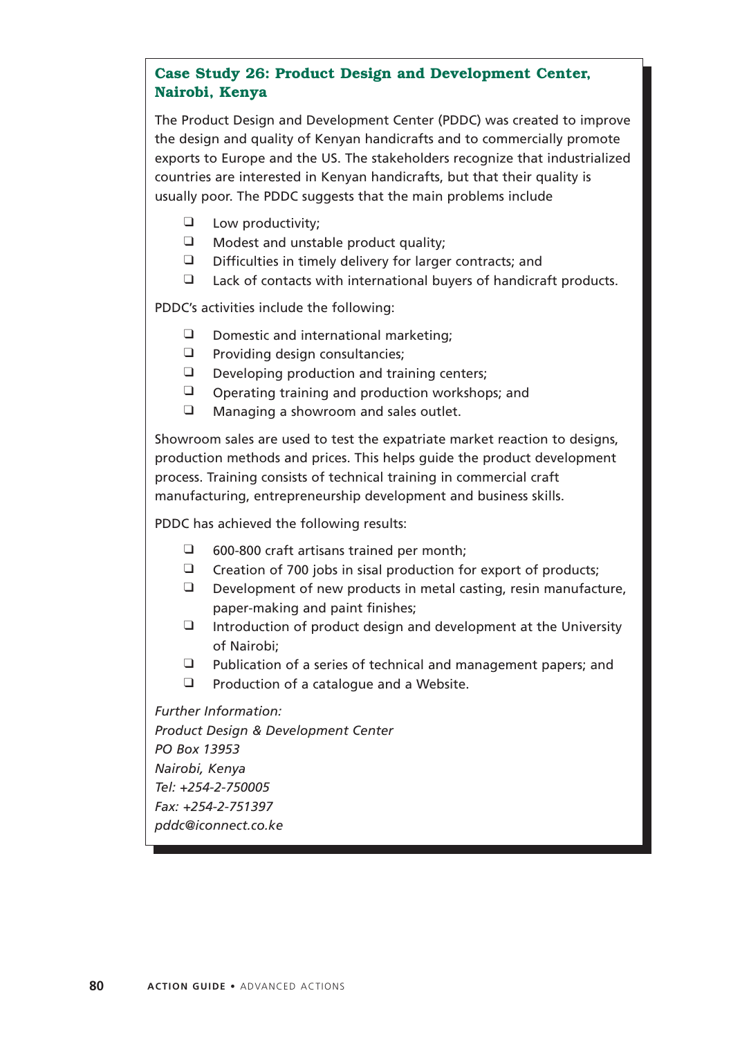# **Case Study 26: Product Design and Development Center, Nairobi, Kenya**

The Product Design and Development Center (PDDC) was created to improve the design and quality of Kenyan handicrafts and to commercially promote exports to Europe and the US. The stakeholders recognize that industrialized countries are interested in Kenyan handicrafts, but that their quality is usually poor. The PDDC suggests that the main problems include

- ❑ Low productivity;
- ❑ Modest and unstable product quality;
- ❑ Difficulties in timely delivery for larger contracts; and
- ❑ Lack of contacts with international buyers of handicraft products.

PDDC's activities include the following:

- ❑ Domestic and international marketing;
- ❑ Providing design consultancies;
- ❑ Developing production and training centers;
- ❑ Operating training and production workshops; and
- ❑ Managing a showroom and sales outlet.

Showroom sales are used to test the expatriate market reaction to designs, production methods and prices. This helps guide the product development process. Training consists of technical training in commercial craft manufacturing, entrepreneurship development and business skills.

PDDC has achieved the following results:

- ❑ 600-800 craft artisans trained per month;
- $\Box$  Creation of 700 jobs in sisal production for export of products;
- ❑ Development of new products in metal casting, resin manufacture, paper-making and paint finishes;
- $\Box$  Introduction of product design and development at the University of Nairobi;
- ❑ Publication of a series of technical and management papers; and
- ❑ Production of a catalogue and a Website.

*Further Information: Product Design & Development Center PO Box 13953 Nairobi, Kenya Tel: +254-2-750005 Fax: +254-2-751397 pddc@iconnect.co.ke*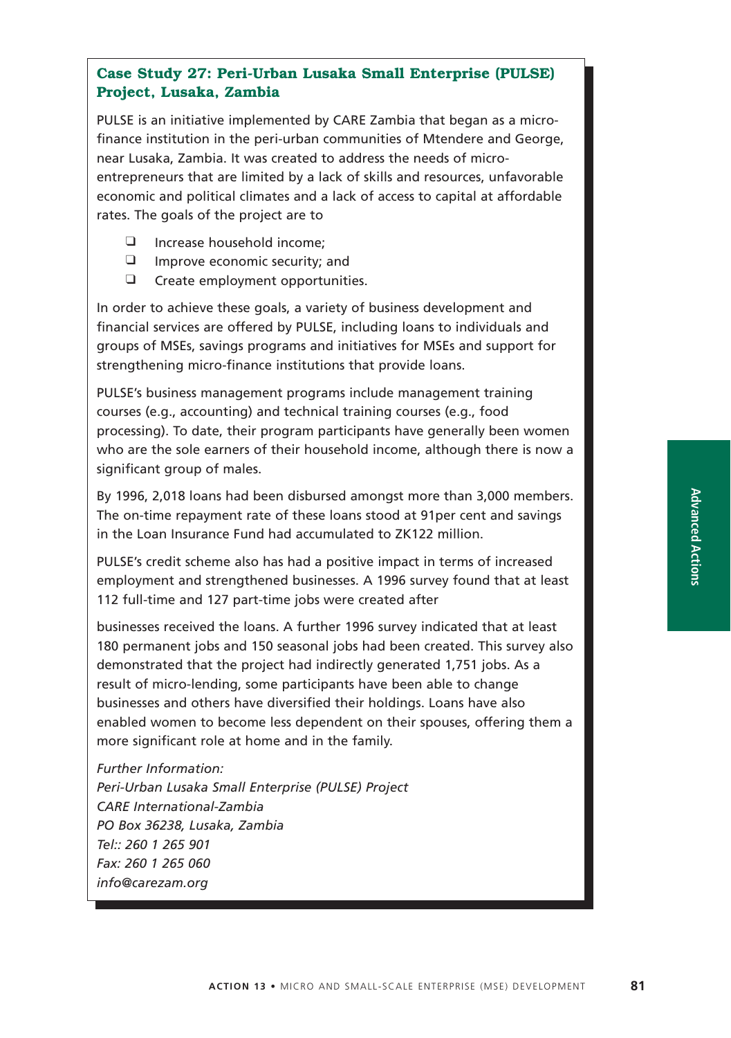# **Case Study 27: Peri-Urban Lusaka Small Enterprise (PULSE) Project, Lusaka, Zambia**

PULSE is an initiative implemented by CARE Zambia that began as a microfinance institution in the peri-urban communities of Mtendere and George, near Lusaka, Zambia. It was created to address the needs of microentrepreneurs that are limited by a lack of skills and resources, unfavorable economic and political climates and a lack of access to capital at affordable rates. The goals of the project are to

- ❑ Increase household income;
- ❑ Improve economic security; and
- ❑ Create employment opportunities.

In order to achieve these goals, a variety of business development and financial services are offered by PULSE, including loans to individuals and groups of MSEs, savings programs and initiatives for MSEs and support for strengthening micro-finance institutions that provide loans.

PULSE's business management programs include management training courses (e.g., accounting) and technical training courses (e.g., food processing). To date, their program participants have generally been women who are the sole earners of their household income, although there is now a significant group of males.

By 1996, 2,018 loans had been disbursed amongst more than 3,000 members. The on-time repayment rate of these loans stood at 91per cent and savings in the Loan Insurance Fund had accumulated to ZK122 million.

PULSE's credit scheme also has had a positive impact in terms of increased employment and strengthened businesses. A 1996 survey found that at least 112 full-time and 127 part-time jobs were created after

businesses received the loans. A further 1996 survey indicated that at least 180 permanent jobs and 150 seasonal jobs had been created. This survey also demonstrated that the project had indirectly generated 1,751 jobs. As a result of micro-lending, some participants have been able to change businesses and others have diversified their holdings. Loans have also enabled women to become less dependent on their spouses, offering them a more significant role at home and in the family.

*Further Information: Peri-Urban Lusaka Small Enterprise (PULSE) Project CARE International-Zambia PO Box 36238, Lusaka, Zambia Tel:: 260 1 265 901 Fax: 260 1 265 060 info@carezam.org*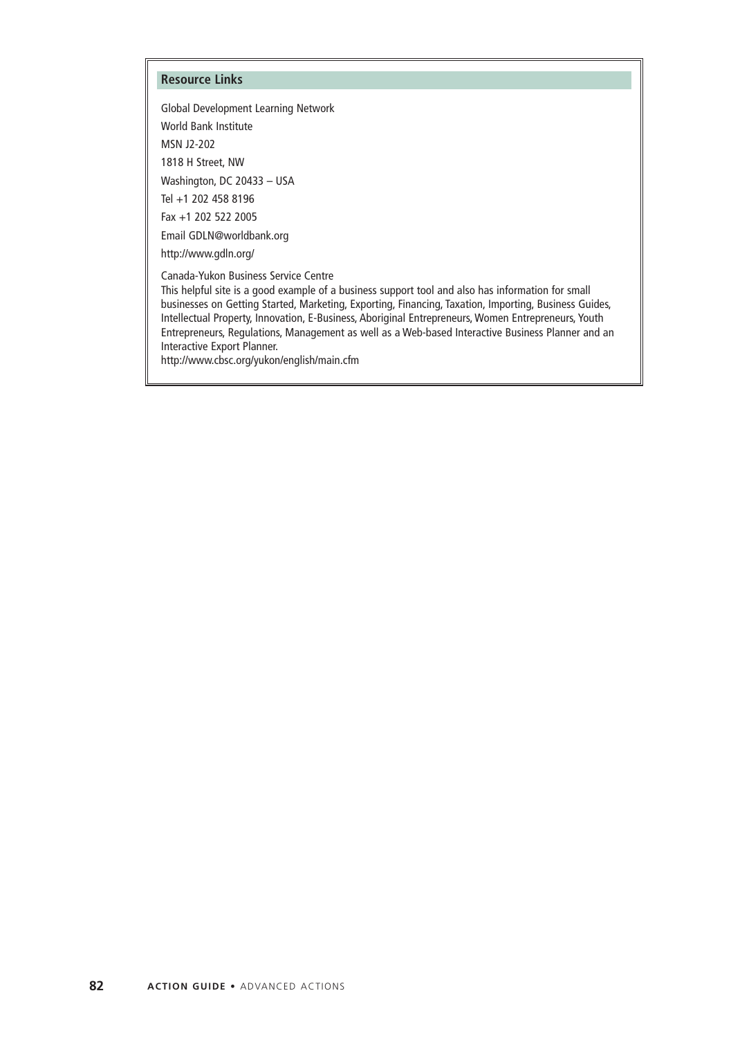#### **Resource Links**

Global Development Learning Network World Bank Institute MSN J2-202 1818 H Street, NW Washington, DC 20433 – USA Tel +1 202 458 8196 Fax +1 202 522 2005 Email GDLN@worldbank.org

http://www.gdln.org/

Canada-Yukon Business Service Centre

This helpful site is a good example of a business support tool and also has information for small businesses on Getting Started, Marketing, Exporting, Financing, Taxation, Importing, Business Guides, Intellectual Property, Innovation, E-Business, Aboriginal Entrepreneurs, Women Entrepreneurs, Youth Entrepreneurs, Regulations, Management as well as a Web-based Interactive Business Planner and an Interactive Export Planner.

http://www.cbsc.org/yukon/english/main.cfm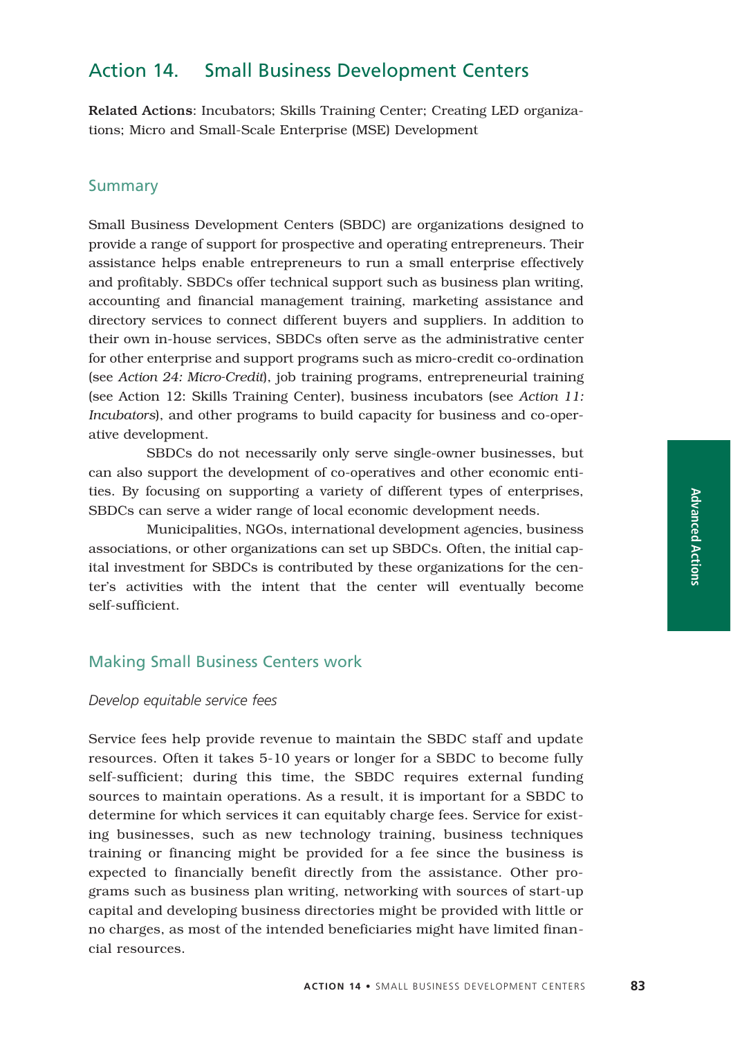# Action 14. Small Business Development Centers

Related Actions: Incubators; Skills Training Center; Creating LED organizations; Micro and Small-Scale Enterprise (MSE) Development

## **Summary**

Small Business Development Centers (SBDC) are organizations designed to provide a range of support for prospective and operating entrepreneurs. Their assistance helps enable entrepreneurs to run a small enterprise effectively and profitably. SBDCs offer technical support such as business plan writing, accounting and financial management training, marketing assistance and directory services to connect different buyers and suppliers. In addition to their own in-house services, SBDCs often serve as the administrative center for other enterprise and support programs such as micro-credit co-ordination (see *Action 24: Micro-Credit*), job training programs, entrepreneurial training (see Action 12: Skills Training Center), business incubators (see *Action 11: Incubators*), and other programs to build capacity for business and co-operative development.

SBDCs do not necessarily only serve single-owner businesses, but can also support the development of co-operatives and other economic entities. By focusing on supporting a variety of different types of enterprises, SBDCs can serve a wider range of local economic development needs.

Municipalities, NGOs, international development agencies, business associations, or other organizations can set up SBDCs. Often, the initial capital investment for SBDCs is contributed by these organizations for the center's activities with the intent that the center will eventually become self-sufficient.

## Making Small Business Centers work

## *Develop equitable service fees*

Service fees help provide revenue to maintain the SBDC staff and update resources. Often it takes 5-10 years or longer for a SBDC to become fully self-sufficient; during this time, the SBDC requires external funding sources to maintain operations. As a result, it is important for a SBDC to determine for which services it can equitably charge fees. Service for existing businesses, such as new technology training, business techniques training or financing might be provided for a fee since the business is expected to financially benefit directly from the assistance. Other programs such as business plan writing, networking with sources of start-up capital and developing business directories might be provided with little or no charges, as most of the intended beneficiaries might have limited financial resources.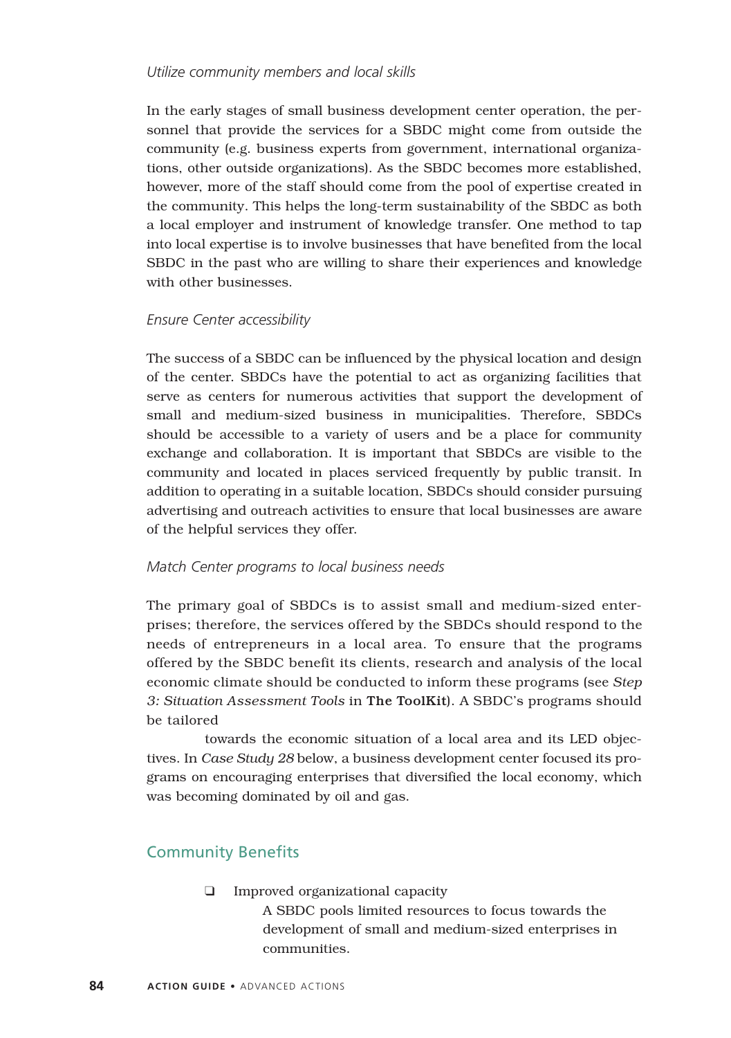### *Utilize community members and local skills*

In the early stages of small business development center operation, the personnel that provide the services for a SBDC might come from outside the community (e.g. business experts from government, international organizations, other outside organizations). As the SBDC becomes more established, however, more of the staff should come from the pool of expertise created in the community. This helps the long-term sustainability of the SBDC as both a local employer and instrument of knowledge transfer. One method to tap into local expertise is to involve businesses that have benefited from the local SBDC in the past who are willing to share their experiences and knowledge with other businesses.

### *Ensure Center accessibility*

The success of a SBDC can be influenced by the physical location and design of the center. SBDCs have the potential to act as organizing facilities that serve as centers for numerous activities that support the development of small and medium-sized business in municipalities. Therefore, SBDCs should be accessible to a variety of users and be a place for community exchange and collaboration. It is important that SBDCs are visible to the community and located in places serviced frequently by public transit. In addition to operating in a suitable location, SBDCs should consider pursuing advertising and outreach activities to ensure that local businesses are aware of the helpful services they offer.

### *Match Center programs to local business needs*

The primary goal of SBDCs is to assist small and medium-sized enterprises; therefore, the services offered by the SBDCs should respond to the needs of entrepreneurs in a local area. To ensure that the programs offered by the SBDC benefit its clients, research and analysis of the local economic climate should be conducted to inform these programs (see *Step 3: Situation Assessment Tools* in The ToolKit). A SBDC's programs should be tailored

towards the economic situation of a local area and its LED objectives. In *Case Study 28* below, a business development center focused its programs on encouraging enterprises that diversified the local economy, which was becoming dominated by oil and gas.

# Community Benefits

❑ Improved organizational capacity

A SBDC pools limited resources to focus towards the development of small and medium-sized enterprises in communities.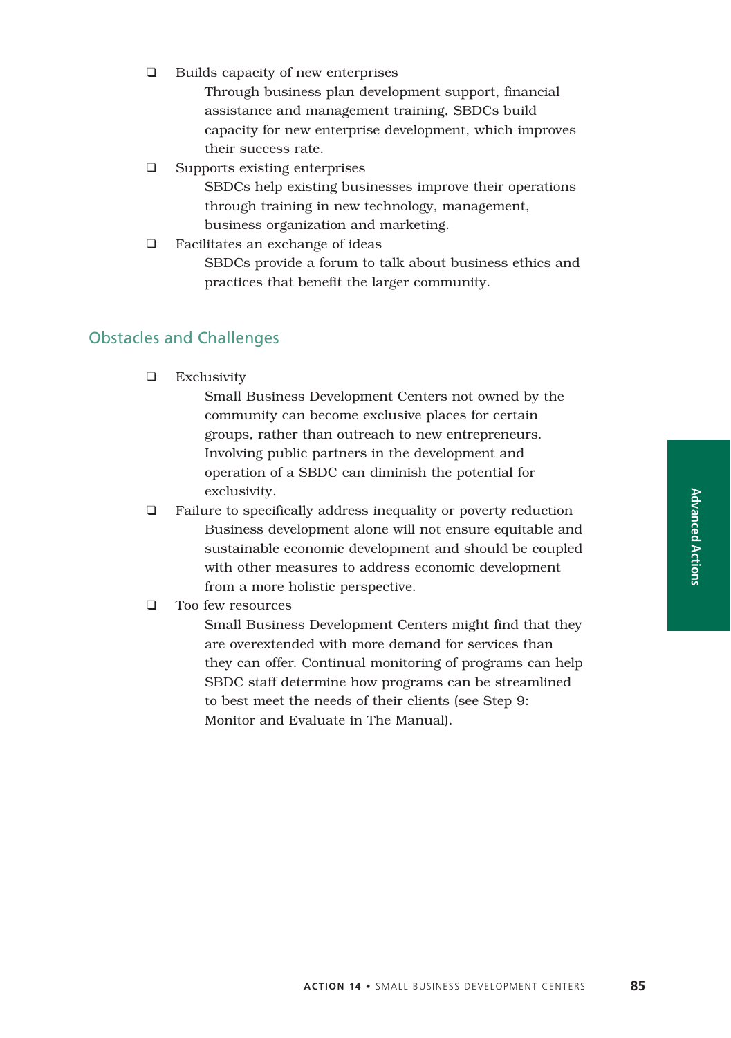❑ Builds capacity of new enterprises

Through business plan development support, financial assistance and management training, SBDCs build capacity for new enterprise development, which improves their success rate.

❑ Supports existing enterprises

SBDCs help existing businesses improve their operations through training in new technology, management, business organization and marketing.

❑ Facilitates an exchange of ideas SBDCs provide a forum to talk about business ethics and practices that benefit the larger community.

## Obstacles and Challenges

❑ Exclusivity

Small Business Development Centers not owned by the community can become exclusive places for certain groups, rather than outreach to new entrepreneurs. Involving public partners in the development and operation of a SBDC can diminish the potential for exclusivity.

- ❑ Failure to specifically address inequality or poverty reduction Business development alone will not ensure equitable and sustainable economic development and should be coupled with other measures to address economic development from a more holistic perspective.
- ❑ Too few resources

Small Business Development Centers might find that they are overextended with more demand for services than they can offer. Continual monitoring of programs can help SBDC staff determine how programs can be streamlined to best meet the needs of their clients (see Step 9: Monitor and Evaluate in The Manual).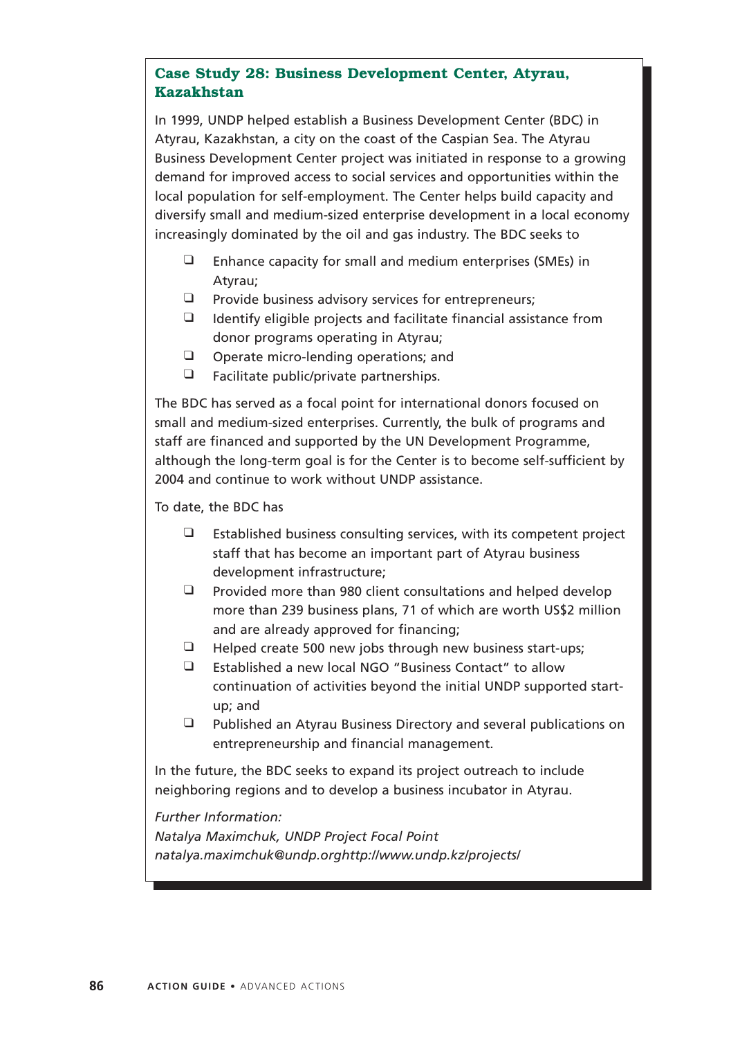# **Case Study 28: Business Development Center, Atyrau, Kazakhstan**

In 1999, UNDP helped establish a Business Development Center (BDC) in Atyrau, Kazakhstan, a city on the coast of the Caspian Sea. The Atyrau Business Development Center project was initiated in response to a growing demand for improved access to social services and opportunities within the local population for self-employment. The Center helps build capacity and diversify small and medium-sized enterprise development in a local economy increasingly dominated by the oil and gas industry. The BDC seeks to

- ❑ Enhance capacity for small and medium enterprises (SMEs) in Atyrau;
- ❑ Provide business advisory services for entrepreneurs;
- ❑ Identify eligible projects and facilitate financial assistance from donor programs operating in Atyrau;
- ❑ Operate micro-lending operations; and
- ❑ Facilitate public/private partnerships.

The BDC has served as a focal point for international donors focused on small and medium-sized enterprises. Currently, the bulk of programs and staff are financed and supported by the UN Development Programme, although the long-term goal is for the Center is to become self-sufficient by 2004 and continue to work without UNDP assistance.

To date, the BDC has

- ❑ Established business consulting services, with its competent project staff that has become an important part of Atyrau business development infrastructure;
- ❑ Provided more than 980 client consultations and helped develop more than 239 business plans, 71 of which are worth US\$2 million and are already approved for financing;
- ❑ Helped create 500 new jobs through new business start-ups;
- ❑ Established a new local NGO "Business Contact" to allow continuation of activities beyond the initial UNDP supported startup; and
- ❑ Published an Atyrau Business Directory and several publications on entrepreneurship and financial management.

In the future, the BDC seeks to expand its project outreach to include neighboring regions and to develop a business incubator in Atyrau.

*Further Information:*

*Natalya Maximchuk, UNDP Project Focal Point natalya.maximchuk@undp.orghttp://www.undp.kz/projects/*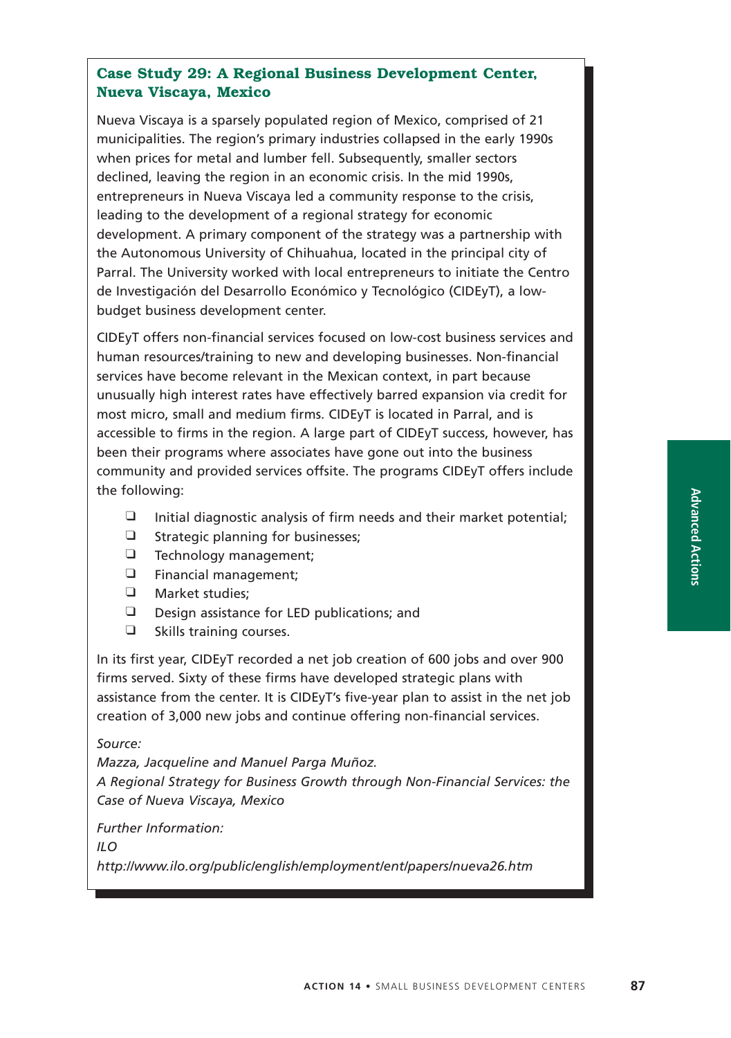# **Case Study 29: A Regional Business Development Center, Nueva Viscaya, Mexico**

Nueva Viscaya is a sparsely populated region of Mexico, comprised of 21 municipalities. The region's primary industries collapsed in the early 1990s when prices for metal and lumber fell. Subsequently, smaller sectors declined, leaving the region in an economic crisis. In the mid 1990s, entrepreneurs in Nueva Viscaya led a community response to the crisis, leading to the development of a regional strategy for economic development. A primary component of the strategy was a partnership with the Autonomous University of Chihuahua, located in the principal city of Parral. The University worked with local entrepreneurs to initiate the Centro de Investigación del Desarrollo Económico y Tecnológico (CIDEyT), a lowbudget business development center.

CIDEyT offers non-financial services focused on low-cost business services and human resources/training to new and developing businesses. Non-financial services have become relevant in the Mexican context, in part because unusually high interest rates have effectively barred expansion via credit for most micro, small and medium firms. CIDEyT is located in Parral, and is accessible to firms in the region. A large part of CIDEyT success, however, has been their programs where associates have gone out into the business community and provided services offsite. The programs CIDEyT offers include the following:

- $\Box$  Initial diagnostic analysis of firm needs and their market potential;
- ❑ Strategic planning for businesses;
- ❑ Technology management;
- ❑ Financial management;
- ❑ Market studies;
- ❑ Design assistance for LED publications; and
- ❑ Skills training courses.

In its first year, CIDEyT recorded a net job creation of 600 jobs and over 900 firms served. Sixty of these firms have developed strategic plans with assistance from the center. It is CIDEyT's five-year plan to assist in the net job creation of 3,000 new jobs and continue offering non-financial services.

### *Source:*

*Mazza, Jacqueline and Manuel Parga Muñoz. A Regional Strategy for Business Growth through Non-Financial Services: the Case of Nueva Viscaya, Mexico*

*Further Information:*

*ILO*

*http://www.ilo.org/public/english/employment/ent/papers/nueva26.htm*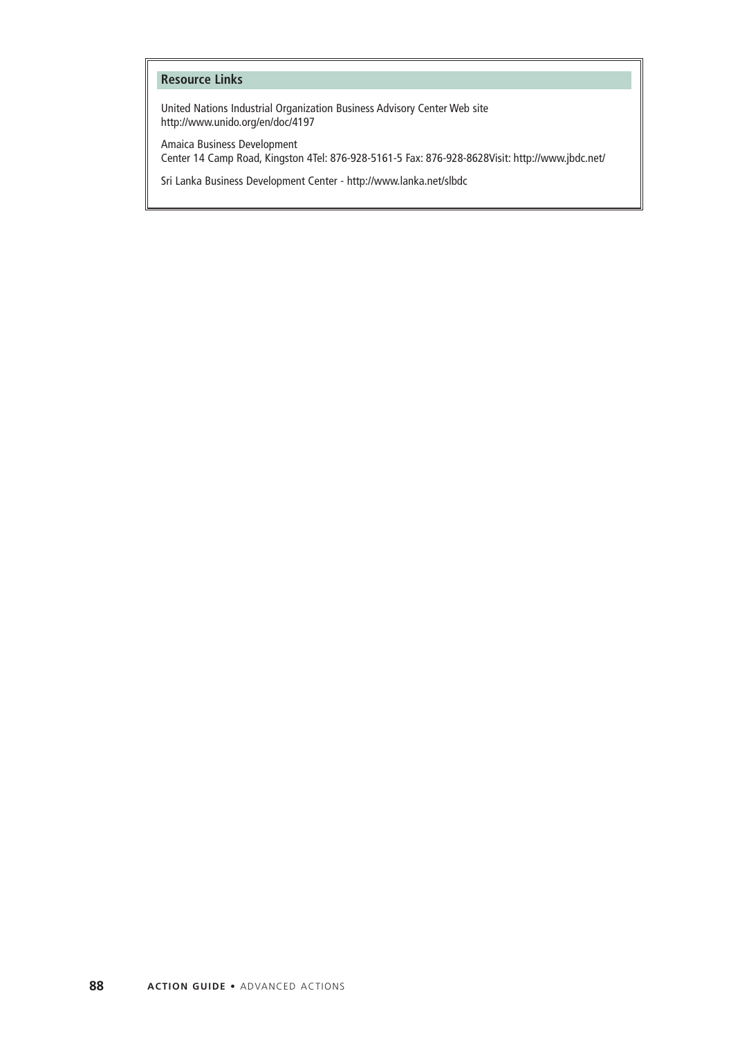### **Resource Links**

United Nations Industrial Organization Business Advisory Center Web site http://www.unido.org/en/doc/4197

Amaica Business Development Center 14 Camp Road, Kingston 4Tel: 876-928-5161-5 Fax: 876-928-8628Visit: http://www.jbdc.net/

Sri Lanka Business Development Center - http://www.lanka.net/slbdc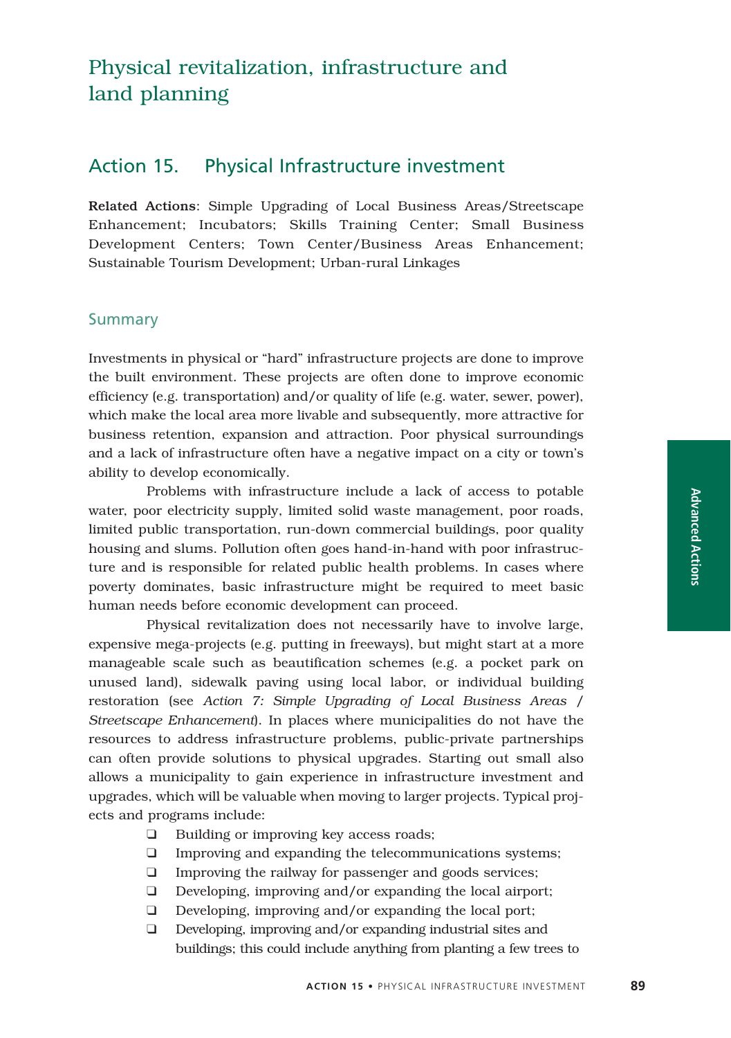# Action 15. Physical Infrastructure investment

Related Actions: Simple Upgrading of Local Business Areas/Streetscape Enhancement; Incubators; Skills Training Center; Small Business Development Centers; Town Center/Business Areas Enhancement; Sustainable Tourism Development; Urban-rural Linkages

## Summary

Investments in physical or "hard" infrastructure projects are done to improve the built environment. These projects are often done to improve economic efficiency (e.g. transportation) and/or quality of life (e.g. water, sewer, power), which make the local area more livable and subsequently, more attractive for business retention, expansion and attraction. Poor physical surroundings and a lack of infrastructure often have a negative impact on a city or town's ability to develop economically.

Problems with infrastructure include a lack of access to potable water, poor electricity supply, limited solid waste management, poor roads, limited public transportation, run-down commercial buildings, poor quality housing and slums. Pollution often goes hand-in-hand with poor infrastructure and is responsible for related public health problems. In cases where poverty dominates, basic infrastructure might be required to meet basic human needs before economic development can proceed.

Physical revitalization does not necessarily have to involve large, expensive mega-projects (e.g. putting in freeways), but might start at a more manageable scale such as beautification schemes (e.g. a pocket park on unused land), sidewalk paving using local labor, or individual building restoration (see *Action 7: Simple Upgrading of Local Business Areas / Streetscape Enhancement*). In places where municipalities do not have the resources to address infrastructure problems, public-private partnerships can often provide solutions to physical upgrades. Starting out small also allows a municipality to gain experience in infrastructure investment and upgrades, which will be valuable when moving to larger projects. Typical projects and programs include:

- ❑ Building or improving key access roads;
- ❑ Improving and expanding the telecommunications systems;
- ❑ Improving the railway for passenger and goods services;
- ❑ Developing, improving and/or expanding the local airport;
- ❑ Developing, improving and/or expanding the local port;
- ❑ Developing, improving and/or expanding industrial sites and buildings; this could include anything from planting a few trees to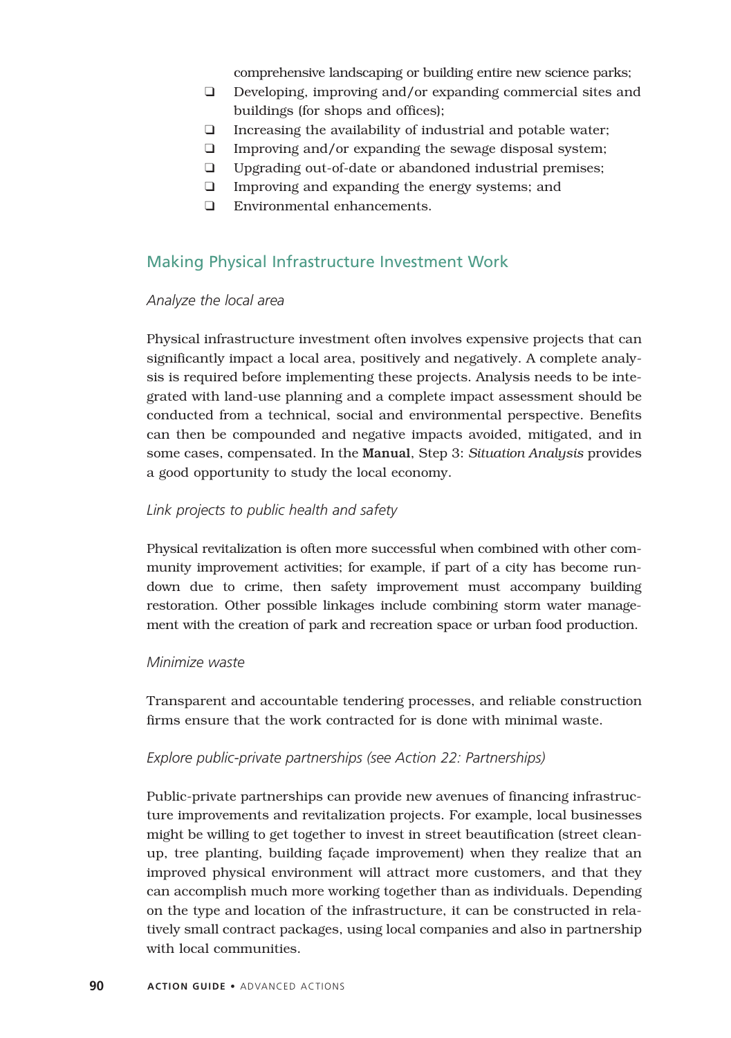comprehensive landscaping or building entire new science parks;

- ❑ Developing, improving and/or expanding commercial sites and buildings (for shops and offices);
- ❑ Increasing the availability of industrial and potable water;
- ❑ Improving and/or expanding the sewage disposal system;
- ❑ Upgrading out-of-date or abandoned industrial premises;
- ❑ Improving and expanding the energy systems; and
- ❑ Environmental enhancements.

## Making Physical Infrastructure Investment Work

### *Analyze the local area*

Physical infrastructure investment often involves expensive projects that can significantly impact a local area, positively and negatively. A complete analysis is required before implementing these projects. Analysis needs to be integrated with land-use planning and a complete impact assessment should be conducted from a technical, social and environmental perspective. Benefits can then be compounded and negative impacts avoided, mitigated, and in some cases, compensated. In the Manual, Step 3: *Situation Analysis* provides a good opportunity to study the local economy.

### *Link projects to public health and safety*

Physical revitalization is often more successful when combined with other community improvement activities; for example, if part of a city has become rundown due to crime, then safety improvement must accompany building restoration. Other possible linkages include combining storm water management with the creation of park and recreation space or urban food production.

### *Minimize waste*

Transparent and accountable tendering processes, and reliable construction firms ensure that the work contracted for is done with minimal waste.

#### *Explore public-private partnerships (see Action 22: Partnerships)*

Public-private partnerships can provide new avenues of financing infrastructure improvements and revitalization projects. For example, local businesses might be willing to get together to invest in street beautification (street cleanup, tree planting, building façade improvement) when they realize that an improved physical environment will attract more customers, and that they can accomplish much more working together than as individuals. Depending on the type and location of the infrastructure, it can be constructed in relatively small contract packages, using local companies and also in partnership with local communities.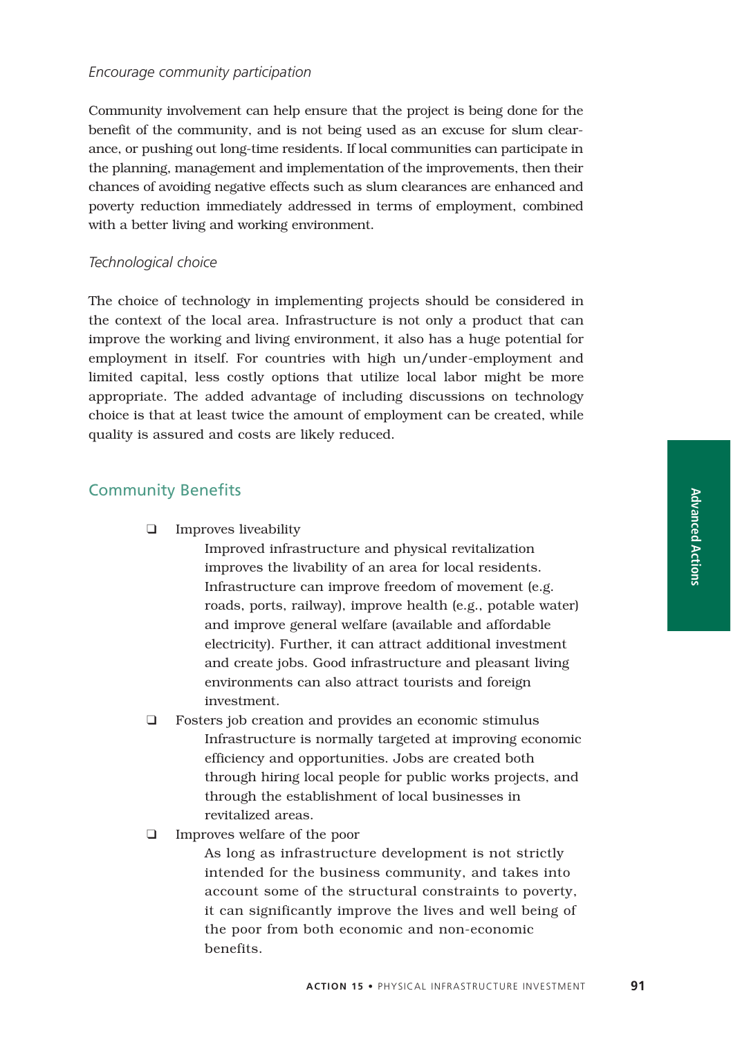### *Encourage community participation*

Community involvement can help ensure that the project is being done for the benefit of the community, and is not being used as an excuse for slum clearance, or pushing out long-time residents. If local communities can participate in the planning, management and implementation of the improvements, then their chances of avoiding negative effects such as slum clearances are enhanced and poverty reduction immediately addressed in terms of employment, combined with a better living and working environment.

### *Technological choice*

The choice of technology in implementing projects should be considered in the context of the local area. Infrastructure is not only a product that can improve the working and living environment, it also has a huge potential for employment in itself. For countries with high un/under-employment and limited capital, less costly options that utilize local labor might be more appropriate. The added advantage of including discussions on technology choice is that at least twice the amount of employment can be created, while quality is assured and costs are likely reduced.

## Community Benefits

❑ Improves liveability

Improved infrastructure and physical revitalization improves the livability of an area for local residents. Infrastructure can improve freedom of movement (e.g. roads, ports, railway), improve health (e.g., potable water) and improve general welfare (available and affordable electricity). Further, it can attract additional investment and create jobs. Good infrastructure and pleasant living environments can also attract tourists and foreign investment.

- ❑ Fosters job creation and provides an economic stimulus Infrastructure is normally targeted at improving economic efficiency and opportunities. Jobs are created both through hiring local people for public works projects, and through the establishment of local businesses in revitalized areas.
- ❑ Improves welfare of the poor

As long as infrastructure development is not strictly intended for the business community, and takes into account some of the structural constraints to poverty, it can significantly improve the lives and well being of the poor from both economic and non-economic benefits.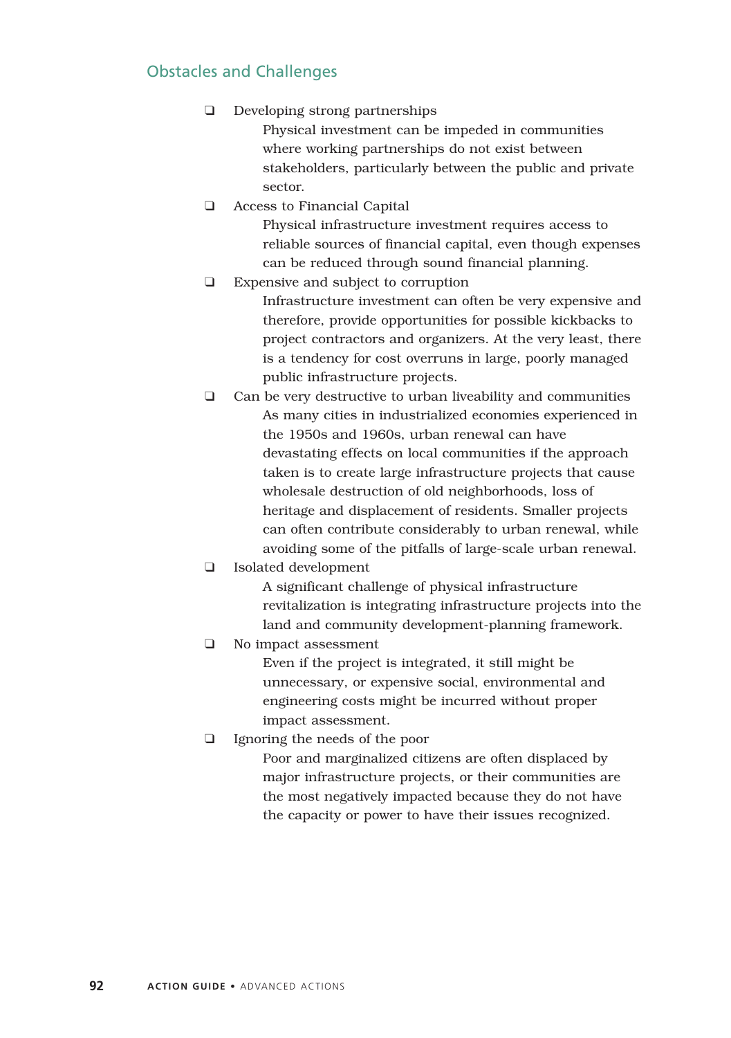# Obstacles and Challenges

❑ Developing strong partnerships

Physical investment can be impeded in communities where working partnerships do not exist between stakeholders, particularly between the public and private sector.

❑ Access to Financial Capital

Physical infrastructure investment requires access to reliable sources of financial capital, even though expenses can be reduced through sound financial planning.

❑ Expensive and subject to corruption Infrastructure investment can often be very expensive and therefore, provide opportunities for possible kickbacks to project contractors and organizers. At the very least, there is a tendency for cost overruns in large, poorly managed

public infrastructure projects.

- ❑ Can be very destructive to urban liveability and communities As many cities in industrialized economies experienced in the 1950s and 1960s, urban renewal can have devastating effects on local communities if the approach taken is to create large infrastructure projects that cause wholesale destruction of old neighborhoods, loss of heritage and displacement of residents. Smaller projects can often contribute considerably to urban renewal, while avoiding some of the pitfalls of large-scale urban renewal.
- ❑ Isolated development

A significant challenge of physical infrastructure revitalization is integrating infrastructure projects into the land and community development-planning framework.

❑ No impact assessment

Even if the project is integrated, it still might be unnecessary, or expensive social, environmental and engineering costs might be incurred without proper impact assessment.

❑ Ignoring the needs of the poor

Poor and marginalized citizens are often displaced by major infrastructure projects, or their communities are the most negatively impacted because they do not have the capacity or power to have their issues recognized.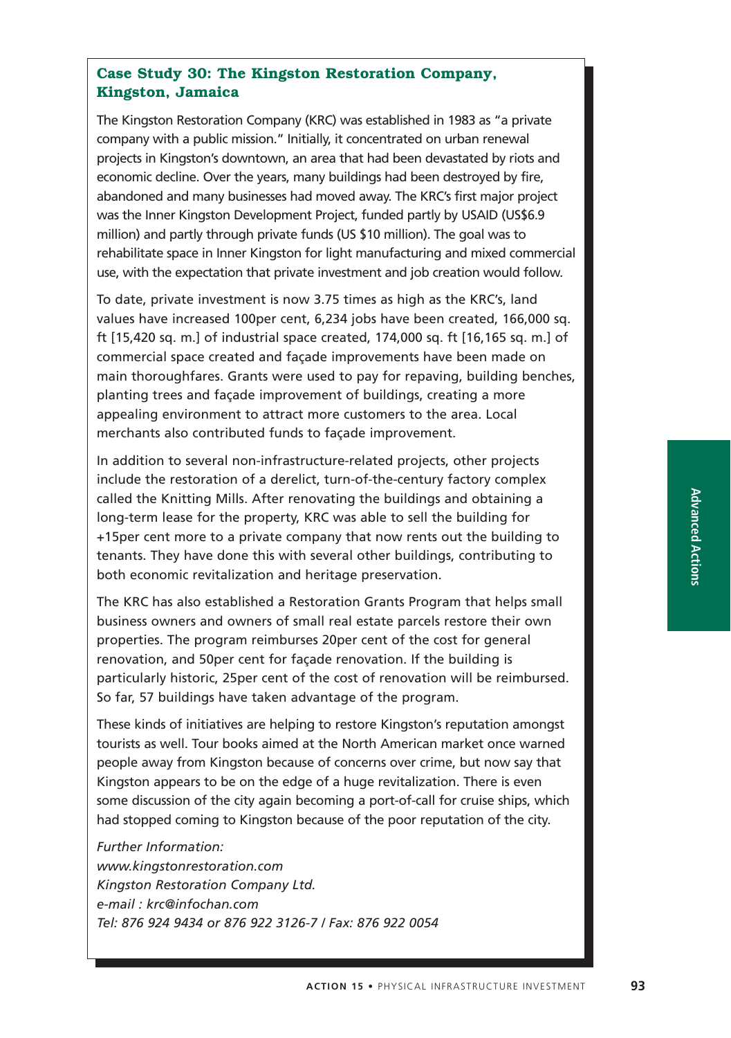## **Case Study 30: The Kingston Restoration Company, Kingston, Jamaica**

The Kingston Restoration Company (KRC) was established in 1983 as "a private company with a public mission." Initially, it concentrated on urban renewal projects in Kingston's downtown, an area that had been devastated by riots and economic decline. Over the years, many buildings had been destroyed by fire, abandoned and many businesses had moved away. The KRC's first major project was the Inner Kingston Development Project, funded partly by USAID (US\$6.9 million) and partly through private funds (US \$10 million). The goal was to rehabilitate space in Inner Kingston for light manufacturing and mixed commercial use, with the expectation that private investment and job creation would follow.

To date, private investment is now 3.75 times as high as the KRC's, land values have increased 100per cent, 6,234 jobs have been created, 166,000 sq. ft [15,420 sq. m.] of industrial space created, 174,000 sq. ft [16,165 sq. m.] of commercial space created and façade improvements have been made on main thoroughfares. Grants were used to pay for repaving, building benches, planting trees and façade improvement of buildings, creating a more appealing environment to attract more customers to the area. Local merchants also contributed funds to façade improvement.

In addition to several non-infrastructure-related projects, other projects include the restoration of a derelict, turn-of-the-century factory complex called the Knitting Mills. After renovating the buildings and obtaining a long-term lease for the property, KRC was able to sell the building for +15per cent more to a private company that now rents out the building to tenants. They have done this with several other buildings, contributing to both economic revitalization and heritage preservation.

The KRC has also established a Restoration Grants Program that helps small business owners and owners of small real estate parcels restore their own properties. The program reimburses 20per cent of the cost for general renovation, and 50per cent for façade renovation. If the building is particularly historic, 25per cent of the cost of renovation will be reimbursed. So far, 57 buildings have taken advantage of the program.

These kinds of initiatives are helping to restore Kingston's reputation amongst tourists as well. Tour books aimed at the North American market once warned people away from Kingston because of concerns over crime, but now say that Kingston appears to be on the edge of a huge revitalization. There is even some discussion of the city again becoming a port-of-call for cruise ships, which had stopped coming to Kingston because of the poor reputation of the city.

#### *Further Information:*

*www.kingstonrestoration.com Kingston Restoration Company Ltd. e-mail : krc@infochan.com Tel: 876 924 9434 or 876 922 3126-7 / Fax: 876 922 0054*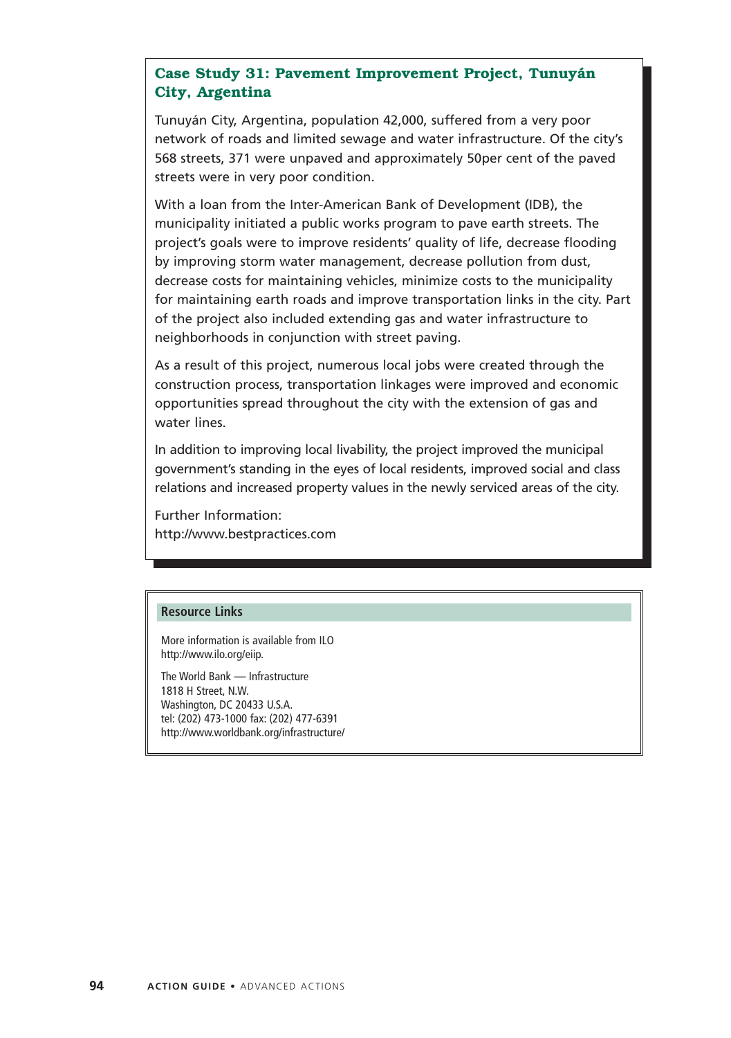## **Case Study 31: Pavement Improvement Project, Tunuyán City, Argentina**

Tunuyán City, Argentina, population 42,000, suffered from a very poor network of roads and limited sewage and water infrastructure. Of the city's 568 streets, 371 were unpaved and approximately 50per cent of the paved streets were in very poor condition.

With a loan from the Inter-American Bank of Development (IDB), the municipality initiated a public works program to pave earth streets. The project's goals were to improve residents' quality of life, decrease flooding by improving storm water management, decrease pollution from dust, decrease costs for maintaining vehicles, minimize costs to the municipality for maintaining earth roads and improve transportation links in the city. Part of the project also included extending gas and water infrastructure to neighborhoods in conjunction with street paving.

As a result of this project, numerous local jobs were created through the construction process, transportation linkages were improved and economic opportunities spread throughout the city with the extension of gas and water lines.

In addition to improving local livability, the project improved the municipal government's standing in the eyes of local residents, improved social and class relations and increased property values in the newly serviced areas of the city.

Further Information: http://www.bestpractices.com

#### **Resource Links**

More information is available from ILO http://www.ilo.org/eiip.

The World Bank — Infrastructure 1818 H Street, N.W. Washington, DC 20433 U.S.A. tel: (202) 473-1000 fax: (202) 477-6391 http://www.worldbank.org/infrastructure/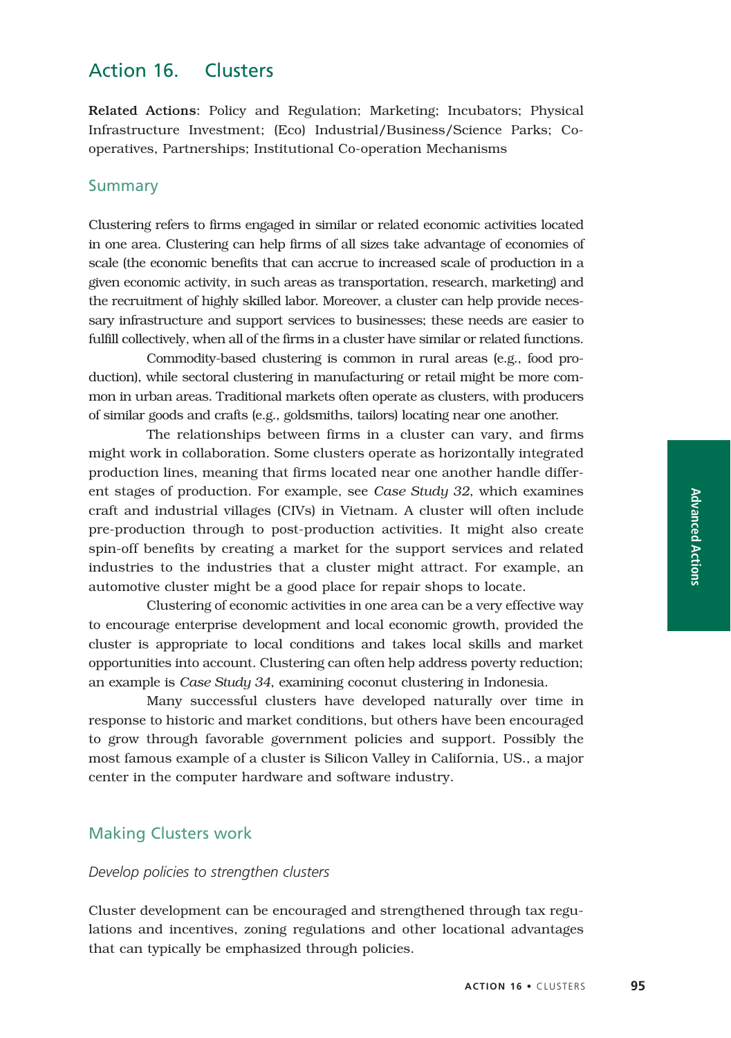# Action 16. Clusters

Related Actions: Policy and Regulation; Marketing; Incubators; Physical Infrastructure Investment; (Eco) Industrial/Business/Science Parks; Cooperatives, Partnerships; Institutional Co-operation Mechanisms

## Summary

Clustering refers to firms engaged in similar or related economic activities located in one area. Clustering can help firms of all sizes take advantage of economies of scale (the economic benefits that can accrue to increased scale of production in a given economic activity, in such areas as transportation, research, marketing) and the recruitment of highly skilled labor. Moreover, a cluster can help provide necessary infrastructure and support services to businesses; these needs are easier to fulfill collectively, when all of the firms in a cluster have similar or related functions.

Commodity-based clustering is common in rural areas (e.g., food production), while sectoral clustering in manufacturing or retail might be more common in urban areas. Traditional markets often operate as clusters, with producers of similar goods and crafts (e.g., goldsmiths, tailors) locating near one another.

The relationships between firms in a cluster can vary, and firms might work in collaboration. Some clusters operate as horizontally integrated production lines, meaning that firms located near one another handle different stages of production. For example, see *Case Study 32*, which examines craft and industrial villages (CIVs) in Vietnam. A cluster will often include pre-production through to post-production activities. It might also create spin-off benefits by creating a market for the support services and related industries to the industries that a cluster might attract. For example, an automotive cluster might be a good place for repair shops to locate.

Clustering of economic activities in one area can be a very effective way to encourage enterprise development and local economic growth, provided the cluster is appropriate to local conditions and takes local skills and market opportunities into account. Clustering can often help address poverty reduction; an example is *Case Study 34*, examining coconut clustering in Indonesia.

Many successful clusters have developed naturally over time in response to historic and market conditions, but others have been encouraged to grow through favorable government policies and support. Possibly the most famous example of a cluster is Silicon Valley in California, US., a major center in the computer hardware and software industry.

### Making Clusters work

### *Develop policies to strengthen clusters*

Cluster development can be encouraged and strengthened through tax regulations and incentives, zoning regulations and other locational advantages that can typically be emphasized through policies.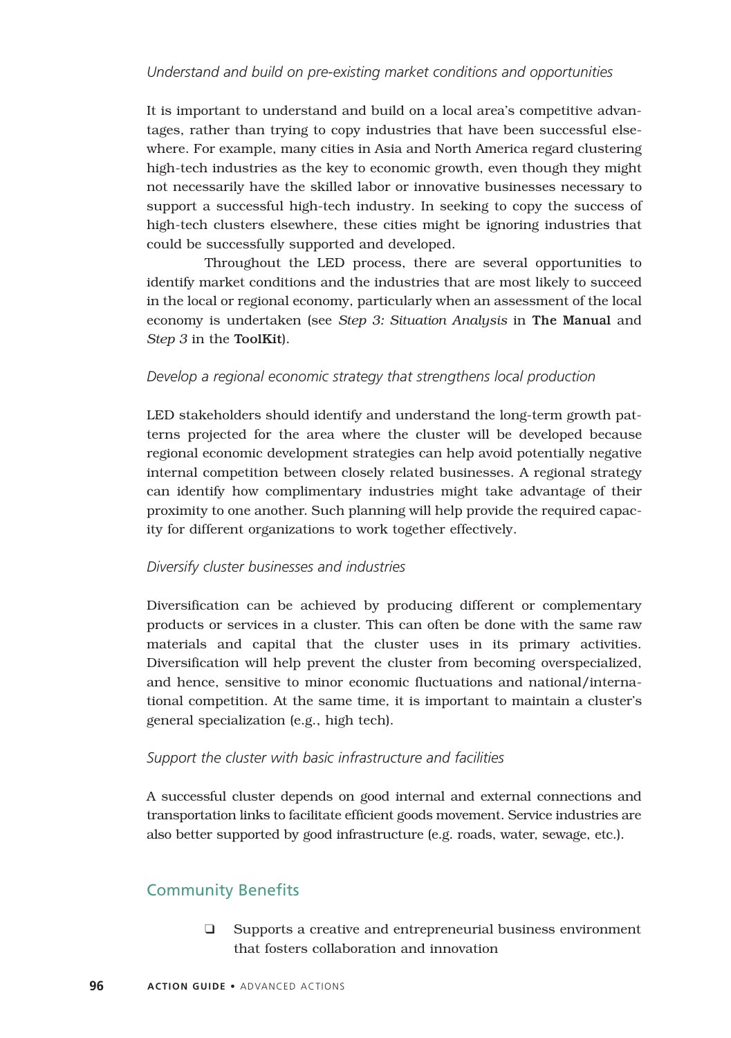## *Understand and build on pre-existing market conditions and opportunities*

It is important to understand and build on a local area's competitive advantages, rather than trying to copy industries that have been successful elsewhere. For example, many cities in Asia and North America regard clustering high-tech industries as the key to economic growth, even though they might not necessarily have the skilled labor or innovative businesses necessary to support a successful high-tech industry. In seeking to copy the success of high-tech clusters elsewhere, these cities might be ignoring industries that could be successfully supported and developed.

Throughout the LED process, there are several opportunities to identify market conditions and the industries that are most likely to succeed in the local or regional economy, particularly when an assessment of the local economy is undertaken (see *Step 3: Situation Analysis* in The Manual and *Step 3* in the ToolKit).

### *Develop a regional economic strategy that strengthens local production*

LED stakeholders should identify and understand the long-term growth patterns projected for the area where the cluster will be developed because regional economic development strategies can help avoid potentially negative internal competition between closely related businesses. A regional strategy can identify how complimentary industries might take advantage of their proximity to one another. Such planning will help provide the required capacity for different organizations to work together effectively.

### *Diversify cluster businesses and industries*

Diversification can be achieved by producing different or complementary products or services in a cluster. This can often be done with the same raw materials and capital that the cluster uses in its primary activities. Diversification will help prevent the cluster from becoming overspecialized, and hence, sensitive to minor economic fluctuations and national/international competition. At the same time, it is important to maintain a cluster's general specialization (e.g., high tech).

### *Support the cluster with basic infrastructure and facilities*

A successful cluster depends on good internal and external connections and transportation links to facilitate efficient goods movement. Service industries are also better supported by good infrastructure (e.g. roads, water, sewage, etc.).

# Community Benefits

❑ Supports a creative and entrepreneurial business environment that fosters collaboration and innovation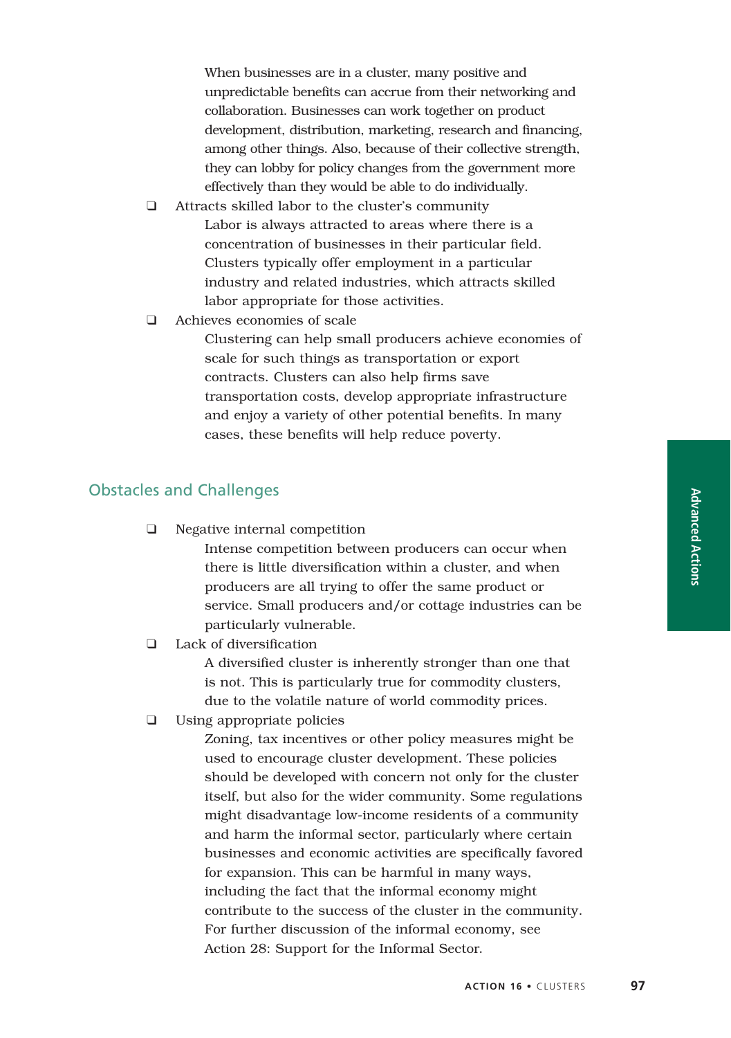When businesses are in a cluster, many positive and unpredictable benefits can accrue from their networking and collaboration. Businesses can work together on product development, distribution, marketing, research and financing, among other things. Also, because of their collective strength, they can lobby for policy changes from the government more effectively than they would be able to do individually.

- ❑ Attracts skilled labor to the cluster's community Labor is always attracted to areas where there is a concentration of businesses in their particular field. Clusters typically offer employment in a particular industry and related industries, which attracts skilled labor appropriate for those activities.
- ❑ Achieves economies of scale

Clustering can help small producers achieve economies of scale for such things as transportation or export contracts. Clusters can also help firms save transportation costs, develop appropriate infrastructure and enjoy a variety of other potential benefits. In many cases, these benefits will help reduce poverty.

### Obstacles and Challenges

❑ Negative internal competition

Intense competition between producers can occur when there is little diversification within a cluster, and when producers are all trying to offer the same product or service. Small producers and/or cottage industries can be particularly vulnerable.

❑ Lack of diversification

A diversified cluster is inherently stronger than one that is not. This is particularly true for commodity clusters, due to the volatile nature of world commodity prices.

❑ Using appropriate policies

Zoning, tax incentives or other policy measures might be used to encourage cluster development. These policies should be developed with concern not only for the cluster itself, but also for the wider community. Some regulations might disadvantage low-income residents of a community and harm the informal sector, particularly where certain businesses and economic activities are specifically favored for expansion. This can be harmful in many ways, including the fact that the informal economy might contribute to the success of the cluster in the community. For further discussion of the informal economy, see Action 28: Support for the Informal Sector.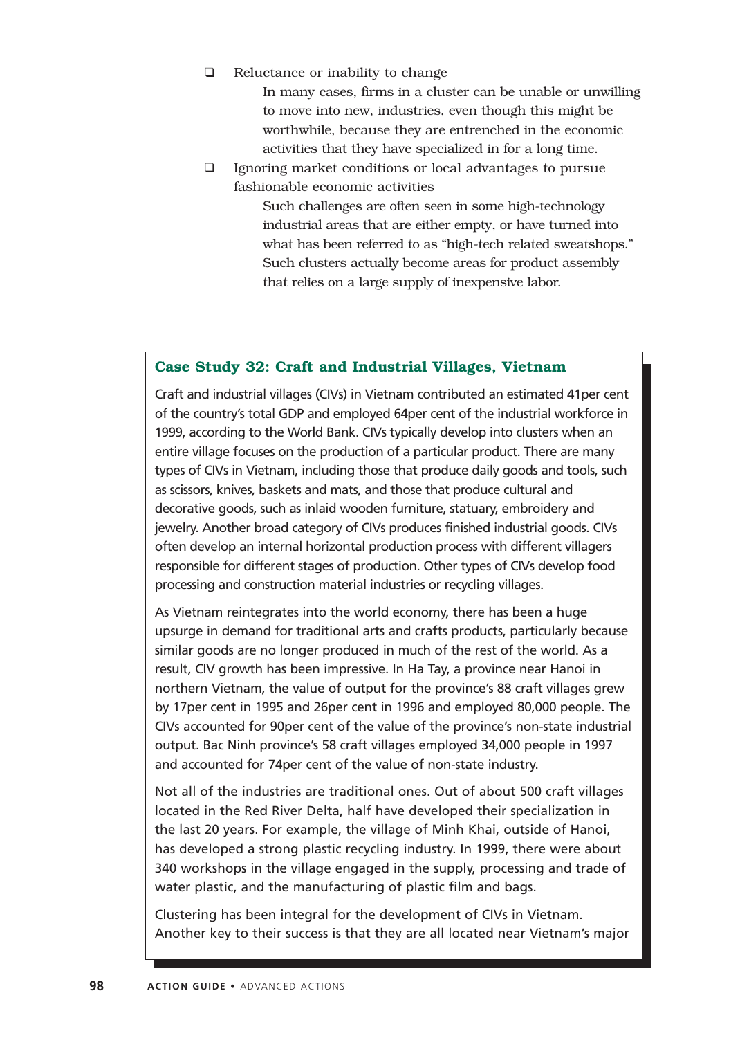#### ❑ Reluctance or inability to change

In many cases, firms in a cluster can be unable or unwilling to move into new, industries, even though this might be worthwhile, because they are entrenched in the economic activities that they have specialized in for a long time.

❑ Ignoring market conditions or local advantages to pursue fashionable economic activities

> Such challenges are often seen in some high-technology industrial areas that are either empty, or have turned into what has been referred to as "high-tech related sweatshops." Such clusters actually become areas for product assembly that relies on a large supply of inexpensive labor.

#### **Case Study 32: Craft and Industrial Villages, Vietnam**

Craft and industrial villages (CIVs) in Vietnam contributed an estimated 41per cent of the country's total GDP and employed 64per cent of the industrial workforce in 1999, according to the World Bank. CIVs typically develop into clusters when an entire village focuses on the production of a particular product. There are many types of CIVs in Vietnam, including those that produce daily goods and tools, such as scissors, knives, baskets and mats, and those that produce cultural and decorative goods, such as inlaid wooden furniture, statuary, embroidery and jewelry. Another broad category of CIVs produces finished industrial goods. CIVs often develop an internal horizontal production process with different villagers responsible for different stages of production. Other types of CIVs develop food processing and construction material industries or recycling villages.

As Vietnam reintegrates into the world economy, there has been a huge upsurge in demand for traditional arts and crafts products, particularly because similar goods are no longer produced in much of the rest of the world. As a result, CIV growth has been impressive. In Ha Tay, a province near Hanoi in northern Vietnam, the value of output for the province's 88 craft villages grew by 17per cent in 1995 and 26per cent in 1996 and employed 80,000 people. The CIVs accounted for 90per cent of the value of the province's non-state industrial output. Bac Ninh province's 58 craft villages employed 34,000 people in 1997 and accounted for 74per cent of the value of non-state industry.

Not all of the industries are traditional ones. Out of about 500 craft villages located in the Red River Delta, half have developed their specialization in the last 20 years. For example, the village of Minh Khai, outside of Hanoi, has developed a strong plastic recycling industry. In 1999, there were about 340 workshops in the village engaged in the supply, processing and trade of water plastic, and the manufacturing of plastic film and bags.

Clustering has been integral for the development of CIVs in Vietnam. Another key to their success is that they are all located near Vietnam's major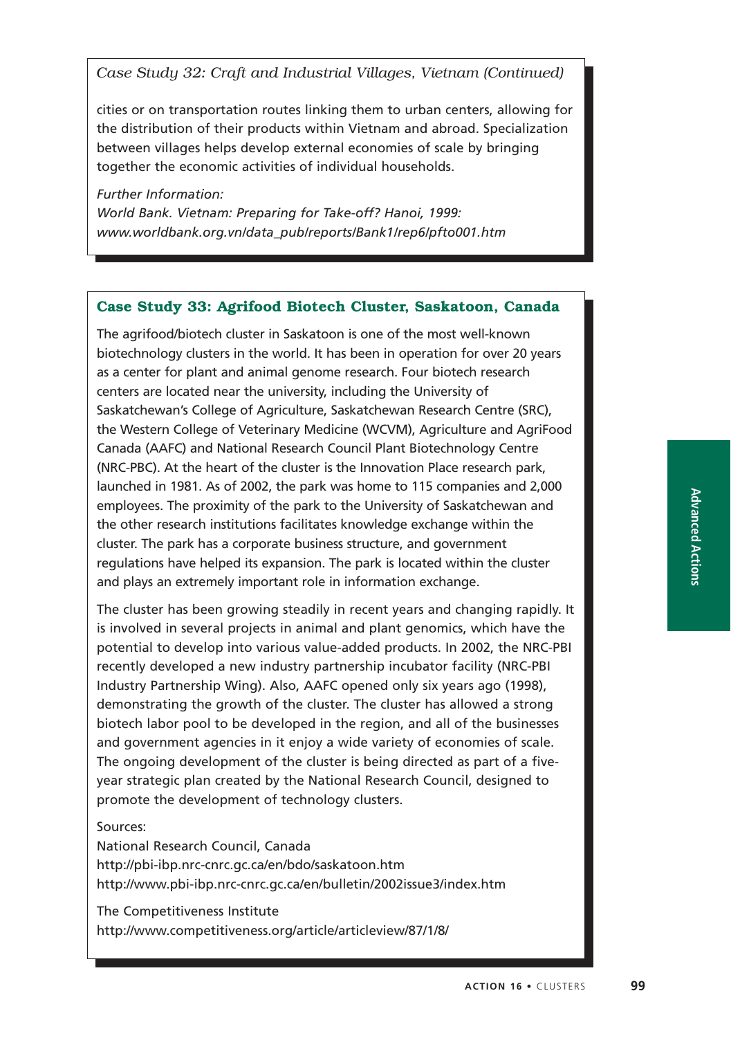*Case Study 32: Craft and Industrial Villages, Vietnam (Continued)*

cities or on transportation routes linking them to urban centers, allowing for the distribution of their products within Vietnam and abroad. Specialization between villages helps develop external economies of scale by bringing together the economic activities of individual households.

*Further Information: World Bank. Vietnam: Preparing for Take-off? Hanoi, 1999: www.worldbank.org.vn/data\_pub/reports/Bank1/rep6/pfto001.htm*

### **Case Study 33: Agrifood Biotech Cluster, Saskatoon, Canada**

The agrifood/biotech cluster in Saskatoon is one of the most well-known biotechnology clusters in the world. It has been in operation for over 20 years as a center for plant and animal genome research. Four biotech research centers are located near the university, including the University of Saskatchewan's College of Agriculture, Saskatchewan Research Centre (SRC), the Western College of Veterinary Medicine (WCVM), Agriculture and AgriFood Canada (AAFC) and National Research Council Plant Biotechnology Centre (NRC-PBC). At the heart of the cluster is the Innovation Place research park, launched in 1981. As of 2002, the park was home to 115 companies and 2,000 employees. The proximity of the park to the University of Saskatchewan and the other research institutions facilitates knowledge exchange within the cluster. The park has a corporate business structure, and government regulations have helped its expansion. The park is located within the cluster and plays an extremely important role in information exchange.

The cluster has been growing steadily in recent years and changing rapidly. It is involved in several projects in animal and plant genomics, which have the potential to develop into various value-added products. In 2002, the NRC-PBI recently developed a new industry partnership incubator facility (NRC-PBI Industry Partnership Wing). Also, AAFC opened only six years ago (1998), demonstrating the growth of the cluster. The cluster has allowed a strong biotech labor pool to be developed in the region, and all of the businesses and government agencies in it enjoy a wide variety of economies of scale. The ongoing development of the cluster is being directed as part of a fiveyear strategic plan created by the National Research Council, designed to promote the development of technology clusters.

### Sources:

National Research Council, Canada http://pbi-ibp.nrc-cnrc.gc.ca/en/bdo/saskatoon.htm http://www.pbi-ibp.nrc-cnrc.gc.ca/en/bulletin/2002issue3/index.htm

The Competitiveness Institute http://www.competitiveness.org/article/articleview/87/1/8/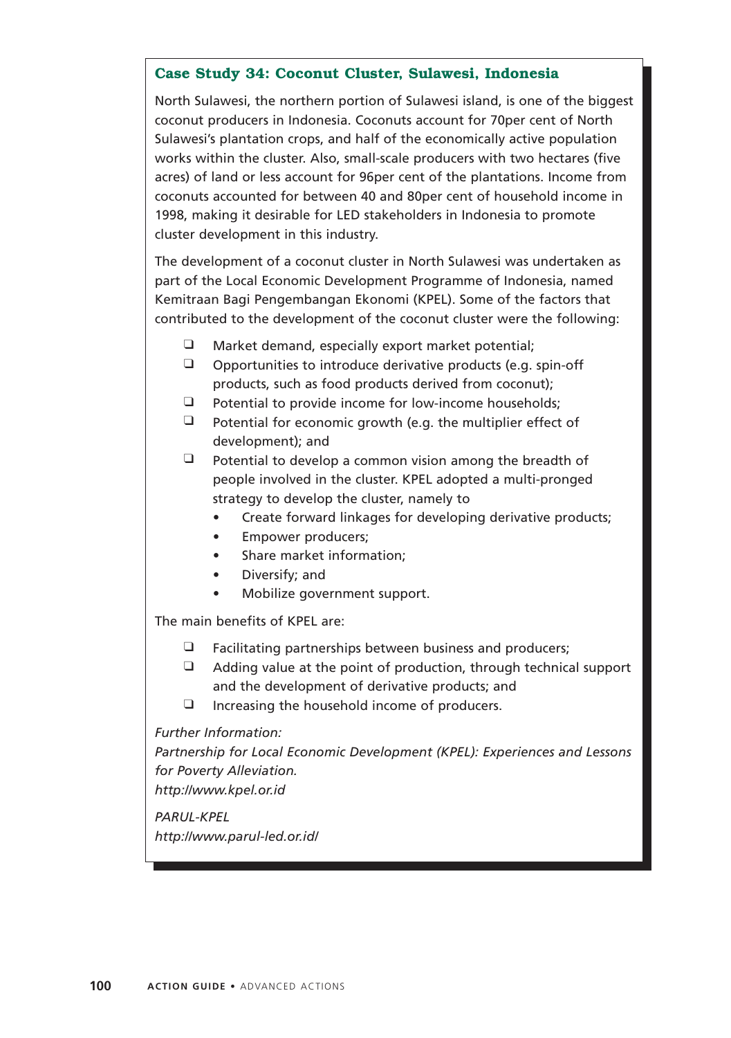## **Case Study 34: Coconut Cluster, Sulawesi, Indonesia**

North Sulawesi, the northern portion of Sulawesi island, is one of the biggest coconut producers in Indonesia. Coconuts account for 70per cent of North Sulawesi's plantation crops, and half of the economically active population works within the cluster. Also, small-scale producers with two hectares (five acres) of land or less account for 96per cent of the plantations. Income from coconuts accounted for between 40 and 80per cent of household income in 1998, making it desirable for LED stakeholders in Indonesia to promote cluster development in this industry.

The development of a coconut cluster in North Sulawesi was undertaken as part of the Local Economic Development Programme of Indonesia, named Kemitraan Bagi Pengembangan Ekonomi (KPEL). Some of the factors that contributed to the development of the coconut cluster were the following:

- ❑ Market demand, especially export market potential;
- ❑ Opportunities to introduce derivative products (e.g. spin-off products, such as food products derived from coconut);
- ❑ Potential to provide income for low-income households;
- ❑ Potential for economic growth (e.g. the multiplier effect of development); and
- $\Box$  Potential to develop a common vision among the breadth of people involved in the cluster. KPEL adopted a multi-pronged strategy to develop the cluster, namely to
	- Create forward linkages for developing derivative products;
	- Empower producers;
	- Share market information;
	- Diversify; and
	- Mobilize government support.

The main benefits of KPEL are:

- ❑ Facilitating partnerships between business and producers;
- $\Box$  Adding value at the point of production, through technical support and the development of derivative products; and
- ❑ Increasing the household income of producers.

*Further Information:*

*Partnership for Local Economic Development (KPEL): Experiences and Lessons for Poverty Alleviation. http://www.kpel.or.id*

*PARUL-KPEL*

*http://www.parul-led.or.id/*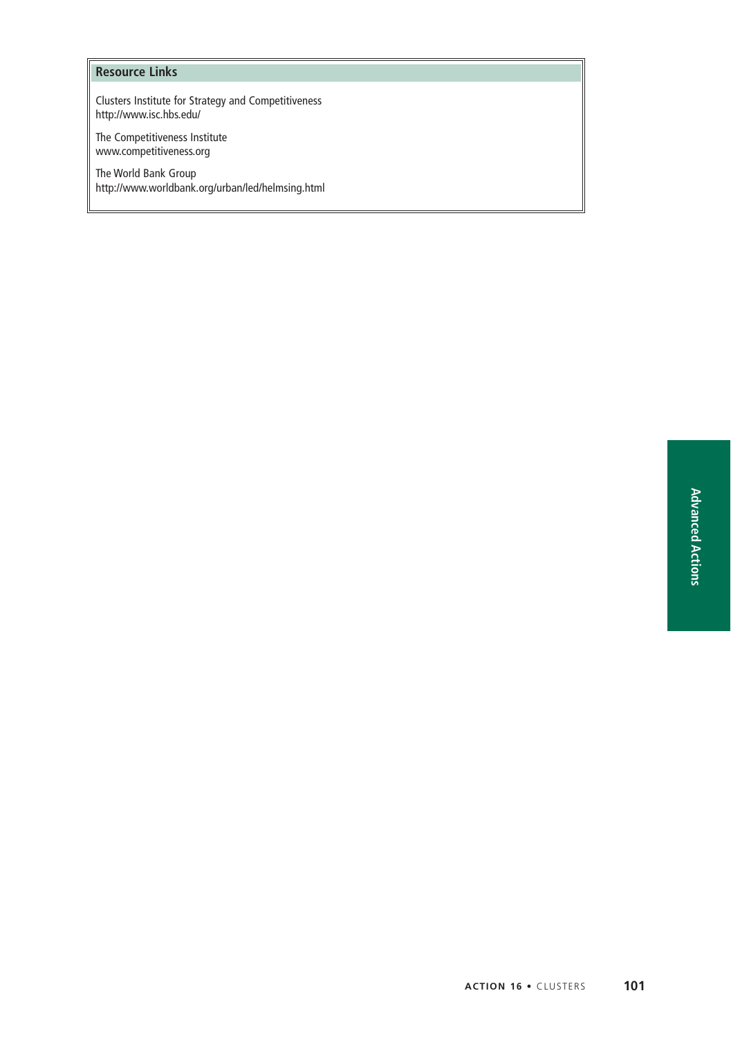### **Resource Links**

Clusters Institute for Strategy and Competitiveness http://www.isc.hbs.edu/

The Competitiveness Institute www.competitiveness.org

The World Bank Group http://www.worldbank.org/urban/led/helmsing.html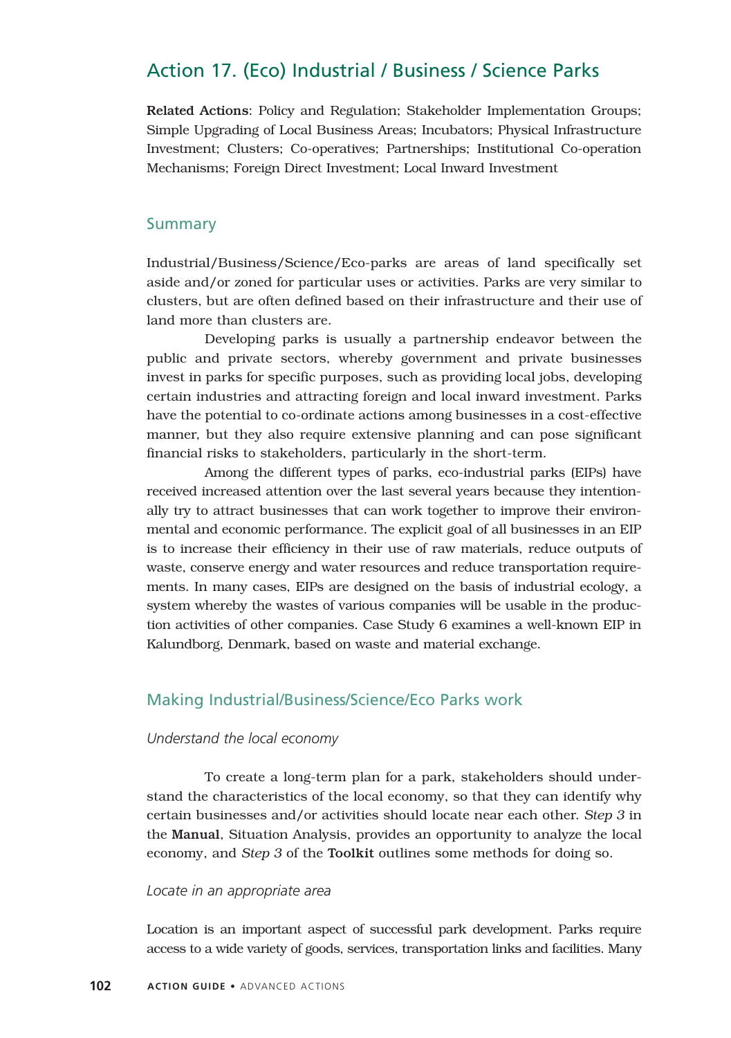# Action 17. (Eco) Industrial / Business / Science Parks

Related Actions: Policy and Regulation; Stakeholder Implementation Groups; Simple Upgrading of Local Business Areas; Incubators; Physical Infrastructure Investment; Clusters; Co-operatives; Partnerships; Institutional Co-operation Mechanisms; Foreign Direct Investment; Local Inward Investment

#### Summary

Industrial/Business/Science/Eco-parks are areas of land specifically set aside and/or zoned for particular uses or activities. Parks are very similar to clusters, but are often defined based on their infrastructure and their use of land more than clusters are.

Developing parks is usually a partnership endeavor between the public and private sectors, whereby government and private businesses invest in parks for specific purposes, such as providing local jobs, developing certain industries and attracting foreign and local inward investment. Parks have the potential to co-ordinate actions among businesses in a cost-effective manner, but they also require extensive planning and can pose significant financial risks to stakeholders, particularly in the short-term.

Among the different types of parks, eco-industrial parks (EIPs) have received increased attention over the last several years because they intentionally try to attract businesses that can work together to improve their environmental and economic performance. The explicit goal of all businesses in an EIP is to increase their efficiency in their use of raw materials, reduce outputs of waste, conserve energy and water resources and reduce transportation requirements. In many cases, EIPs are designed on the basis of industrial ecology, a system whereby the wastes of various companies will be usable in the production activities of other companies. Case Study 6 examines a well-known EIP in Kalundborg, Denmark, based on waste and material exchange.

## Making Industrial/Business/Science/Eco Parks work

#### *Understand the local economy*

To create a long-term plan for a park, stakeholders should understand the characteristics of the local economy, so that they can identify why certain businesses and/or activities should locate near each other. *Step 3* in the Manual, Situation Analysis, provides an opportunity to analyze the local economy, and *Step 3* of the Toolkit outlines some methods for doing so.

#### *Locate in an appropriate area*

Location is an important aspect of successful park development. Parks require access to a wide variety of goods, services, transportation links and facilities. Many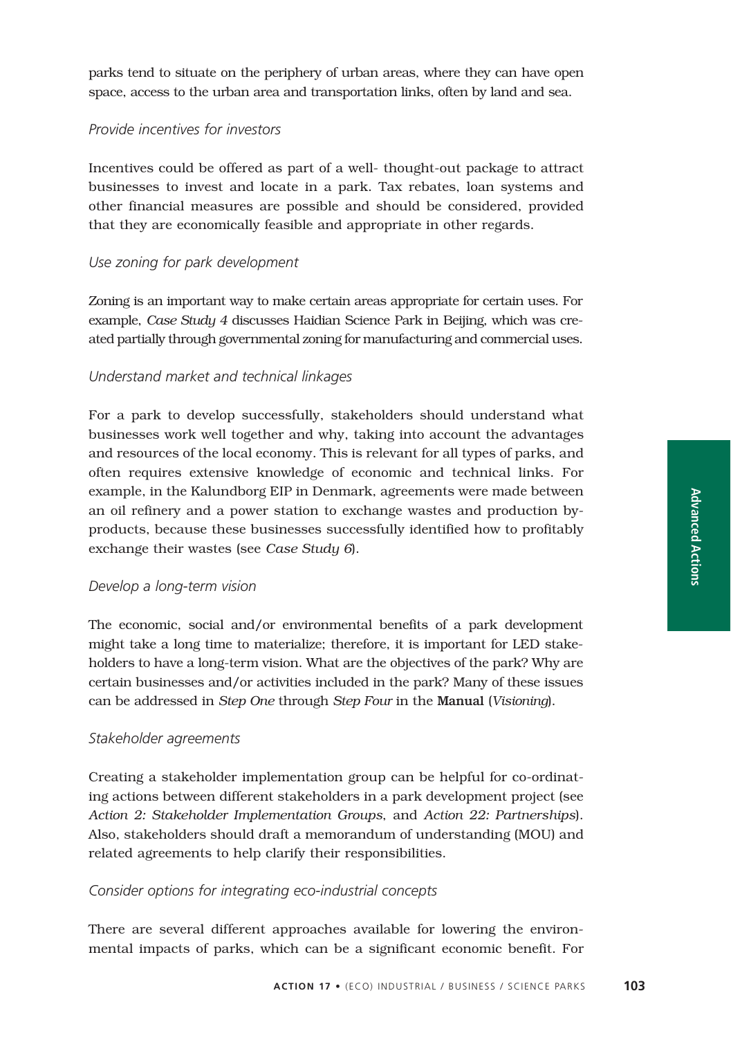parks tend to situate on the periphery of urban areas, where they can have open space, access to the urban area and transportation links, often by land and sea.

### *Provide incentives for investors*

Incentives could be offered as part of a well- thought-out package to attract businesses to invest and locate in a park. Tax rebates, loan systems and other financial measures are possible and should be considered, provided that they are economically feasible and appropriate in other regards.

#### *Use zoning for park development*

Zoning is an important way to make certain areas appropriate for certain uses. For example, *Case Study 4* discusses Haidian Science Park in Beijing, which was created partially through governmental zoning for manufacturing and commercial uses.

#### *Understand market and technical linkages*

For a park to develop successfully, stakeholders should understand what businesses work well together and why, taking into account the advantages and resources of the local economy. This is relevant for all types of parks, and often requires extensive knowledge of economic and technical links. For example, in the Kalundborg EIP in Denmark, agreements were made between an oil refinery and a power station to exchange wastes and production byproducts, because these businesses successfully identified how to profitably exchange their wastes (see *Case Study 6*).

#### *Develop a long-term vision*

The economic, social and/or environmental benefits of a park development might take a long time to materialize; therefore, it is important for LED stakeholders to have a long-term vision. What are the objectives of the park? Why are certain businesses and/or activities included in the park? Many of these issues can be addressed in *Step One* through *Step Four* in the Manual (*Visioning*).

#### *Stakeholder agreements*

Creating a stakeholder implementation group can be helpful for co-ordinating actions between different stakeholders in a park development project (see *Action 2: Stakeholder Implementation Groups*, and *Action 22: Partnerships*). Also, stakeholders should draft a memorandum of understanding (MOU) and related agreements to help clarify their responsibilities.

#### *Consider options for integrating eco-industrial concepts*

There are several different approaches available for lowering the environmental impacts of parks, which can be a significant economic benefit. For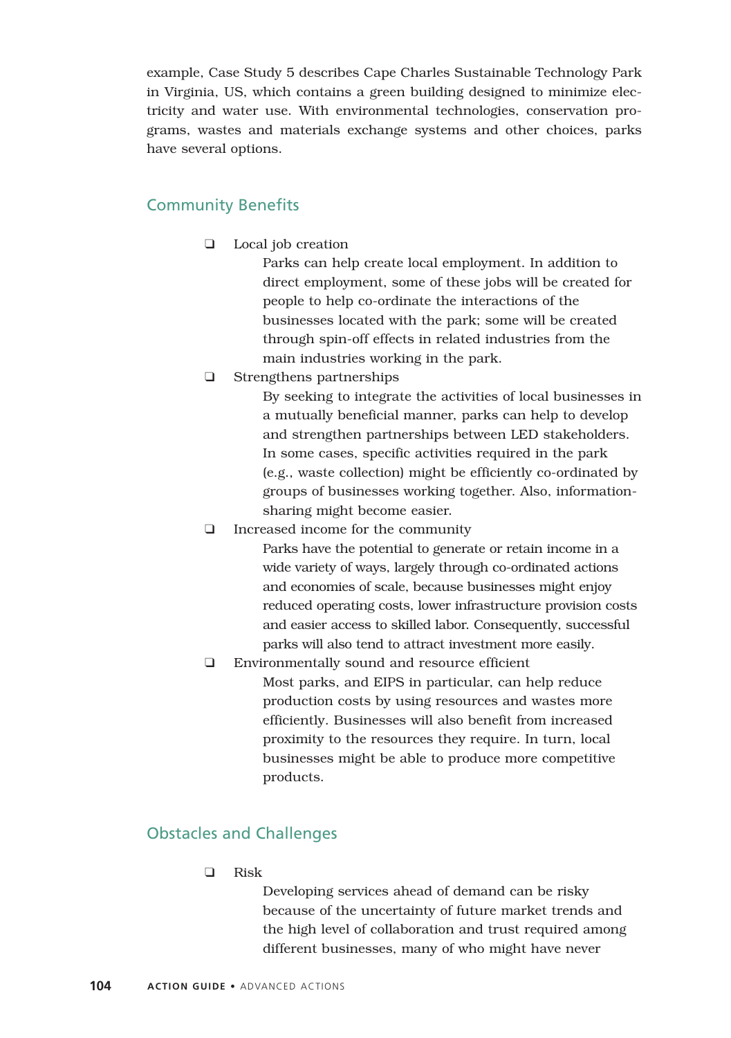example, Case Study 5 describes Cape Charles Sustainable Technology Park in Virginia, US, which contains a green building designed to minimize electricity and water use. With environmental technologies, conservation programs, wastes and materials exchange systems and other choices, parks have several options.

# Community Benefits

❑ Local job creation

Parks can help create local employment. In addition to direct employment, some of these jobs will be created for people to help co-ordinate the interactions of the businesses located with the park; some will be created through spin-off effects in related industries from the main industries working in the park.

❑ Strengthens partnerships

By seeking to integrate the activities of local businesses in a mutually beneficial manner, parks can help to develop and strengthen partnerships between LED stakeholders. In some cases, specific activities required in the park (e.g., waste collection) might be efficiently co-ordinated by groups of businesses working together. Also, informationsharing might become easier.

❑ Increased income for the community

Parks have the potential to generate or retain income in a wide variety of ways, largely through co-ordinated actions and economies of scale, because businesses might enjoy reduced operating costs, lower infrastructure provision costs and easier access to skilled labor. Consequently, successful parks will also tend to attract investment more easily.

❑ Environmentally sound and resource efficient Most parks, and EIPS in particular, can help reduce production costs by using resources and wastes more efficiently. Businesses will also benefit from increased proximity to the resources they require. In turn, local businesses might be able to produce more competitive products.

# Obstacles and Challenges

❑ Risk

Developing services ahead of demand can be risky because of the uncertainty of future market trends and the high level of collaboration and trust required among different businesses, many of who might have never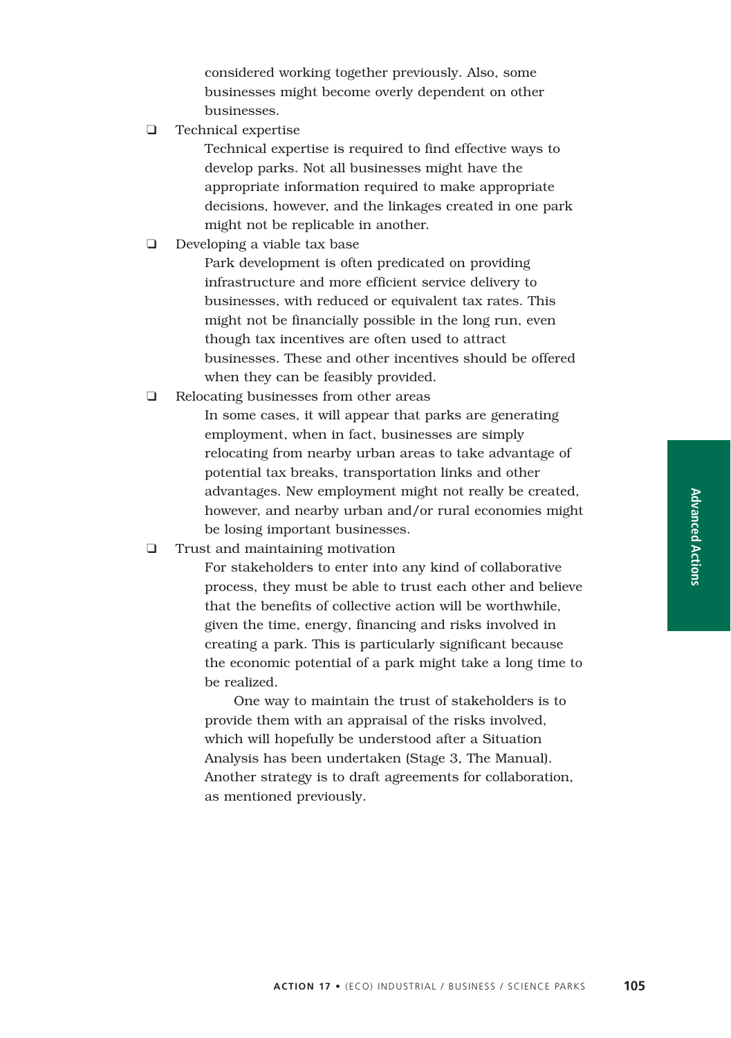considered working together previously. Also, some businesses might become overly dependent on other businesses.

❑ Technical expertise

Technical expertise is required to find effective ways to develop parks. Not all businesses might have the appropriate information required to make appropriate decisions, however, and the linkages created in one park might not be replicable in another.

❑ Developing a viable tax base

Park development is often predicated on providing infrastructure and more efficient service delivery to businesses, with reduced or equivalent tax rates. This might not be financially possible in the long run, even though tax incentives are often used to attract businesses. These and other incentives should be offered when they can be feasibly provided.

❑ Relocating businesses from other areas

In some cases, it will appear that parks are generating employment, when in fact, businesses are simply relocating from nearby urban areas to take advantage of potential tax breaks, transportation links and other advantages. New employment might not really be created, however, and nearby urban and/or rural economies might be losing important businesses.

❑ Trust and maintaining motivation

For stakeholders to enter into any kind of collaborative process, they must be able to trust each other and believe that the benefits of collective action will be worthwhile, given the time, energy, financing and risks involved in creating a park. This is particularly significant because the economic potential of a park might take a long time to be realized.

One way to maintain the trust of stakeholders is to provide them with an appraisal of the risks involved, which will hopefully be understood after a Situation Analysis has been undertaken (Stage 3, The Manual). Another strategy is to draft agreements for collaboration, as mentioned previously.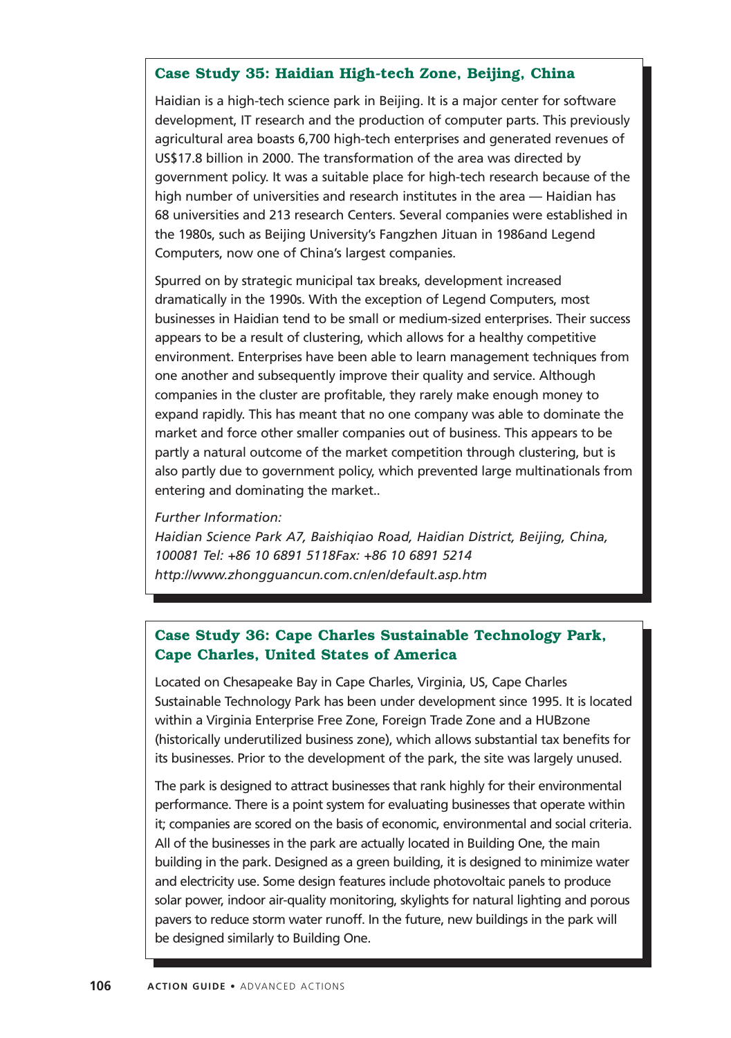### **Case Study 35: Haidian High-tech Zone, Beijing, China**

Haidian is a high-tech science park in Beijing. It is a major center for software development, IT research and the production of computer parts. This previously agricultural area boasts 6,700 high-tech enterprises and generated revenues of US\$17.8 billion in 2000. The transformation of the area was directed by government policy. It was a suitable place for high-tech research because of the high number of universities and research institutes in the area — Haidian has 68 universities and 213 research Centers. Several companies were established in the 1980s, such as Beijing University's Fangzhen Jituan in 1986and Legend Computers, now one of China's largest companies.

Spurred on by strategic municipal tax breaks, development increased dramatically in the 1990s. With the exception of Legend Computers, most businesses in Haidian tend to be small or medium-sized enterprises. Their success appears to be a result of clustering, which allows for a healthy competitive environment. Enterprises have been able to learn management techniques from one another and subsequently improve their quality and service. Although companies in the cluster are profitable, they rarely make enough money to expand rapidly. This has meant that no one company was able to dominate the market and force other smaller companies out of business. This appears to be partly a natural outcome of the market competition through clustering, but is also partly due to government policy, which prevented large multinationals from entering and dominating the market..

#### *Further Information:*

*Haidian Science Park A7, Baishiqiao Road, Haidian District, Beijing, China, 100081 Tel: +86 10 6891 5118Fax: +86 10 6891 5214 http://www.zhongguancun.com.cn/en/default.asp.htm*

# **Case Study 36: Cape Charles Sustainable Technology Park, Cape Charles, United States of America**

Located on Chesapeake Bay in Cape Charles, Virginia, US, Cape Charles Sustainable Technology Park has been under development since 1995. It is located within a Virginia Enterprise Free Zone, Foreign Trade Zone and a HUBzone (historically underutilized business zone), which allows substantial tax benefits for its businesses. Prior to the development of the park, the site was largely unused.

The park is designed to attract businesses that rank highly for their environmental performance. There is a point system for evaluating businesses that operate within it; companies are scored on the basis of economic, environmental and social criteria. All of the businesses in the park are actually located in Building One, the main building in the park. Designed as a green building, it is designed to minimize water and electricity use. Some design features include photovoltaic panels to produce solar power, indoor air-quality monitoring, skylights for natural lighting and porous pavers to reduce storm water runoff. In the future, new buildings in the park will be designed similarly to Building One.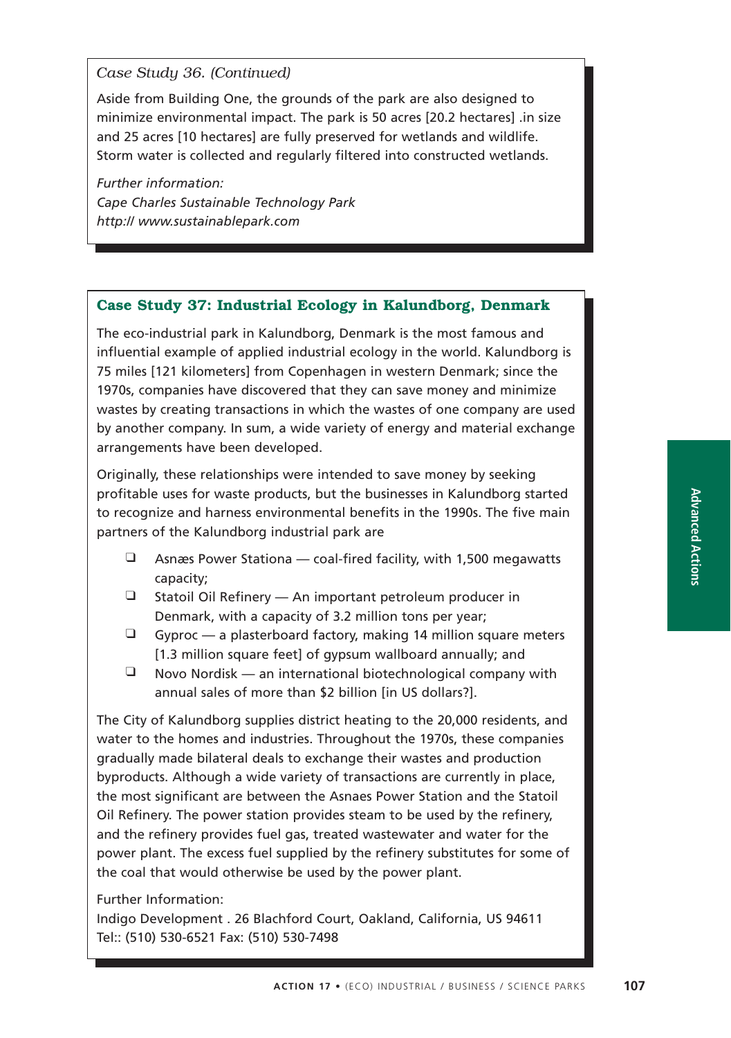## *Case Study 36. (Continued)*

Aside from Building One, the grounds of the park are also designed to minimize environmental impact. The park is 50 acres [20.2 hectares] .in size and 25 acres [10 hectares] are fully preserved for wetlands and wildlife. Storm water is collected and regularly filtered into constructed wetlands.

*Further information: Cape Charles Sustainable Technology Park http:// www.sustainablepark.com*

## **Case Study 37: Industrial Ecology in Kalundborg, Denmark**

The eco-industrial park in Kalundborg, Denmark is the most famous and influential example of applied industrial ecology in the world. Kalundborg is 75 miles [121 kilometers] from Copenhagen in western Denmark; since the 1970s, companies have discovered that they can save money and minimize wastes by creating transactions in which the wastes of one company are used by another company. In sum, a wide variety of energy and material exchange arrangements have been developed.

Originally, these relationships were intended to save money by seeking profitable uses for waste products, but the businesses in Kalundborg started to recognize and harness environmental benefits in the 1990s. The five main partners of the Kalundborg industrial park are

- $\Box$  Asnæs Power Stationa coal-fired facility, with 1,500 megawatts capacity;
- ❑ Statoil Oil Refinery An important petroleum producer in Denmark, with a capacity of 3.2 million tons per year;
- $\Box$  Gyproc a plasterboard factory, making 14 million square meters [1.3 million square feet] of gypsum wallboard annually; and
- $\Box$  Novo Nordisk an international biotechnological company with annual sales of more than \$2 billion [in US dollars?].

The City of Kalundborg supplies district heating to the 20,000 residents, and water to the homes and industries. Throughout the 1970s, these companies gradually made bilateral deals to exchange their wastes and production byproducts. Although a wide variety of transactions are currently in place, the most significant are between the Asnaes Power Station and the Statoil Oil Refinery. The power station provides steam to be used by the refinery, and the refinery provides fuel gas, treated wastewater and water for the power plant. The excess fuel supplied by the refinery substitutes for some of the coal that would otherwise be used by the power plant.

Further Information:

Indigo Development . 26 Blachford Court, Oakland, California, US 94611 Tel:: (510) 530-6521 Fax: (510) 530-7498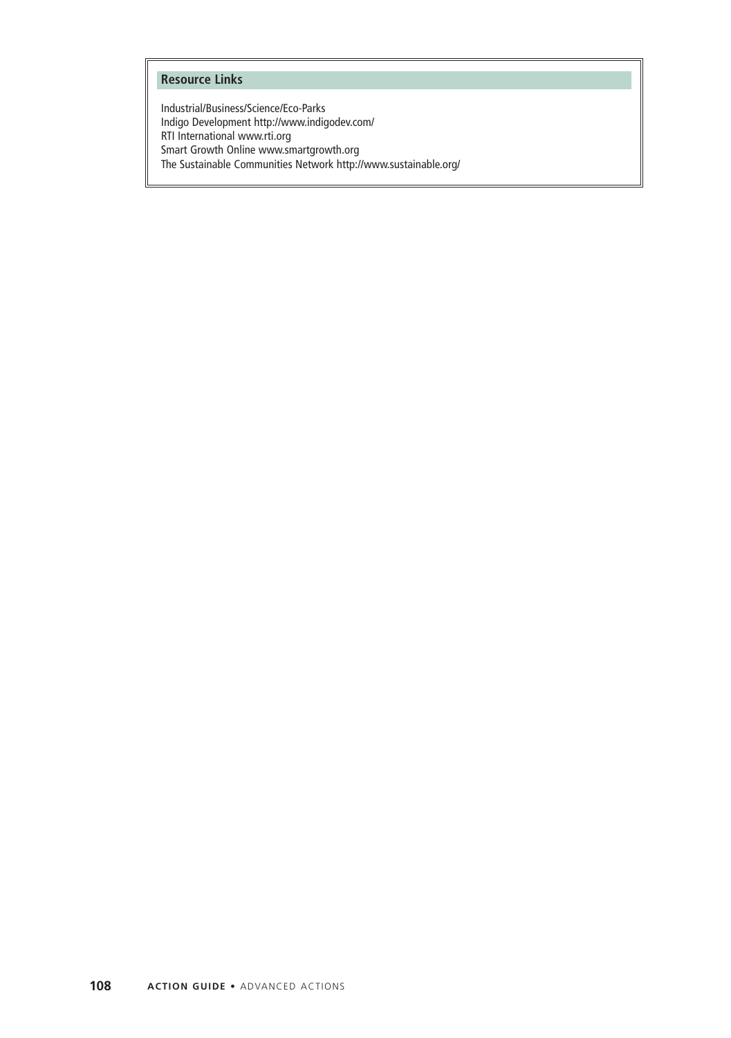#### **Resource Links**

Industrial/Business/Science/Eco-Parks Indigo Development http://www.indigodev.com/ RTI International www.rti.org Smart Growth Online www.smartgrowth.org The Sustainable Communities Network http://www.sustainable.org/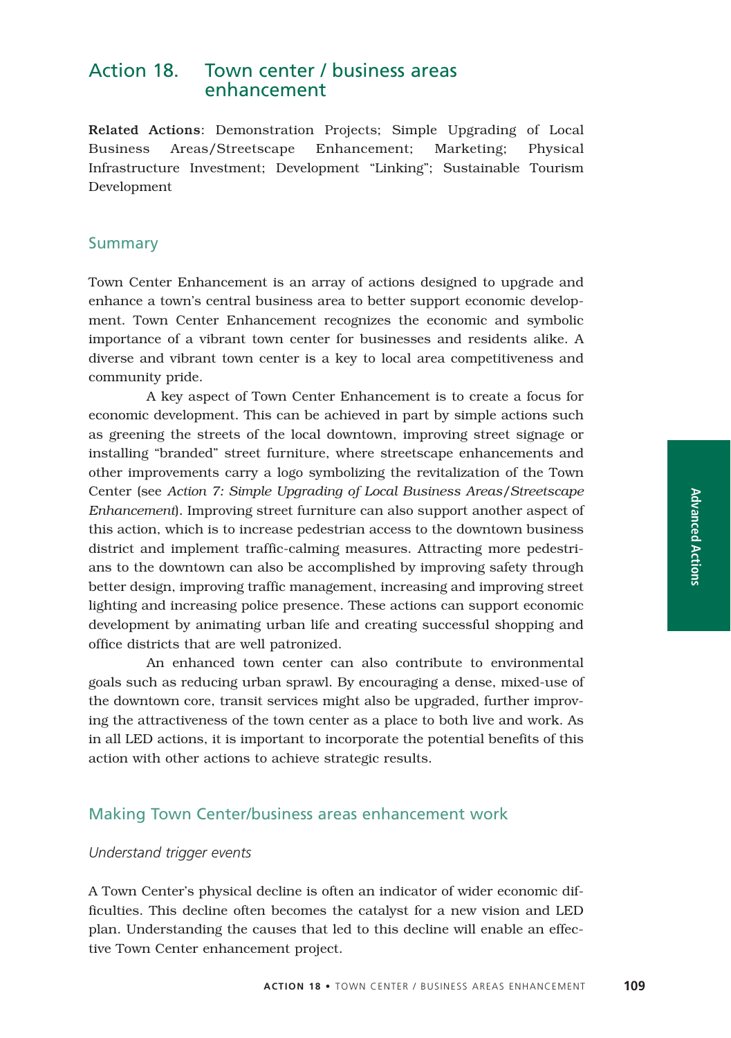# Action 18. Town center / business areas enhancement

Related Actions: Demonstration Projects; Simple Upgrading of Local Business Areas/Streetscape Enhancement; Marketing; Physical Infrastructure Investment; Development "Linking"; Sustainable Tourism Development

### **Summary**

Town Center Enhancement is an array of actions designed to upgrade and enhance a town's central business area to better support economic development. Town Center Enhancement recognizes the economic and symbolic importance of a vibrant town center for businesses and residents alike. A diverse and vibrant town center is a key to local area competitiveness and community pride.

A key aspect of Town Center Enhancement is to create a focus for economic development. This can be achieved in part by simple actions such as greening the streets of the local downtown, improving street signage or installing "branded" street furniture, where streetscape enhancements and other improvements carry a logo symbolizing the revitalization of the Town Center (see *Action 7: Simple Upgrading of Local Business Areas/Streetscape Enhancement*). Improving street furniture can also support another aspect of this action, which is to increase pedestrian access to the downtown business district and implement traffic-calming measures. Attracting more pedestrians to the downtown can also be accomplished by improving safety through better design, improving traffic management, increasing and improving street lighting and increasing police presence. These actions can support economic development by animating urban life and creating successful shopping and office districts that are well patronized.

An enhanced town center can also contribute to environmental goals such as reducing urban sprawl. By encouraging a dense, mixed-use of the downtown core, transit services might also be upgraded, further improving the attractiveness of the town center as a place to both live and work. As in all LED actions, it is important to incorporate the potential benefits of this action with other actions to achieve strategic results.

### Making Town Center/business areas enhancement work

#### *Understand trigger events*

A Town Center's physical decline is often an indicator of wider economic difficulties. This decline often becomes the catalyst for a new vision and LED plan. Understanding the causes that led to this decline will enable an effective Town Center enhancement project.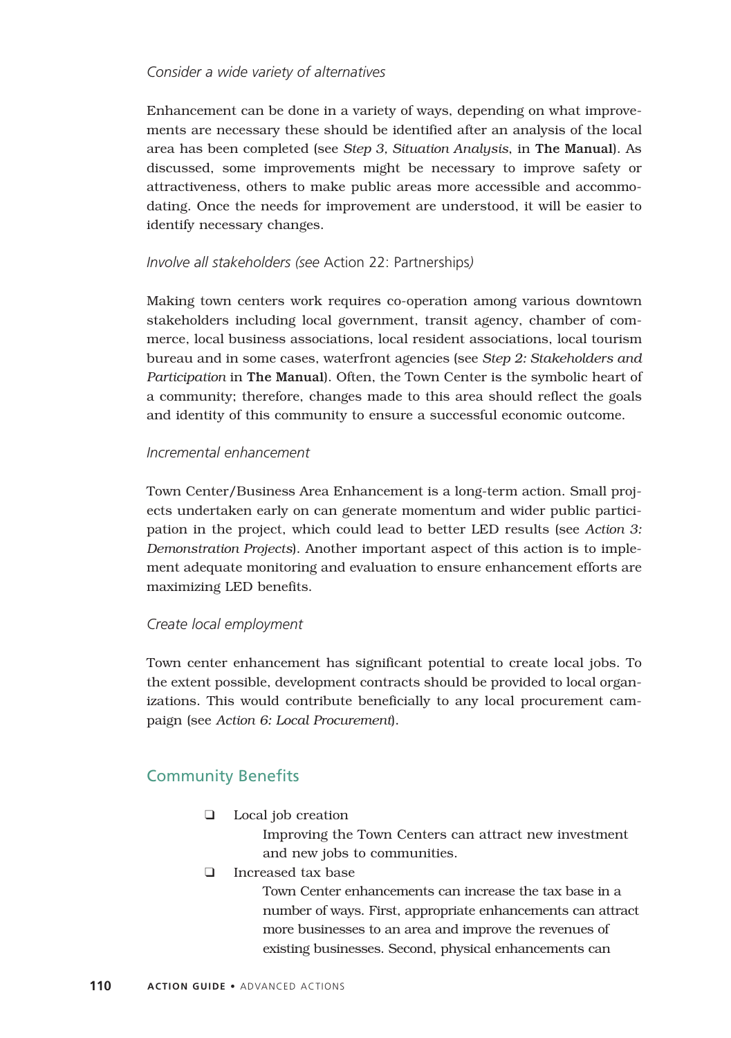### *Consider a wide variety of alternatives*

Enhancement can be done in a variety of ways, depending on what improvements are necessary these should be identified after an analysis of the local area has been completed (see *Step 3, Situation Analysis*, in The Manual). As discussed, some improvements might be necessary to improve safety or attractiveness, others to make public areas more accessible and accommodating. Once the needs for improvement are understood, it will be easier to identify necessary changes.

### *Involve all stakeholders (see* Action 22: Partnerships*)*

Making town centers work requires co-operation among various downtown stakeholders including local government, transit agency, chamber of commerce, local business associations, local resident associations, local tourism bureau and in some cases, waterfront agencies (see *Step 2: Stakeholders and Participation* in The Manual). Often, the Town Center is the symbolic heart of a community; therefore, changes made to this area should reflect the goals and identity of this community to ensure a successful economic outcome.

### *Incremental enhancement*

Town Center/Business Area Enhancement is a long-term action. Small projects undertaken early on can generate momentum and wider public participation in the project, which could lead to better LED results (see *Action 3: Demonstration Projects*). Another important aspect of this action is to implement adequate monitoring and evaluation to ensure enhancement efforts are maximizing LED benefits.

### *Create local employment*

Town center enhancement has significant potential to create local jobs. To the extent possible, development contracts should be provided to local organizations. This would contribute beneficially to any local procurement campaign (see *Action 6: Local Procurement*).

# Community Benefits

❑ Local job creation

Improving the Town Centers can attract new investment and new jobs to communities.

❑ Increased tax base

Town Center enhancements can increase the tax base in a number of ways. First, appropriate enhancements can attract more businesses to an area and improve the revenues of existing businesses. Second, physical enhancements can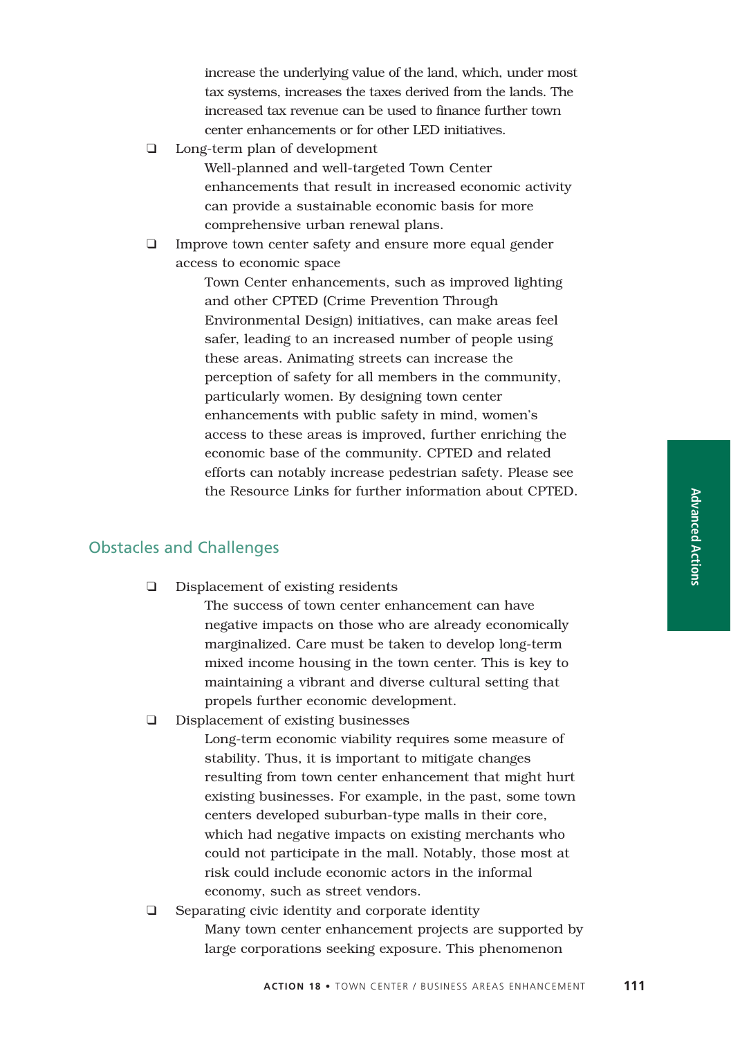increase the underlying value of the land, which, under most tax systems, increases the taxes derived from the lands. The increased tax revenue can be used to finance further town center enhancements or for other LED initiatives.

❑ Long-term plan of development

Well-planned and well-targeted Town Center enhancements that result in increased economic activity can provide a sustainable economic basis for more comprehensive urban renewal plans.

❑ Improve town center safety and ensure more equal gender access to economic space

> Town Center enhancements, such as improved lighting and other CPTED (Crime Prevention Through Environmental Design) initiatives, can make areas feel safer, leading to an increased number of people using these areas. Animating streets can increase the perception of safety for all members in the community, particularly women. By designing town center enhancements with public safety in mind, women's access to these areas is improved, further enriching the economic base of the community. CPTED and related efforts can notably increase pedestrian safety. Please see the Resource Links for further information about CPTED.

## Obstacles and Challenges

❑ Displacement of existing residents

The success of town center enhancement can have negative impacts on those who are already economically marginalized. Care must be taken to develop long-term mixed income housing in the town center. This is key to maintaining a vibrant and diverse cultural setting that propels further economic development.

❑ Displacement of existing businesses

Long-term economic viability requires some measure of stability. Thus, it is important to mitigate changes resulting from town center enhancement that might hurt existing businesses. For example, in the past, some town centers developed suburban-type malls in their core, which had negative impacts on existing merchants who could not participate in the mall. Notably, those most at risk could include economic actors in the informal economy, such as street vendors.

❑ Separating civic identity and corporate identity Many town center enhancement projects are supported by large corporations seeking exposure. This phenomenon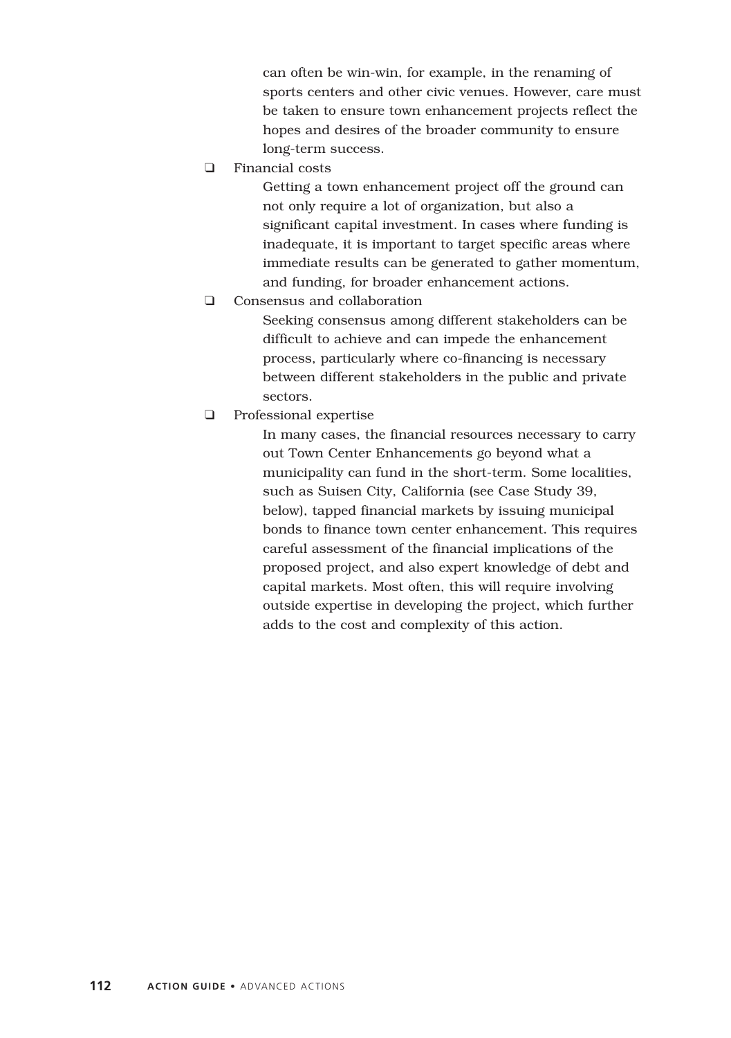can often be win-win, for example, in the renaming of sports centers and other civic venues. However, care must be taken to ensure town enhancement projects reflect the hopes and desires of the broader community to ensure long-term success.

❑ Financial costs

Getting a town enhancement project off the ground can not only require a lot of organization, but also a significant capital investment. In cases where funding is inadequate, it is important to target specific areas where immediate results can be generated to gather momentum, and funding, for broader enhancement actions.

❑ Consensus and collaboration

Seeking consensus among different stakeholders can be difficult to achieve and can impede the enhancement process, particularly where co-financing is necessary between different stakeholders in the public and private sectors.

❑ Professional expertise

In many cases, the financial resources necessary to carry out Town Center Enhancements go beyond what a municipality can fund in the short-term. Some localities, such as Suisen City, California (see Case Study 39, below), tapped financial markets by issuing municipal bonds to finance town center enhancement. This requires careful assessment of the financial implications of the proposed project, and also expert knowledge of debt and capital markets. Most often, this will require involving outside expertise in developing the project, which further adds to the cost and complexity of this action.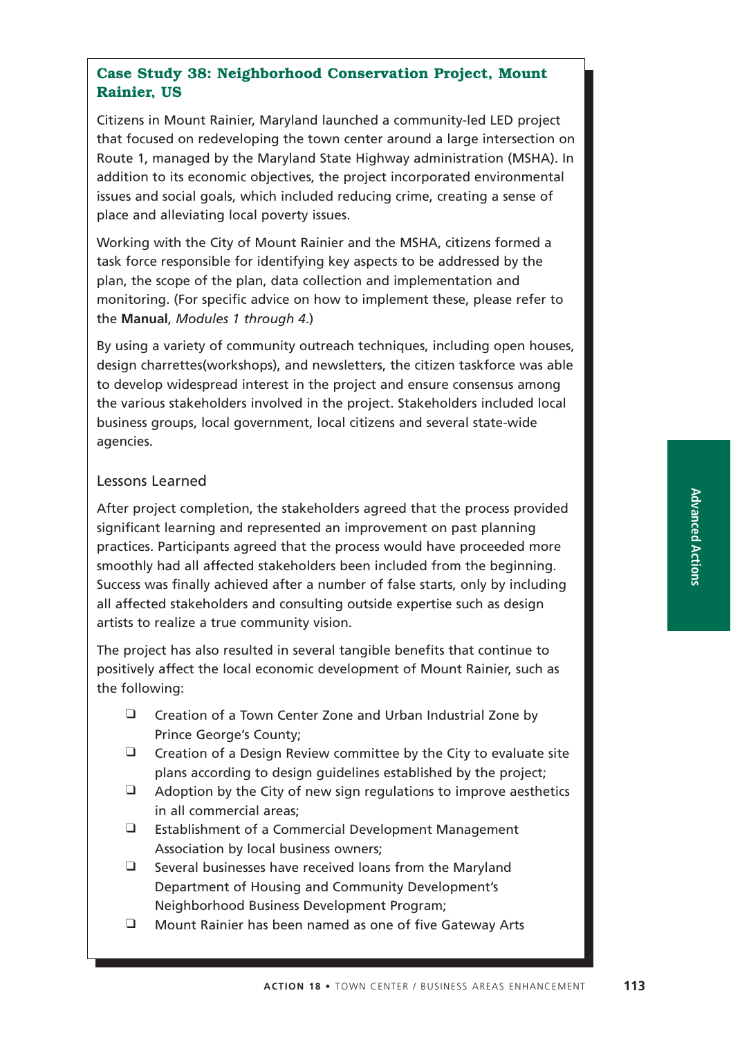# **Case Study 38: Neighborhood Conservation Project, Mount Rainier, US**

Citizens in Mount Rainier, Maryland launched a community-led LED project that focused on redeveloping the town center around a large intersection on Route 1, managed by the Maryland State Highway administration (MSHA). In addition to its economic objectives, the project incorporated environmental issues and social goals, which included reducing crime, creating a sense of place and alleviating local poverty issues.

Working with the City of Mount Rainier and the MSHA, citizens formed a task force responsible for identifying key aspects to be addressed by the plan, the scope of the plan, data collection and implementation and monitoring. (For specific advice on how to implement these, please refer to the **Manual**, *Modules 1 through 4*.)

By using a variety of community outreach techniques, including open houses, design charrettes(workshops), and newsletters, the citizen taskforce was able to develop widespread interest in the project and ensure consensus among the various stakeholders involved in the project. Stakeholders included local business groups, local government, local citizens and several state-wide agencies.

## Lessons Learned

After project completion, the stakeholders agreed that the process provided significant learning and represented an improvement on past planning practices. Participants agreed that the process would have proceeded more smoothly had all affected stakeholders been included from the beginning. Success was finally achieved after a number of false starts, only by including all affected stakeholders and consulting outside expertise such as design artists to realize a true community vision.

The project has also resulted in several tangible benefits that continue to positively affect the local economic development of Mount Rainier, such as the following:

- ❑ Creation of a Town Center Zone and Urban Industrial Zone by Prince George's County;
- $\Box$  Creation of a Design Review committee by the City to evaluate site plans according to design guidelines established by the project;
- ❑ Adoption by the City of new sign regulations to improve aesthetics in all commercial areas;
- ❑ Establishment of a Commercial Development Management Association by local business owners;
- ❑ Several businesses have received loans from the Maryland Department of Housing and Community Development's Neighborhood Business Development Program;
- ❑ Mount Rainier has been named as one of five Gateway Arts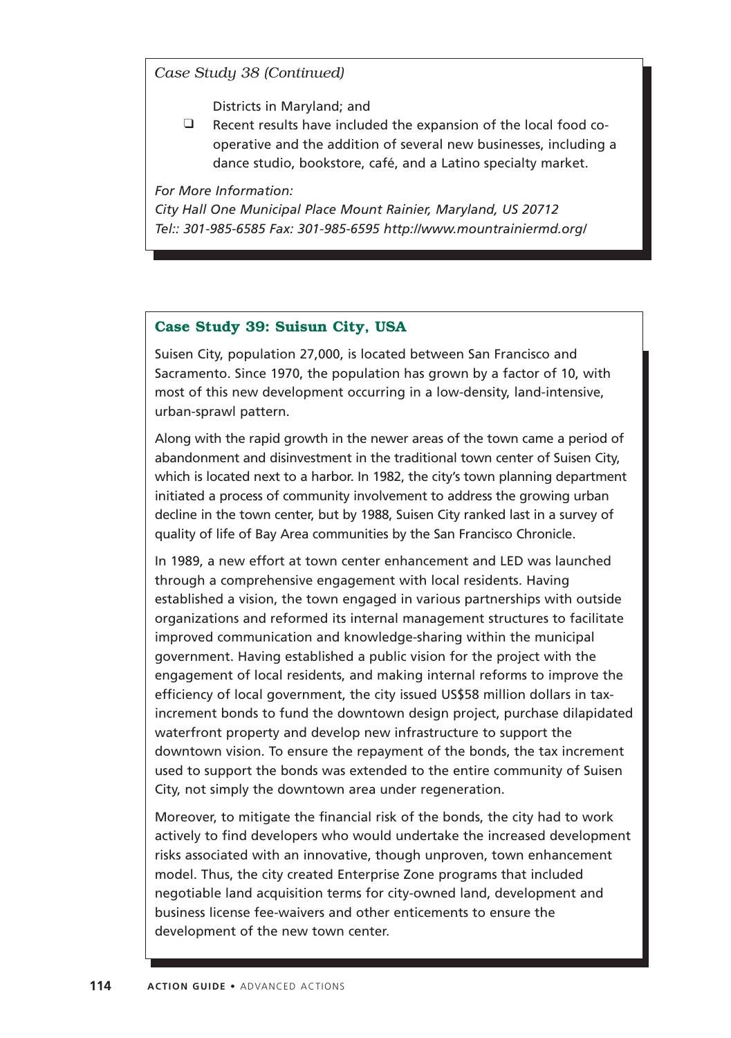*Case Study 38 (Continued)*

Districts in Maryland; and

❑ Recent results have included the expansion of the local food cooperative and the addition of several new businesses, including a dance studio, bookstore, café, and a Latino specialty market.

*For More Information:*

*City Hall One Municipal Place Mount Rainier, Maryland, US 20712 Tel:: 301-985-6585 Fax: 301-985-6595 http://www.mountrainiermd.org/*

### **Case Study 39: Suisun City, USA**

Suisen City, population 27,000, is located between San Francisco and Sacramento. Since 1970, the population has grown by a factor of 10, with most of this new development occurring in a low-density, land-intensive, urban-sprawl pattern.

Along with the rapid growth in the newer areas of the town came a period of abandonment and disinvestment in the traditional town center of Suisen City, which is located next to a harbor. In 1982, the city's town planning department initiated a process of community involvement to address the growing urban decline in the town center, but by 1988, Suisen City ranked last in a survey of quality of life of Bay Area communities by the San Francisco Chronicle.

In 1989, a new effort at town center enhancement and LED was launched through a comprehensive engagement with local residents. Having established a vision, the town engaged in various partnerships with outside organizations and reformed its internal management structures to facilitate improved communication and knowledge-sharing within the municipal government. Having established a public vision for the project with the engagement of local residents, and making internal reforms to improve the efficiency of local government, the city issued US\$58 million dollars in taxincrement bonds to fund the downtown design project, purchase dilapidated waterfront property and develop new infrastructure to support the downtown vision. To ensure the repayment of the bonds, the tax increment used to support the bonds was extended to the entire community of Suisen City, not simply the downtown area under regeneration.

Moreover, to mitigate the financial risk of the bonds, the city had to work actively to find developers who would undertake the increased development risks associated with an innovative, though unproven, town enhancement model. Thus, the city created Enterprise Zone programs that included negotiable land acquisition terms for city-owned land, development and business license fee-waivers and other enticements to ensure the development of the new town center.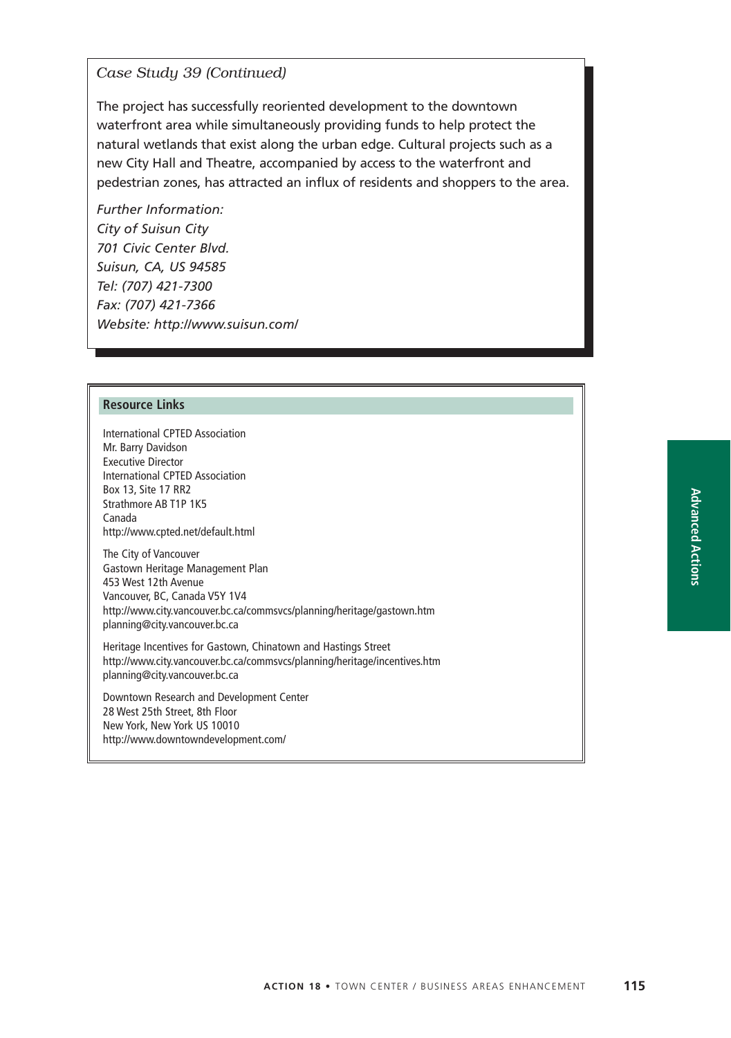### *Case Study 39 (Continued)*

The project has successfully reoriented development to the downtown waterfront area while simultaneously providing funds to help protect the natural wetlands that exist along the urban edge. Cultural projects such as a new City Hall and Theatre, accompanied by access to the waterfront and pedestrian zones, has attracted an influx of residents and shoppers to the area.

*Further Information: City of Suisun City 701 Civic Center Blvd. Suisun, CA, US 94585 Tel: (707) 421-7300 Fax: (707) 421-7366 Website: http://www.suisun.com/*

#### **Resource Links**

International CPTED Association Mr. Barry Davidson Executive Director International CPTED Association Box 13, Site 17 RR2 Strathmore AB T1P 1K5 Canada http://www.cpted.net/default.html

The City of Vancouver Gastown Heritage Management Plan 453 West 12th Avenue Vancouver, BC, Canada V5Y 1V4 http://www.city.vancouver.bc.ca/commsvcs/planning/heritage/gastown.htm planning@city.vancouver.bc.ca

Heritage Incentives for Gastown, Chinatown and Hastings Street http://www.city.vancouver.bc.ca/commsvcs/planning/heritage/incentives.htm planning@city.vancouver.bc.ca

Downtown Research and Development Center 28 West 25th Street, 8th Floor New York, New York US 10010 http://www.downtowndevelopment.com/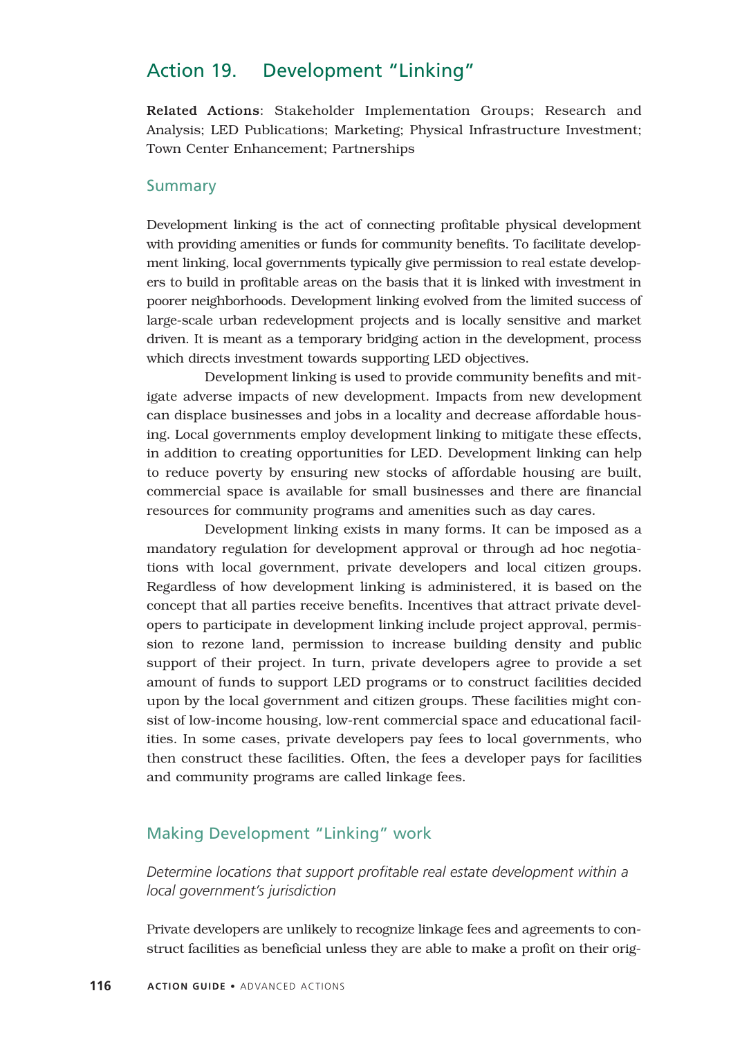# Action 19. Development "Linking"

Related Actions: Stakeholder Implementation Groups; Research and Analysis; LED Publications; Marketing; Physical Infrastructure Investment; Town Center Enhancement; Partnerships

### Summary

Development linking is the act of connecting profitable physical development with providing amenities or funds for community benefits. To facilitate development linking, local governments typically give permission to real estate developers to build in profitable areas on the basis that it is linked with investment in poorer neighborhoods. Development linking evolved from the limited success of large-scale urban redevelopment projects and is locally sensitive and market driven. It is meant as a temporary bridging action in the development, process which directs investment towards supporting LED objectives.

Development linking is used to provide community benefits and mitigate adverse impacts of new development. Impacts from new development can displace businesses and jobs in a locality and decrease affordable housing. Local governments employ development linking to mitigate these effects, in addition to creating opportunities for LED. Development linking can help to reduce poverty by ensuring new stocks of affordable housing are built, commercial space is available for small businesses and there are financial resources for community programs and amenities such as day cares.

Development linking exists in many forms. It can be imposed as a mandatory regulation for development approval or through ad hoc negotiations with local government, private developers and local citizen groups. Regardless of how development linking is administered, it is based on the concept that all parties receive benefits. Incentives that attract private developers to participate in development linking include project approval, permission to rezone land, permission to increase building density and public support of their project. In turn, private developers agree to provide a set amount of funds to support LED programs or to construct facilities decided upon by the local government and citizen groups. These facilities might consist of low-income housing, low-rent commercial space and educational facilities. In some cases, private developers pay fees to local governments, who then construct these facilities. Often, the fees a developer pays for facilities and community programs are called linkage fees.

# Making Development "Linking" work

*Determine locations that support profitable real estate development within a local government's jurisdiction*

Private developers are unlikely to recognize linkage fees and agreements to construct facilities as beneficial unless they are able to make a profit on their orig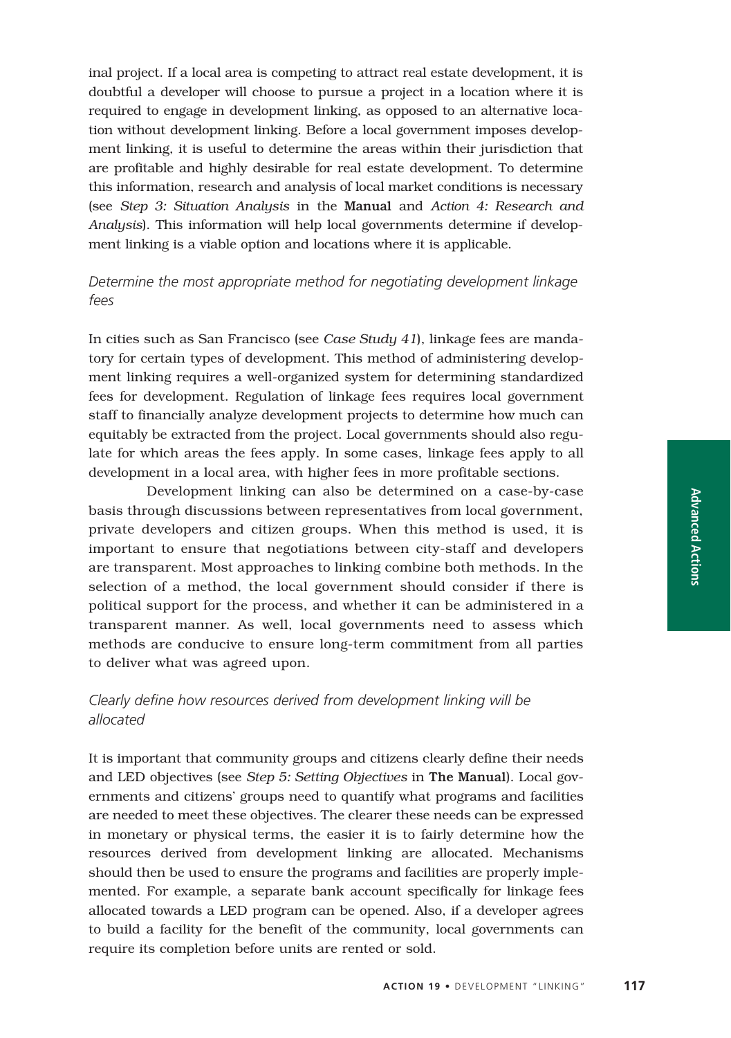inal project. If a local area is competing to attract real estate development, it is doubtful a developer will choose to pursue a project in a location where it is required to engage in development linking, as opposed to an alternative location without development linking. Before a local government imposes development linking, it is useful to determine the areas within their jurisdiction that are profitable and highly desirable for real estate development. To determine this information, research and analysis of local market conditions is necessary (see *Step 3: Situation Analysis* in the Manual and *Action 4: Research and Analysis*). This information will help local governments determine if development linking is a viable option and locations where it is applicable.

## *Determine the most appropriate method for negotiating development linkage fees*

In cities such as San Francisco (see *Case Study 41*), linkage fees are mandatory for certain types of development. This method of administering development linking requires a well-organized system for determining standardized fees for development. Regulation of linkage fees requires local government staff to financially analyze development projects to determine how much can equitably be extracted from the project. Local governments should also regulate for which areas the fees apply. In some cases, linkage fees apply to all development in a local area, with higher fees in more profitable sections.

Development linking can also be determined on a case-by-case basis through discussions between representatives from local government, private developers and citizen groups. When this method is used, it is important to ensure that negotiations between city-staff and developers are transparent. Most approaches to linking combine both methods. In the selection of a method, the local government should consider if there is political support for the process, and whether it can be administered in a transparent manner. As well, local governments need to assess which methods are conducive to ensure long-term commitment from all parties to deliver what was agreed upon.

# *Clearly define how resources derived from development linking will be allocated*

It is important that community groups and citizens clearly define their needs and LED objectives (see *Step 5: Setting Objectives* in The Manual). Local governments and citizens' groups need to quantify what programs and facilities are needed to meet these objectives. The clearer these needs can be expressed in monetary or physical terms, the easier it is to fairly determine how the resources derived from development linking are allocated. Mechanisms should then be used to ensure the programs and facilities are properly implemented. For example, a separate bank account specifically for linkage fees allocated towards a LED program can be opened. Also, if a developer agrees to build a facility for the benefit of the community, local governments can require its completion before units are rented or sold.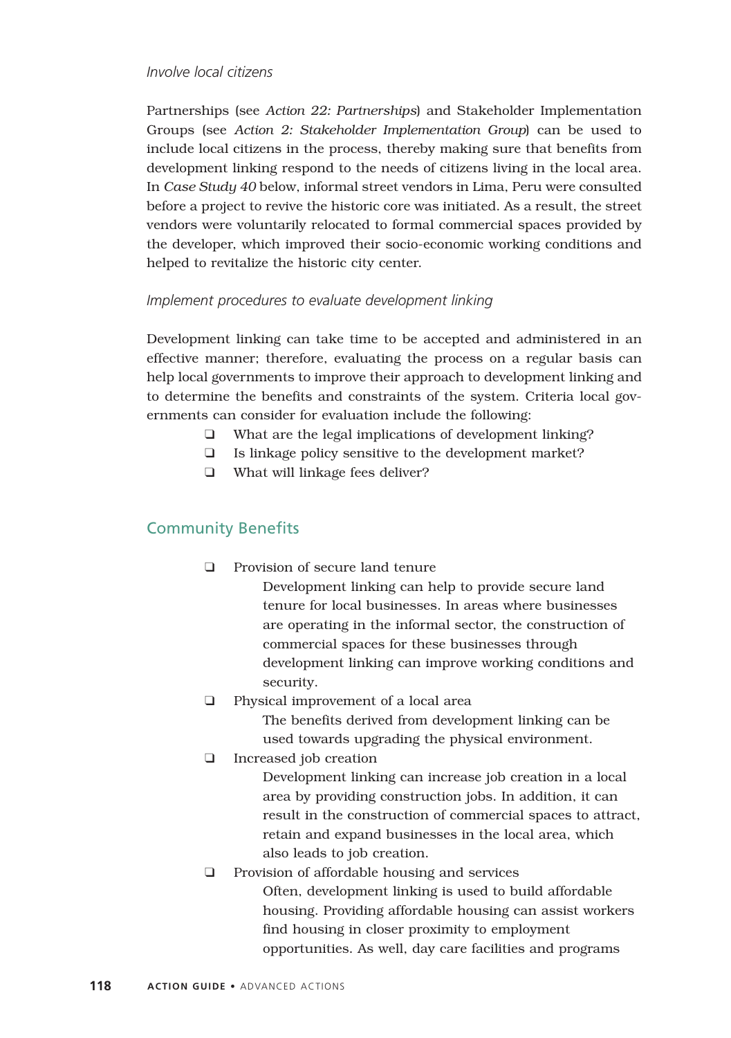#### *Involve local citizens*

Partnerships (see *Action 22: Partnerships*) and Stakeholder Implementation Groups (see *Action 2: Stakeholder Implementation Group*) can be used to include local citizens in the process, thereby making sure that benefits from development linking respond to the needs of citizens living in the local area. In *Case Study 40* below, informal street vendors in Lima, Peru were consulted before a project to revive the historic core was initiated. As a result, the street vendors were voluntarily relocated to formal commercial spaces provided by the developer, which improved their socio-economic working conditions and helped to revitalize the historic city center.

#### *Implement procedures to evaluate development linking*

Development linking can take time to be accepted and administered in an effective manner; therefore, evaluating the process on a regular basis can help local governments to improve their approach to development linking and to determine the benefits and constraints of the system. Criteria local governments can consider for evaluation include the following:

- ❑ What are the legal implications of development linking?
- ❑ Is linkage policy sensitive to the development market?
- ❑ What will linkage fees deliver?

# Community Benefits

❑ Provision of secure land tenure

Development linking can help to provide secure land tenure for local businesses. In areas where businesses are operating in the informal sector, the construction of commercial spaces for these businesses through development linking can improve working conditions and security.

❑ Physical improvement of a local area

The benefits derived from development linking can be used towards upgrading the physical environment.

❑ Increased job creation

Development linking can increase job creation in a local area by providing construction jobs. In addition, it can result in the construction of commercial spaces to attract, retain and expand businesses in the local area, which also leads to job creation.

❑ Provision of affordable housing and services Often, development linking is used to build affordable housing. Providing affordable housing can assist workers find housing in closer proximity to employment opportunities. As well, day care facilities and programs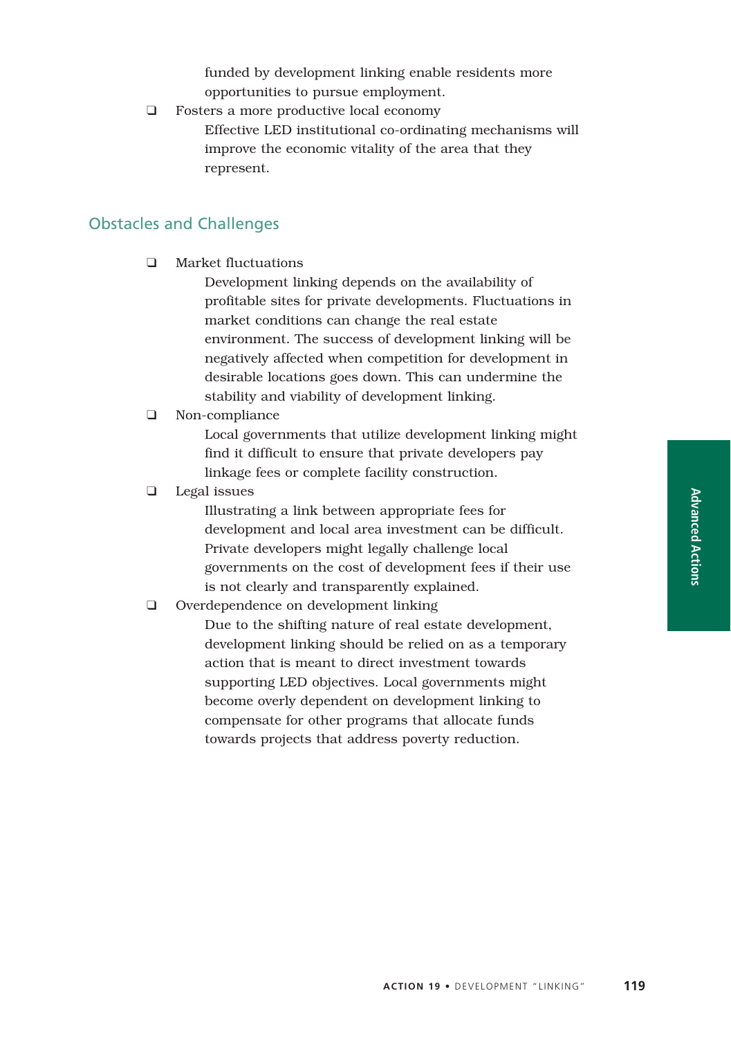funded by development linking enable residents more opportunities to pursue employment.

❑ Fosters a more productive local economy Effective LED institutional co-ordinating mechanisms will improve the economic vitality of the area that they represent.

## Obstacles and Challenges

❑ Market fluctuations

Development linking depends on the availability of profitable sites for private developments. Fluctuations in market conditions can change the real estate environment. The success of development linking will be negatively affected when competition for development in desirable locations goes down. This can undermine the stability and viability of development linking.

### ❑ Non-compliance

Local governments that utilize development linking might find it difficult to ensure that private developers pay linkage fees or complete facility construction.

### ❑ Legal issues

Illustrating a link between appropriate fees for development and local area investment can be difficult. Private developers might legally challenge local governments on the cost of development fees if their use is not clearly and transparently explained.

## ❑ Overdependence on development linking

Due to the shifting nature of real estate development, development linking should be relied on as a temporary action that is meant to direct investment towards supporting LED objectives. Local governments might become overly dependent on development linking to compensate for other programs that allocate funds towards projects that address poverty reduction.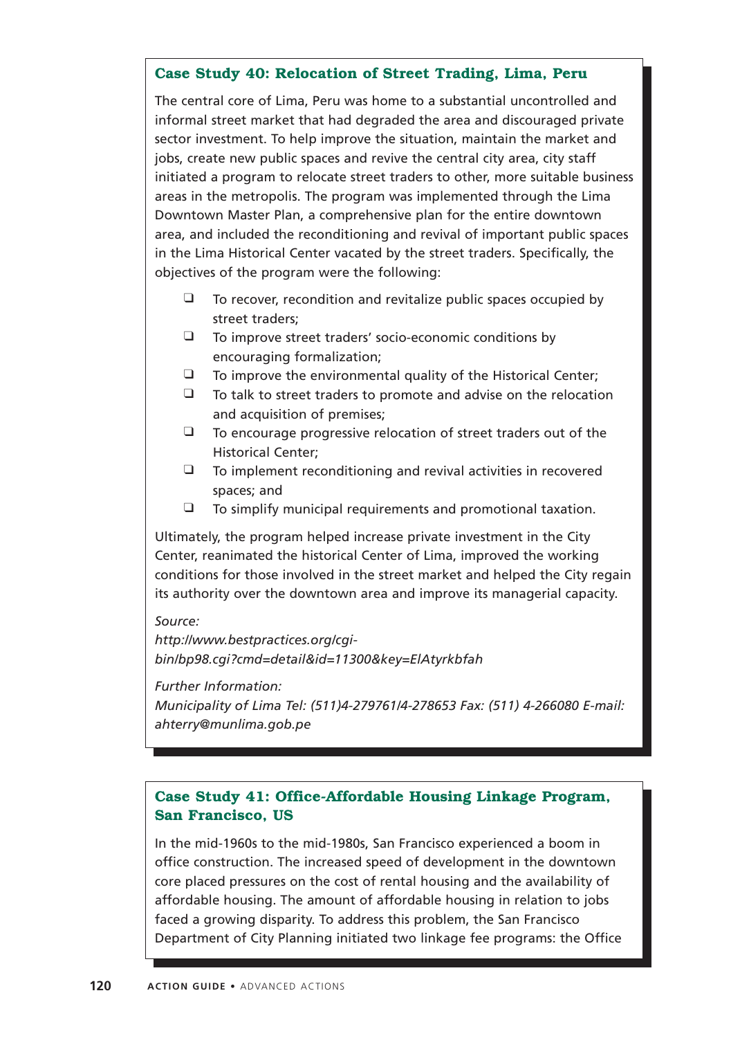## **Case Study 40: Relocation of Street Trading, Lima, Peru**

The central core of Lima, Peru was home to a substantial uncontrolled and informal street market that had degraded the area and discouraged private sector investment. To help improve the situation, maintain the market and jobs, create new public spaces and revive the central city area, city staff initiated a program to relocate street traders to other, more suitable business areas in the metropolis. The program was implemented through the Lima Downtown Master Plan, a comprehensive plan for the entire downtown area, and included the reconditioning and revival of important public spaces in the Lima Historical Center vacated by the street traders. Specifically, the objectives of the program were the following:

- $\Box$  To recover, recondition and revitalize public spaces occupied by street traders;
- ❑ To improve street traders' socio-economic conditions by encouraging formalization;
- ❑ To improve the environmental quality of the Historical Center;
- ❑ To talk to street traders to promote and advise on the relocation and acquisition of premises;
- ❑ To encourage progressive relocation of street traders out of the Historical Center;
- $\Box$  To implement reconditioning and revival activities in recovered spaces; and
- ❑ To simplify municipal requirements and promotional taxation.

Ultimately, the program helped increase private investment in the City Center, reanimated the historical Center of Lima, improved the working conditions for those involved in the street market and helped the City regain its authority over the downtown area and improve its managerial capacity.

### *Source:*

*http://www.bestpractices.org/cgibin/bp98.cgi?cmd=detail&id=11300&key=ElAtyrkbfah*

*Further Information:*

*Municipality of Lima Tel: (511)4-279761/4-278653 Fax: (511) 4-266080 E-mail: ahterry@munlima.gob.pe*

# **Case Study 41: Office-Affordable Housing Linkage Program, San Francisco, US**

In the mid-1960s to the mid-1980s, San Francisco experienced a boom in office construction. The increased speed of development in the downtown core placed pressures on the cost of rental housing and the availability of affordable housing. The amount of affordable housing in relation to jobs faced a growing disparity. To address this problem, the San Francisco Department of City Planning initiated two linkage fee programs: the Office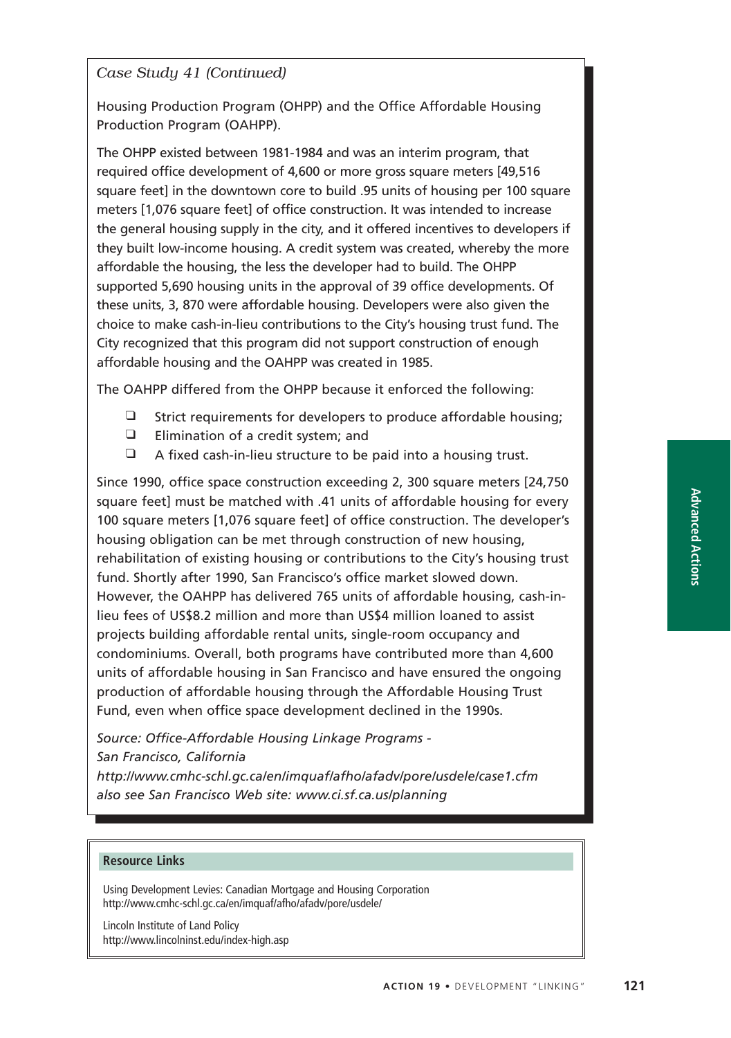## *Case Study 41 (Continued)*

Housing Production Program (OHPP) and the Office Affordable Housing Production Program (OAHPP).

The OHPP existed between 1981-1984 and was an interim program, that required office development of 4,600 or more gross square meters [49,516 square feet] in the downtown core to build .95 units of housing per 100 square meters [1,076 square feet] of office construction. It was intended to increase the general housing supply in the city, and it offered incentives to developers if they built low-income housing. A credit system was created, whereby the more affordable the housing, the less the developer had to build. The OHPP supported 5,690 housing units in the approval of 39 office developments. Of these units, 3, 870 were affordable housing. Developers were also given the choice to make cash-in-lieu contributions to the City's housing trust fund. The City recognized that this program did not support construction of enough affordable housing and the OAHPP was created in 1985.

The OAHPP differed from the OHPP because it enforced the following:

- ❑ Strict requirements for developers to produce affordable housing;
- ❑ Elimination of a credit system; and
- ❑ A fixed cash-in-lieu structure to be paid into a housing trust.

Since 1990, office space construction exceeding 2, 300 square meters [24,750 square feet] must be matched with .41 units of affordable housing for every 100 square meters [1,076 square feet] of office construction. The developer's housing obligation can be met through construction of new housing, rehabilitation of existing housing or contributions to the City's housing trust fund. Shortly after 1990, San Francisco's office market slowed down. However, the OAHPP has delivered 765 units of affordable housing, cash-inlieu fees of US\$8.2 million and more than US\$4 million loaned to assist projects building affordable rental units, single-room occupancy and condominiums. Overall, both programs have contributed more than 4,600 units of affordable housing in San Francisco and have ensured the ongoing production of affordable housing through the Affordable Housing Trust Fund, even when office space development declined in the 1990s.

*Source: Office-Affordable Housing Linkage Programs - San Francisco, California*

*http://www.cmhc-schl.gc.ca/en/imquaf/afho/afadv/pore/usdele/case1.cfm also see San Francisco Web site: www.ci.sf.ca.us/planning*

#### **Resource Links**

Using Development Levies: Canadian Mortgage and Housing Corporation http://www.cmhc-schl.gc.ca/en/imquaf/afho/afadv/pore/usdele/

Lincoln Institute of Land Policy http://www.lincolninst.edu/index-high.asp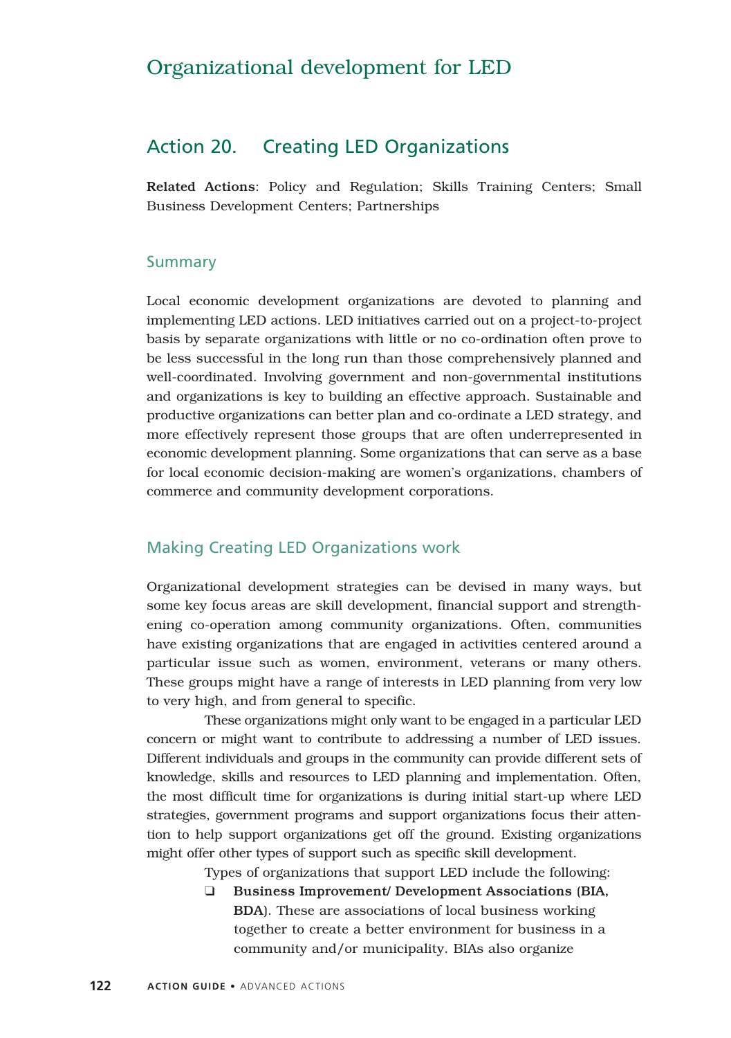# Organizational development for LED

# Action 20. Creating LED Organizations

Related Actions: Policy and Regulation; Skills Training Centers; Small Business Development Centers; Partnerships

### Summary

Local economic development organizations are devoted to planning and implementing LED actions. LED initiatives carried out on a project-to-project basis by separate organizations with little or no co-ordination often prove to be less successful in the long run than those comprehensively planned and well-coordinated. Involving government and non-governmental institutions and organizations is key to building an effective approach. Sustainable and productive organizations can better plan and co-ordinate a LED strategy, and more effectively represent those groups that are often underrepresented in economic development planning. Some organizations that can serve as a base for local economic decision-making are women's organizations, chambers of commerce and community development corporations.

## Making Creating LED Organizations work

Organizational development strategies can be devised in many ways, but some key focus areas are skill development, financial support and strengthening co-operation among community organizations. Often, communities have existing organizations that are engaged in activities centered around a particular issue such as women, environment, veterans or many others. These groups might have a range of interests in LED planning from very low to very high, and from general to specific.

These organizations might only want to be engaged in a particular LED concern or might want to contribute to addressing a number of LED issues. Different individuals and groups in the community can provide different sets of knowledge, skills and resources to LED planning and implementation. Often, the most difficult time for organizations is during initial start-up where LED strategies, government programs and support organizations focus their attention to help support organizations get off the ground. Existing organizations might offer other types of support such as specific skill development.

Types of organizations that support LED include the following:

❑ Business Improvement/ Development Associations (BIA, BDA). These are associations of local business working together to create a better environment for business in a community and/or municipality. BIAs also organize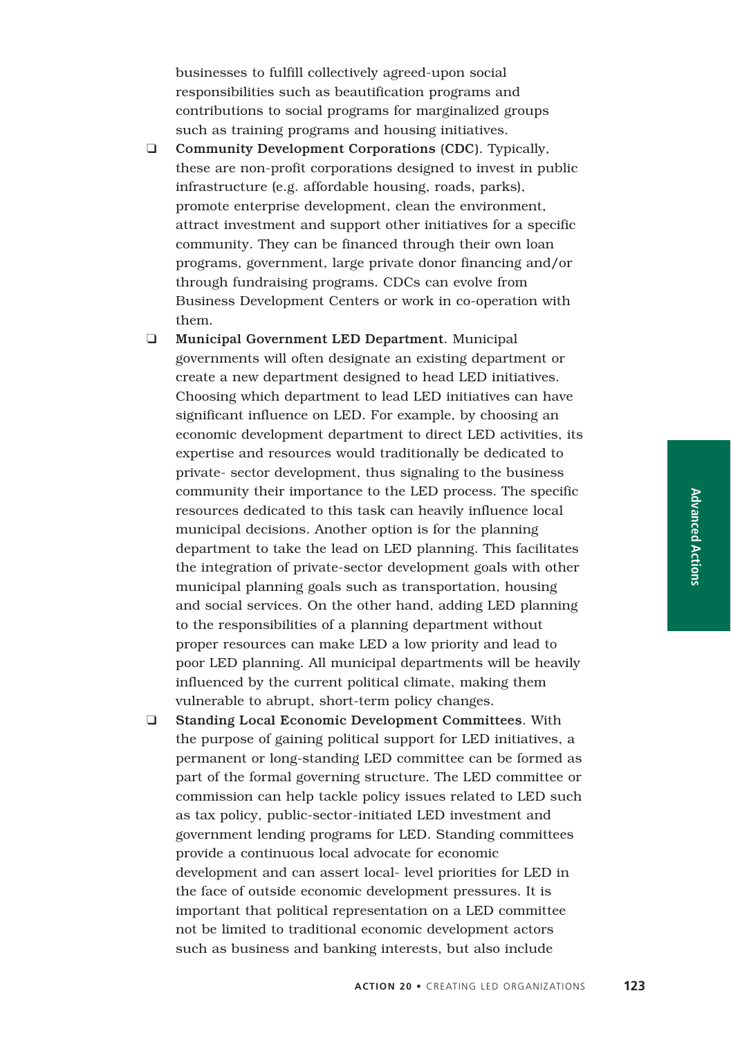businesses to fulfill collectively agreed-upon social responsibilities such as beautification programs and contributions to social programs for marginalized groups such as training programs and housing initiatives.

❑ Community Development Corporations (CDC). Typically, these are non-profit corporations designed to invest in public infrastructure (e.g. affordable housing, roads, parks), promote enterprise development, clean the environment, attract investment and support other initiatives for a specific community. They can be financed through their own loan programs, government, large private donor financing and/or through fundraising programs. CDCs can evolve from Business Development Centers or work in co-operation with them.

❑ Municipal Government LED Department. Municipal governments will often designate an existing department or create a new department designed to head LED initiatives. Choosing which department to lead LED initiatives can have significant influence on LED. For example, by choosing an economic development department to direct LED activities, its expertise and resources would traditionally be dedicated to private- sector development, thus signaling to the business community their importance to the LED process. The specific resources dedicated to this task can heavily influence local municipal decisions. Another option is for the planning department to take the lead on LED planning. This facilitates the integration of private-sector development goals with other municipal planning goals such as transportation, housing and social services. On the other hand, adding LED planning to the responsibilities of a planning department without proper resources can make LED a low priority and lead to poor LED planning. All municipal departments will be heavily influenced by the current political climate, making them vulnerable to abrupt, short-term policy changes.

❑ Standing Local Economic Development Committees. With the purpose of gaining political support for LED initiatives, a permanent or long-standing LED committee can be formed as part of the formal governing structure. The LED committee or commission can help tackle policy issues related to LED such as tax policy, public-sector-initiated LED investment and government lending programs for LED. Standing committees provide a continuous local advocate for economic development and can assert local- level priorities for LED in the face of outside economic development pressures. It is important that political representation on a LED committee not be limited to traditional economic development actors such as business and banking interests, but also include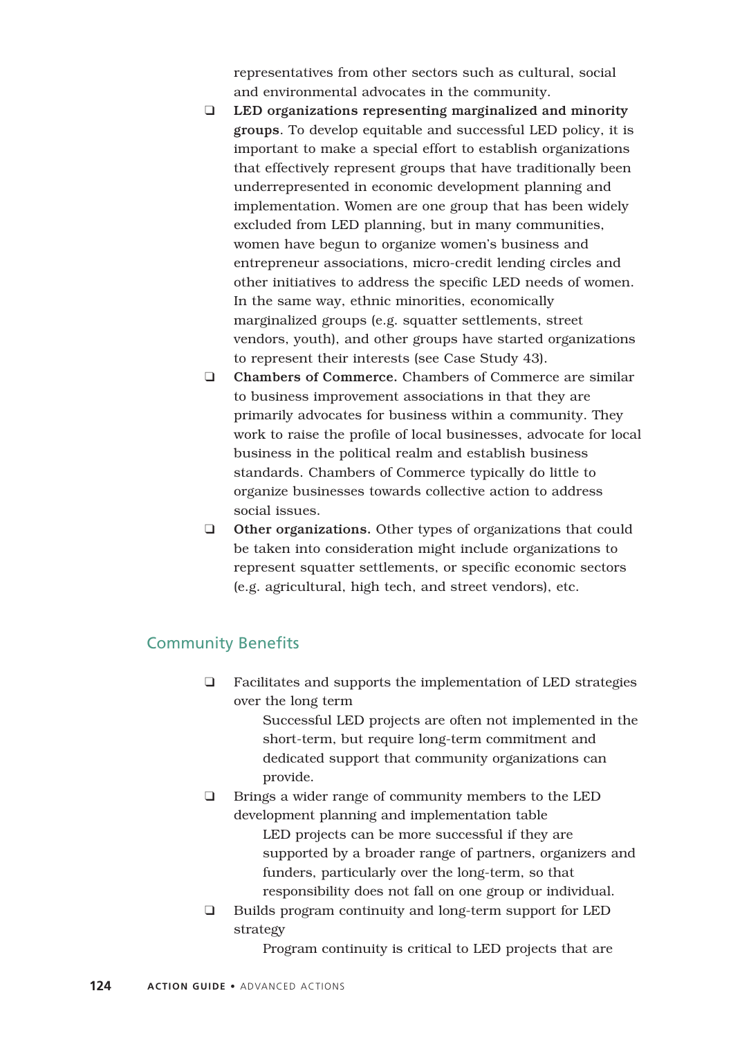representatives from other sectors such as cultural, social and environmental advocates in the community.

- ❑ LED organizations representing marginalized and minority groups. To develop equitable and successful LED policy, it is important to make a special effort to establish organizations that effectively represent groups that have traditionally been underrepresented in economic development planning and implementation. Women are one group that has been widely excluded from LED planning, but in many communities, women have begun to organize women's business and entrepreneur associations, micro-credit lending circles and other initiatives to address the specific LED needs of women. In the same way, ethnic minorities, economically marginalized groups (e.g. squatter settlements, street vendors, youth), and other groups have started organizations to represent their interests (see Case Study 43).
- ❑ Chambers of Commerce. Chambers of Commerce are similar to business improvement associations in that they are primarily advocates for business within a community. They work to raise the profile of local businesses, advocate for local business in the political realm and establish business standards. Chambers of Commerce typically do little to organize businesses towards collective action to address social issues.
- ❑ Other organizations. Other types of organizations that could be taken into consideration might include organizations to represent squatter settlements, or specific economic sectors (e.g. agricultural, high tech, and street vendors), etc.

# Community Benefits

❑ Facilitates and supports the implementation of LED strategies over the long term

> Successful LED projects are often not implemented in the short-term, but require long-term commitment and dedicated support that community organizations can provide.

- ❑ Brings a wider range of community members to the LED development planning and implementation table LED projects can be more successful if they are supported by a broader range of partners, organizers and funders, particularly over the long-term, so that responsibility does not fall on one group or individual.
- ❑ Builds program continuity and long-term support for LED strategy

Program continuity is critical to LED projects that are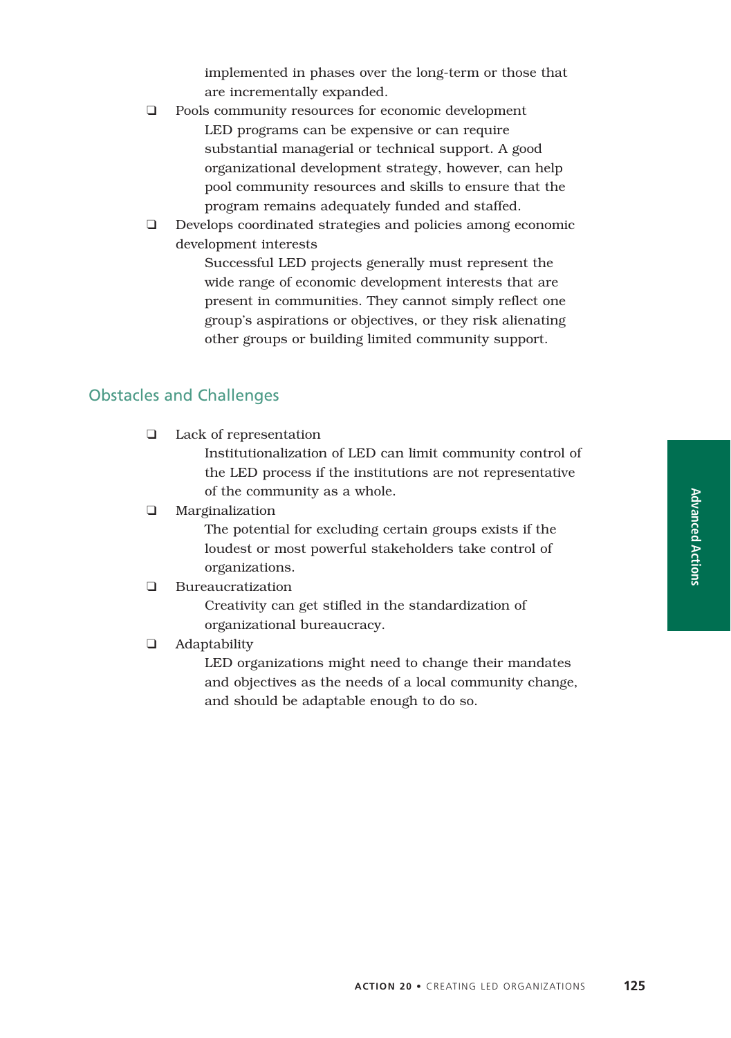implemented in phases over the long-term or those that are incrementally expanded.

- ❑ Pools community resources for economic development LED programs can be expensive or can require substantial managerial or technical support. A good organizational development strategy, however, can help pool community resources and skills to ensure that the program remains adequately funded and staffed.
- ❑ Develops coordinated strategies and policies among economic development interests

Successful LED projects generally must represent the wide range of economic development interests that are present in communities. They cannot simply reflect one group's aspirations or objectives, or they risk alienating other groups or building limited community support.

# Obstacles and Challenges

❑ Lack of representation

Institutionalization of LED can limit community control of the LED process if the institutions are not representative of the community as a whole.

❑ Marginalization

The potential for excluding certain groups exists if the loudest or most powerful stakeholders take control of organizations.

### ❑ Bureaucratization

Creativity can get stifled in the standardization of organizational bureaucracy.

❑ Adaptability

LED organizations might need to change their mandates and objectives as the needs of a local community change, and should be adaptable enough to do so.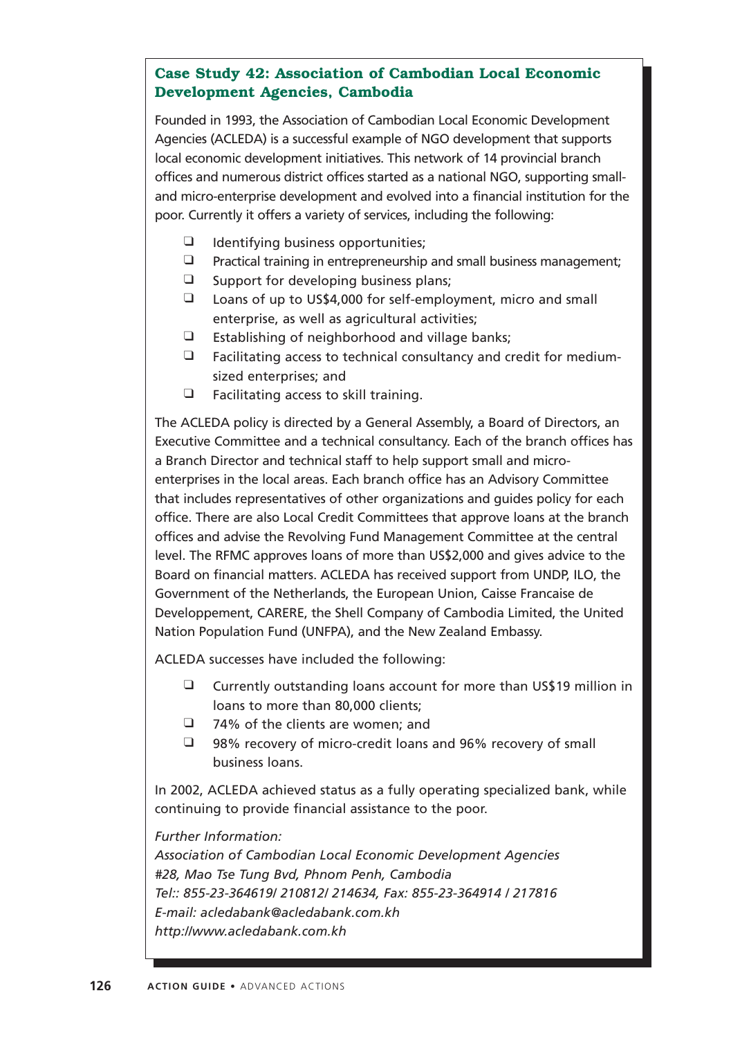# **Case Study 42: Association of Cambodian Local Economic Development Agencies, Cambodia**

Founded in 1993, the Association of Cambodian Local Economic Development Agencies (ACLEDA) is a successful example of NGO development that supports local economic development initiatives. This network of 14 provincial branch offices and numerous district offices started as a national NGO, supporting smalland micro-enterprise development and evolved into a financial institution for the poor. Currently it offers a variety of services, including the following:

- ❑ Identifying business opportunities;
- ❑ Practical training in entrepreneurship and small business management;
- $\Box$  Support for developing business plans;
- ❑ Loans of up to US\$4,000 for self-employment, micro and small enterprise, as well as agricultural activities;
- ❑ Establishing of neighborhood and village banks;
- ❑ Facilitating access to technical consultancy and credit for mediumsized enterprises; and
- ❑ Facilitating access to skill training.

The ACLEDA policy is directed by a General Assembly, a Board of Directors, an Executive Committee and a technical consultancy. Each of the branch offices has a Branch Director and technical staff to help support small and microenterprises in the local areas. Each branch office has an Advisory Committee that includes representatives of other organizations and guides policy for each office. There are also Local Credit Committees that approve loans at the branch offices and advise the Revolving Fund Management Committee at the central level. The RFMC approves loans of more than US\$2,000 and gives advice to the Board on financial matters. ACLEDA has received support from UNDP, ILO, the Government of the Netherlands, the European Union, Caisse Francaise de Developpement, CARERE, the Shell Company of Cambodia Limited, the United Nation Population Fund (UNFPA), and the New Zealand Embassy.

ACLEDA successes have included the following:

- ❑ Currently outstanding loans account for more than US\$19 million in loans to more than 80,000 clients;
- ❑ 74% of the clients are women; and
- ❑ 98% recovery of micro-credit loans and 96% recovery of small business loans.

In 2002, ACLEDA achieved status as a fully operating specialized bank, while continuing to provide financial assistance to the poor.

*Further Information:*

*Association of Cambodian Local Economic Development Agencies #28, Mao Tse Tung Bvd, Phnom Penh, Cambodia Tel:: 855-23-364619/ 210812/ 214634, Fax: 855-23-364914 / 217816 E-mail: acledabank@acledabank.com.kh http://www.acledabank.com.kh*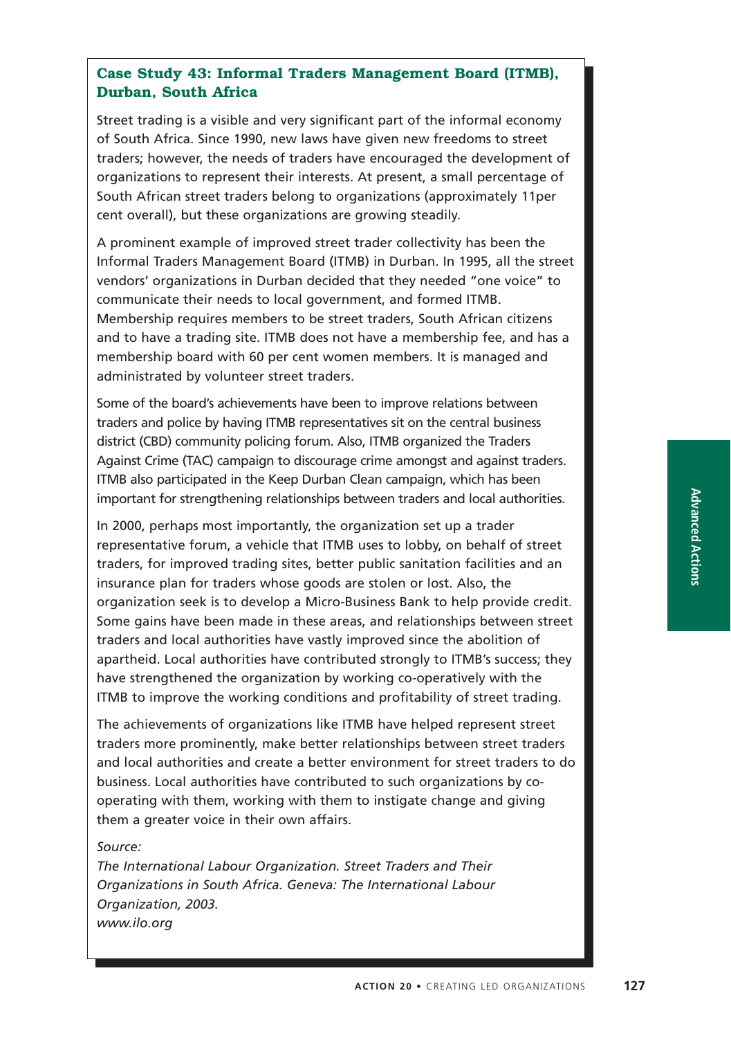# **Case Study 43: Informal Traders Management Board (ITMB), Durban, South Africa**

Street trading is a visible and very significant part of the informal economy of South Africa. Since 1990, new laws have given new freedoms to street traders; however, the needs of traders have encouraged the development of organizations to represent their interests. At present, a small percentage of South African street traders belong to organizations (approximately 11per cent overall), but these organizations are growing steadily.

A prominent example of improved street trader collectivity has been the Informal Traders Management Board (ITMB) in Durban. In 1995, all the street vendors' organizations in Durban decided that they needed "one voice" to communicate their needs to local government, and formed ITMB. Membership requires members to be street traders, South African citizens and to have a trading site. ITMB does not have a membership fee, and has a membership board with 60 per cent women members. It is managed and administrated by volunteer street traders.

Some of the board's achievements have been to improve relations between traders and police by having ITMB representatives sit on the central business district (CBD) community policing forum. Also, ITMB organized the Traders Against Crime (TAC) campaign to discourage crime amongst and against traders. ITMB also participated in the Keep Durban Clean campaign, which has been important for strengthening relationships between traders and local authorities.

In 2000, perhaps most importantly, the organization set up a trader representative forum, a vehicle that ITMB uses to lobby, on behalf of street traders, for improved trading sites, better public sanitation facilities and an insurance plan for traders whose goods are stolen or lost. Also, the organization seek is to develop a Micro-Business Bank to help provide credit. Some gains have been made in these areas, and relationships between street traders and local authorities have vastly improved since the abolition of apartheid. Local authorities have contributed strongly to ITMB's success; they have strengthened the organization by working co-operatively with the ITMB to improve the working conditions and profitability of street trading.

The achievements of organizations like ITMB have helped represent street traders more prominently, make better relationships between street traders and local authorities and create a better environment for street traders to do business. Local authorities have contributed to such organizations by cooperating with them, working with them to instigate change and giving them a greater voice in their own affairs.

#### *Source:*

*The International Labour Organization. Street Traders and Their Organizations in South Africa. Geneva: The International Labour Organization, 2003. www.ilo.org*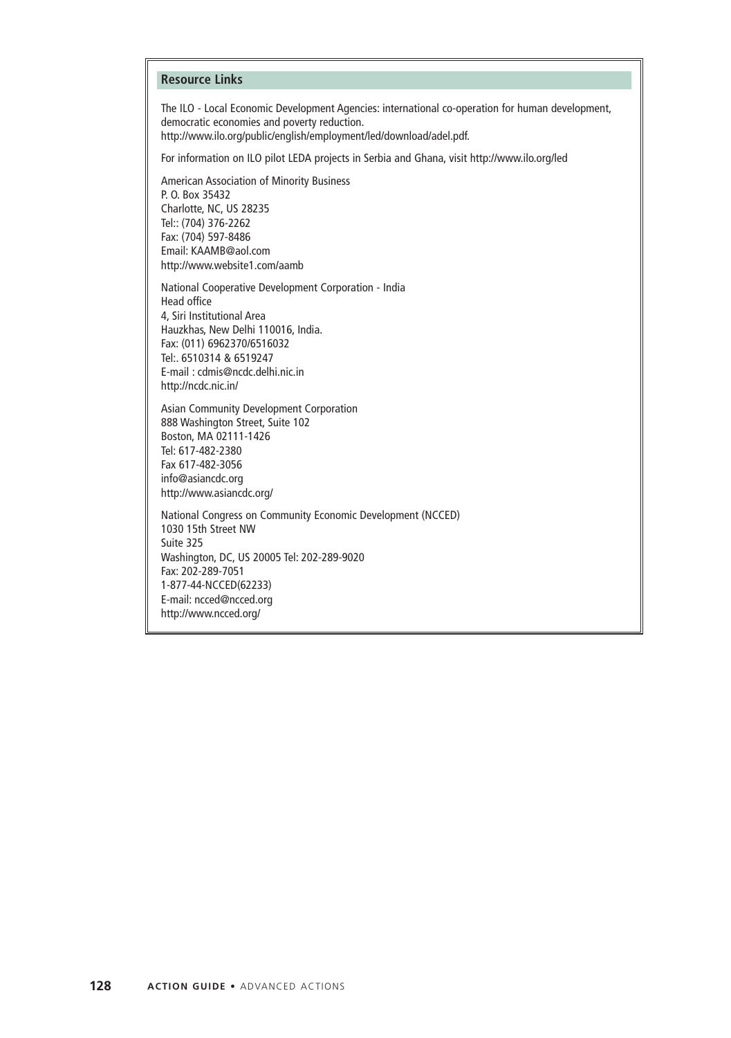#### **Resource Links**

The ILO - Local Economic Development Agencies: international co-operation for human development, democratic economies and poverty reduction.

http://www.ilo.org/public/english/employment/led/download/adel.pdf.

For information on ILO pilot LEDA projects in Serbia and Ghana, visit http://www.ilo.org/led

American Association of Minority Business P. O. Box 35432 Charlotte, NC, US 28235 Tel:: (704) 376-2262 Fax: (704) 597-8486 Email: KAAMB@aol.com http://www.website1.com/aamb

National Cooperative Development Corporation - India Head office 4, Siri Institutional Area Hauzkhas, New Delhi 110016, India. Fax: (011) 6962370/6516032 Tel:. 6510314 & 6519247 E-mail : cdmis@ncdc.delhi.nic.in http://ncdc.nic.in/

Asian Community Development Corporation 888 Washington Street, Suite 102 Boston, MA 02111-1426 Tel: 617-482-2380 Fax 617-482-3056 info@asiancdc.org http://www.asiancdc.org/

National Congress on Community Economic Development (NCCED) 1030 15th Street NW Suite 325 Washington, DC, US 20005 Tel: 202-289-9020 Fax: 202-289-7051 1-877-44-NCCED(62233) E-mail: ncced@ncced.org http://www.ncced.org/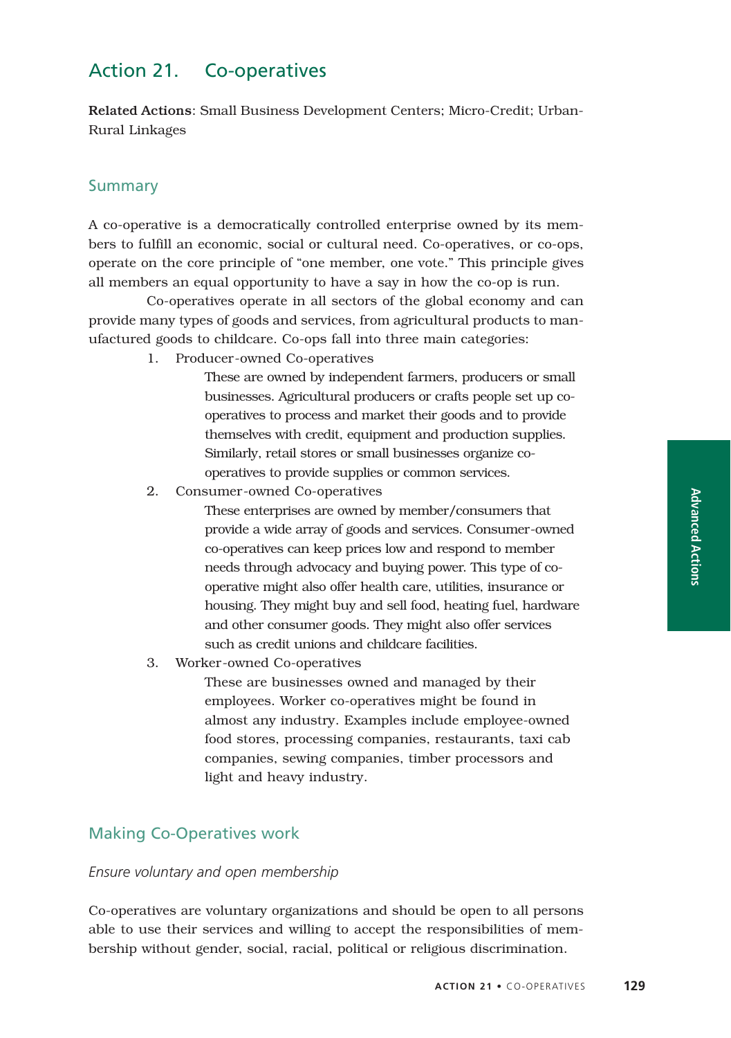# Action 21. Co-operatives

Related Actions: Small Business Development Centers; Micro-Credit; Urban-Rural Linkages

### **Summary**

A co-operative is a democratically controlled enterprise owned by its members to fulfill an economic, social or cultural need. Co-operatives, or co-ops, operate on the core principle of "one member, one vote." This principle gives all members an equal opportunity to have a say in how the co-op is run.

Co-operatives operate in all sectors of the global economy and can provide many types of goods and services, from agricultural products to manufactured goods to childcare. Co-ops fall into three main categories:

1. Producer-owned Co-operatives

These are owned by independent farmers, producers or small businesses. Agricultural producers or crafts people set up cooperatives to process and market their goods and to provide themselves with credit, equipment and production supplies. Similarly, retail stores or small businesses organize cooperatives to provide supplies or common services.

2. Consumer-owned Co-operatives

These enterprises are owned by member/consumers that provide a wide array of goods and services. Consumer-owned co-operatives can keep prices low and respond to member needs through advocacy and buying power. This type of cooperative might also offer health care, utilities, insurance or housing. They might buy and sell food, heating fuel, hardware and other consumer goods. They might also offer services such as credit unions and childcare facilities.

3. Worker-owned Co-operatives

These are businesses owned and managed by their employees. Worker co-operatives might be found in almost any industry. Examples include employee-owned food stores, processing companies, restaurants, taxi cab companies, sewing companies, timber processors and light and heavy industry.

### Making Co-Operatives work

#### *Ensure voluntary and open membership*

Co-operatives are voluntary organizations and should be open to all persons able to use their services and willing to accept the responsibilities of membership without gender, social, racial, political or religious discrimination.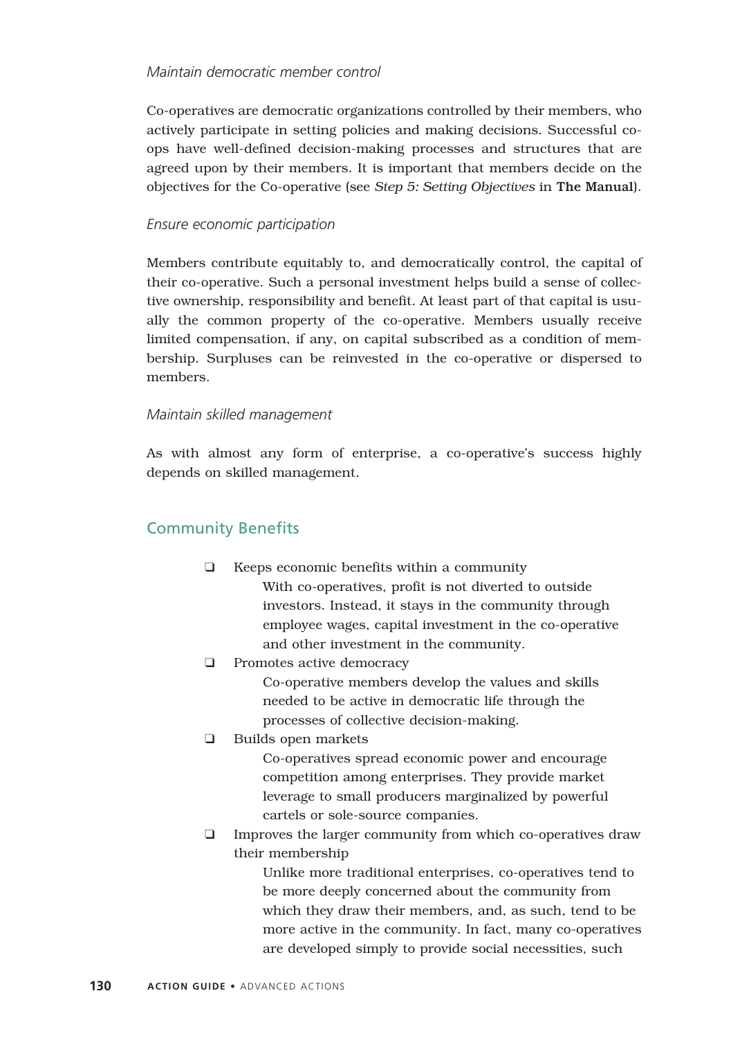### *Maintain democratic member control*

Co-operatives are democratic organizations controlled by their members, who actively participate in setting policies and making decisions. Successful coops have well-defined decision-making processes and structures that are agreed upon by their members. It is important that members decide on the objectives for the Co-operative (see *Step 5: Setting Objectives* in The Manual).

### *Ensure economic participation*

Members contribute equitably to, and democratically control, the capital of their co-operative. Such a personal investment helps build a sense of collective ownership, responsibility and benefit. At least part of that capital is usually the common property of the co-operative. Members usually receive limited compensation, if any, on capital subscribed as a condition of membership. Surpluses can be reinvested in the co-operative or dispersed to members.

### *Maintain skilled management*

As with almost any form of enterprise, a co-operative's success highly depends on skilled management.

# Community Benefits

- ❑ Keeps economic benefits within a community With co-operatives, profit is not diverted to outside investors. Instead, it stays in the community through employee wages, capital investment in the co-operative and other investment in the community.
- ❑ Promotes active democracy Co-operative members develop the values and skills needed to be active in democratic life through the processes of collective decision-making.
- ❑ Builds open markets

Co-operatives spread economic power and encourage competition among enterprises. They provide market leverage to small producers marginalized by powerful cartels or sole-source companies.

❑ Improves the larger community from which co-operatives draw their membership

> Unlike more traditional enterprises, co-operatives tend to be more deeply concerned about the community from which they draw their members, and, as such, tend to be more active in the community. In fact, many co-operatives are developed simply to provide social necessities, such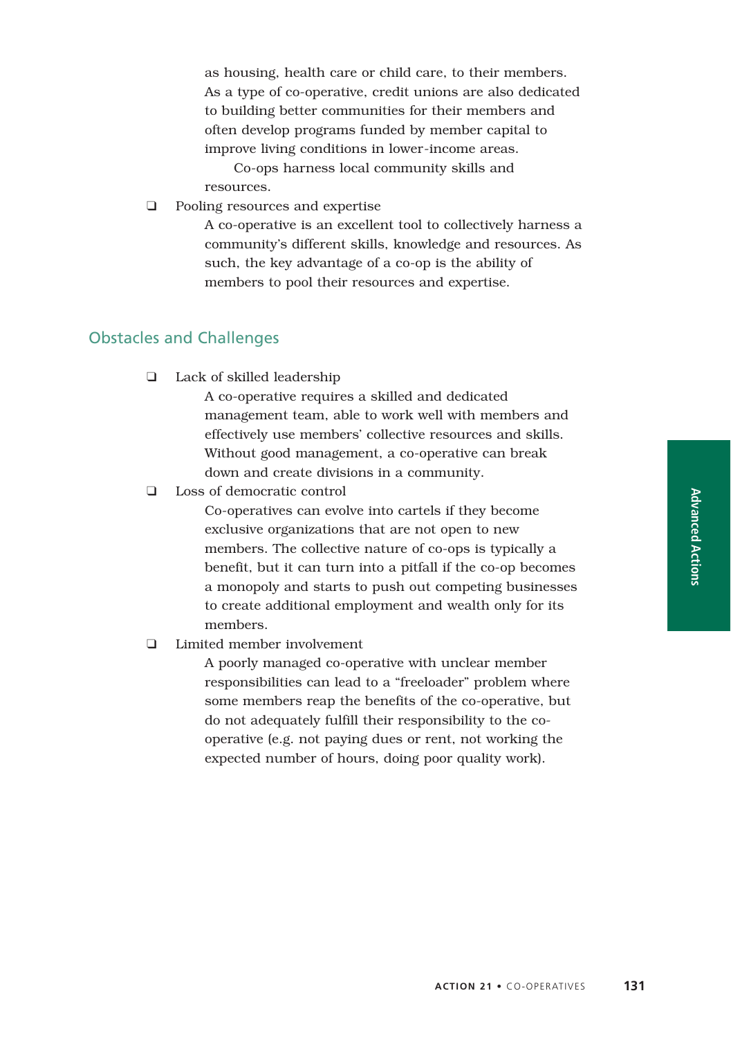as housing, health care or child care, to their members. As a type of co-operative, credit unions are also dedicated to building better communities for their members and often develop programs funded by member capital to improve living conditions in lower-income areas.

Co-ops harness local community skills and resources.

❑ Pooling resources and expertise

A co-operative is an excellent tool to collectively harness a community's different skills, knowledge and resources. As such, the key advantage of a co-op is the ability of members to pool their resources and expertise.

## Obstacles and Challenges

❑ Lack of skilled leadership

A co-operative requires a skilled and dedicated management team, able to work well with members and effectively use members' collective resources and skills. Without good management, a co-operative can break down and create divisions in a community.

❑ Loss of democratic control

Co-operatives can evolve into cartels if they become exclusive organizations that are not open to new members. The collective nature of co-ops is typically a benefit, but it can turn into a pitfall if the co-op becomes a monopoly and starts to push out competing businesses to create additional employment and wealth only for its members.

### ❑ Limited member involvement

A poorly managed co-operative with unclear member responsibilities can lead to a "freeloader" problem where some members reap the benefits of the co-operative, but do not adequately fulfill their responsibility to the cooperative (e.g. not paying dues or rent, not working the expected number of hours, doing poor quality work).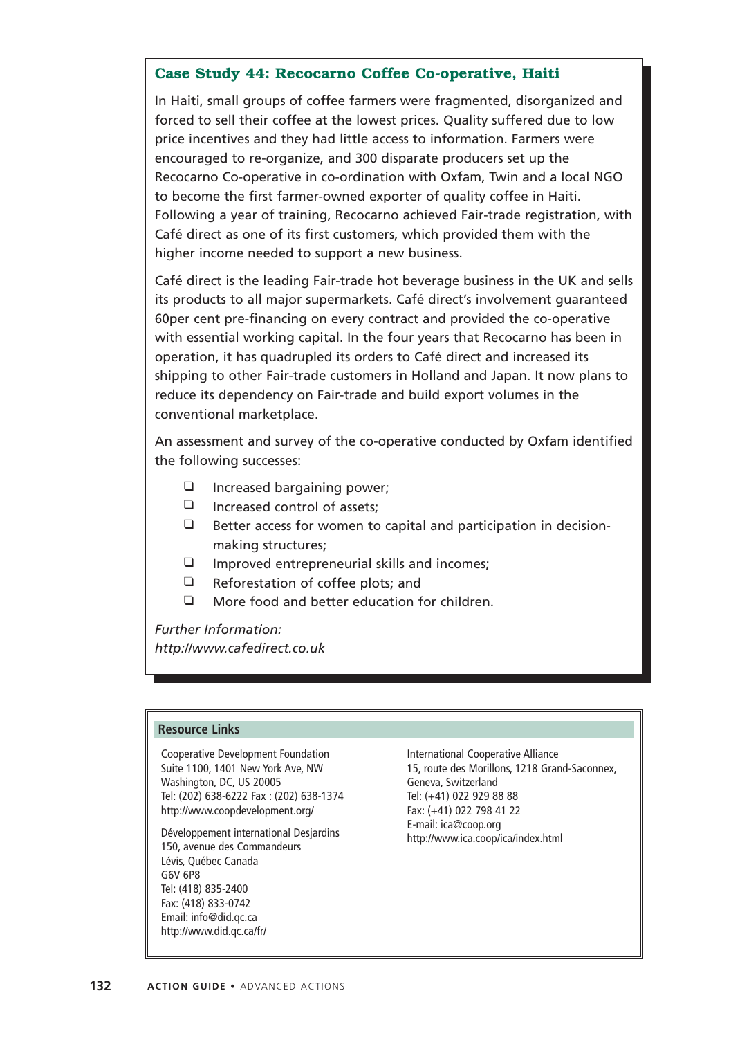### **Case Study 44: Recocarno Coffee Co-operative, Haiti**

In Haiti, small groups of coffee farmers were fragmented, disorganized and forced to sell their coffee at the lowest prices. Quality suffered due to low price incentives and they had little access to information. Farmers were encouraged to re-organize, and 300 disparate producers set up the Recocarno Co-operative in co-ordination with Oxfam, Twin and a local NGO to become the first farmer-owned exporter of quality coffee in Haiti. Following a year of training, Recocarno achieved Fair-trade registration, with Café direct as one of its first customers, which provided them with the higher income needed to support a new business.

Café direct is the leading Fair-trade hot beverage business in the UK and sells its products to all major supermarkets. Café direct's involvement guaranteed 60per cent pre-financing on every contract and provided the co-operative with essential working capital. In the four years that Recocarno has been in operation, it has quadrupled its orders to Café direct and increased its shipping to other Fair-trade customers in Holland and Japan. It now plans to reduce its dependency on Fair-trade and build export volumes in the conventional marketplace.

An assessment and survey of the co-operative conducted by Oxfam identified the following successes:

- ❑ Increased bargaining power;
- ❑ Increased control of assets;
- ❑ Better access for women to capital and participation in decisionmaking structures;
- ❑ Improved entrepreneurial skills and incomes;
- ❑ Reforestation of coffee plots; and
- ❑ More food and better education for children.

*Further Information:*

*http://www.cafedirect.co.uk*

#### **Resource Links**

Cooperative Development Foundation Suite 1100, 1401 New York Ave, NW Washington, DC, US 20005 Tel: (202) 638-6222 Fax : (202) 638-1374 http://www.coopdevelopment.org/

Développement international Desjardins 150, avenue des Commandeurs Lévis, Québec Canada G6V 6P8 Tel: (418) 835-2400 Fax: (418) 833-0742 Email: info@did.qc.ca http://www.did.qc.ca/fr/

International Cooperative Alliance 15, route des Morillons, 1218 Grand-Saconnex, Geneva, Switzerland Tel: (+41) 022 929 88 88 Fax: (+41) 022 798 41 22 E-mail: ica@coop.org http://www.ica.coop/ica/index.html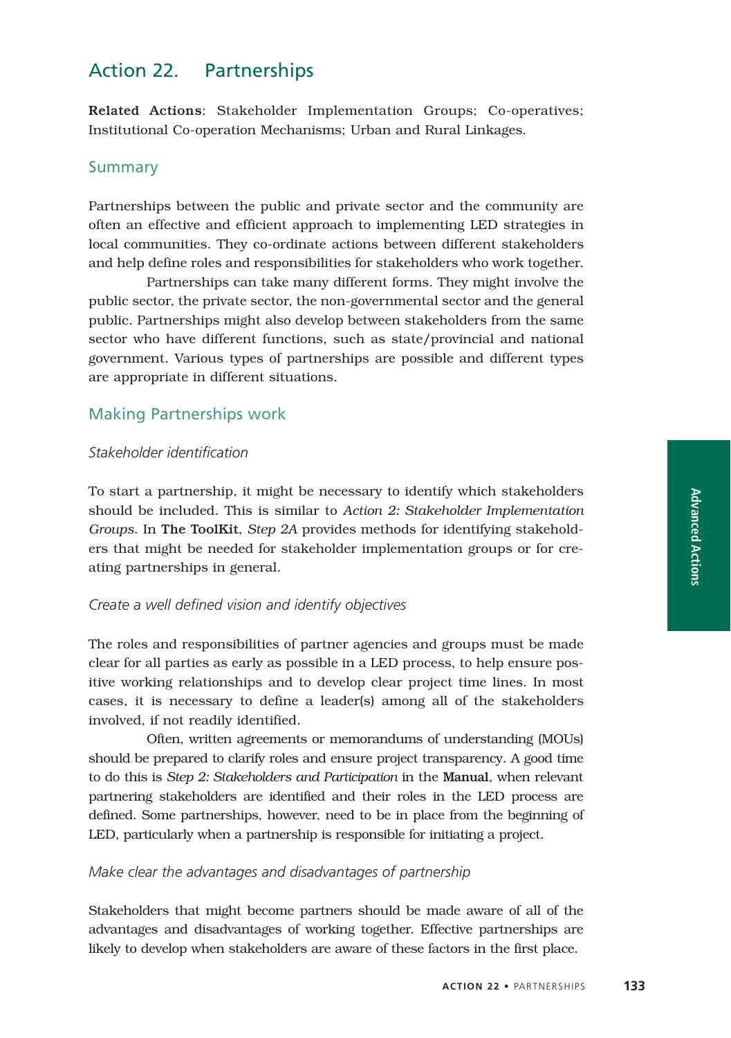## Action 22. Partnerships

Related Actions: Stakeholder Implementation Groups; Co-operatives; Institutional Co-operation Mechanisms; Urban and Rural Linkages.

#### Summary

Partnerships between the public and private sector and the community are often an effective and efficient approach to implementing LED strategies in local communities. They co-ordinate actions between different stakeholders and help define roles and responsibilities for stakeholders who work together.

Partnerships can take many different forms. They might involve the public sector, the private sector, the non-governmental sector and the general public. Partnerships might also develop between stakeholders from the same sector who have different functions, such as state/provincial and national government. Various types of partnerships are possible and different types are appropriate in different situations.

## Making Partnerships work

#### *Stakeholder identification*

To start a partnership, it might be necessary to identify which stakeholders should be included. This is similar to *Action 2: Stakeholder Implementation Groups*. In The ToolKit, *Step 2A* provides methods for identifying stakeholders that might be needed for stakeholder implementation groups or for creating partnerships in general.

#### *Create a well defined vision and identify objectives*

The roles and responsibilities of partner agencies and groups must be made clear for all parties as early as possible in a LED process, to help ensure positive working relationships and to develop clear project time lines. In most cases, it is necessary to define a leader(s) among all of the stakeholders involved, if not readily identified.

Often, written agreements or memorandums of understanding (MOUs) should be prepared to clarify roles and ensure project transparency. A good time to do this is *Step 2: Stakeholders and Participation* in the Manual, when relevant partnering stakeholders are identified and their roles in the LED process are defined. Some partnerships, however, need to be in place from the beginning of LED, particularly when a partnership is responsible for initiating a project.

#### *Make clear the advantages and disadvantages of partnership*

Stakeholders that might become partners should be made aware of all of the advantages and disadvantages of working together. Effective partnerships are likely to develop when stakeholders are aware of these factors in the first place.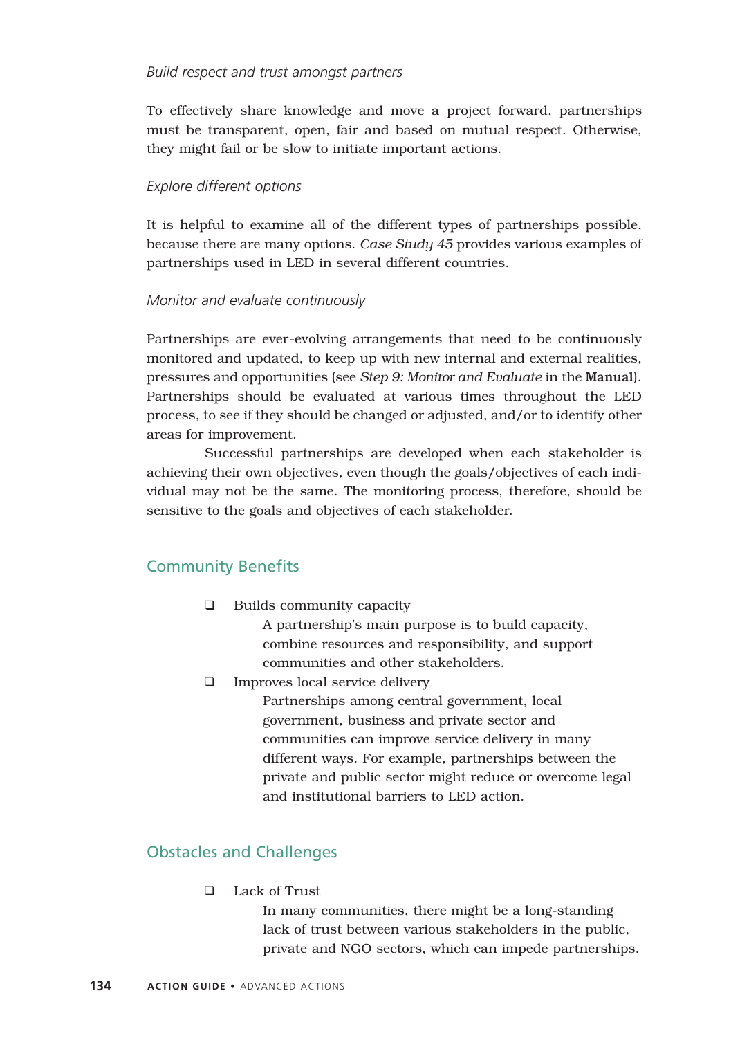#### *Build respect and trust amongst partners*

To effectively share knowledge and move a project forward, partnerships must be transparent, open, fair and based on mutual respect. Otherwise, they might fail or be slow to initiate important actions.

#### *Explore different options*

It is helpful to examine all of the different types of partnerships possible, because there are many options. *Case Study 45* provides various examples of partnerships used in LED in several different countries.

#### *Monitor and evaluate continuously*

Partnerships are ever-evolving arrangements that need to be continuously monitored and updated, to keep up with new internal and external realities, pressures and opportunities (see *Step 9: Monitor and Evaluate* in the Manual). Partnerships should be evaluated at various times throughout the LED process, to see if they should be changed or adjusted, and/or to identify other areas for improvement.

Successful partnerships are developed when each stakeholder is achieving their own objectives, even though the goals/objectives of each individual may not be the same. The monitoring process, therefore, should be sensitive to the goals and objectives of each stakeholder.

## Community Benefits

❑ Builds community capacity

A partnership's main purpose is to build capacity, combine resources and responsibility, and support communities and other stakeholders.

❑ Improves local service delivery

Partnerships among central government, local government, business and private sector and communities can improve service delivery in many different ways. For example, partnerships between the private and public sector might reduce or overcome legal and institutional barriers to LED action.

## Obstacles and Challenges

❑ Lack of Trust

In many communities, there might be a long-standing lack of trust between various stakeholders in the public, private and NGO sectors, which can impede partnerships.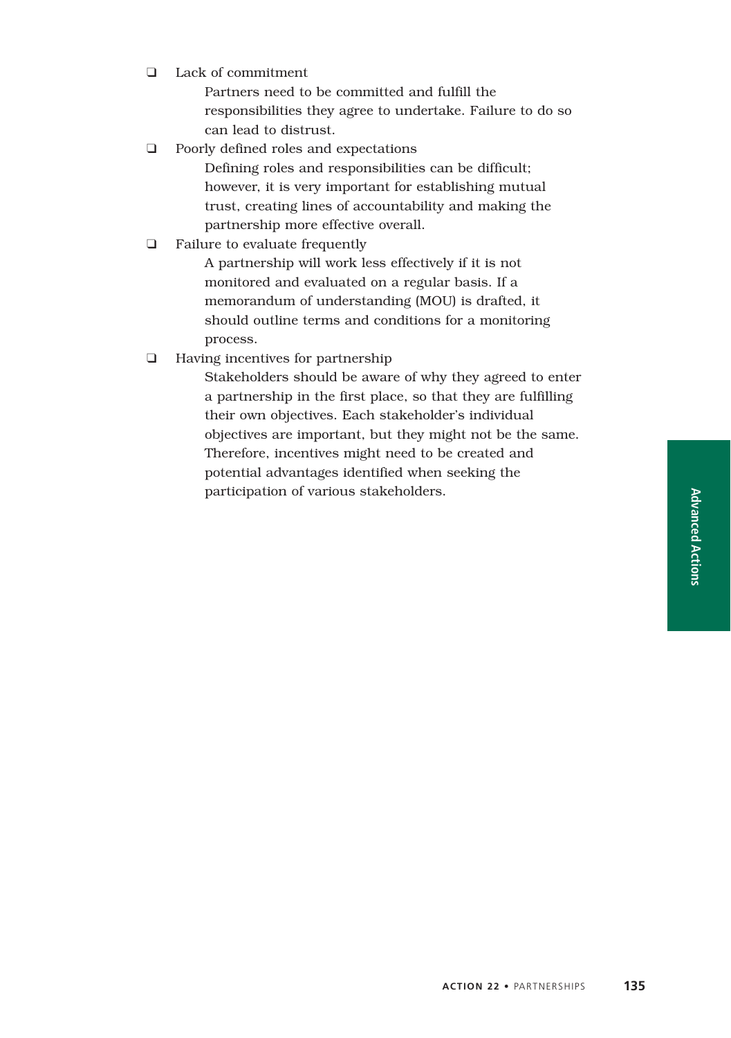**Advanced Actions**

❑ Lack of commitment

Partners need to be committed and fulfill the responsibilities they agree to undertake. Failure to do so can lead to distrust.

❑ Poorly defined roles and expectations

Defining roles and responsibilities can be difficult; however, it is very important for establishing mutual trust, creating lines of accountability and making the partnership more effective overall.

❑ Failure to evaluate frequently

A partnership will work less effectively if it is not monitored and evaluated on a regular basis. If a memorandum of understanding (MOU) is drafted, it should outline terms and conditions for a monitoring process.

❑ Having incentives for partnership

Stakeholders should be aware of why they agreed to enter a partnership in the first place, so that they are fulfilling their own objectives. Each stakeholder's individual objectives are important, but they might not be the same. Therefore, incentives might need to be created and potential advantages identified when seeking the participation of various stakeholders.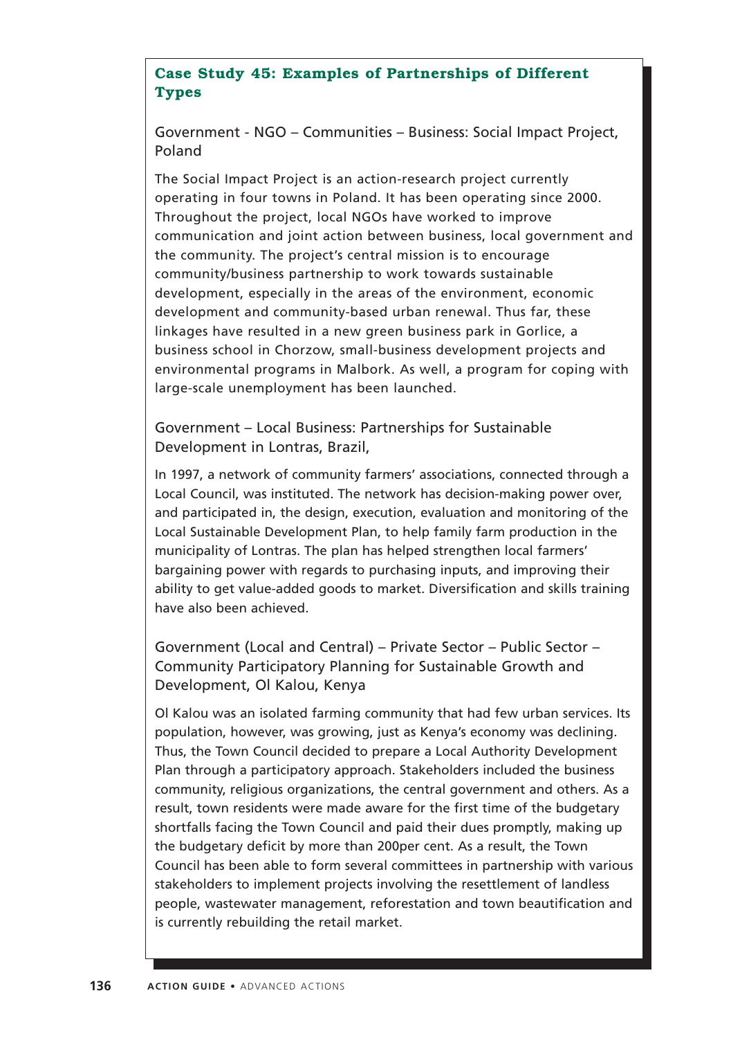## **Case Study 45: Examples of Partnerships of Different Types**

Government - NGO – Communities – Business: Social Impact Project, Poland

The Social Impact Project is an action-research project currently operating in four towns in Poland. It has been operating since 2000. Throughout the project, local NGOs have worked to improve communication and joint action between business, local government and the community. The project's central mission is to encourage community/business partnership to work towards sustainable development, especially in the areas of the environment, economic development and community-based urban renewal. Thus far, these linkages have resulted in a new green business park in Gorlice, a business school in Chorzow, small-business development projects and environmental programs in Malbork. As well, a program for coping with large-scale unemployment has been launched.

Government – Local Business: Partnerships for Sustainable Development in Lontras, Brazil,

In 1997, a network of community farmers' associations, connected through a Local Council, was instituted. The network has decision-making power over, and participated in, the design, execution, evaluation and monitoring of the Local Sustainable Development Plan, to help family farm production in the municipality of Lontras. The plan has helped strengthen local farmers' bargaining power with regards to purchasing inputs, and improving their ability to get value-added goods to market. Diversification and skills training have also been achieved.

Government (Local and Central) – Private Sector – Public Sector – Community Participatory Planning for Sustainable Growth and Development, Ol Kalou, Kenya

Ol Kalou was an isolated farming community that had few urban services. Its population, however, was growing, just as Kenya's economy was declining. Thus, the Town Council decided to prepare a Local Authority Development Plan through a participatory approach. Stakeholders included the business community, religious organizations, the central government and others. As a result, town residents were made aware for the first time of the budgetary shortfalls facing the Town Council and paid their dues promptly, making up the budgetary deficit by more than 200per cent. As a result, the Town Council has been able to form several committees in partnership with various stakeholders to implement projects involving the resettlement of landless people, wastewater management, reforestation and town beautification and is currently rebuilding the retail market.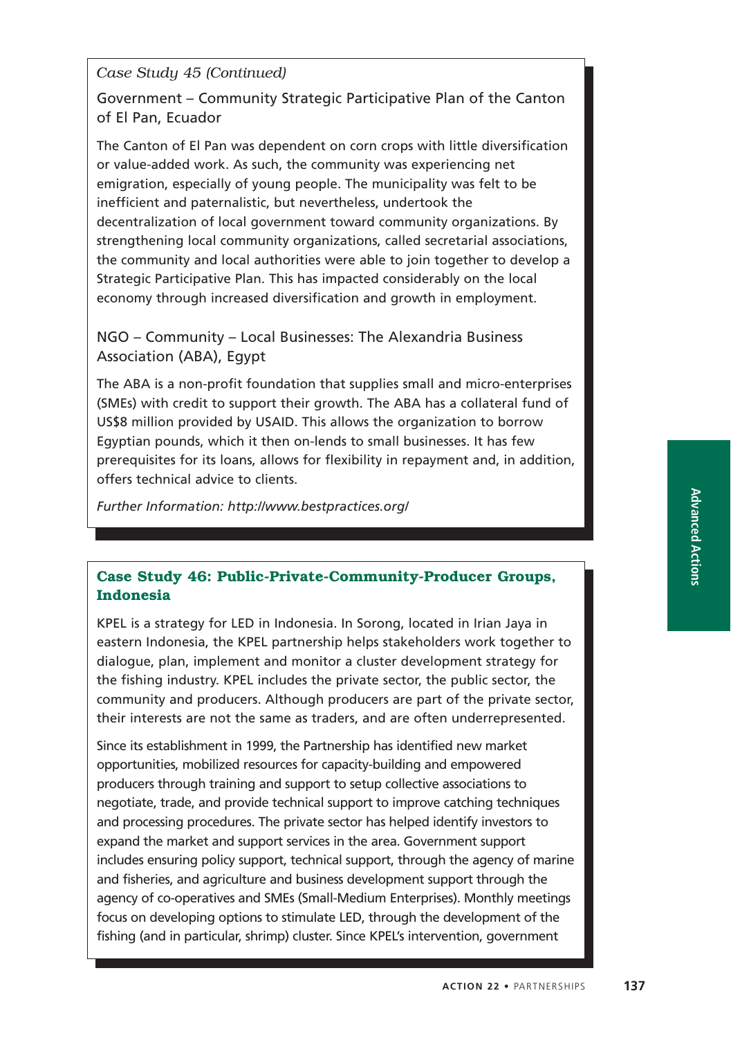*Case Study 45 (Continued)*

Government – Community Strategic Participative Plan of the Canton of El Pan, Ecuador

The Canton of El Pan was dependent on corn crops with little diversification or value-added work. As such, the community was experiencing net emigration, especially of young people. The municipality was felt to be inefficient and paternalistic, but nevertheless, undertook the decentralization of local government toward community organizations. By strengthening local community organizations, called secretarial associations, the community and local authorities were able to join together to develop a Strategic Participative Plan. This has impacted considerably on the local economy through increased diversification and growth in employment.

NGO – Community – Local Businesses: The Alexandria Business Association (ABA), Egypt

The ABA is a non-profit foundation that supplies small and micro-enterprises (SMEs) with credit to support their growth. The ABA has a collateral fund of US\$8 million provided by USAID. This allows the organization to borrow Egyptian pounds, which it then on-lends to small businesses. It has few prerequisites for its loans, allows for flexibility in repayment and, in addition, offers technical advice to clients.

*Further Information: http://www.bestpractices.org/*

## **Case Study 46: Public-Private-Community-Producer Groups, Indonesia**

KPEL is a strategy for LED in Indonesia. In Sorong, located in Irian Jaya in eastern Indonesia, the KPEL partnership helps stakeholders work together to dialogue, plan, implement and monitor a cluster development strategy for the fishing industry. KPEL includes the private sector, the public sector, the community and producers. Although producers are part of the private sector, their interests are not the same as traders, and are often underrepresented.

Since its establishment in 1999, the Partnership has identified new market opportunities, mobilized resources for capacity-building and empowered producers through training and support to setup collective associations to negotiate, trade, and provide technical support to improve catching techniques and processing procedures. The private sector has helped identify investors to expand the market and support services in the area. Government support includes ensuring policy support, technical support, through the agency of marine and fisheries, and agriculture and business development support through the agency of co-operatives and SMEs (Small-Medium Enterprises). Monthly meetings focus on developing options to stimulate LED, through the development of the fishing (and in particular, shrimp) cluster. Since KPEL's intervention, government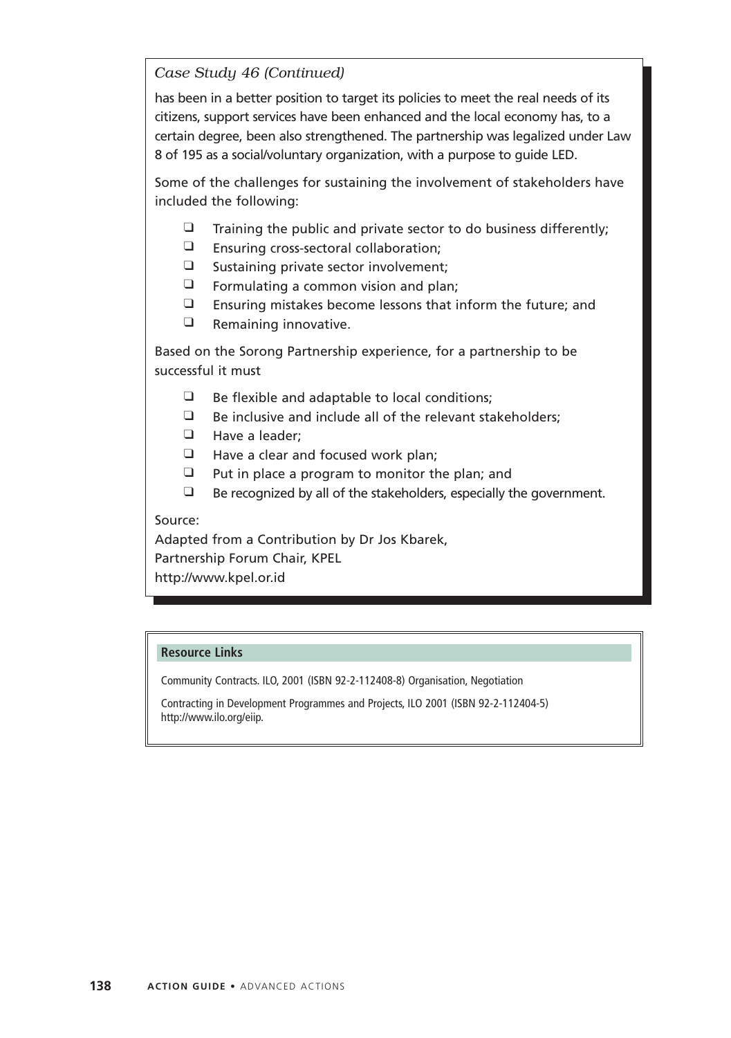## *Case Study 46 (Continued)*

has been in a better position to target its policies to meet the real needs of its citizens, support services have been enhanced and the local economy has, to a certain degree, been also strengthened. The partnership was legalized under Law 8 of 195 as a social/voluntary organization, with a purpose to guide LED.

Some of the challenges for sustaining the involvement of stakeholders have included the following:

- $\Box$  Training the public and private sector to do business differently;
- ❑ Ensuring cross-sectoral collaboration;
- ❑ Sustaining private sector involvement;
- ❑ Formulating a common vision and plan;
- ❑ Ensuring mistakes become lessons that inform the future; and
- ❑ Remaining innovative.

Based on the Sorong Partnership experience, for a partnership to be successful it must

- $\Box$  Be flexible and adaptable to local conditions;
- ❑ Be inclusive and include all of the relevant stakeholders;
- ❑ Have a leader;
- ❑ Have a clear and focused work plan;
- ❑ Put in place a program to monitor the plan; and
- ❑ Be recognized by all of the stakeholders, especially the government.

#### Source:

Adapted from a Contribution by Dr Jos Kbarek, Partnership Forum Chair, KPEL http://www.kpel.or.id

#### **Resource Links**

Community Contracts. ILO, 2001 (ISBN 92-2-112408-8) Organisation, Negotiation

Contracting in Development Programmes and Projects, ILO 2001 (ISBN 92-2-112404-5) http://www.ilo.org/eiip.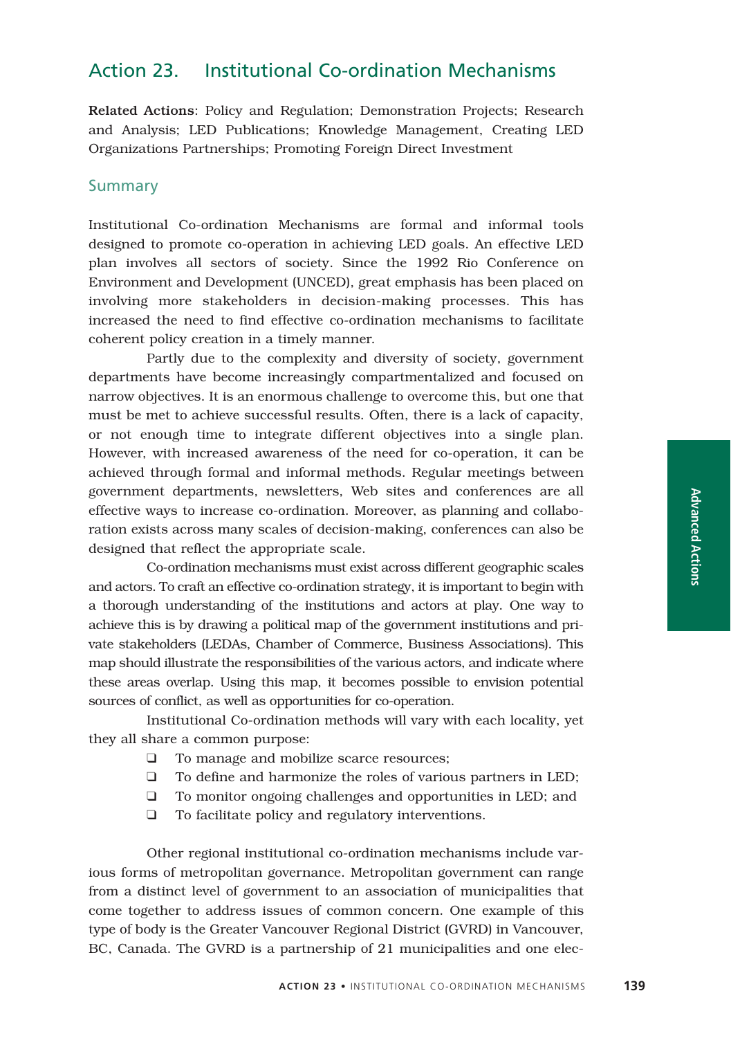## Action 23. Institutional Co-ordination Mechanisms

Related Actions: Policy and Regulation; Demonstration Projects; Research and Analysis; LED Publications; Knowledge Management, Creating LED Organizations Partnerships; Promoting Foreign Direct Investment

#### Summary

Institutional Co-ordination Mechanisms are formal and informal tools designed to promote co-operation in achieving LED goals. An effective LED plan involves all sectors of society. Since the 1992 Rio Conference on Environment and Development (UNCED), great emphasis has been placed on involving more stakeholders in decision-making processes. This has increased the need to find effective co-ordination mechanisms to facilitate coherent policy creation in a timely manner.

Partly due to the complexity and diversity of society, government departments have become increasingly compartmentalized and focused on narrow objectives. It is an enormous challenge to overcome this, but one that must be met to achieve successful results. Often, there is a lack of capacity, or not enough time to integrate different objectives into a single plan. However, with increased awareness of the need for co-operation, it can be achieved through formal and informal methods. Regular meetings between government departments, newsletters, Web sites and conferences are all effective ways to increase co-ordination. Moreover, as planning and collaboration exists across many scales of decision-making, conferences can also be designed that reflect the appropriate scale.

Co-ordination mechanisms must exist across different geographic scales and actors. To craft an effective co-ordination strategy, it is important to begin with a thorough understanding of the institutions and actors at play. One way to achieve this is by drawing a political map of the government institutions and private stakeholders (LEDAs, Chamber of Commerce, Business Associations). This map should illustrate the responsibilities of the various actors, and indicate where these areas overlap. Using this map, it becomes possible to envision potential sources of conflict, as well as opportunities for co-operation.

Institutional Co-ordination methods will vary with each locality, yet they all share a common purpose:

- ❑ To manage and mobilize scarce resources;
- ❑ To define and harmonize the roles of various partners in LED;
- ❑ To monitor ongoing challenges and opportunities in LED; and
- ❑ To facilitate policy and regulatory interventions.

Other regional institutional co-ordination mechanisms include various forms of metropolitan governance. Metropolitan government can range from a distinct level of government to an association of municipalities that come together to address issues of common concern. One example of this type of body is the Greater Vancouver Regional District (GVRD) in Vancouver, BC, Canada. The GVRD is a partnership of 21 municipalities and one elec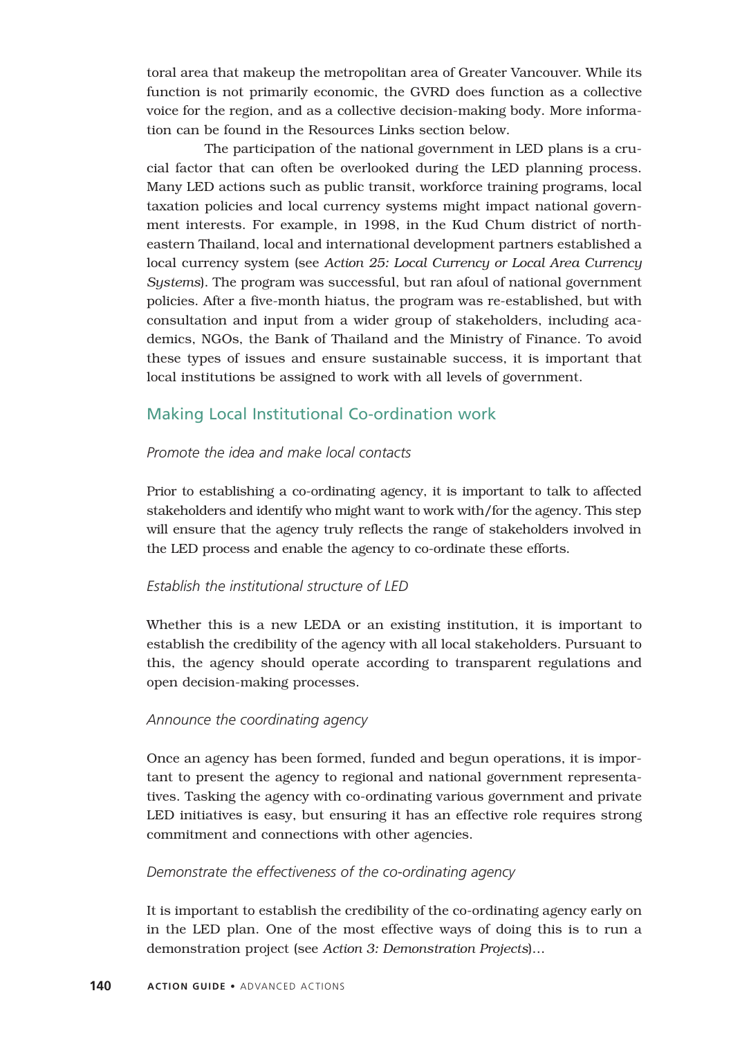toral area that makeup the metropolitan area of Greater Vancouver. While its function is not primarily economic, the GVRD does function as a collective voice for the region, and as a collective decision-making body. More information can be found in the Resources Links section below.

The participation of the national government in LED plans is a crucial factor that can often be overlooked during the LED planning process. Many LED actions such as public transit, workforce training programs, local taxation policies and local currency systems might impact national government interests. For example, in 1998, in the Kud Chum district of northeastern Thailand, local and international development partners established a local currency system (see *Action 25: Local Currency or Local Area Currency Systems*). The program was successful, but ran afoul of national government policies. After a five-month hiatus, the program was re-established, but with consultation and input from a wider group of stakeholders, including academics, NGOs, the Bank of Thailand and the Ministry of Finance. To avoid these types of issues and ensure sustainable success, it is important that local institutions be assigned to work with all levels of government.

## Making Local Institutional Co-ordination work

#### *Promote the idea and make local contacts*

Prior to establishing a co-ordinating agency, it is important to talk to affected stakeholders and identify who might want to work with/for the agency. This step will ensure that the agency truly reflects the range of stakeholders involved in the LED process and enable the agency to co-ordinate these efforts.

#### *Establish the institutional structure of LED*

Whether this is a new LEDA or an existing institution, it is important to establish the credibility of the agency with all local stakeholders. Pursuant to this, the agency should operate according to transparent regulations and open decision-making processes.

#### *Announce the coordinating agency*

Once an agency has been formed, funded and begun operations, it is important to present the agency to regional and national government representatives. Tasking the agency with co-ordinating various government and private LED initiatives is easy, but ensuring it has an effective role requires strong commitment and connections with other agencies.

#### *Demonstrate the effectiveness of the co-ordinating agency*

It is important to establish the credibility of the co-ordinating agency early on in the LED plan. One of the most effective ways of doing this is to run a demonstration project (see *Action 3: Demonstration Projects*)…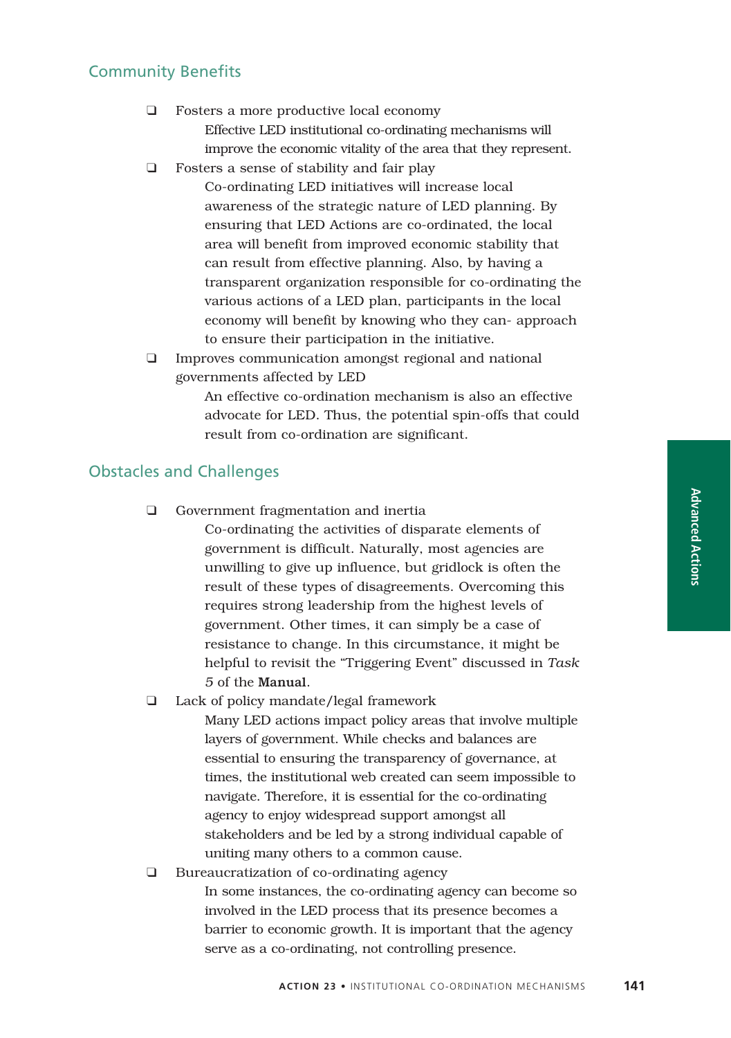# **Advanced Actions**

## Community Benefits

- ❑ Fosters a more productive local economy Effective LED institutional co-ordinating mechanisms will improve the economic vitality of the area that they represent.
- ❑ Fosters a sense of stability and fair play
	- Co-ordinating LED initiatives will increase local awareness of the strategic nature of LED planning. By ensuring that LED Actions are co-ordinated, the local area will benefit from improved economic stability that can result from effective planning. Also, by having a transparent organization responsible for co-ordinating the various actions of a LED plan, participants in the local economy will benefit by knowing who they can- approach to ensure their participation in the initiative.
- ❑ Improves communication amongst regional and national governments affected by LED

An effective co-ordination mechanism is also an effective advocate for LED. Thus, the potential spin-offs that could result from co-ordination are significant.

## Obstacles and Challenges

❑ Government fragmentation and inertia

Co-ordinating the activities of disparate elements of government is difficult. Naturally, most agencies are unwilling to give up influence, but gridlock is often the result of these types of disagreements. Overcoming this requires strong leadership from the highest levels of government. Other times, it can simply be a case of resistance to change. In this circumstance, it might be helpful to revisit the "Triggering Event" discussed in *Task 5* of the Manual.

❑ Lack of policy mandate/legal framework

Many LED actions impact policy areas that involve multiple layers of government. While checks and balances are essential to ensuring the transparency of governance, at times, the institutional web created can seem impossible to navigate. Therefore, it is essential for the co-ordinating agency to enjoy widespread support amongst all stakeholders and be led by a strong individual capable of uniting many others to a common cause.

❑ Bureaucratization of co-ordinating agency In some instances, the co-ordinating agency can become so involved in the LED process that its presence becomes a barrier to economic growth. It is important that the agency serve as a co-ordinating, not controlling presence.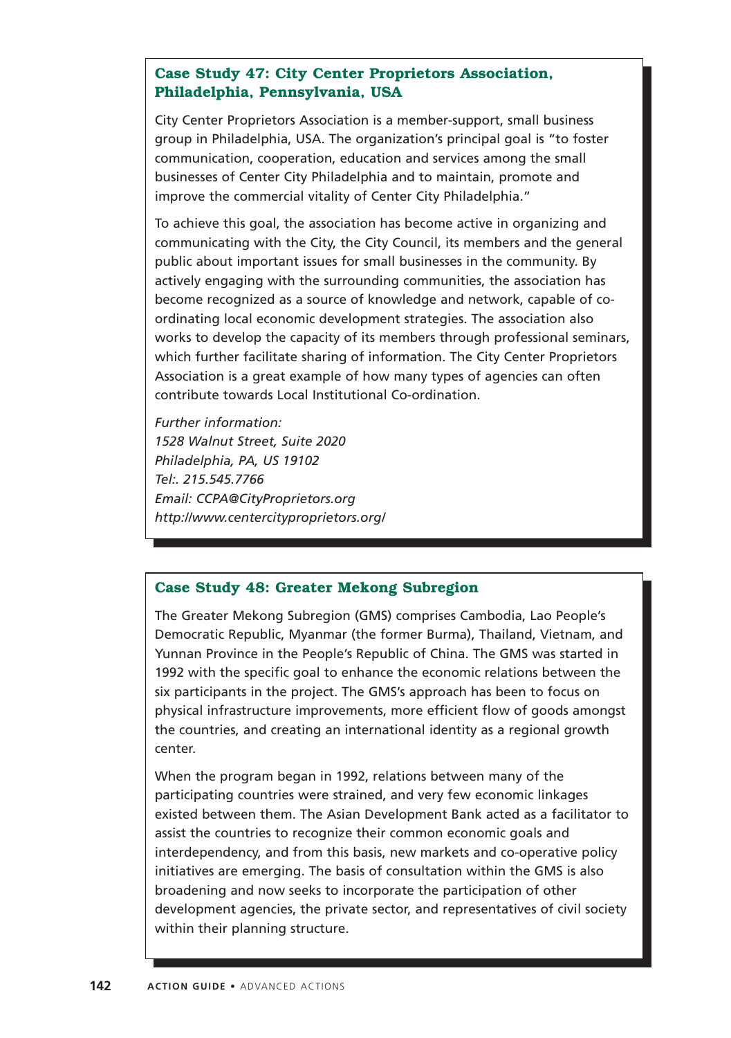## **Case Study 47: City Center Proprietors Association, Philadelphia, Pennsylvania, USA**

City Center Proprietors Association is a member-support, small business group in Philadelphia, USA. The organization's principal goal is "to foster communication, cooperation, education and services among the small businesses of Center City Philadelphia and to maintain, promote and improve the commercial vitality of Center City Philadelphia."

To achieve this goal, the association has become active in organizing and communicating with the City, the City Council, its members and the general public about important issues for small businesses in the community. By actively engaging with the surrounding communities, the association has become recognized as a source of knowledge and network, capable of coordinating local economic development strategies. The association also works to develop the capacity of its members through professional seminars, which further facilitate sharing of information. The City Center Proprietors Association is a great example of how many types of agencies can often contribute towards Local Institutional Co-ordination.

*Further information: 1528 Walnut Street, Suite 2020 Philadelphia, PA, US 19102 Tel:. 215.545.7766 Email: CCPA@CityProprietors.org http://www.centercityproprietors.org/*

#### **Case Study 48: Greater Mekong Subregion**

The Greater Mekong Subregion (GMS) comprises Cambodia, Lao People's Democratic Republic, Myanmar (the former Burma), Thailand, Vietnam, and Yunnan Province in the People's Republic of China. The GMS was started in 1992 with the specific goal to enhance the economic relations between the six participants in the project. The GMS's approach has been to focus on physical infrastructure improvements, more efficient flow of goods amongst the countries, and creating an international identity as a regional growth center.

When the program began in 1992, relations between many of the participating countries were strained, and very few economic linkages existed between them. The Asian Development Bank acted as a facilitator to assist the countries to recognize their common economic goals and interdependency, and from this basis, new markets and co-operative policy initiatives are emerging. The basis of consultation within the GMS is also broadening and now seeks to incorporate the participation of other development agencies, the private sector, and representatives of civil society within their planning structure.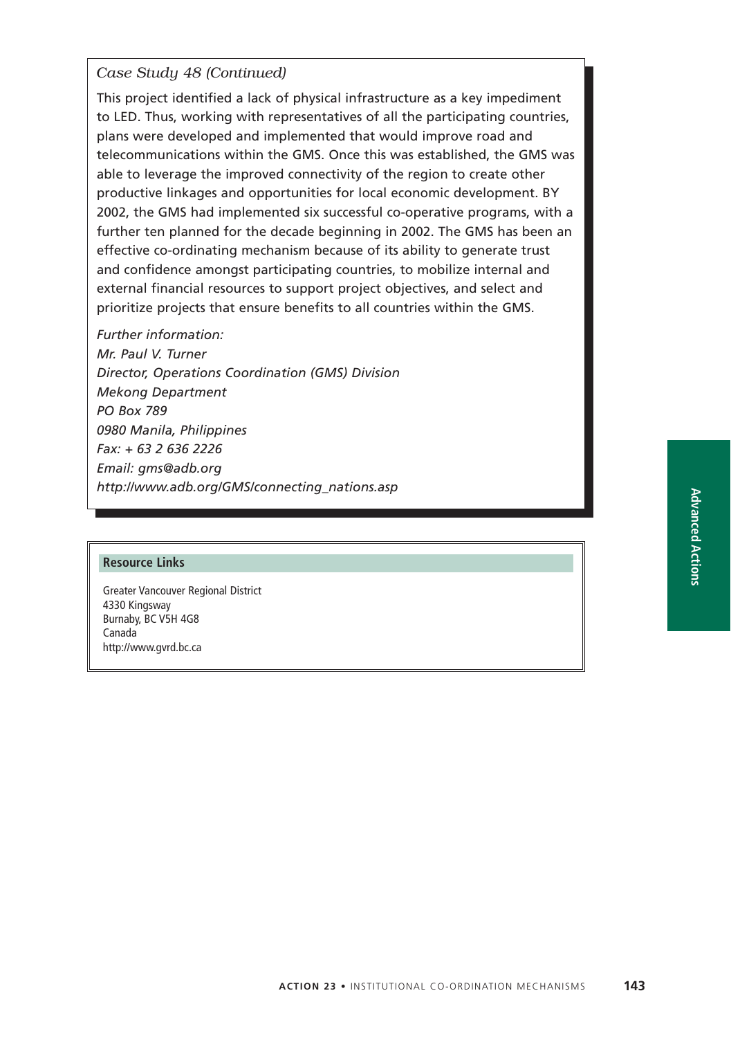## *Case Study 48 (Continued)*

This project identified a lack of physical infrastructure as a key impediment to LED. Thus, working with representatives of all the participating countries, plans were developed and implemented that would improve road and telecommunications within the GMS. Once this was established, the GMS was able to leverage the improved connectivity of the region to create other productive linkages and opportunities for local economic development. BY 2002, the GMS had implemented six successful co-operative programs, with a further ten planned for the decade beginning in 2002. The GMS has been an effective co-ordinating mechanism because of its ability to generate trust and confidence amongst participating countries, to mobilize internal and external financial resources to support project objectives, and select and prioritize projects that ensure benefits to all countries within the GMS.

*Further information: Mr. Paul V. Turner Director, Operations Coordination (GMS) Division Mekong Department PO Box 789 0980 Manila, Philippines Fax: + 63 2 636 2226 Email: gms@adb.org http://www.adb.org/GMS/connecting\_nations.asp*

#### **Resource Links**

Greater Vancouver Regional District 4330 Kingsway Burnaby, BC V5H 4G8 Canada http://www.gvrd.bc.ca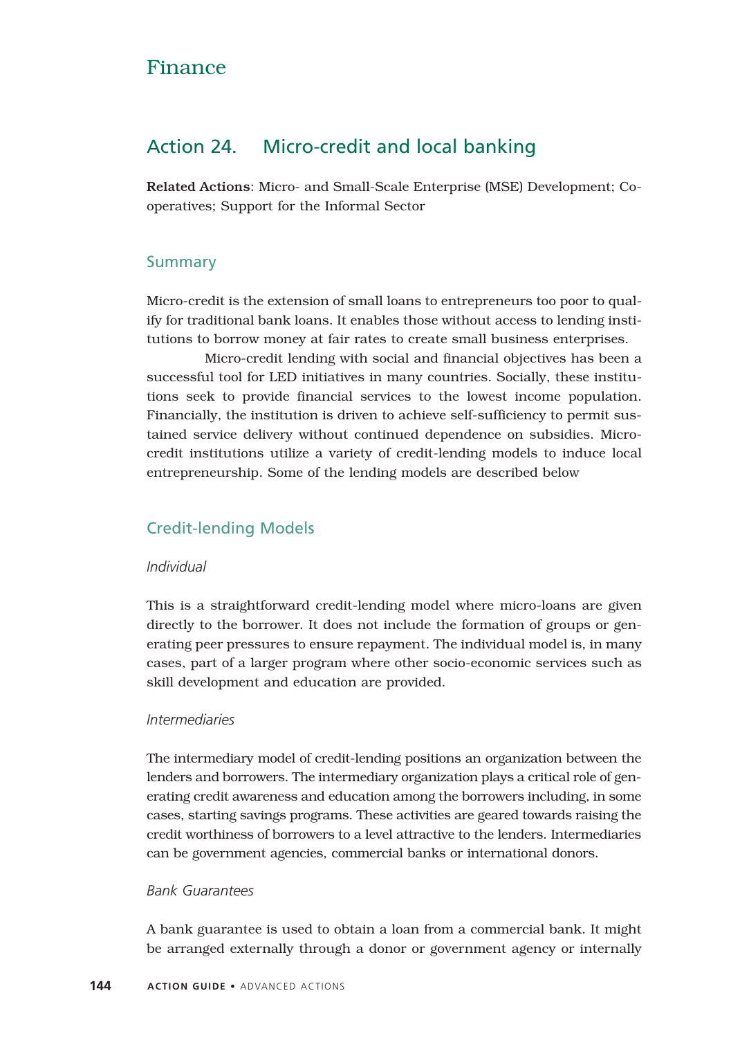## Finance

## Action 24. Micro-credit and local banking

Related Actions: Micro- and Small-Scale Enterprise (MSE) Development; Cooperatives; Support for the Informal Sector

## Summary

Micro-credit is the extension of small loans to entrepreneurs too poor to qualify for traditional bank loans. It enables those without access to lending institutions to borrow money at fair rates to create small business enterprises.

Micro-credit lending with social and financial objectives has been a successful tool for LED initiatives in many countries. Socially, these institutions seek to provide financial services to the lowest income population. Financially, the institution is driven to achieve self-sufficiency to permit sustained service delivery without continued dependence on subsidies. Microcredit institutions utilize a variety of credit-lending models to induce local entrepreneurship. Some of the lending models are described below

## Credit-lending Models

#### *Individual*

This is a straightforward credit-lending model where micro-loans are given directly to the borrower. It does not include the formation of groups or generating peer pressures to ensure repayment. The individual model is, in many cases, part of a larger program where other socio-economic services such as skill development and education are provided.

#### *Intermediaries*

The intermediary model of credit-lending positions an organization between the lenders and borrowers. The intermediary organization plays a critical role of generating credit awareness and education among the borrowers including, in some cases, starting savings programs. These activities are geared towards raising the credit worthiness of borrowers to a level attractive to the lenders. Intermediaries can be government agencies, commercial banks or international donors.

#### *Bank Guarantees*

A bank guarantee is used to obtain a loan from a commercial bank. It might be arranged externally through a donor or government agency or internally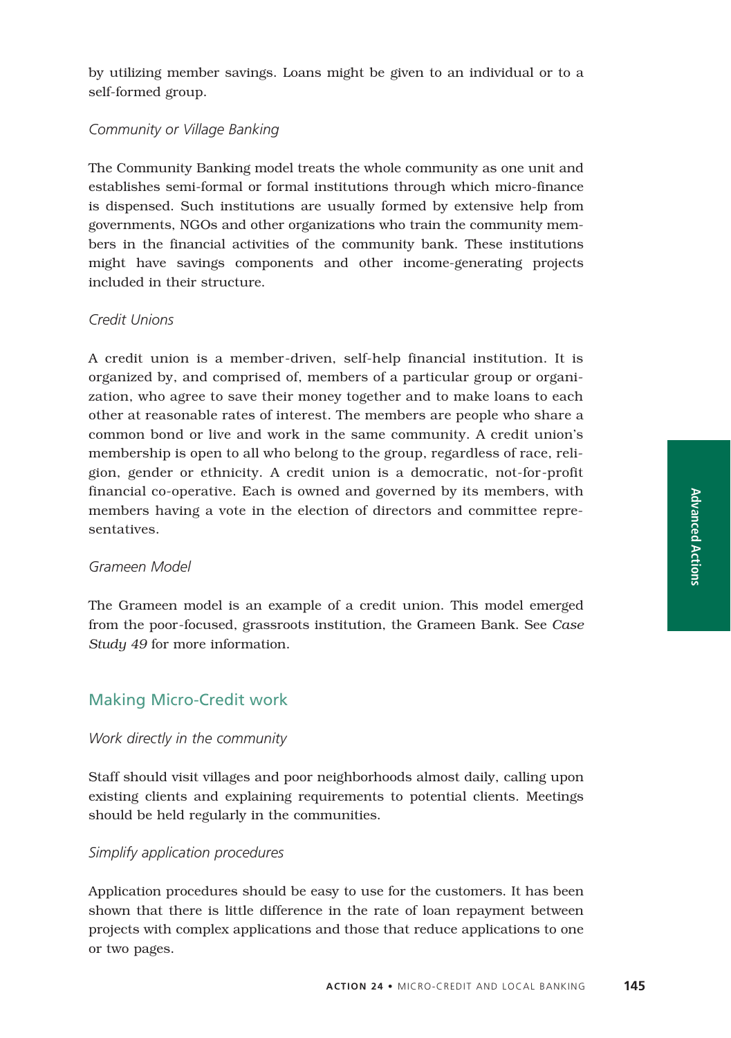by utilizing member savings. Loans might be given to an individual or to a self-formed group.

#### *Community or Village Banking*

The Community Banking model treats the whole community as one unit and establishes semi-formal or formal institutions through which micro-finance is dispensed. Such institutions are usually formed by extensive help from governments, NGOs and other organizations who train the community members in the financial activities of the community bank. These institutions might have savings components and other income-generating projects included in their structure.

#### *Credit Unions*

A credit union is a member-driven, self-help financial institution. It is organized by, and comprised of, members of a particular group or organization, who agree to save their money together and to make loans to each other at reasonable rates of interest. The members are people who share a common bond or live and work in the same community. A credit union's membership is open to all who belong to the group, regardless of race, religion, gender or ethnicity. A credit union is a democratic, not-for-profit financial co-operative. Each is owned and governed by its members, with members having a vote in the election of directors and committee representatives.

#### *Grameen Model*

The Grameen model is an example of a credit union. This model emerged from the poor-focused, grassroots institution, the Grameen Bank. See *Case Study 49* for more information.

## Making Micro-Credit work

#### *Work directly in the community*

Staff should visit villages and poor neighborhoods almost daily, calling upon existing clients and explaining requirements to potential clients. Meetings should be held regularly in the communities.

#### *Simplify application procedures*

Application procedures should be easy to use for the customers. It has been shown that there is little difference in the rate of loan repayment between projects with complex applications and those that reduce applications to one or two pages.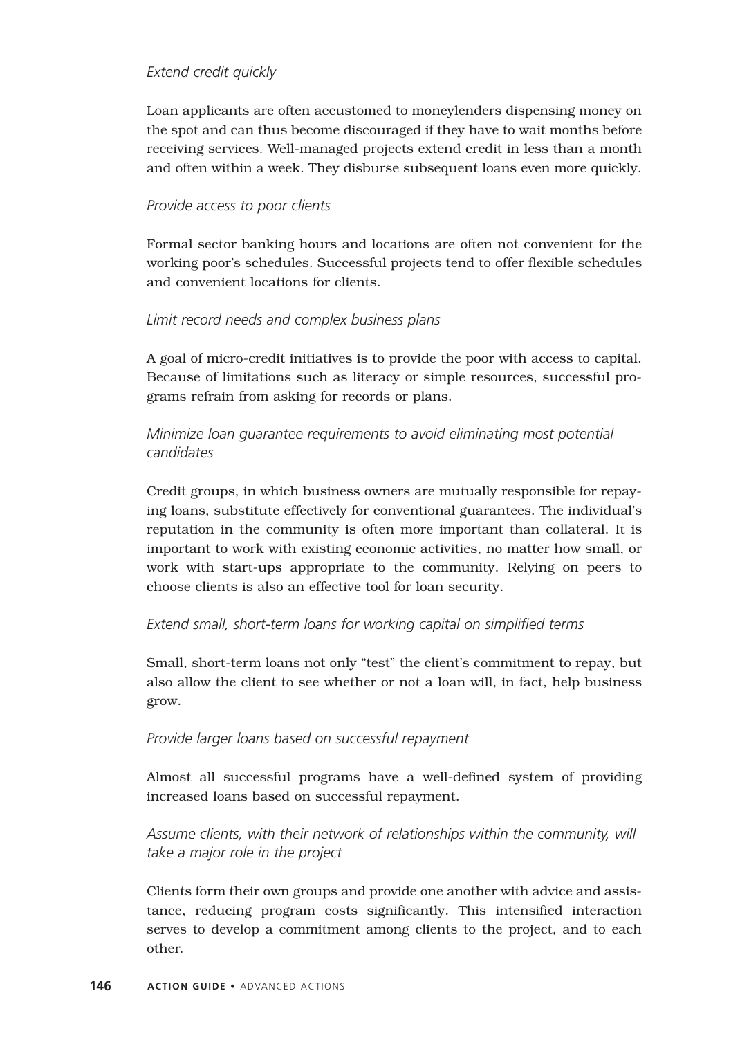#### *Extend credit quickly*

Loan applicants are often accustomed to moneylenders dispensing money on the spot and can thus become discouraged if they have to wait months before receiving services. Well-managed projects extend credit in less than a month and often within a week. They disburse subsequent loans even more quickly.

#### *Provide access to poor clients*

Formal sector banking hours and locations are often not convenient for the working poor's schedules. Successful projects tend to offer flexible schedules and convenient locations for clients.

#### *Limit record needs and complex business plans*

A goal of micro-credit initiatives is to provide the poor with access to capital. Because of limitations such as literacy or simple resources, successful programs refrain from asking for records or plans.

## *Minimize loan guarantee requirements to avoid eliminating most potential candidates*

Credit groups, in which business owners are mutually responsible for repaying loans, substitute effectively for conventional guarantees. The individual's reputation in the community is often more important than collateral. It is important to work with existing economic activities, no matter how small, or work with start-ups appropriate to the community. Relying on peers to choose clients is also an effective tool for loan security.

## *Extend small, short-term loans for working capital on simplified terms*

Small, short-term loans not only "test" the client's commitment to repay, but also allow the client to see whether or not a loan will, in fact, help business grow.

#### *Provide larger loans based on successful repayment*

Almost all successful programs have a well-defined system of providing increased loans based on successful repayment.

*Assume clients, with their network of relationships within the community, will take a major role in the project*

Clients form their own groups and provide one another with advice and assistance, reducing program costs significantly. This intensified interaction serves to develop a commitment among clients to the project, and to each other.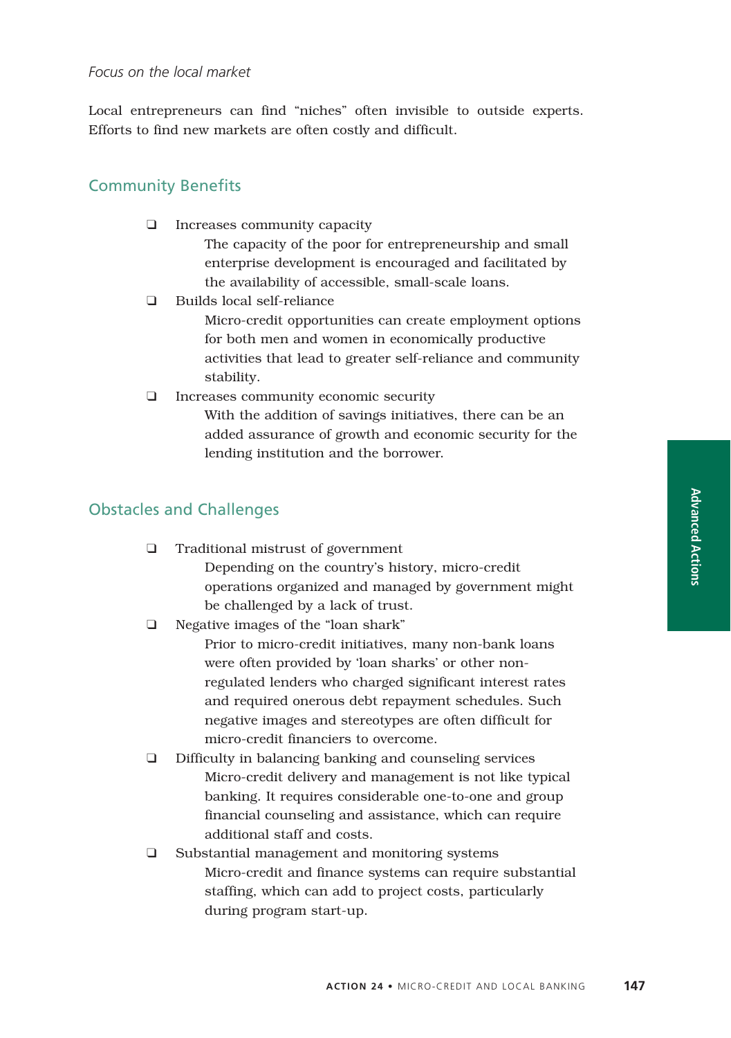#### *Focus on the local market*

Local entrepreneurs can find "niches" often invisible to outside experts. Efforts to find new markets are often costly and difficult.

#### Community Benefits

❑ Increases community capacity

The capacity of the poor for entrepreneurship and small enterprise development is encouraged and facilitated by the availability of accessible, small-scale loans.

❑ Builds local self-reliance

Micro-credit opportunities can create employment options for both men and women in economically productive activities that lead to greater self-reliance and community stability.

❑ Increases community economic security

With the addition of savings initiatives, there can be an added assurance of growth and economic security for the lending institution and the borrower.

#### Obstacles and Challenges

- ❑ Traditional mistrust of government Depending on the country's history, micro-credit operations organized and managed by government might be challenged by a lack of trust.
- ❑ Negative images of the "loan shark"

Prior to micro-credit initiatives, many non-bank loans were often provided by 'loan sharks' or other nonregulated lenders who charged significant interest rates and required onerous debt repayment schedules. Such negative images and stereotypes are often difficult for micro-credit financiers to overcome.

- ❑ Difficulty in balancing banking and counseling services Micro-credit delivery and management is not like typical banking. It requires considerable one-to-one and group financial counseling and assistance, which can require additional staff and costs.
- ❑ Substantial management and monitoring systems Micro-credit and finance systems can require substantial staffing, which can add to project costs, particularly during program start-up.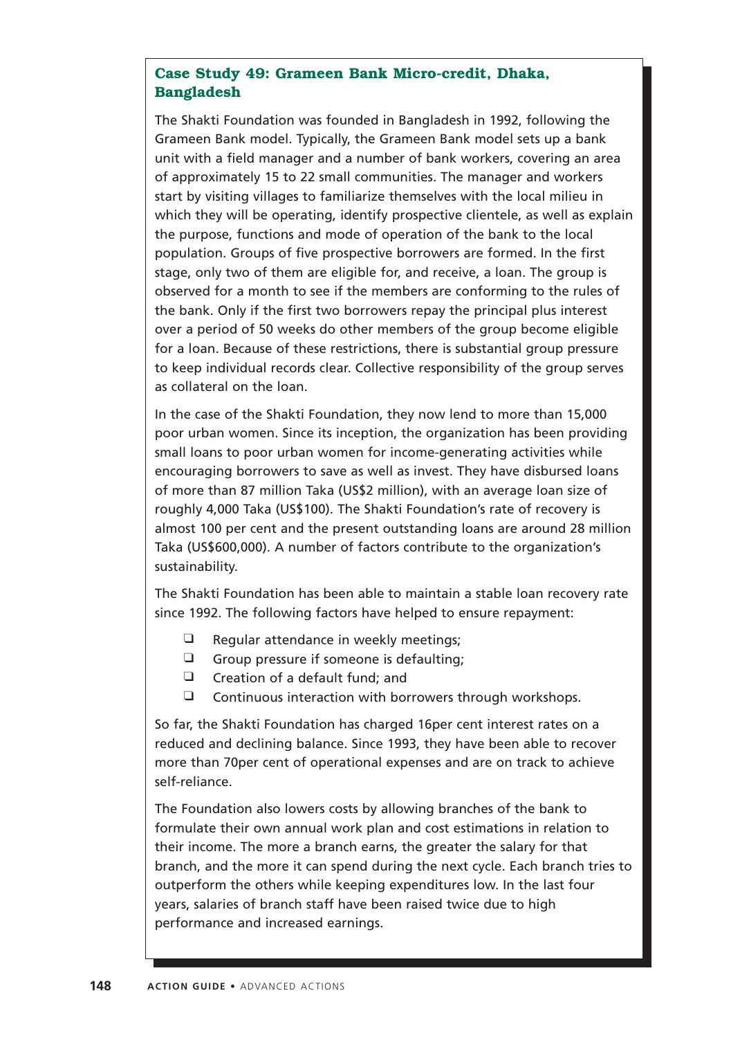## **Case Study 49: Grameen Bank Micro-credit, Dhaka, Bangladesh**

The Shakti Foundation was founded in Bangladesh in 1992, following the Grameen Bank model. Typically, the Grameen Bank model sets up a bank unit with a field manager and a number of bank workers, covering an area of approximately 15 to 22 small communities. The manager and workers start by visiting villages to familiarize themselves with the local milieu in which they will be operating, identify prospective clientele, as well as explain the purpose, functions and mode of operation of the bank to the local population. Groups of five prospective borrowers are formed. In the first stage, only two of them are eligible for, and receive, a loan. The group is observed for a month to see if the members are conforming to the rules of the bank. Only if the first two borrowers repay the principal plus interest over a period of 50 weeks do other members of the group become eligible for a loan. Because of these restrictions, there is substantial group pressure to keep individual records clear. Collective responsibility of the group serves as collateral on the loan.

In the case of the Shakti Foundation, they now lend to more than 15,000 poor urban women. Since its inception, the organization has been providing small loans to poor urban women for income-generating activities while encouraging borrowers to save as well as invest. They have disbursed loans of more than 87 million Taka (US\$2 million), with an average loan size of roughly 4,000 Taka (US\$100). The Shakti Foundation's rate of recovery is almost 100 per cent and the present outstanding loans are around 28 million Taka (US\$600,000). A number of factors contribute to the organization's sustainability.

The Shakti Foundation has been able to maintain a stable loan recovery rate since 1992. The following factors have helped to ensure repayment:

- $\Box$  Regular attendance in weekly meetings;
- ❑ Group pressure if someone is defaulting;
- ❑ Creation of a default fund; and
- ❑ Continuous interaction with borrowers through workshops.

So far, the Shakti Foundation has charged 16per cent interest rates on a reduced and declining balance. Since 1993, they have been able to recover more than 70per cent of operational expenses and are on track to achieve self-reliance.

The Foundation also lowers costs by allowing branches of the bank to formulate their own annual work plan and cost estimations in relation to their income. The more a branch earns, the greater the salary for that branch, and the more it can spend during the next cycle. Each branch tries to outperform the others while keeping expenditures low. In the last four years, salaries of branch staff have been raised twice due to high performance and increased earnings.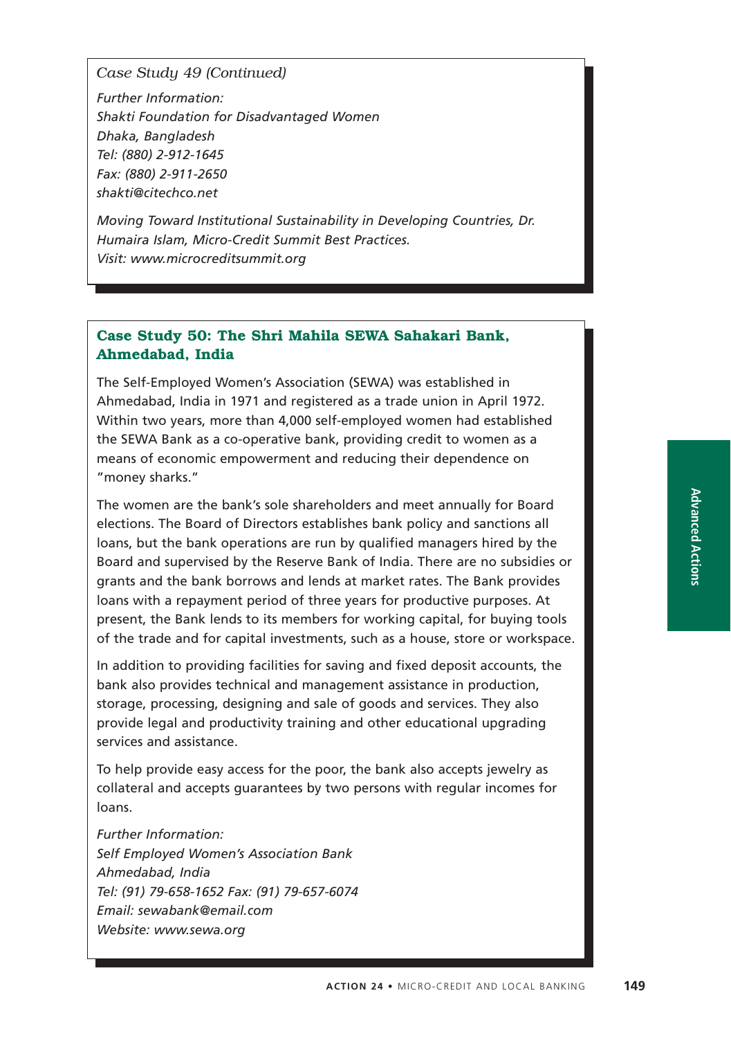*Case Study 49 (Continued)*

*Further Information: Shakti Foundation for Disadvantaged Women Dhaka, Bangladesh Tel: (880) 2-912-1645 Fax: (880) 2-911-2650 shakti@citechco.net*

*Moving Toward Institutional Sustainability in Developing Countries, Dr. Humaira Islam, Micro-Credit Summit Best Practices. Visit: www.microcreditsummit.org*

## **Case Study 50: The Shri Mahila SEWA Sahakari Bank, Ahmedabad, India**

The Self-Employed Women's Association (SEWA) was established in Ahmedabad, India in 1971 and registered as a trade union in April 1972. Within two years, more than 4,000 self-employed women had established the SEWA Bank as a co-operative bank, providing credit to women as a means of economic empowerment and reducing their dependence on "money sharks."

The women are the bank's sole shareholders and meet annually for Board elections. The Board of Directors establishes bank policy and sanctions all loans, but the bank operations are run by qualified managers hired by the Board and supervised by the Reserve Bank of India. There are no subsidies or grants and the bank borrows and lends at market rates. The Bank provides loans with a repayment period of three years for productive purposes. At present, the Bank lends to its members for working capital, for buying tools of the trade and for capital investments, such as a house, store or workspace.

In addition to providing facilities for saving and fixed deposit accounts, the bank also provides technical and management assistance in production, storage, processing, designing and sale of goods and services. They also provide legal and productivity training and other educational upgrading services and assistance.

To help provide easy access for the poor, the bank also accepts jewelry as collateral and accepts guarantees by two persons with regular incomes for loans.

*Further Information: Self Employed Women's Association Bank Ahmedabad, India Tel: (91) 79-658-1652 Fax: (91) 79-657-6074 Email: sewabank@email.com Website: www.sewa.org*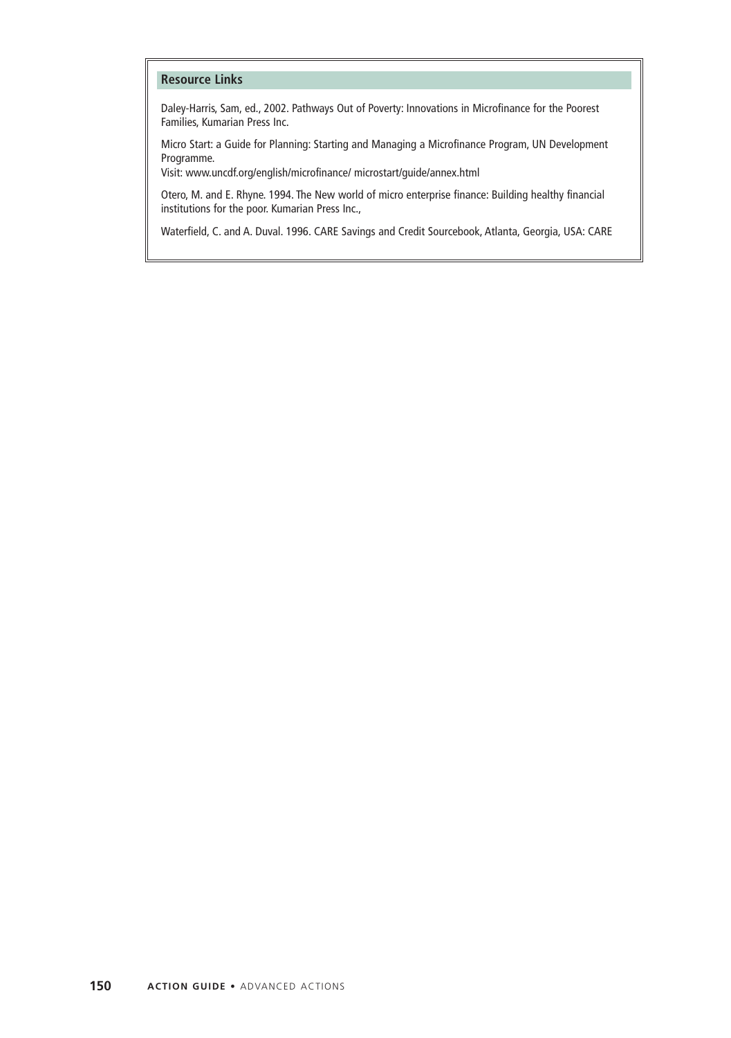#### **Resource Links**

Daley-Harris, Sam, ed., 2002. Pathways Out of Poverty: Innovations in Microfinance for the Poorest Families, Kumarian Press Inc.

Micro Start: a Guide for Planning: Starting and Managing a Microfinance Program, UN Development Programme.

Visit: www.uncdf.org/english/microfinance/ microstart/guide/annex.html

Otero, M. and E. Rhyne. 1994. The New world of micro enterprise finance: Building healthy financial institutions for the poor. Kumarian Press Inc.,

Waterfield, C. and A. Duval. 1996. CARE Savings and Credit Sourcebook, Atlanta, Georgia, USA: CARE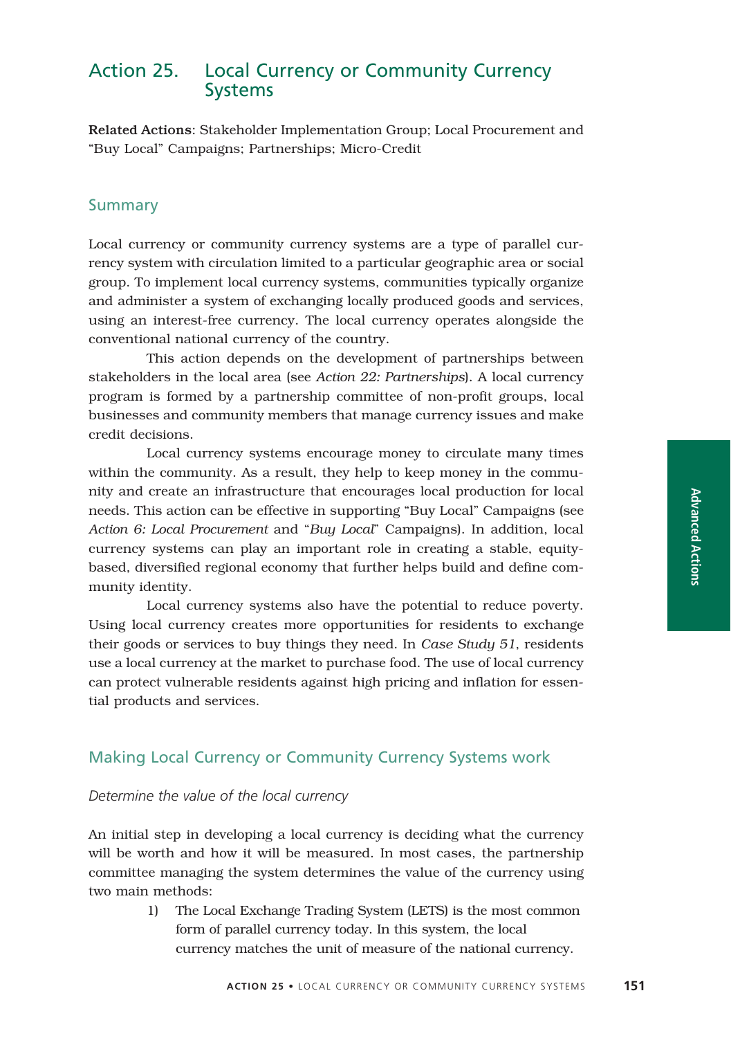## Action 25. Local Currency or Community Currency Systems

Related Actions: Stakeholder Implementation Group; Local Procurement and "Buy Local" Campaigns; Partnerships; Micro-Credit

## Summary

Local currency or community currency systems are a type of parallel currency system with circulation limited to a particular geographic area or social group. To implement local currency systems, communities typically organize and administer a system of exchanging locally produced goods and services, using an interest-free currency. The local currency operates alongside the conventional national currency of the country.

This action depends on the development of partnerships between stakeholders in the local area (see *Action 22: Partnerships*). A local currency program is formed by a partnership committee of non-profit groups, local businesses and community members that manage currency issues and make credit decisions.

Local currency systems encourage money to circulate many times within the community. As a result, they help to keep money in the community and create an infrastructure that encourages local production for local needs. This action can be effective in supporting "Buy Local" Campaigns (see *Action 6: Local Procurement* and "*Buy Local*" Campaigns). In addition, local currency systems can play an important role in creating a stable, equitybased, diversified regional economy that further helps build and define community identity.

Local currency systems also have the potential to reduce poverty. Using local currency creates more opportunities for residents to exchange their goods or services to buy things they need. In *Case Study 51*, residents use a local currency at the market to purchase food. The use of local currency can protect vulnerable residents against high pricing and inflation for essential products and services.

## Making Local Currency or Community Currency Systems work

#### *Determine the value of the local currency*

An initial step in developing a local currency is deciding what the currency will be worth and how it will be measured. In most cases, the partnership committee managing the system determines the value of the currency using two main methods:

> 1) The Local Exchange Trading System (LETS) is the most common form of parallel currency today. In this system, the local currency matches the unit of measure of the national currency.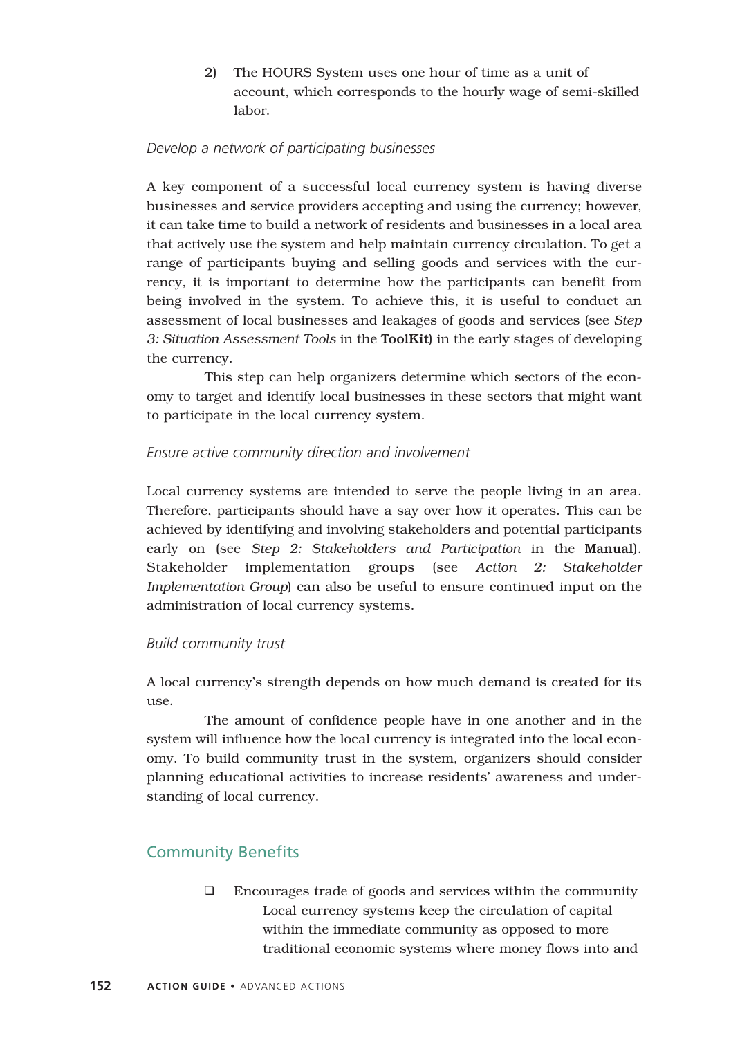2) The HOURS System uses one hour of time as a unit of account, which corresponds to the hourly wage of semi-skilled labor.

## *Develop a network of participating businesses*

A key component of a successful local currency system is having diverse businesses and service providers accepting and using the currency; however, it can take time to build a network of residents and businesses in a local area that actively use the system and help maintain currency circulation. To get a range of participants buying and selling goods and services with the currency, it is important to determine how the participants can benefit from being involved in the system. To achieve this, it is useful to conduct an assessment of local businesses and leakages of goods and services (see *Step 3: Situation Assessment Tools* in the ToolKit) in the early stages of developing the currency.

This step can help organizers determine which sectors of the economy to target and identify local businesses in these sectors that might want to participate in the local currency system.

## *Ensure active community direction and involvement*

Local currency systems are intended to serve the people living in an area. Therefore, participants should have a say over how it operates. This can be achieved by identifying and involving stakeholders and potential participants early on (see *Step 2: Stakeholders and Participation* in the Manual). Stakeholder implementation groups (see *Action 2: Stakeholder Implementation Group*) can also be useful to ensure continued input on the administration of local currency systems.

## *Build community trust*

A local currency's strength depends on how much demand is created for its  $11S<sub>e</sub>$ 

The amount of confidence people have in one another and in the system will influence how the local currency is integrated into the local economy. To build community trust in the system, organizers should consider planning educational activities to increase residents' awareness and understanding of local currency.

## Community Benefits

❑ Encourages trade of goods and services within the community Local currency systems keep the circulation of capital within the immediate community as opposed to more traditional economic systems where money flows into and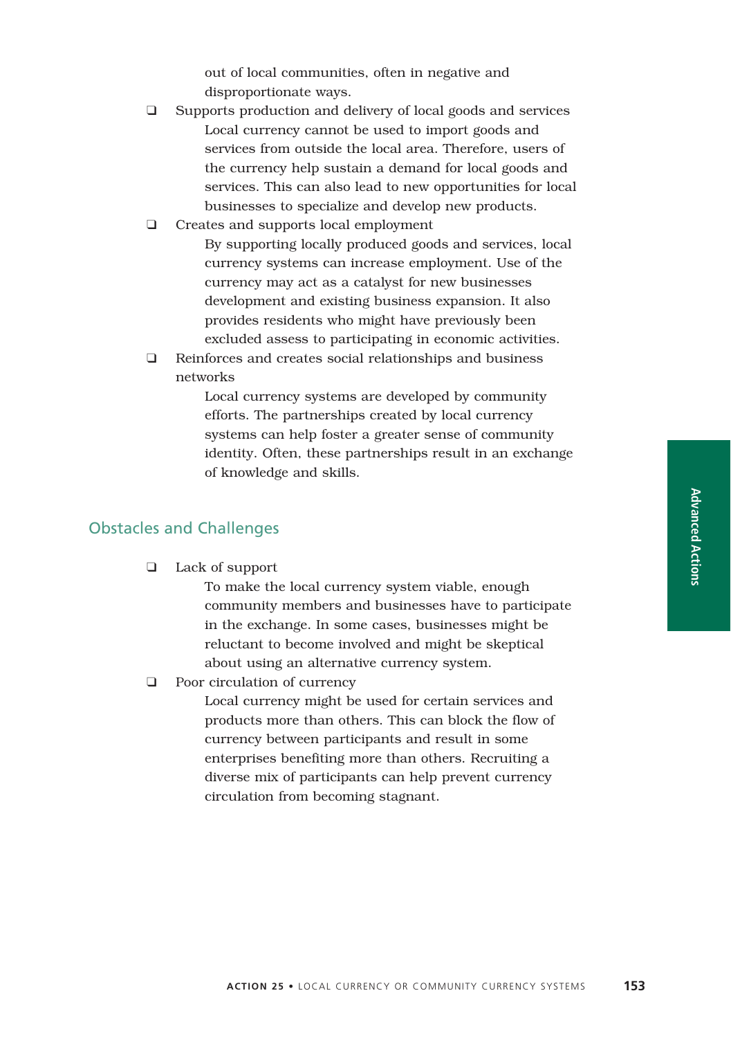out of local communities, often in negative and disproportionate ways.

❑ Supports production and delivery of local goods and services Local currency cannot be used to import goods and services from outside the local area. Therefore, users of the currency help sustain a demand for local goods and services. This can also lead to new opportunities for local businesses to specialize and develop new products.

#### ❑ Creates and supports local employment

By supporting locally produced goods and services, local currency systems can increase employment. Use of the currency may act as a catalyst for new businesses development and existing business expansion. It also provides residents who might have previously been excluded assess to participating in economic activities.

❑ Reinforces and creates social relationships and business networks

> Local currency systems are developed by community efforts. The partnerships created by local currency systems can help foster a greater sense of community identity. Often, these partnerships result in an exchange of knowledge and skills.

#### Obstacles and Challenges

❑ Lack of support

To make the local currency system viable, enough community members and businesses have to participate in the exchange. In some cases, businesses might be reluctant to become involved and might be skeptical about using an alternative currency system.

❑ Poor circulation of currency

Local currency might be used for certain services and products more than others. This can block the flow of currency between participants and result in some enterprises benefiting more than others. Recruiting a diverse mix of participants can help prevent currency circulation from becoming stagnant.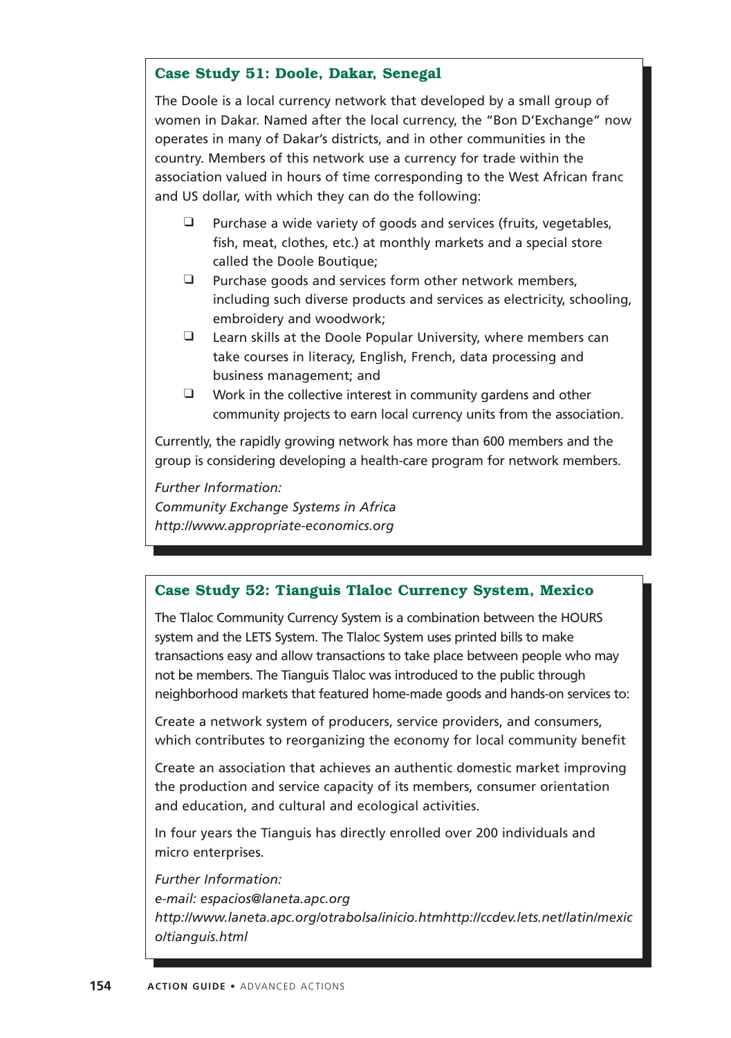## **Case Study 51: Doole, Dakar, Senegal**

The Doole is a local currency network that developed by a small group of women in Dakar. Named after the local currency, the "Bon D'Exchange" now operates in many of Dakar's districts, and in other communities in the country. Members of this network use a currency for trade within the association valued in hours of time corresponding to the West African franc and US dollar, with which they can do the following:

- ❑ Purchase a wide variety of goods and services (fruits, vegetables, fish, meat, clothes, etc.) at monthly markets and a special store called the Doole Boutique;
- ❑ Purchase goods and services form other network members, including such diverse products and services as electricity, schooling, embroidery and woodwork;
- ❑ Learn skills at the Doole Popular University, where members can take courses in literacy, English, French, data processing and business management; and
- ❑ Work in the collective interest in community gardens and other community projects to earn local currency units from the association.

Currently, the rapidly growing network has more than 600 members and the group is considering developing a health-care program for network members.

*Further Information:*

*Community Exchange Systems in Africa http://www.appropriate-economics.org*

## **Case Study 52: Tianguis Tlaloc Currency System, Mexico**

The Tlaloc Community Currency System is a combination between the HOURS system and the LETS System. The Tlaloc System uses printed bills to make transactions easy and allow transactions to take place between people who may not be members. The Tianguis Tlaloc was introduced to the public through neighborhood markets that featured home-made goods and hands-on services to:

Create a network system of producers, service providers, and consumers, which contributes to reorganizing the economy for local community benefit

Create an association that achieves an authentic domestic market improving the production and service capacity of its members, consumer orientation and education, and cultural and ecological activities.

In four years the Tianguis has directly enrolled over 200 individuals and micro enterprises.

*Further Information: e-mail: espacios@laneta.apc.org http://www.laneta.apc.org/otrabolsa/inicio.htmhttp://ccdev.lets.net/latin/mexic o/tianguis.html*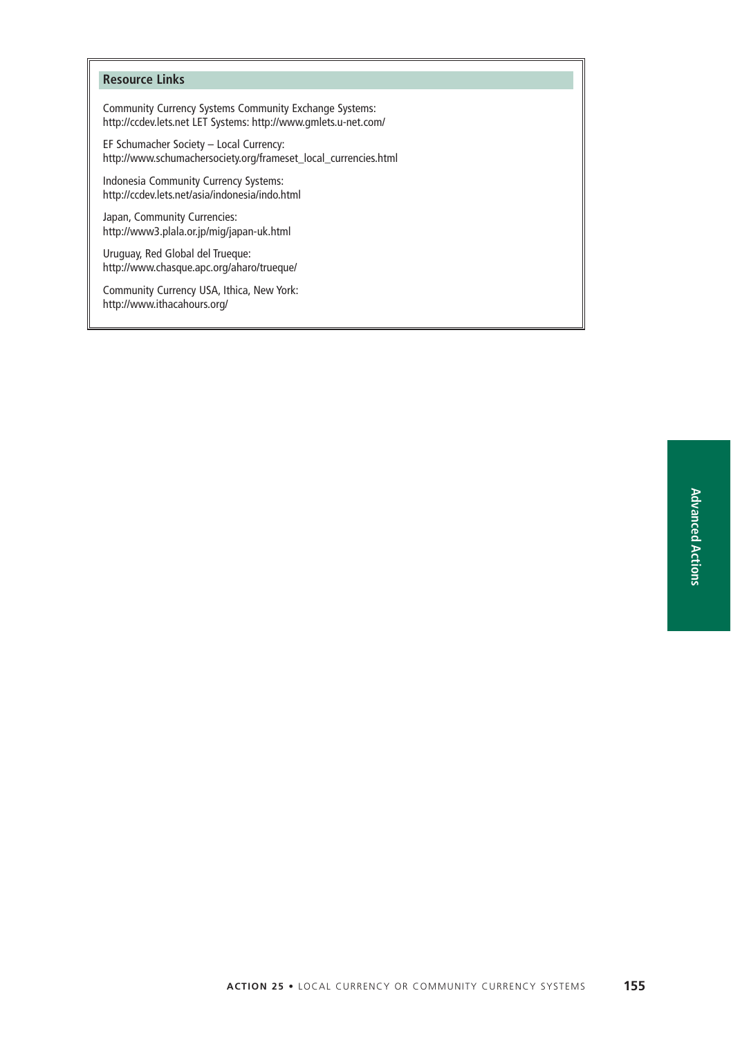#### **Resource Links**

Community Currency Systems Community Exchange Systems: http://ccdev.lets.net LET Systems: http://www.gmlets.u-net.com/

EF Schumacher Society – Local Currency: http://www.schumachersociety.org/frameset\_local\_currencies.html

Indonesia Community Currency Systems: http://ccdev.lets.net/asia/indonesia/indo.html

Japan, Community Currencies: http://www3.plala.or.jp/mig/japan-uk.html

Uruguay, Red Global del Trueque: http://www.chasque.apc.org/aharo/trueque/

Community Currency USA, Ithica, New York: http://www.ithacahours.org/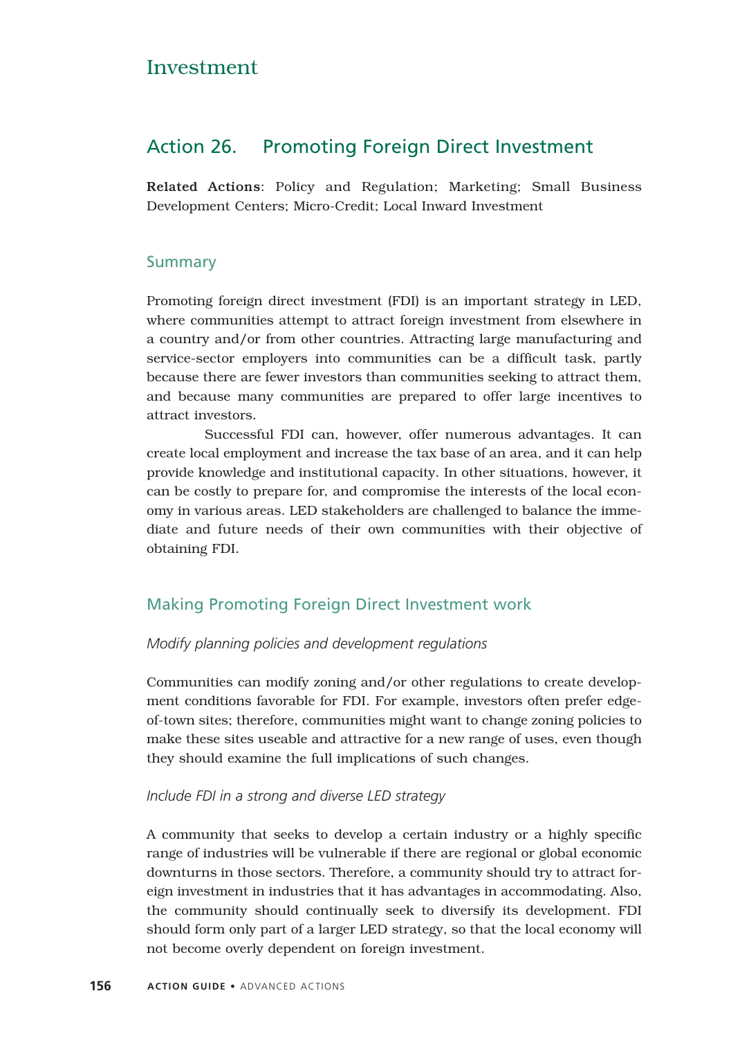## Investment

## Action 26. Promoting Foreign Direct Investment

Related Actions: Policy and Regulation; Marketing; Small Business Development Centers; Micro-Credit; Local Inward Investment

## Summary

Promoting foreign direct investment (FDI) is an important strategy in LED, where communities attempt to attract foreign investment from elsewhere in a country and/or from other countries. Attracting large manufacturing and service-sector employers into communities can be a difficult task, partly because there are fewer investors than communities seeking to attract them, and because many communities are prepared to offer large incentives to attract investors.

Successful FDI can, however, offer numerous advantages. It can create local employment and increase the tax base of an area, and it can help provide knowledge and institutional capacity. In other situations, however, it can be costly to prepare for, and compromise the interests of the local economy in various areas. LED stakeholders are challenged to balance the immediate and future needs of their own communities with their objective of obtaining FDI.

## Making Promoting Foreign Direct Investment work

#### *Modify planning policies and development regulations*

Communities can modify zoning and/or other regulations to create development conditions favorable for FDI. For example, investors often prefer edgeof-town sites; therefore, communities might want to change zoning policies to make these sites useable and attractive for a new range of uses, even though they should examine the full implications of such changes.

#### *Include FDI in a strong and diverse LED strategy*

A community that seeks to develop a certain industry or a highly specific range of industries will be vulnerable if there are regional or global economic downturns in those sectors. Therefore, a community should try to attract foreign investment in industries that it has advantages in accommodating. Also, the community should continually seek to diversify its development. FDI should form only part of a larger LED strategy, so that the local economy will not become overly dependent on foreign investment.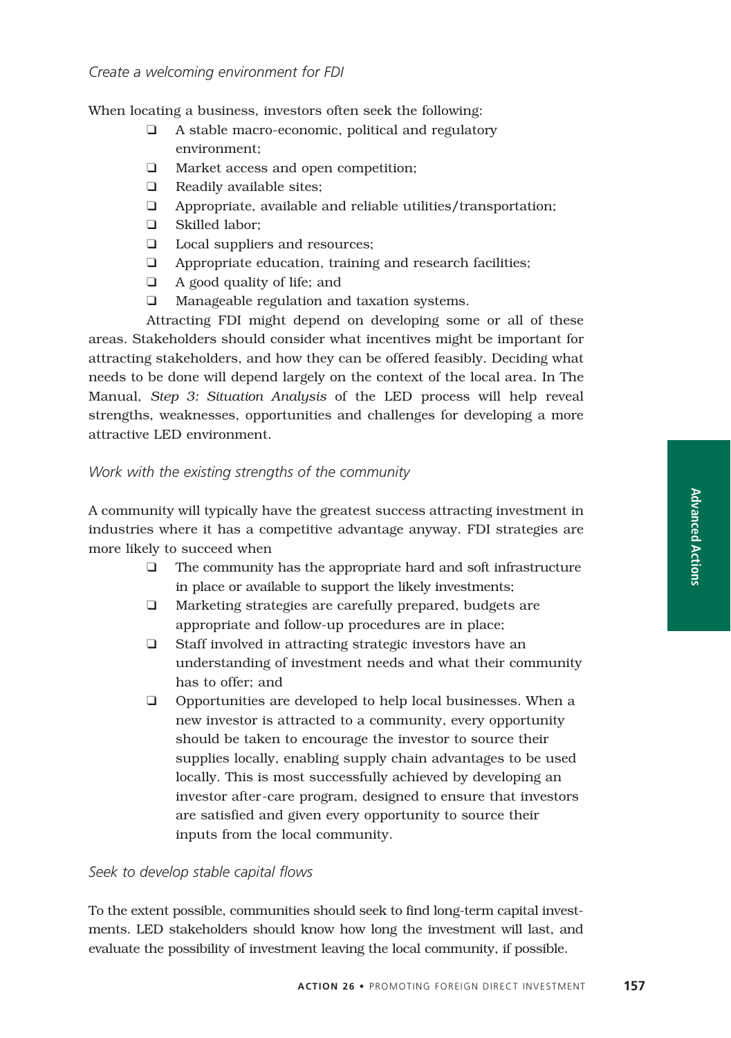#### *Create a welcoming environment for FDI*

When locating a business, investors often seek the following:

- ❑ A stable macro-economic, political and regulatory environment;
- ❑ Market access and open competition;
- ❑ Readily available sites;
- ❑ Appropriate, available and reliable utilities/transportation;
- ❑ Skilled labor;
- ❑ Local suppliers and resources;
- ❑ Appropriate education, training and research facilities;
- ❑ A good quality of life; and
- ❑ Manageable regulation and taxation systems.

Attracting FDI might depend on developing some or all of these areas. Stakeholders should consider what incentives might be important for attracting stakeholders, and how they can be offered feasibly. Deciding what needs to be done will depend largely on the context of the local area. In The Manual, *Step 3: Situation Analysis* of the LED process will help reveal strengths, weaknesses, opportunities and challenges for developing a more attractive LED environment.

#### *Work with the existing strengths of the community*

A community will typically have the greatest success attracting investment in industries where it has a competitive advantage anyway. FDI strategies are more likely to succeed when

- ❑ The community has the appropriate hard and soft infrastructure in place or available to support the likely investments;
- ❑ Marketing strategies are carefully prepared, budgets are appropriate and follow-up procedures are in place;
- ❑ Staff involved in attracting strategic investors have an understanding of investment needs and what their community has to offer; and
- ❑ Opportunities are developed to help local businesses. When a new investor is attracted to a community, every opportunity should be taken to encourage the investor to source their supplies locally, enabling supply chain advantages to be used locally. This is most successfully achieved by developing an investor after-care program, designed to ensure that investors are satisfied and given every opportunity to source their inputs from the local community.

#### *Seek to develop stable capital flows*

To the extent possible, communities should seek to find long-term capital investments. LED stakeholders should know how long the investment will last, and evaluate the possibility of investment leaving the local community, if possible.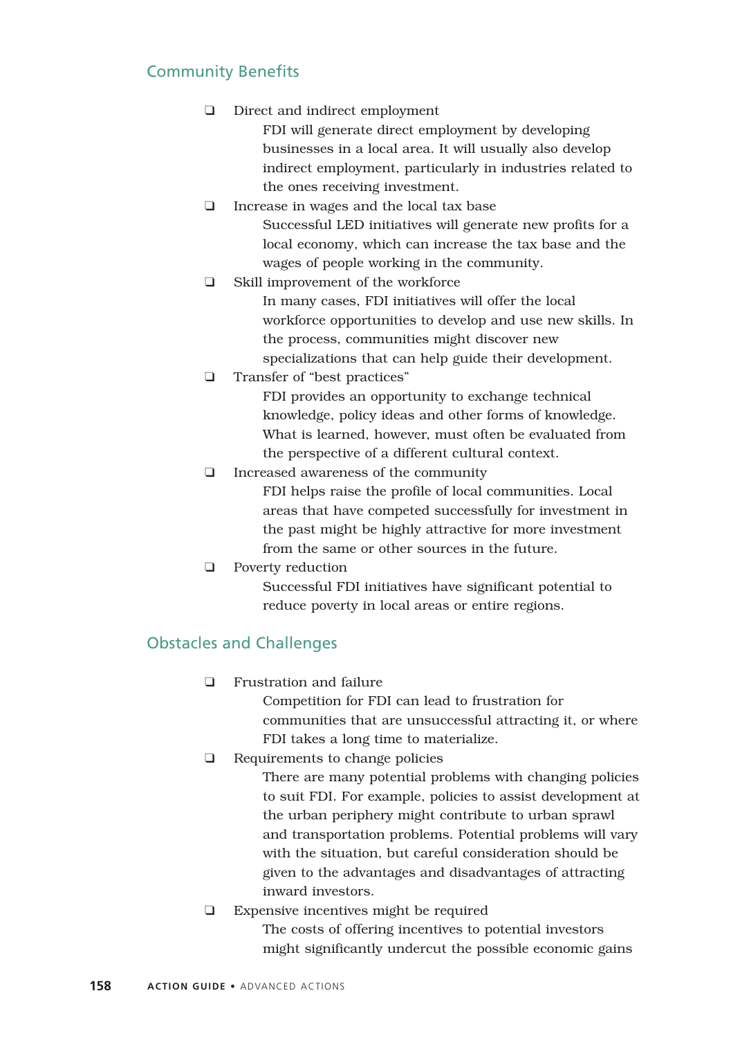## Community Benefits

- ❑ Direct and indirect employment
	- FDI will generate direct employment by developing businesses in a local area. It will usually also develop indirect employment, particularly in industries related to the ones receiving investment.
- ❑ Increase in wages and the local tax base Successful LED initiatives will generate new profits for a local economy, which can increase the tax base and the wages of people working in the community.
- ❑ Skill improvement of the workforce In many cases, FDI initiatives will offer the local workforce opportunities to develop and use new skills. In the process, communities might discover new specializations that can help guide their development.
- ❑ Transfer of "best practices"

FDI provides an opportunity to exchange technical knowledge, policy ideas and other forms of knowledge. What is learned, however, must often be evaluated from the perspective of a different cultural context.

❑ Increased awareness of the community

FDI helps raise the profile of local communities. Local areas that have competed successfully for investment in the past might be highly attractive for more investment from the same or other sources in the future.

❑ Poverty reduction

Successful FDI initiatives have significant potential to reduce poverty in local areas or entire regions.

## Obstacles and Challenges

❑ Frustration and failure

Competition for FDI can lead to frustration for communities that are unsuccessful attracting it, or where FDI takes a long time to materialize.

❑ Requirements to change policies

There are many potential problems with changing policies to suit FDI. For example, policies to assist development at the urban periphery might contribute to urban sprawl and transportation problems. Potential problems will vary with the situation, but careful consideration should be given to the advantages and disadvantages of attracting inward investors.

❑ Expensive incentives might be required The costs of offering incentives to potential investors might significantly undercut the possible economic gains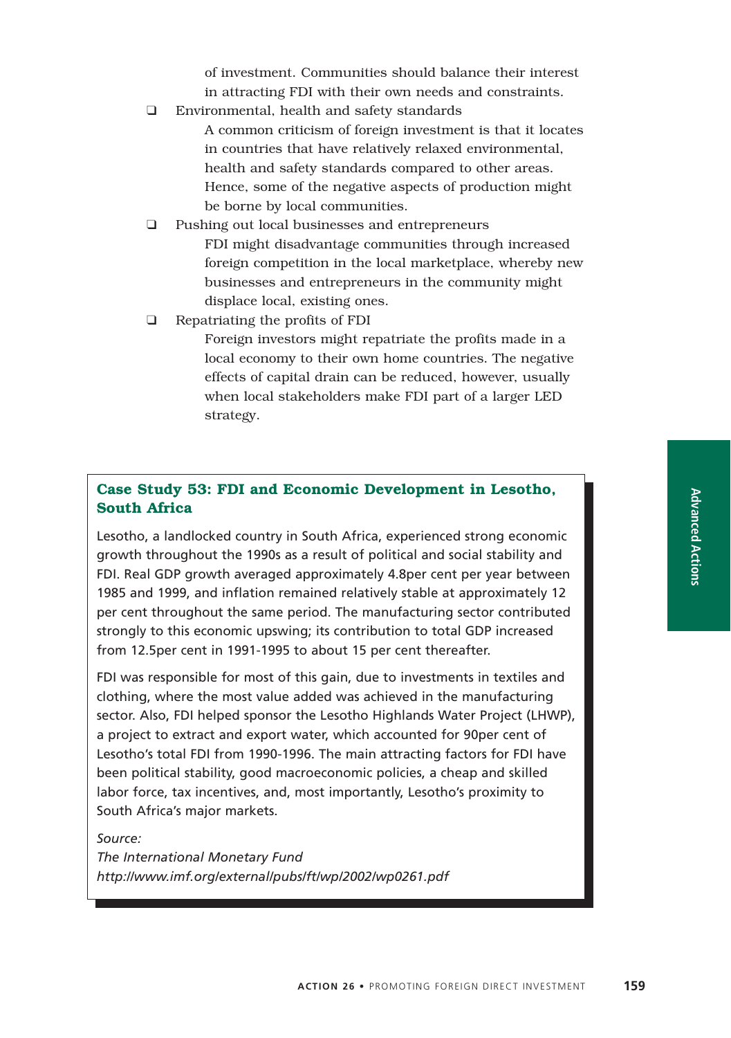of investment. Communities should balance their interest in attracting FDI with their own needs and constraints.

- ❑ Environmental, health and safety standards A common criticism of foreign investment is that it locates in countries that have relatively relaxed environmental, health and safety standards compared to other areas. Hence, some of the negative aspects of production might
	- be borne by local communities.
- ❑ Pushing out local businesses and entrepreneurs FDI might disadvantage communities through increased foreign competition in the local marketplace, whereby new businesses and entrepreneurs in the community might displace local, existing ones.
- ❑ Repatriating the profits of FDI
	- Foreign investors might repatriate the profits made in a local economy to their own home countries. The negative effects of capital drain can be reduced, however, usually when local stakeholders make FDI part of a larger LED strategy.

## **Case Study 53: FDI and Economic Development in Lesotho, South Africa**

Lesotho, a landlocked country in South Africa, experienced strong economic growth throughout the 1990s as a result of political and social stability and FDI. Real GDP growth averaged approximately 4.8per cent per year between 1985 and 1999, and inflation remained relatively stable at approximately 12 per cent throughout the same period. The manufacturing sector contributed strongly to this economic upswing; its contribution to total GDP increased from 12.5per cent in 1991-1995 to about 15 per cent thereafter.

FDI was responsible for most of this gain, due to investments in textiles and clothing, where the most value added was achieved in the manufacturing sector. Also, FDI helped sponsor the Lesotho Highlands Water Project (LHWP), a project to extract and export water, which accounted for 90per cent of Lesotho's total FDI from 1990-1996. The main attracting factors for FDI have been political stability, good macroeconomic policies, a cheap and skilled labor force, tax incentives, and, most importantly, Lesotho's proximity to South Africa's major markets.

*Source:*

*The International Monetary Fund http://www.imf.org/external/pubs/ft/wp/2002/wp0261.pdf*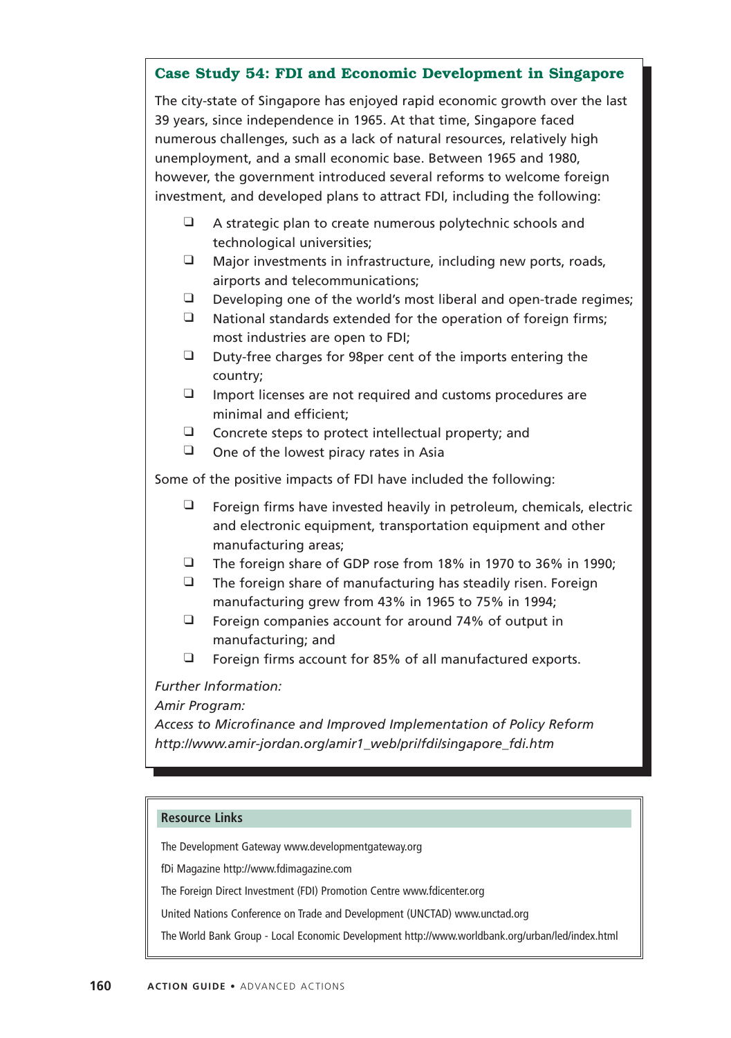## **Case Study 54: FDI and Economic Development in Singapore**

The city-state of Singapore has enjoyed rapid economic growth over the last 39 years, since independence in 1965. At that time, Singapore faced numerous challenges, such as a lack of natural resources, relatively high unemployment, and a small economic base. Between 1965 and 1980, however, the government introduced several reforms to welcome foreign investment, and developed plans to attract FDI, including the following:

- ❑ A strategic plan to create numerous polytechnic schools and technological universities;
- ❑ Major investments in infrastructure, including new ports, roads, airports and telecommunications;
- ❑ Developing one of the world's most liberal and open-trade regimes;
- ❑ National standards extended for the operation of foreign firms; most industries are open to FDI;
- ❑ Duty-free charges for 98per cent of the imports entering the country;
- ❑ Import licenses are not required and customs procedures are minimal and efficient;
- ❑ Concrete steps to protect intellectual property; and
- ❑ One of the lowest piracy rates in Asia

Some of the positive impacts of FDI have included the following:

- ❑ Foreign firms have invested heavily in petroleum, chemicals, electric and electronic equipment, transportation equipment and other manufacturing areas;
- ❑ The foreign share of GDP rose from 18% in 1970 to 36% in 1990;
- ❑ The foreign share of manufacturing has steadily risen. Foreign manufacturing grew from 43% in 1965 to 75% in 1994;
- ❑ Foreign companies account for around 74% of output in manufacturing; and
- ❑ Foreign firms account for 85% of all manufactured exports.

*Further Information:*

## *Amir Program:*

*Access to Microfinance and Improved Implementation of Policy Reform http://www.amir-jordan.org/amir1\_web/pri/fdi/singapore\_fdi.htm*

#### **Resource Links**

The Development Gateway www.developmentgateway.org

fDi Magazine http://www.fdimagazine.com

The Foreign Direct Investment (FDI) Promotion Centre www.fdicenter.org

United Nations Conference on Trade and Development (UNCTAD) www.unctad.org

The World Bank Group - Local Economic Development http://www.worldbank.org/urban/led/index.html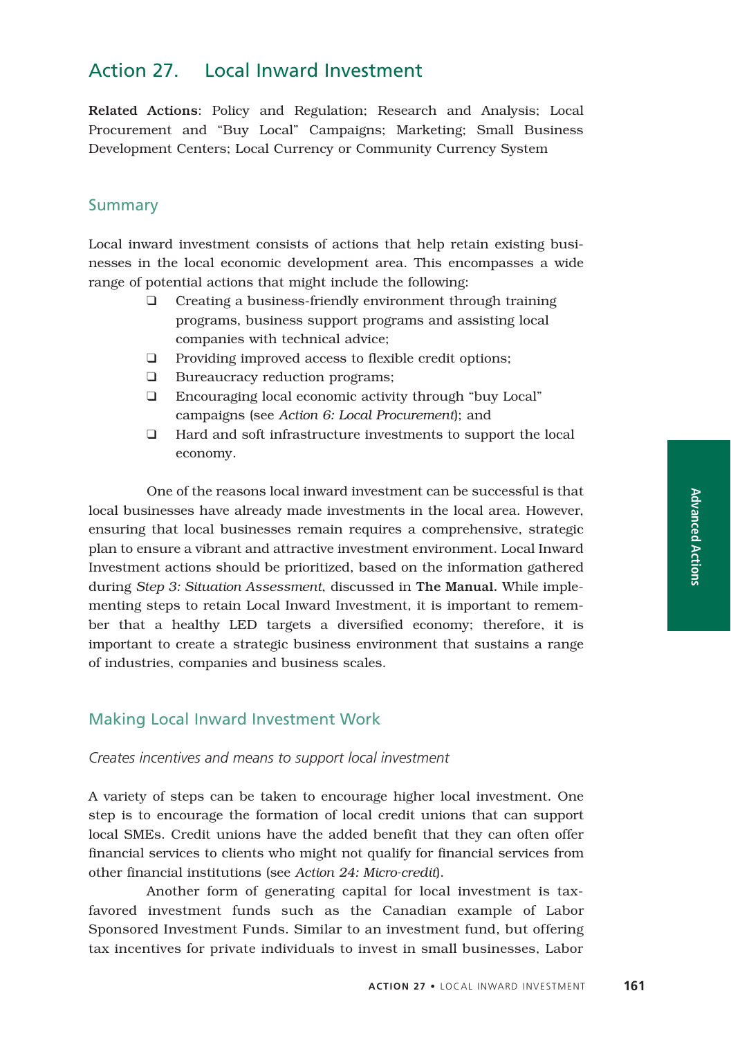Related Actions: Policy and Regulation; Research and Analysis; Local Procurement and "Buy Local" Campaigns; Marketing; Small Business Development Centers; Local Currency or Community Currency System

## Summary

Local inward investment consists of actions that help retain existing businesses in the local economic development area. This encompasses a wide range of potential actions that might include the following:

- ❑ Creating a business-friendly environment through training programs, business support programs and assisting local companies with technical advice;
- ❑ Providing improved access to flexible credit options;
- ❑ Bureaucracy reduction programs;
- ❑ Encouraging local economic activity through "buy Local" campaigns (see *Action 6: Local Procurement*); and
- ❑ Hard and soft infrastructure investments to support the local economy.

One of the reasons local inward investment can be successful is that local businesses have already made investments in the local area. However, ensuring that local businesses remain requires a comprehensive, strategic plan to ensure a vibrant and attractive investment environment. Local Inward Investment actions should be prioritized, based on the information gathered during *Step 3: Situation Assessment*, discussed in The Manual. While implementing steps to retain Local Inward Investment, it is important to remember that a healthy LED targets a diversified economy; therefore, it is important to create a strategic business environment that sustains a range of industries, companies and business scales.

## Making Local Inward Investment Work

#### *Creates incentives and means to support local investment*

A variety of steps can be taken to encourage higher local investment. One step is to encourage the formation of local credit unions that can support local SMEs. Credit unions have the added benefit that they can often offer financial services to clients who might not qualify for financial services from other financial institutions (see *Action 24: Micro-credit*).

Another form of generating capital for local investment is taxfavored investment funds such as the Canadian example of Labor Sponsored Investment Funds. Similar to an investment fund, but offering tax incentives for private individuals to invest in small businesses, Labor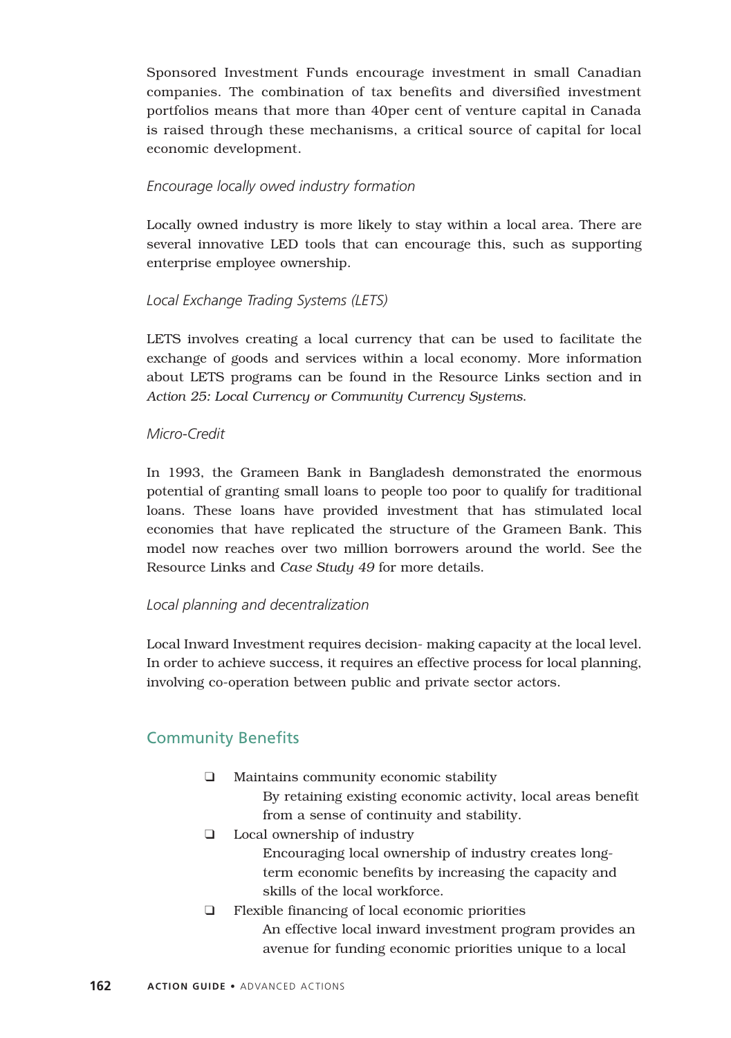Sponsored Investment Funds encourage investment in small Canadian companies. The combination of tax benefits and diversified investment portfolios means that more than 40per cent of venture capital in Canada is raised through these mechanisms, a critical source of capital for local economic development.

#### *Encourage locally owed industry formation*

Locally owned industry is more likely to stay within a local area. There are several innovative LED tools that can encourage this, such as supporting enterprise employee ownership.

#### *Local Exchange Trading Systems (LETS)*

LETS involves creating a local currency that can be used to facilitate the exchange of goods and services within a local economy. More information about LETS programs can be found in the Resource Links section and in *Action 25: Local Currency or Community Currency Systems*.

#### *Micro-Credit*

In 1993, the Grameen Bank in Bangladesh demonstrated the enormous potential of granting small loans to people too poor to qualify for traditional loans. These loans have provided investment that has stimulated local economies that have replicated the structure of the Grameen Bank. This model now reaches over two million borrowers around the world. See the Resource Links and *Case Study 49* for more details.

#### *Local planning and decentralization*

Local Inward Investment requires decision- making capacity at the local level. In order to achieve success, it requires an effective process for local planning, involving co-operation between public and private sector actors.

## Community Benefits

- ❑ Maintains community economic stability By retaining existing economic activity, local areas benefit from a sense of continuity and stability.
- ❑ Local ownership of industry Encouraging local ownership of industry creates longterm economic benefits by increasing the capacity and skills of the local workforce.
- ❑ Flexible financing of local economic priorities An effective local inward investment program provides an avenue for funding economic priorities unique to a local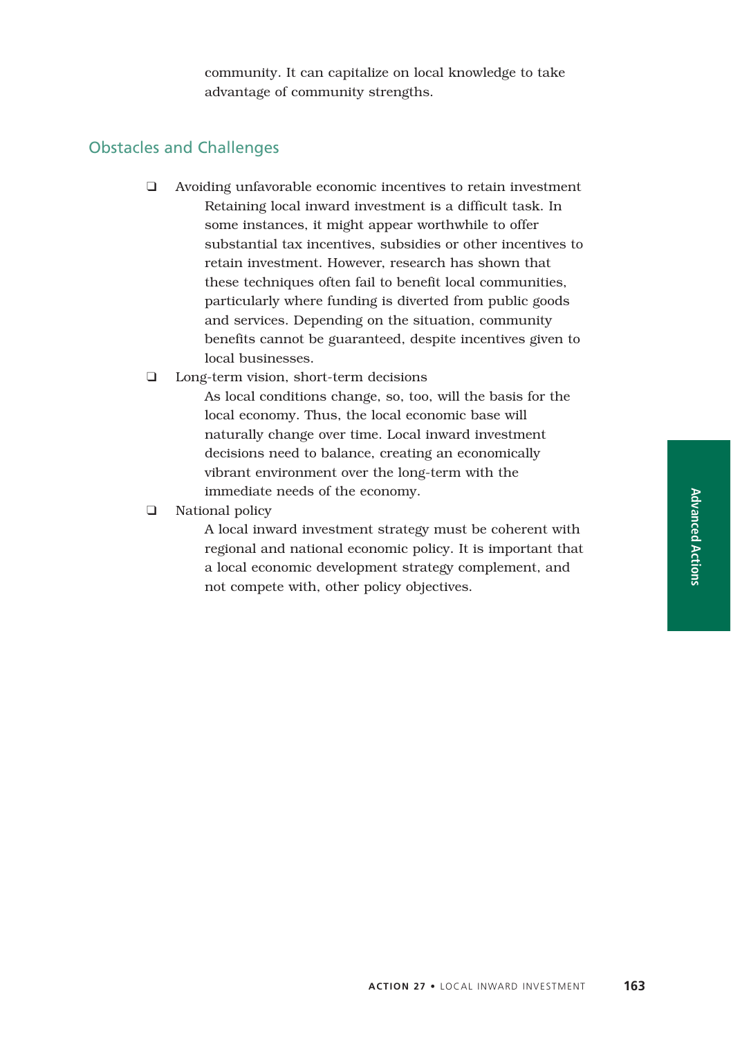community. It can capitalize on local knowledge to take advantage of community strengths.

## Obstacles and Challenges

❑ Avoiding unfavorable economic incentives to retain investment Retaining local inward investment is a difficult task. In some instances, it might appear worthwhile to offer substantial tax incentives, subsidies or other incentives to retain investment. However, research has shown that these techniques often fail to benefit local communities, particularly where funding is diverted from public goods and services. Depending on the situation, community benefits cannot be guaranteed, despite incentives given to local businesses.

#### ❑ Long-term vision, short-term decisions

As local conditions change, so, too, will the basis for the local economy. Thus, the local economic base will naturally change over time. Local inward investment decisions need to balance, creating an economically vibrant environment over the long-term with the immediate needs of the economy.

#### ❑ National policy

A local inward investment strategy must be coherent with regional and national economic policy. It is important that a local economic development strategy complement, and not compete with, other policy objectives.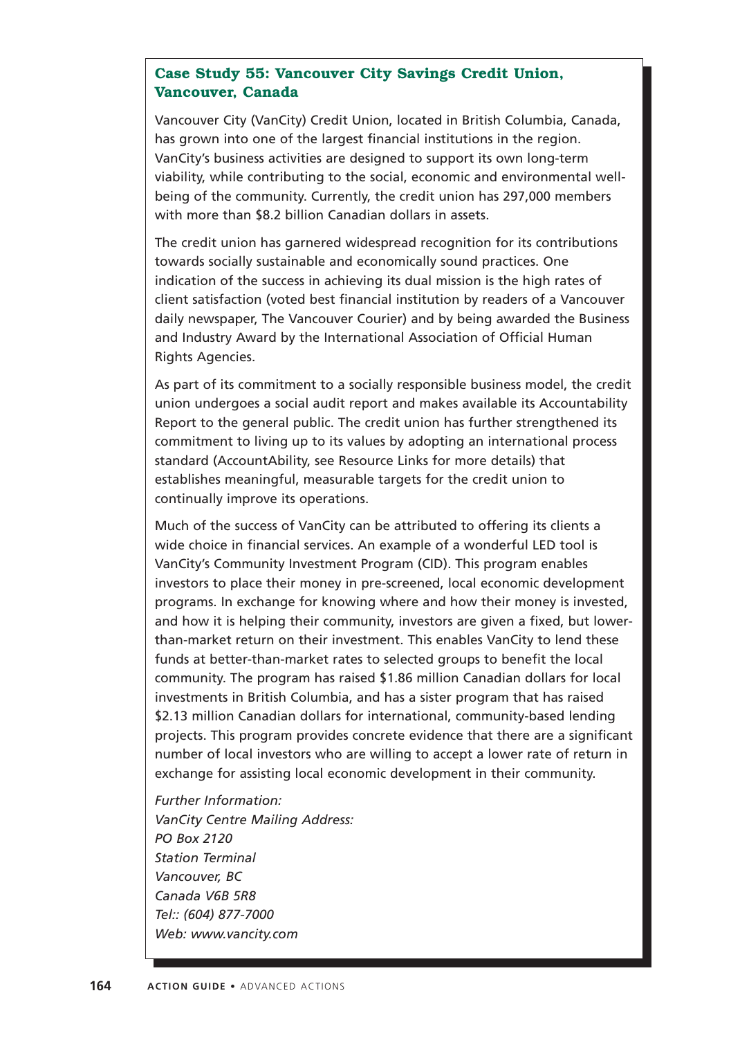## **Case Study 55: Vancouver City Savings Credit Union, Vancouver, Canada**

Vancouver City (VanCity) Credit Union, located in British Columbia, Canada, has grown into one of the largest financial institutions in the region. VanCity's business activities are designed to support its own long-term viability, while contributing to the social, economic and environmental wellbeing of the community. Currently, the credit union has 297,000 members with more than \$8.2 billion Canadian dollars in assets.

The credit union has garnered widespread recognition for its contributions towards socially sustainable and economically sound practices. One indication of the success in achieving its dual mission is the high rates of client satisfaction (voted best financial institution by readers of a Vancouver daily newspaper, The Vancouver Courier) and by being awarded the Business and Industry Award by the International Association of Official Human Rights Agencies.

As part of its commitment to a socially responsible business model, the credit union undergoes a social audit report and makes available its Accountability Report to the general public. The credit union has further strengthened its commitment to living up to its values by adopting an international process standard (AccountAbility, see Resource Links for more details) that establishes meaningful, measurable targets for the credit union to continually improve its operations.

Much of the success of VanCity can be attributed to offering its clients a wide choice in financial services. An example of a wonderful LED tool is VanCity's Community Investment Program (CID). This program enables investors to place their money in pre-screened, local economic development programs. In exchange for knowing where and how their money is invested, and how it is helping their community, investors are given a fixed, but lowerthan-market return on their investment. This enables VanCity to lend these funds at better-than-market rates to selected groups to benefit the local community. The program has raised \$1.86 million Canadian dollars for local investments in British Columbia, and has a sister program that has raised \$2.13 million Canadian dollars for international, community-based lending projects. This program provides concrete evidence that there are a significant number of local investors who are willing to accept a lower rate of return in exchange for assisting local economic development in their community.

*Further Information: VanCity Centre Mailing Address: PO Box 2120 Station Terminal Vancouver, BC Canada V6B 5R8 Tel:: (604) 877-7000 Web: www.vancity.com*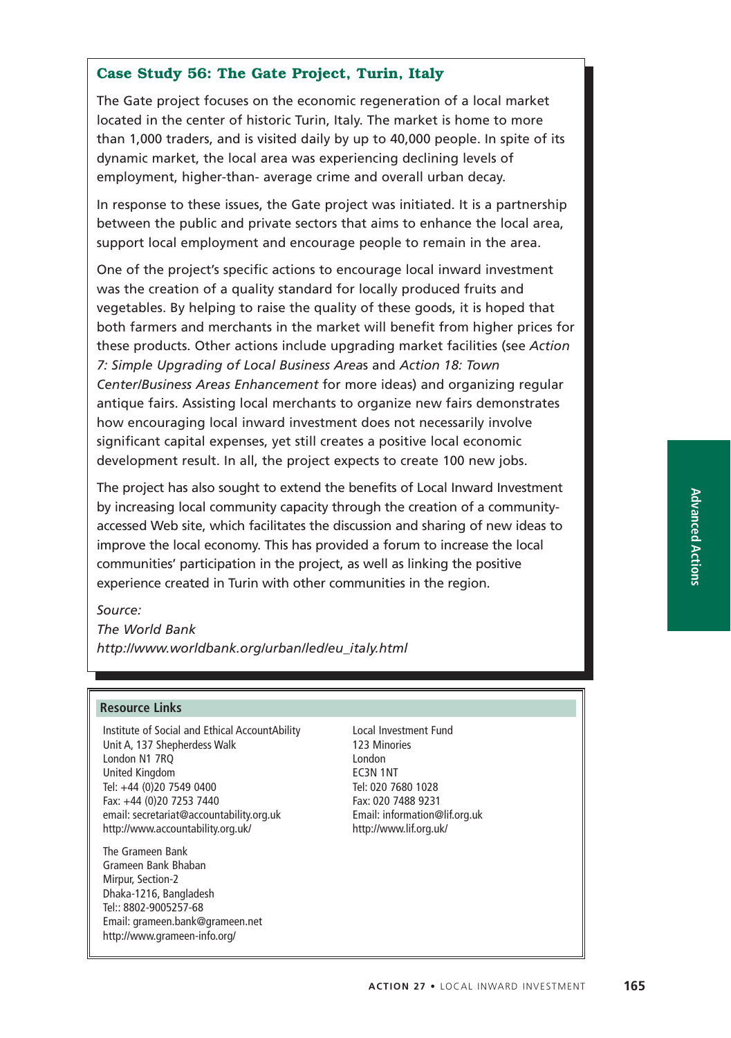## **Case Study 56: The Gate Project, Turin, Italy**

The Gate project focuses on the economic regeneration of a local market located in the center of historic Turin, Italy. The market is home to more than 1,000 traders, and is visited daily by up to 40,000 people. In spite of its dynamic market, the local area was experiencing declining levels of employment, higher-than- average crime and overall urban decay.

In response to these issues, the Gate project was initiated. It is a partnership between the public and private sectors that aims to enhance the local area, support local employment and encourage people to remain in the area.

One of the project's specific actions to encourage local inward investment was the creation of a quality standard for locally produced fruits and vegetables. By helping to raise the quality of these goods, it is hoped that both farmers and merchants in the market will benefit from higher prices for these products. Other actions include upgrading market facilities (see *Action 7: Simple Upgrading of Local Business Area*s and *Action 18: Town Center/Business Areas Enhancement* for more ideas) and organizing regular antique fairs. Assisting local merchants to organize new fairs demonstrates how encouraging local inward investment does not necessarily involve significant capital expenses, yet still creates a positive local economic development result. In all, the project expects to create 100 new jobs.

The project has also sought to extend the benefits of Local Inward Investment by increasing local community capacity through the creation of a communityaccessed Web site, which facilitates the discussion and sharing of new ideas to improve the local economy. This has provided a forum to increase the local communities' participation in the project, as well as linking the positive experience created in Turin with other communities in the region.

*Source:*

*The World Bank http://www.worldbank.org/urban/led/eu\_italy.html*

#### **Resource Links**

Institute of Social and Ethical AccountAbility Unit A, 137 Shepherdess Walk London N1 7RQ United Kingdom Tel: +44 (0)20 7549 0400 Fax: +44 (0)20 7253 7440 email: secretariat@accountability.org.uk http://www.accountability.org.uk/

The Grameen Bank Grameen Bank Bhaban Mirpur, Section-2 Dhaka-1216, Bangladesh Tel:: 8802-9005257-68 Email: grameen.bank@grameen.net http://www.grameen-info.org/

Local Investment Fund 123 Minories London EC3N 1NT Tel: 020 7680 1028 Fax: 020 7488 9231 Email: information@lif.org.uk http://www.lif.org.uk/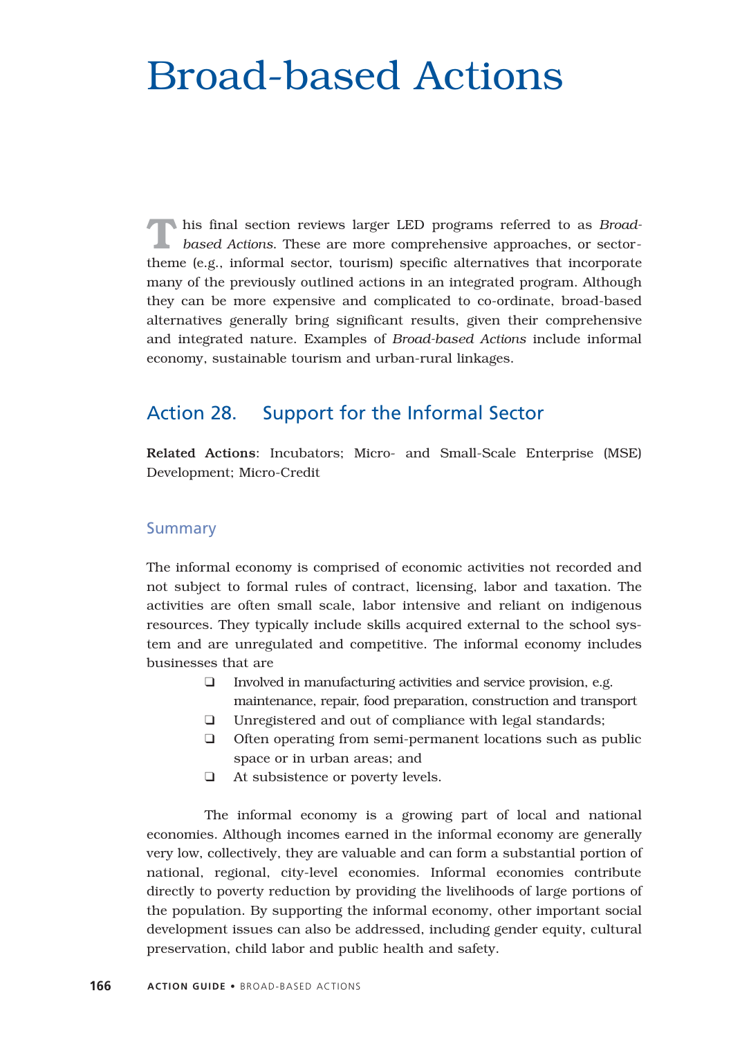## Broad-based Actions

**T**his final section reviews larger LED programs referred to as *Broad-based Actions*. These are more comprehensive approaches, or sectortheme (e.g., informal sector, tourism) specific alternatives that incorporate many of the previously outlined actions in an integrated program. Although they can be more expensive and complicated to co-ordinate, broad-based alternatives generally bring significant results, given their comprehensive and integrated nature. Examples of *Broad-based Actions* include informal economy, sustainable tourism and urban-rural linkages.

## Action 28. Support for the Informal Sector

Related Actions: Incubators; Micro- and Small-Scale Enterprise (MSE) Development; Micro-Credit

#### **Summary**

The informal economy is comprised of economic activities not recorded and not subject to formal rules of contract, licensing, labor and taxation. The activities are often small scale, labor intensive and reliant on indigenous resources. They typically include skills acquired external to the school system and are unregulated and competitive. The informal economy includes businesses that are

- ❑ Involved in manufacturing activities and service provision, e.g. maintenance, repair, food preparation, construction and transport
- ❑ Unregistered and out of compliance with legal standards;
- ❑ Often operating from semi-permanent locations such as public space or in urban areas; and
- ❑ At subsistence or poverty levels.

The informal economy is a growing part of local and national economies. Although incomes earned in the informal economy are generally very low, collectively, they are valuable and can form a substantial portion of national, regional, city-level economies. Informal economies contribute directly to poverty reduction by providing the livelihoods of large portions of the population. By supporting the informal economy, other important social development issues can also be addressed, including gender equity, cultural preservation, child labor and public health and safety.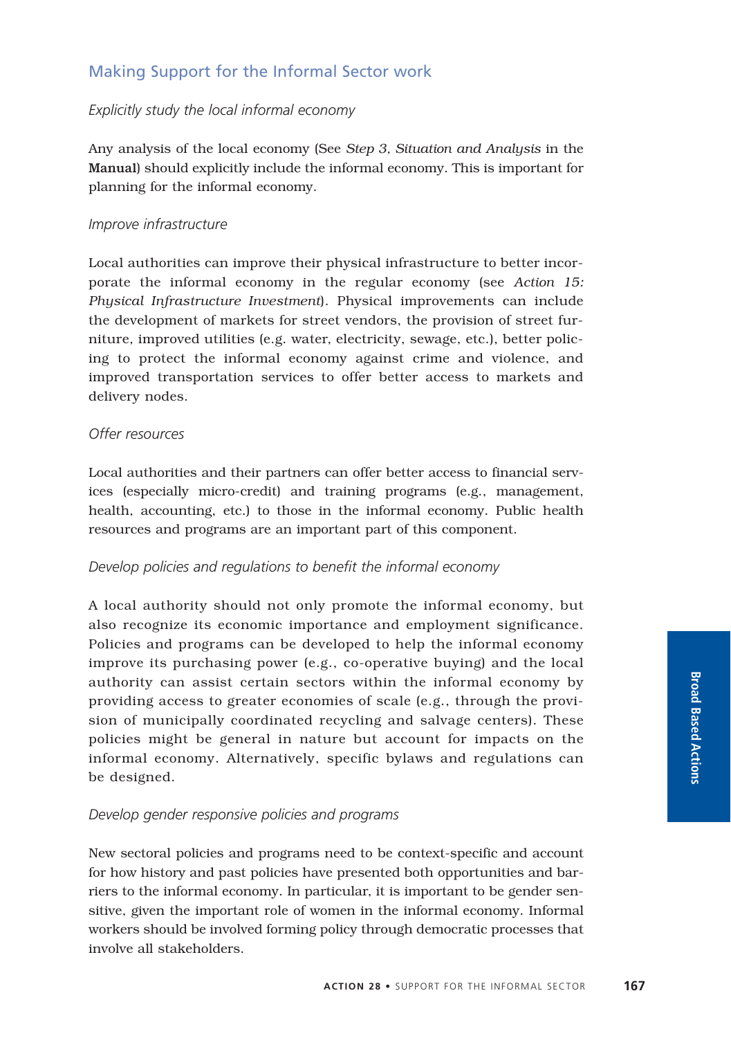## Making Support for the Informal Sector work

## *Explicitly study the local informal economy*

Any analysis of the local economy (See *Step 3, Situation and Analysis* in the Manual) should explicitly include the informal economy. This is important for planning for the informal economy.

#### *Improve infrastructure*

Local authorities can improve their physical infrastructure to better incorporate the informal economy in the regular economy (see *Action 15: Physical Infrastructure Investment*). Physical improvements can include the development of markets for street vendors, the provision of street furniture, improved utilities (e.g. water, electricity, sewage, etc.), better policing to protect the informal economy against crime and violence, and improved transportation services to offer better access to markets and delivery nodes.

#### *Offer resources*

Local authorities and their partners can offer better access to financial services (especially micro-credit) and training programs (e.g., management, health, accounting, etc.) to those in the informal economy. Public health resources and programs are an important part of this component.

## *Develop policies and regulations to benefit the informal economy*

A local authority should not only promote the informal economy, but also recognize its economic importance and employment significance. Policies and programs can be developed to help the informal economy improve its purchasing power (e.g., co-operative buying) and the local authority can assist certain sectors within the informal economy by providing access to greater economies of scale (e.g., through the provision of municipally coordinated recycling and salvage centers). These policies might be general in nature but account for impacts on the informal economy. Alternatively, specific bylaws and regulations can be designed.

## *Develop gender responsive policies and programs*

New sectoral policies and programs need to be context-specific and account for how history and past policies have presented both opportunities and barriers to the informal economy. In particular, it is important to be gender sensitive, given the important role of women in the informal economy. Informal workers should be involved forming policy through democratic processes that involve all stakeholders.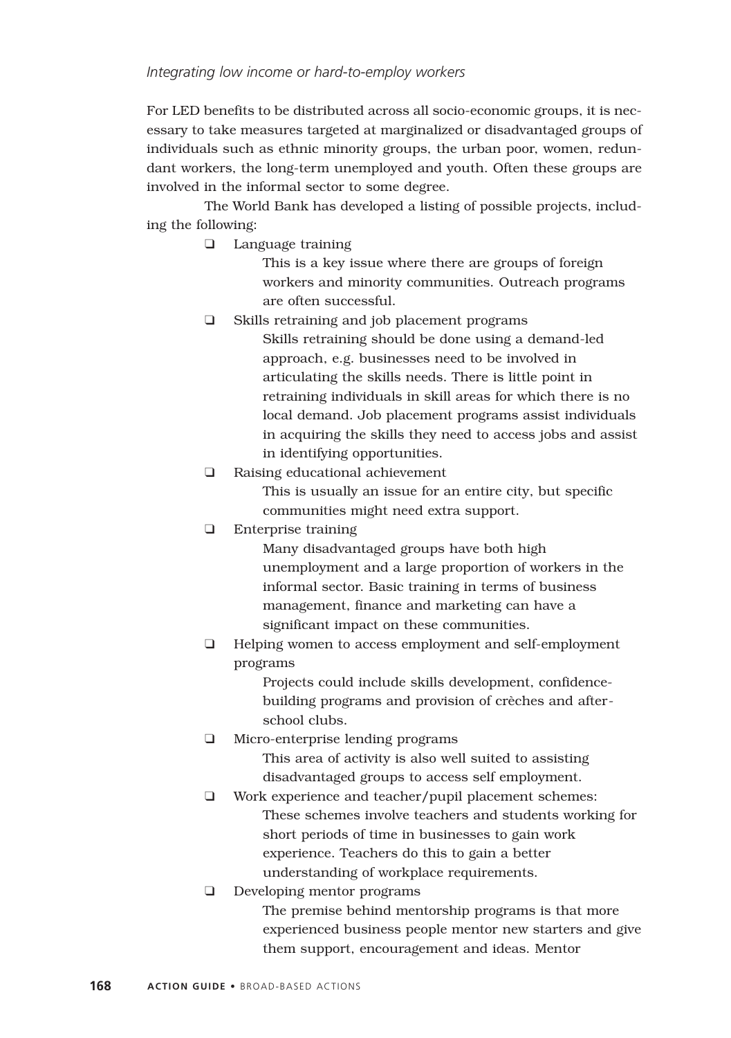For LED benefits to be distributed across all socio-economic groups, it is necessary to take measures targeted at marginalized or disadvantaged groups of individuals such as ethnic minority groups, the urban poor, women, redundant workers, the long-term unemployed and youth. Often these groups are involved in the informal sector to some degree.

The World Bank has developed a listing of possible projects, including the following:

❑ Language training

This is a key issue where there are groups of foreign workers and minority communities. Outreach programs are often successful.

- ❑ Skills retraining and job placement programs Skills retraining should be done using a demand-led approach, e.g. businesses need to be involved in articulating the skills needs. There is little point in retraining individuals in skill areas for which there is no local demand. Job placement programs assist individuals in acquiring the skills they need to access jobs and assist in identifying opportunities.
- ❑ Raising educational achievement

This is usually an issue for an entire city, but specific communities might need extra support.

❑ Enterprise training

Many disadvantaged groups have both high unemployment and a large proportion of workers in the informal sector. Basic training in terms of business management, finance and marketing can have a significant impact on these communities.

❑ Helping women to access employment and self-employment programs

> Projects could include skills development, confidencebuilding programs and provision of crèches and afterschool clubs.

- ❑ Micro-enterprise lending programs This area of activity is also well suited to assisting disadvantaged groups to access self employment.
- ❑ Work experience and teacher/pupil placement schemes: These schemes involve teachers and students working for short periods of time in businesses to gain work experience. Teachers do this to gain a better understanding of workplace requirements.
- ❑ Developing mentor programs

The premise behind mentorship programs is that more experienced business people mentor new starters and give them support, encouragement and ideas. Mentor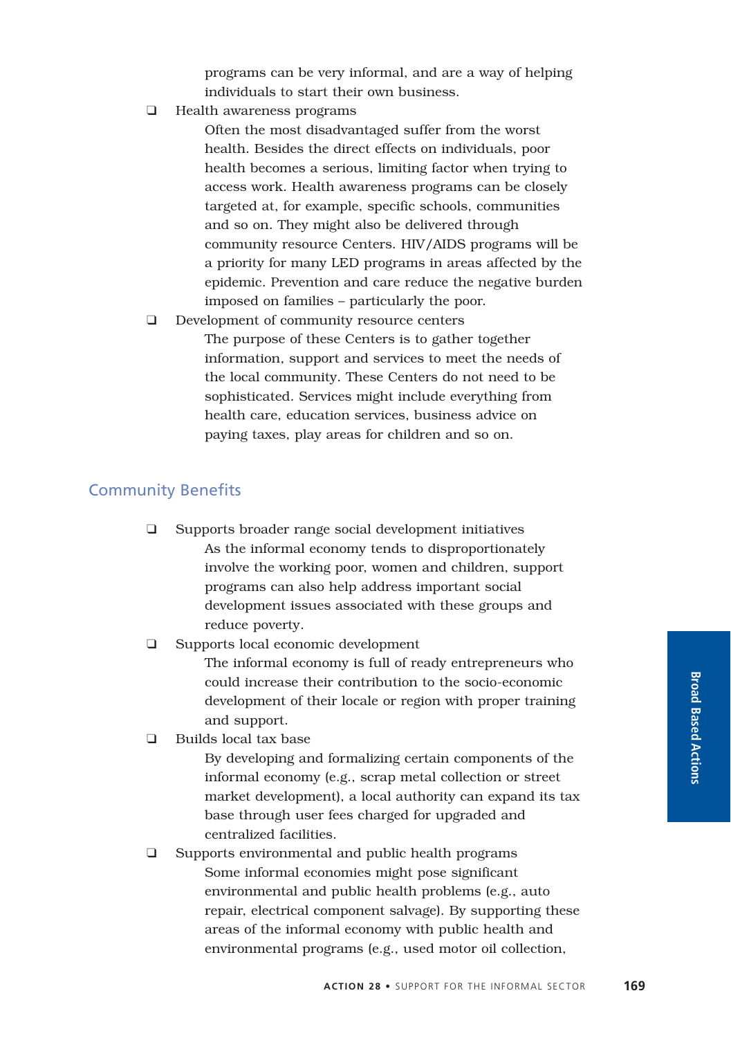programs can be very informal, and are a way of helping individuals to start their own business.

❑ Health awareness programs

Often the most disadvantaged suffer from the worst health. Besides the direct effects on individuals, poor health becomes a serious, limiting factor when trying to access work. Health awareness programs can be closely targeted at, for example, specific schools, communities and so on. They might also be delivered through community resource Centers. HIV/AIDS programs will be a priority for many LED programs in areas affected by the epidemic. Prevention and care reduce the negative burden imposed on families – particularly the poor.

❑ Development of community resource centers The purpose of these Centers is to gather together information, support and services to meet the needs of the local community. These Centers do not need to be sophisticated. Services might include everything from health care, education services, business advice on paying taxes, play areas for children and so on.

### Community Benefits

- ❑ Supports broader range social development initiatives As the informal economy tends to disproportionately involve the working poor, women and children, support programs can also help address important social development issues associated with these groups and reduce poverty.
- ❑ Supports local economic development

The informal economy is full of ready entrepreneurs who could increase their contribution to the socio-economic development of their locale or region with proper training and support.

❑ Builds local tax base

By developing and formalizing certain components of the informal economy (e.g., scrap metal collection or street market development), a local authority can expand its tax base through user fees charged for upgraded and centralized facilities.

❑ Supports environmental and public health programs Some informal economies might pose significant environmental and public health problems (e.g., auto repair, electrical component salvage). By supporting these areas of the informal economy with public health and environmental programs (e.g., used motor oil collection,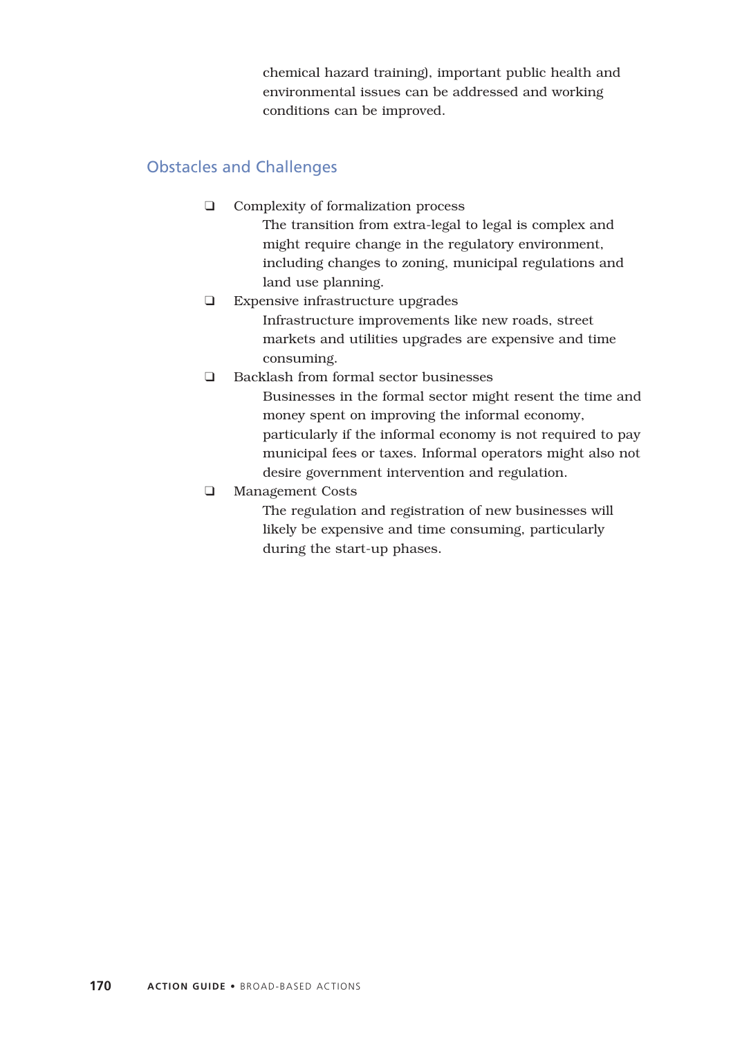chemical hazard training), important public health and environmental issues can be addressed and working conditions can be improved.

# Obstacles and Challenges

- ❑ Complexity of formalization process The transition from extra-legal to legal is complex and might require change in the regulatory environment, including changes to zoning, municipal regulations and land use planning.
- ❑ Expensive infrastructure upgrades

Infrastructure improvements like new roads, street markets and utilities upgrades are expensive and time consuming.

❑ Backlash from formal sector businesses

Businesses in the formal sector might resent the time and money spent on improving the informal economy, particularly if the informal economy is not required to pay municipal fees or taxes. Informal operators might also not desire government intervention and regulation.

❑ Management Costs

The regulation and registration of new businesses will likely be expensive and time consuming, particularly during the start-up phases.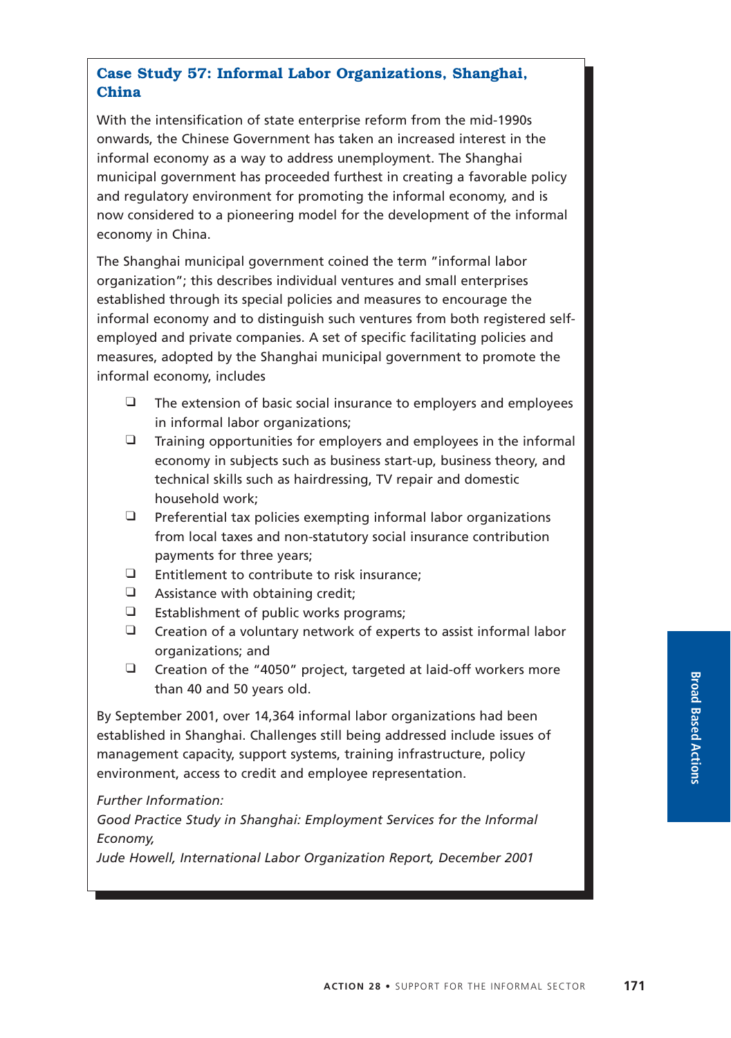# **Case Study 57: Informal Labor Organizations, Shanghai, China**

With the intensification of state enterprise reform from the mid-1990s onwards, the Chinese Government has taken an increased interest in the informal economy as a way to address unemployment. The Shanghai municipal government has proceeded furthest in creating a favorable policy and regulatory environment for promoting the informal economy, and is now considered to a pioneering model for the development of the informal economy in China.

The Shanghai municipal government coined the term "informal labor organization"; this describes individual ventures and small enterprises established through its special policies and measures to encourage the informal economy and to distinguish such ventures from both registered selfemployed and private companies. A set of specific facilitating policies and measures, adopted by the Shanghai municipal government to promote the informal economy, includes

- $\Box$  The extension of basic social insurance to employers and employees in informal labor organizations;
- $\Box$  Training opportunities for employers and employees in the informal economy in subjects such as business start-up, business theory, and technical skills such as hairdressing, TV repair and domestic household work;
- $\Box$  Preferential tax policies exempting informal labor organizations from local taxes and non-statutory social insurance contribution payments for three years;
- ❑ Entitlement to contribute to risk insurance;
- ❑ Assistance with obtaining credit;
- ❑ Establishment of public works programs;
- ❑ Creation of a voluntary network of experts to assist informal labor organizations; and
- ❑ Creation of the "4050" project, targeted at laid-off workers more than 40 and 50 years old.

By September 2001, over 14,364 informal labor organizations had been established in Shanghai. Challenges still being addressed include issues of management capacity, support systems, training infrastructure, policy environment, access to credit and employee representation.

*Further Information:*

*Good Practice Study in Shanghai: Employment Services for the Informal Economy,*

*Jude Howell, International Labor Organization Report, December 2001*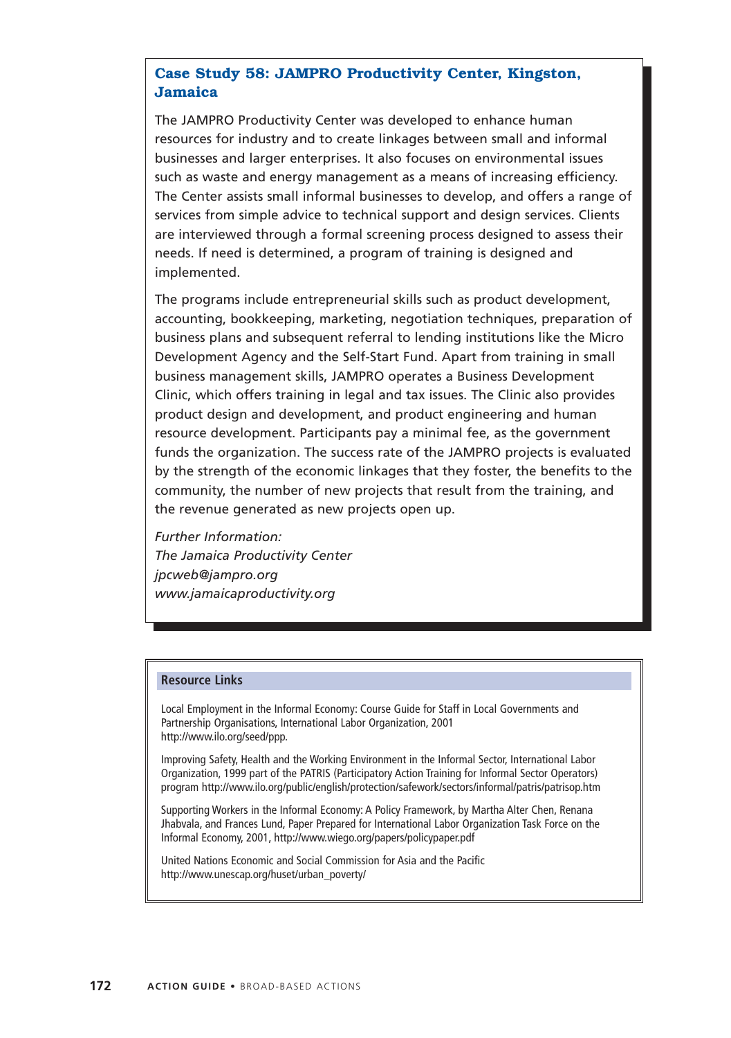## **Case Study 58: JAMPRO Productivity Center, Kingston, Jamaica**

The JAMPRO Productivity Center was developed to enhance human resources for industry and to create linkages between small and informal businesses and larger enterprises. It also focuses on environmental issues such as waste and energy management as a means of increasing efficiency. The Center assists small informal businesses to develop, and offers a range of services from simple advice to technical support and design services. Clients are interviewed through a formal screening process designed to assess their needs. If need is determined, a program of training is designed and implemented.

The programs include entrepreneurial skills such as product development, accounting, bookkeeping, marketing, negotiation techniques, preparation of business plans and subsequent referral to lending institutions like the Micro Development Agency and the Self-Start Fund. Apart from training in small business management skills, JAMPRO operates a Business Development Clinic, which offers training in legal and tax issues. The Clinic also provides product design and development, and product engineering and human resource development. Participants pay a minimal fee, as the government funds the organization. The success rate of the JAMPRO projects is evaluated by the strength of the economic linkages that they foster, the benefits to the community, the number of new projects that result from the training, and the revenue generated as new projects open up.

*Further Information: The Jamaica Productivity Center jpcweb@jampro.org www.jamaicaproductivity.org*

#### **Resource Links**

Local Employment in the Informal Economy: Course Guide for Staff in Local Governments and Partnership Organisations, International Labor Organization, 2001 http://www.ilo.org/seed/ppp.

Improving Safety, Health and the Working Environment in the Informal Sector, International Labor Organization, 1999 part of the PATRIS (Participatory Action Training for Informal Sector Operators) program http://www.ilo.org/public/english/protection/safework/sectors/informal/patris/patrisop.htm

Supporting Workers in the Informal Economy: A Policy Framework, by Martha Alter Chen, Renana Jhabvala, and Frances Lund, Paper Prepared for International Labor Organization Task Force on the Informal Economy, 2001, http://www.wiego.org/papers/policypaper.pdf

United Nations Economic and Social Commission for Asia and the Pacific http://www.unescap.org/huset/urban\_poverty/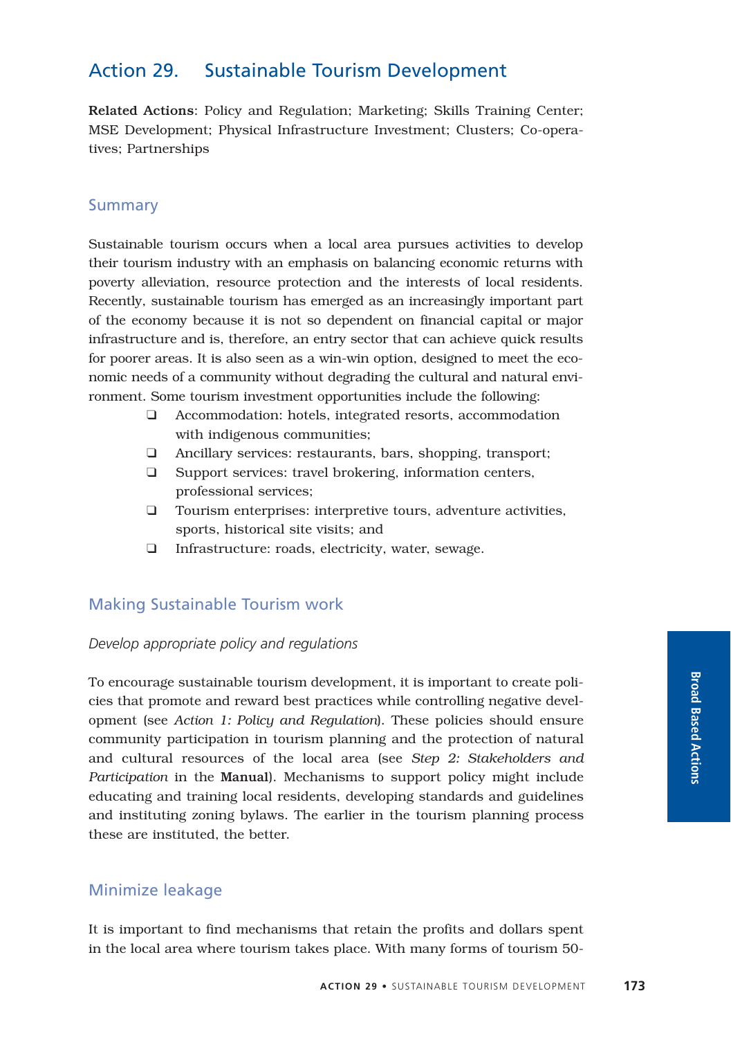# Action 29. Sustainable Tourism Development

Related Actions: Policy and Regulation; Marketing; Skills Training Center; MSE Development; Physical Infrastructure Investment; Clusters; Co-operatives; Partnerships

### Summary

Sustainable tourism occurs when a local area pursues activities to develop their tourism industry with an emphasis on balancing economic returns with poverty alleviation, resource protection and the interests of local residents. Recently, sustainable tourism has emerged as an increasingly important part of the economy because it is not so dependent on financial capital or major infrastructure and is, therefore, an entry sector that can achieve quick results for poorer areas. It is also seen as a win-win option, designed to meet the economic needs of a community without degrading the cultural and natural environment. Some tourism investment opportunities include the following:

- ❑ Accommodation: hotels, integrated resorts, accommodation with indigenous communities;
- ❑ Ancillary services: restaurants, bars, shopping, transport;
- ❑ Support services: travel brokering, information centers, professional services;
- ❑ Tourism enterprises: interpretive tours, adventure activities, sports, historical site visits; and
- ❑ Infrastructure: roads, electricity, water, sewage.

### Making Sustainable Tourism work

#### *Develop appropriate policy and regulations*

To encourage sustainable tourism development, it is important to create policies that promote and reward best practices while controlling negative development (see *Action 1: Policy and Regulation*). These policies should ensure community participation in tourism planning and the protection of natural and cultural resources of the local area (see *Step 2: Stakeholders and Participation* in the Manual). Mechanisms to support policy might include educating and training local residents, developing standards and guidelines and instituting zoning bylaws. The earlier in the tourism planning process these are instituted, the better.

### Minimize leakage

It is important to find mechanisms that retain the profits and dollars spent in the local area where tourism takes place. With many forms of tourism 50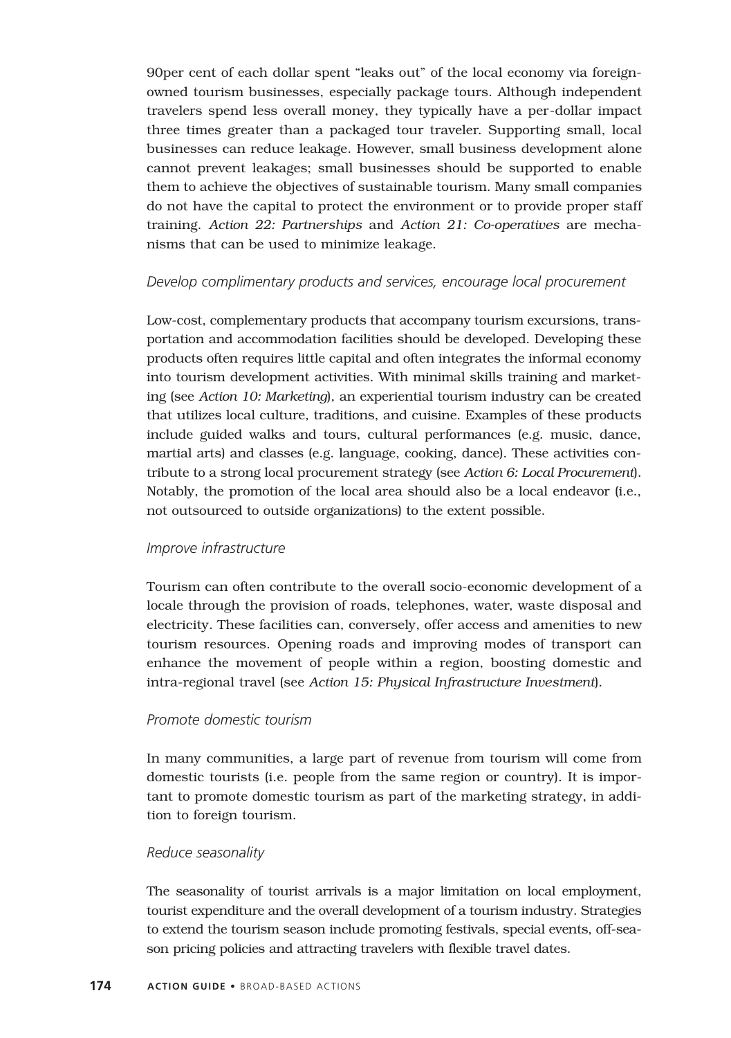90per cent of each dollar spent "leaks out" of the local economy via foreignowned tourism businesses, especially package tours. Although independent travelers spend less overall money, they typically have a per-dollar impact three times greater than a packaged tour traveler. Supporting small, local businesses can reduce leakage. However, small business development alone cannot prevent leakages; small businesses should be supported to enable them to achieve the objectives of sustainable tourism. Many small companies do not have the capital to protect the environment or to provide proper staff training. *Action 22: Partnerships* and *Action 21: Co-operatives* are mechanisms that can be used to minimize leakage.

#### *Develop complimentary products and services, encourage local procurement*

Low-cost, complementary products that accompany tourism excursions, transportation and accommodation facilities should be developed. Developing these products often requires little capital and often integrates the informal economy into tourism development activities. With minimal skills training and marketing (see *Action 10: Marketing*), an experiential tourism industry can be created that utilizes local culture, traditions, and cuisine. Examples of these products include guided walks and tours, cultural performances (e.g. music, dance, martial arts) and classes (e.g. language, cooking, dance). These activities contribute to a strong local procurement strategy (see *Action 6: Local Procurement*). Notably, the promotion of the local area should also be a local endeavor (i.e., not outsourced to outside organizations) to the extent possible.

#### *Improve infrastructure*

Tourism can often contribute to the overall socio-economic development of a locale through the provision of roads, telephones, water, waste disposal and electricity. These facilities can, conversely, offer access and amenities to new tourism resources. Opening roads and improving modes of transport can enhance the movement of people within a region, boosting domestic and intra-regional travel (see *Action 15: Physical Infrastructure Investment*).

#### *Promote domestic tourism*

In many communities, a large part of revenue from tourism will come from domestic tourists (i.e. people from the same region or country). It is important to promote domestic tourism as part of the marketing strategy, in addition to foreign tourism.

#### *Reduce seasonality*

The seasonality of tourist arrivals is a major limitation on local employment, tourist expenditure and the overall development of a tourism industry. Strategies to extend the tourism season include promoting festivals, special events, off-season pricing policies and attracting travelers with flexible travel dates.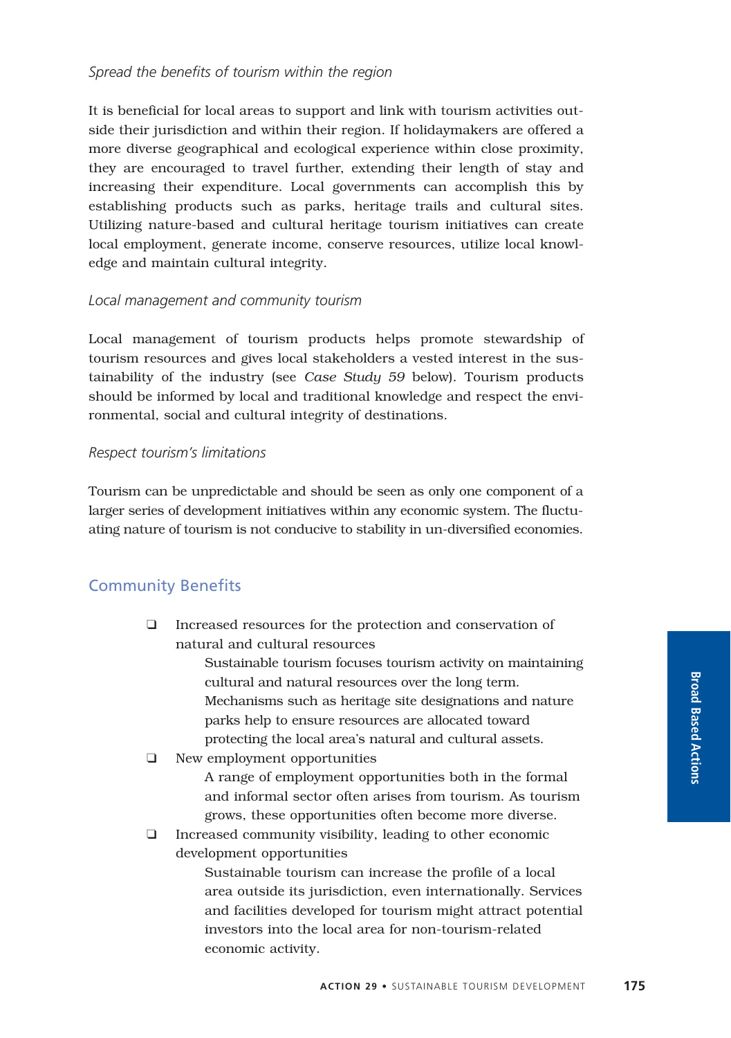It is beneficial for local areas to support and link with tourism activities outside their jurisdiction and within their region. If holidaymakers are offered a more diverse geographical and ecological experience within close proximity, they are encouraged to travel further, extending their length of stay and increasing their expenditure. Local governments can accomplish this by establishing products such as parks, heritage trails and cultural sites. Utilizing nature-based and cultural heritage tourism initiatives can create local employment, generate income, conserve resources, utilize local knowledge and maintain cultural integrity.

#### *Local management and community tourism*

Local management of tourism products helps promote stewardship of tourism resources and gives local stakeholders a vested interest in the sustainability of the industry (see *Case Study 59* below). Tourism products should be informed by local and traditional knowledge and respect the environmental, social and cultural integrity of destinations.

#### *Respect tourism's limitations*

Tourism can be unpredictable and should be seen as only one component of a larger series of development initiatives within any economic system. The fluctuating nature of tourism is not conducive to stability in un-diversified economies.

# Community Benefits

❑ Increased resources for the protection and conservation of natural and cultural resources

> Sustainable tourism focuses tourism activity on maintaining cultural and natural resources over the long term. Mechanisms such as heritage site designations and nature parks help to ensure resources are allocated toward protecting the local area's natural and cultural assets.

❑ New employment opportunities

A range of employment opportunities both in the formal and informal sector often arises from tourism. As tourism grows, these opportunities often become more diverse.

❑ Increased community visibility, leading to other economic development opportunities

> Sustainable tourism can increase the profile of a local area outside its jurisdiction, even internationally. Services and facilities developed for tourism might attract potential investors into the local area for non-tourism-related economic activity.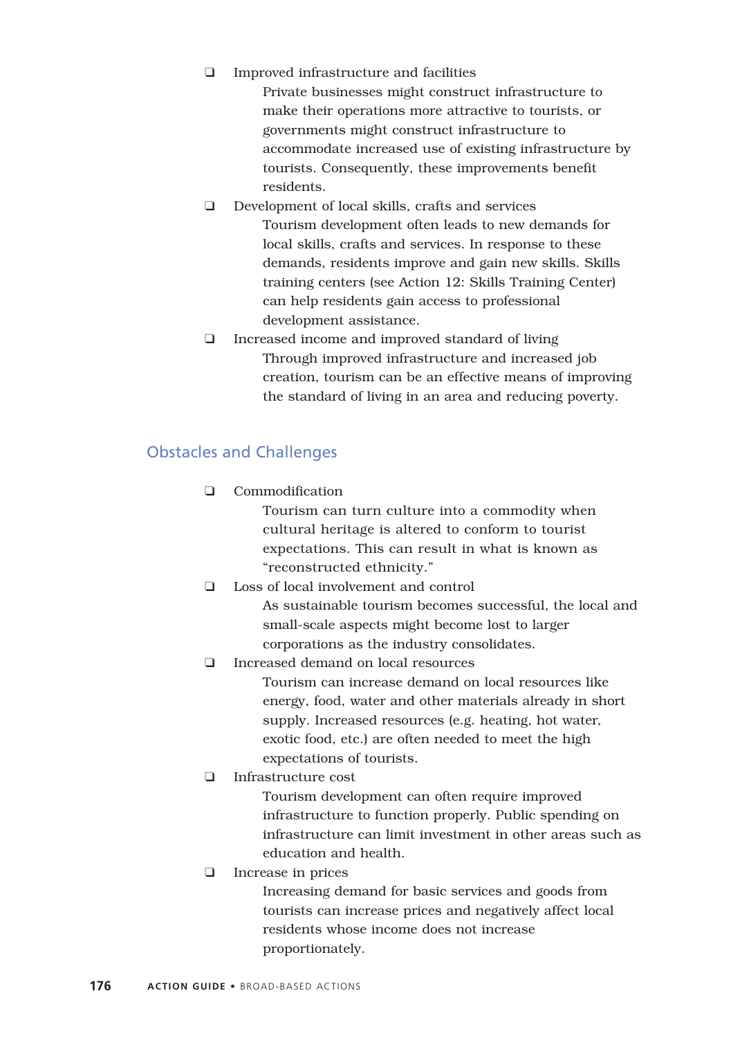❑ Improved infrastructure and facilities

Private businesses might construct infrastructure to make their operations more attractive to tourists, or governments might construct infrastructure to accommodate increased use of existing infrastructure by tourists. Consequently, these improvements benefit residents.

- ❑ Development of local skills, crafts and services Tourism development often leads to new demands for local skills, crafts and services. In response to these demands, residents improve and gain new skills. Skills training centers (see Action 12: Skills Training Center) can help residents gain access to professional development assistance.
- ❑ Increased income and improved standard of living Through improved infrastructure and increased job creation, tourism can be an effective means of improving the standard of living in an area and reducing poverty.

# Obstacles and Challenges

❑ Commodification

Tourism can turn culture into a commodity when cultural heritage is altered to conform to tourist expectations. This can result in what is known as "reconstructed ethnicity."

❑ Loss of local involvement and control

As sustainable tourism becomes successful, the local and small-scale aspects might become lost to larger corporations as the industry consolidates.

❑ Increased demand on local resources

Tourism can increase demand on local resources like energy, food, water and other materials already in short supply. Increased resources (e.g. heating, hot water, exotic food, etc.) are often needed to meet the high expectations of tourists.

❑ Infrastructure cost

Tourism development can often require improved infrastructure to function properly. Public spending on infrastructure can limit investment in other areas such as education and health.

❑ Increase in prices

Increasing demand for basic services and goods from tourists can increase prices and negatively affect local residents whose income does not increase proportionately.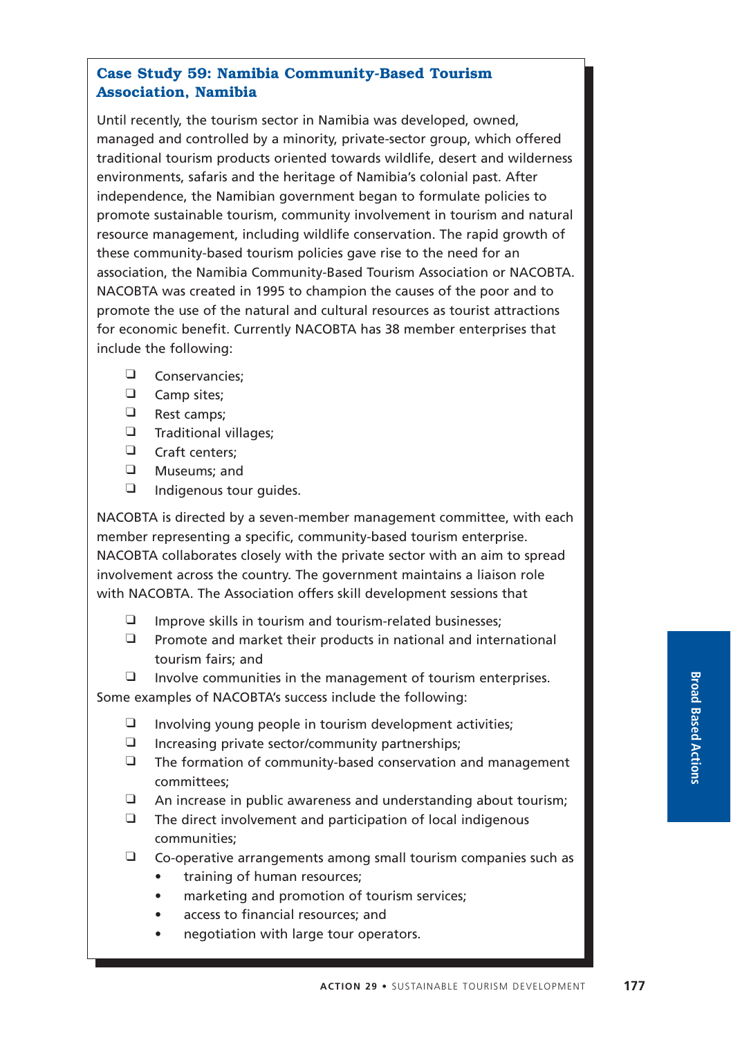# **Case Study 59: Namibia Community-Based Tourism Association, Namibia**

Until recently, the tourism sector in Namibia was developed, owned, managed and controlled by a minority, private-sector group, which offered traditional tourism products oriented towards wildlife, desert and wilderness environments, safaris and the heritage of Namibia's colonial past. After independence, the Namibian government began to formulate policies to promote sustainable tourism, community involvement in tourism and natural resource management, including wildlife conservation. The rapid growth of these community-based tourism policies gave rise to the need for an association, the Namibia Community-Based Tourism Association or NACOBTA. NACOBTA was created in 1995 to champion the causes of the poor and to promote the use of the natural and cultural resources as tourist attractions for economic benefit. Currently NACOBTA has 38 member enterprises that include the following:

- ❑ Conservancies;
- ❑ Camp sites;
- ❑ Rest camps;
- ❑ Traditional villages;
- ❑ Craft centers;
- ❑ Museums; and
- ❑ Indigenous tour guides.

NACOBTA is directed by a seven-member management committee, with each member representing a specific, community-based tourism enterprise. NACOBTA collaborates closely with the private sector with an aim to spread involvement across the country. The government maintains a liaison role with NACOBTA. The Association offers skill development sessions that

- ❑ Improve skills in tourism and tourism-related businesses;
- ❑ Promote and market their products in national and international tourism fairs; and

❑ Involve communities in the management of tourism enterprises. Some examples of NACOBTA's success include the following:

- ❑ Involving young people in tourism development activities;
- ❑ Increasing private sector/community partnerships;
- ❑ The formation of community-based conservation and management committees;
- ❑ An increase in public awareness and understanding about tourism;
- $\Box$  The direct involvement and participation of local indigenous communities;
- ❑ Co-operative arrangements among small tourism companies such as
	- training of human resources;
	- marketing and promotion of tourism services;
	- access to financial resources; and
	- negotiation with large tour operators.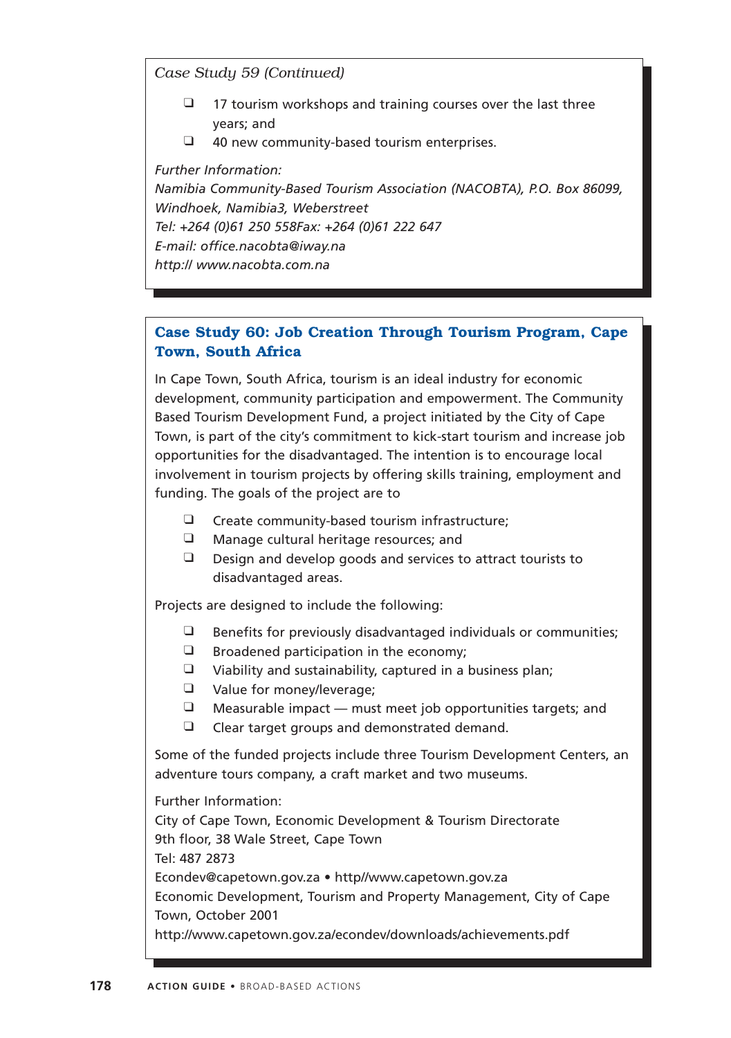*Case Study 59 (Continued)*

- $\Box$  17 tourism workshops and training courses over the last three years; and
- $\Box$  40 new community-based tourism enterprises.

*Further Information: Namibia Community-Based Tourism Association (NACOBTA), P.O. Box 86099, Windhoek, Namibia3, Weberstreet Tel: +264 (0)61 250 558Fax: +264 (0)61 222 647 E-mail: office.nacobta@iway.na http:// www.nacobta.com.na*

## **Case Study 60: Job Creation Through Tourism Program, Cape Town, South Africa**

In Cape Town, South Africa, tourism is an ideal industry for economic development, community participation and empowerment. The Community Based Tourism Development Fund, a project initiated by the City of Cape Town, is part of the city's commitment to kick-start tourism and increase job opportunities for the disadvantaged. The intention is to encourage local involvement in tourism projects by offering skills training, employment and funding. The goals of the project are to

- ❑ Create community-based tourism infrastructure;
- ❑ Manage cultural heritage resources; and
- ❑ Design and develop goods and services to attract tourists to disadvantaged areas.

Projects are designed to include the following:

- $\Box$  Benefits for previously disadvantaged individuals or communities;
- $\Box$  Broadened participation in the economy;
- ❑ Viability and sustainability, captured in a business plan;
- ❑ Value for money/leverage;
- $\Box$  Measurable impact must meet job opportunities targets; and
- ❑ Clear target groups and demonstrated demand.

Some of the funded projects include three Tourism Development Centers, an adventure tours company, a craft market and two museums.

Further Information: City of Cape Town, Economic Development & Tourism Directorate 9th floor, 38 Wale Street, Cape Town Tel: 487 2873 Econdev@capetown.gov.za • http//www.capetown.gov.za Economic Development, Tourism and Property Management, City of Cape Town, October 2001 http://www.capetown.gov.za/econdev/downloads/achievements.pdf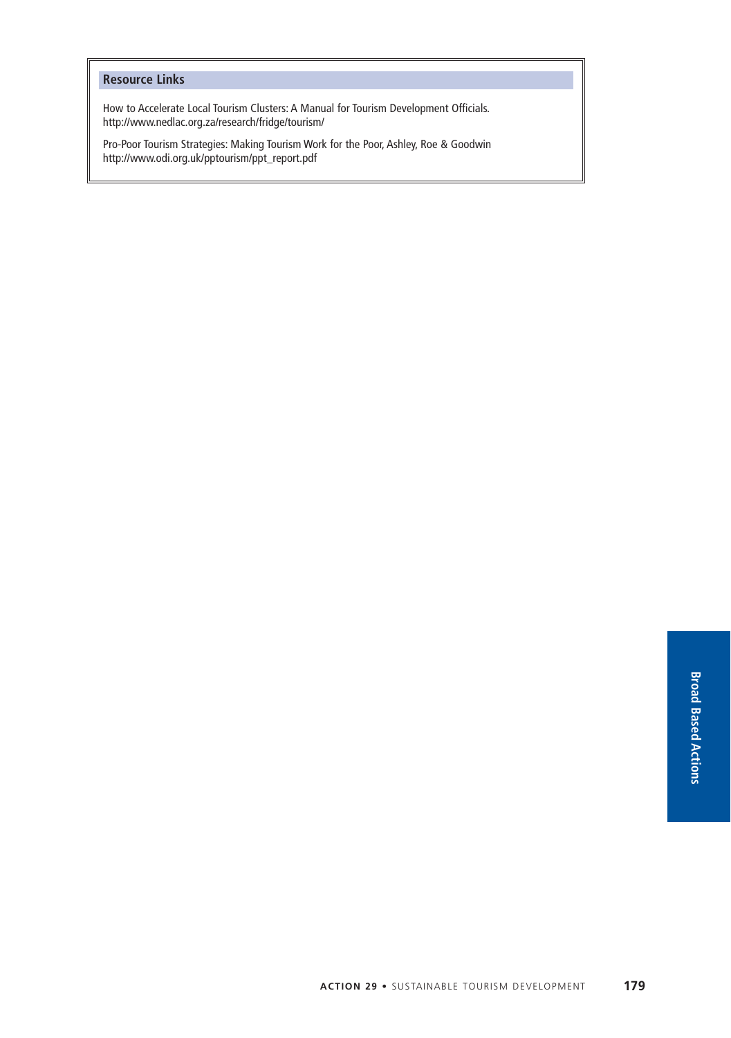#### **Resource Links**

How to Accelerate Local Tourism Clusters: A Manual for Tourism Development Officials. http://www.nedlac.org.za/research/fridge/tourism/

Pro-Poor Tourism Strategies: Making Tourism Work for the Poor, Ashley, Roe & Goodwin http://www.odi.org.uk/pptourism/ppt\_report.pdf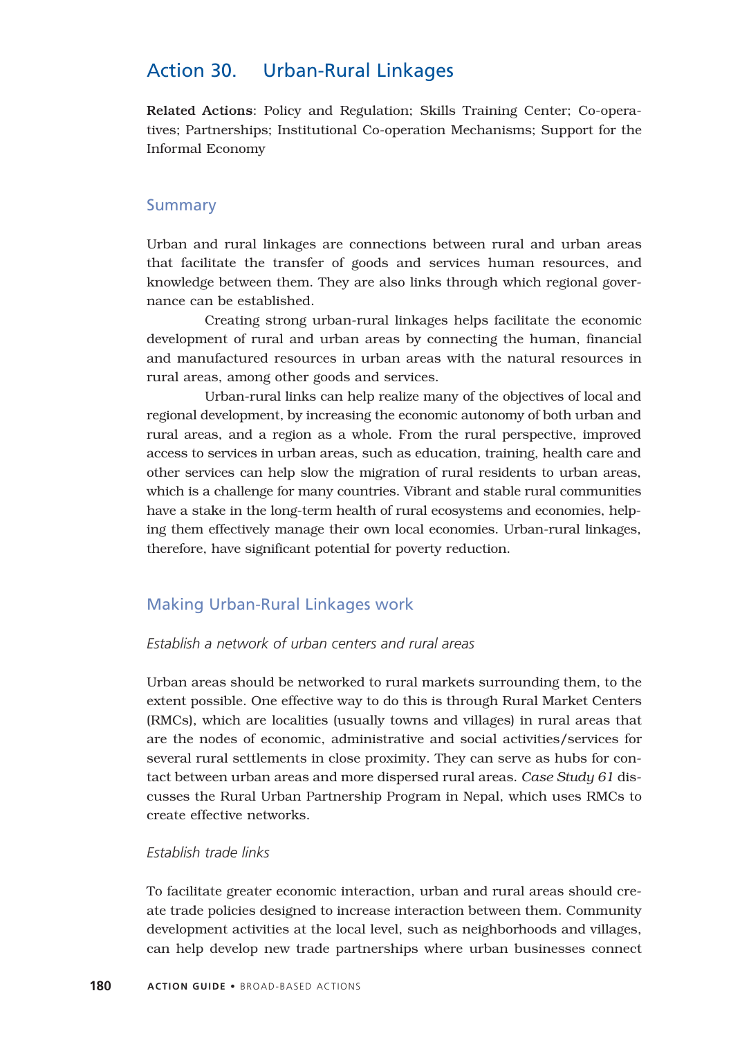# Action 30. Urban-Rural Linkages

Related Actions: Policy and Regulation; Skills Training Center; Co-operatives; Partnerships; Institutional Co-operation Mechanisms; Support for the Informal Economy

### Summary

Urban and rural linkages are connections between rural and urban areas that facilitate the transfer of goods and services human resources, and knowledge between them. They are also links through which regional governance can be established.

Creating strong urban-rural linkages helps facilitate the economic development of rural and urban areas by connecting the human, financial and manufactured resources in urban areas with the natural resources in rural areas, among other goods and services.

Urban-rural links can help realize many of the objectives of local and regional development, by increasing the economic autonomy of both urban and rural areas, and a region as a whole. From the rural perspective, improved access to services in urban areas, such as education, training, health care and other services can help slow the migration of rural residents to urban areas, which is a challenge for many countries. Vibrant and stable rural communities have a stake in the long-term health of rural ecosystems and economies, helping them effectively manage their own local economies. Urban-rural linkages, therefore, have significant potential for poverty reduction.

#### Making Urban-Rural Linkages work

### *Establish a network of urban centers and rural areas*

Urban areas should be networked to rural markets surrounding them, to the extent possible. One effective way to do this is through Rural Market Centers (RMCs), which are localities (usually towns and villages) in rural areas that are the nodes of economic, administrative and social activities/services for several rural settlements in close proximity. They can serve as hubs for contact between urban areas and more dispersed rural areas. *Case Study 61* discusses the Rural Urban Partnership Program in Nepal, which uses RMCs to create effective networks.

#### *Establish trade links*

To facilitate greater economic interaction, urban and rural areas should create trade policies designed to increase interaction between them. Community development activities at the local level, such as neighborhoods and villages, can help develop new trade partnerships where urban businesses connect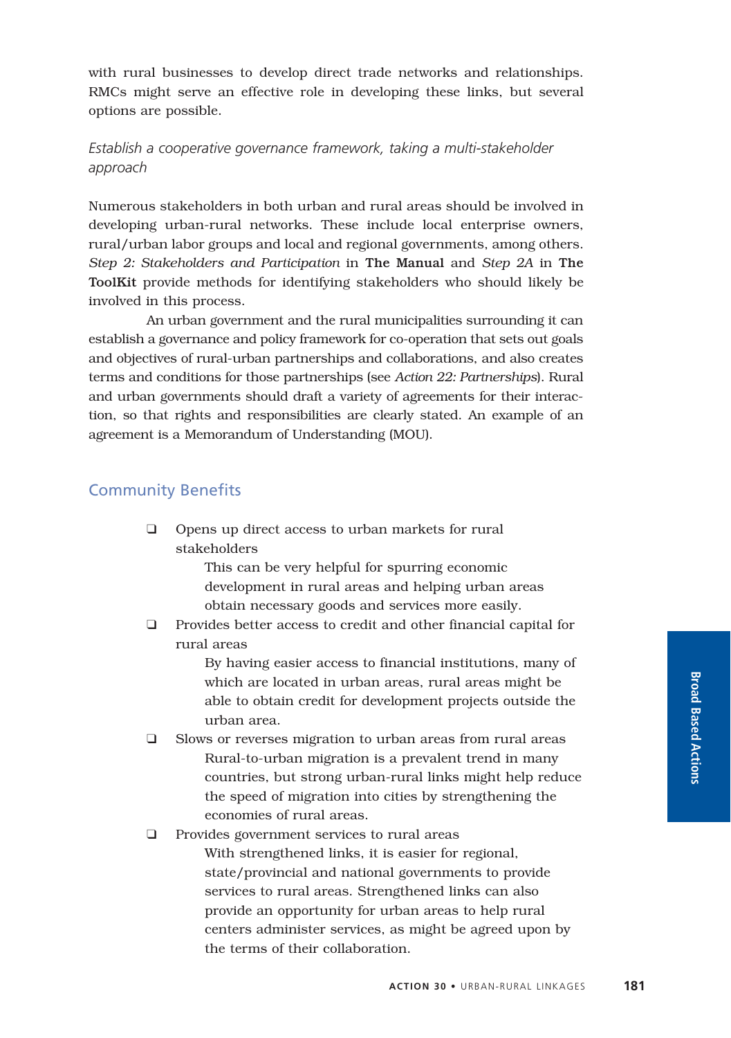with rural businesses to develop direct trade networks and relationships. RMCs might serve an effective role in developing these links, but several options are possible.

## *Establish a cooperative governance framework, taking a multi-stakeholder approach*

Numerous stakeholders in both urban and rural areas should be involved in developing urban-rural networks. These include local enterprise owners, rural/urban labor groups and local and regional governments, among others. *Step 2: Stakeholders and Participation* in The Manual and *Step 2A* in The ToolKit provide methods for identifying stakeholders who should likely be involved in this process.

An urban government and the rural municipalities surrounding it can establish a governance and policy framework for co-operation that sets out goals and objectives of rural-urban partnerships and collaborations, and also creates terms and conditions for those partnerships (see *Action 22: Partnerships*). Rural and urban governments should draft a variety of agreements for their interaction, so that rights and responsibilities are clearly stated. An example of an agreement is a Memorandum of Understanding (MOU).

## Community Benefits

❑ Opens up direct access to urban markets for rural stakeholders

> This can be very helpful for spurring economic development in rural areas and helping urban areas obtain necessary goods and services more easily.

❑ Provides better access to credit and other financial capital for rural areas

> By having easier access to financial institutions, many of which are located in urban areas, rural areas might be able to obtain credit for development projects outside the urban area.

❑ Slows or reverses migration to urban areas from rural areas Rural-to-urban migration is a prevalent trend in many countries, but strong urban-rural links might help reduce the speed of migration into cities by strengthening the economies of rural areas.

# ❑ Provides government services to rural areas With strengthened links, it is easier for regional, state/provincial and national governments to provide services to rural areas. Strengthened links can also provide an opportunity for urban areas to help rural centers administer services, as might be agreed upon by the terms of their collaboration.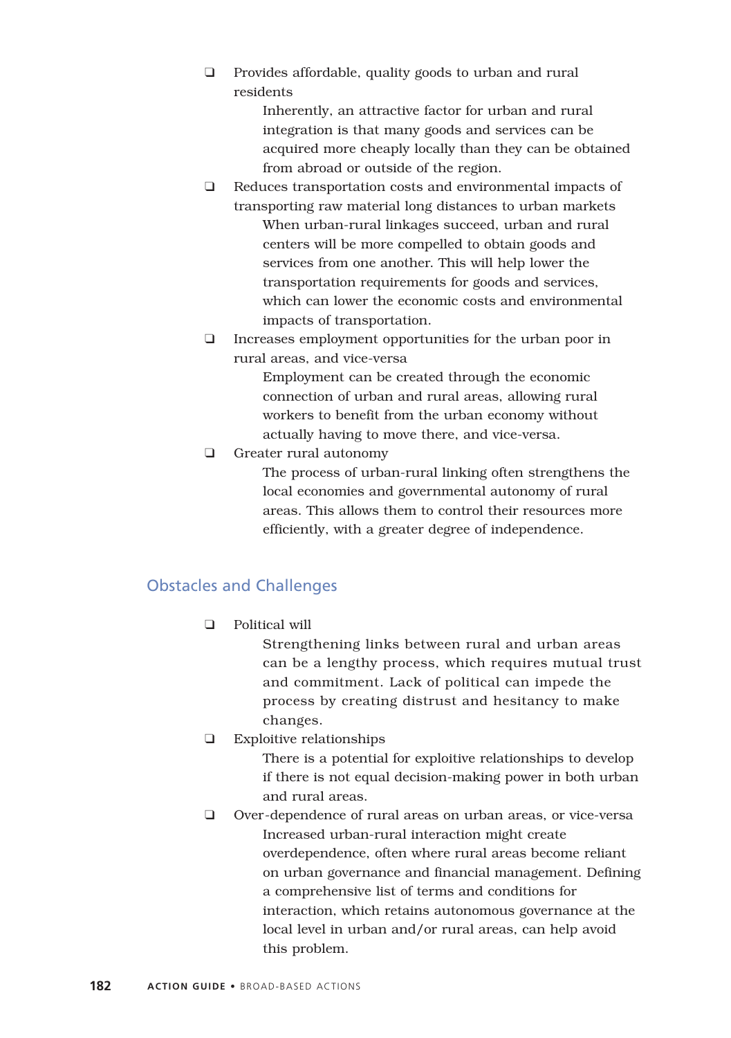❑ Provides affordable, quality goods to urban and rural residents

> Inherently, an attractive factor for urban and rural integration is that many goods and services can be acquired more cheaply locally than they can be obtained from abroad or outside of the region.

- ❑ Reduces transportation costs and environmental impacts of transporting raw material long distances to urban markets When urban-rural linkages succeed, urban and rural centers will be more compelled to obtain goods and services from one another. This will help lower the transportation requirements for goods and services, which can lower the economic costs and environmental impacts of transportation.
- ❑ Increases employment opportunities for the urban poor in rural areas, and vice-versa

Employment can be created through the economic connection of urban and rural areas, allowing rural workers to benefit from the urban economy without actually having to move there, and vice-versa.

❑ Greater rural autonomy

The process of urban-rural linking often strengthens the local economies and governmental autonomy of rural areas. This allows them to control their resources more efficiently, with a greater degree of independence.

# Obstacles and Challenges

❑ Political will

Strengthening links between rural and urban areas can be a lengthy process, which requires mutual trust and commitment. Lack of political can impede the process by creating distrust and hesitancy to make changes.

❑ Exploitive relationships

There is a potential for exploitive relationships to develop if there is not equal decision-making power in both urban and rural areas.

❑ Over-dependence of rural areas on urban areas, or vice-versa Increased urban-rural interaction might create overdependence, often where rural areas become reliant on urban governance and financial management. Defining a comprehensive list of terms and conditions for interaction, which retains autonomous governance at the local level in urban and/or rural areas, can help avoid this problem.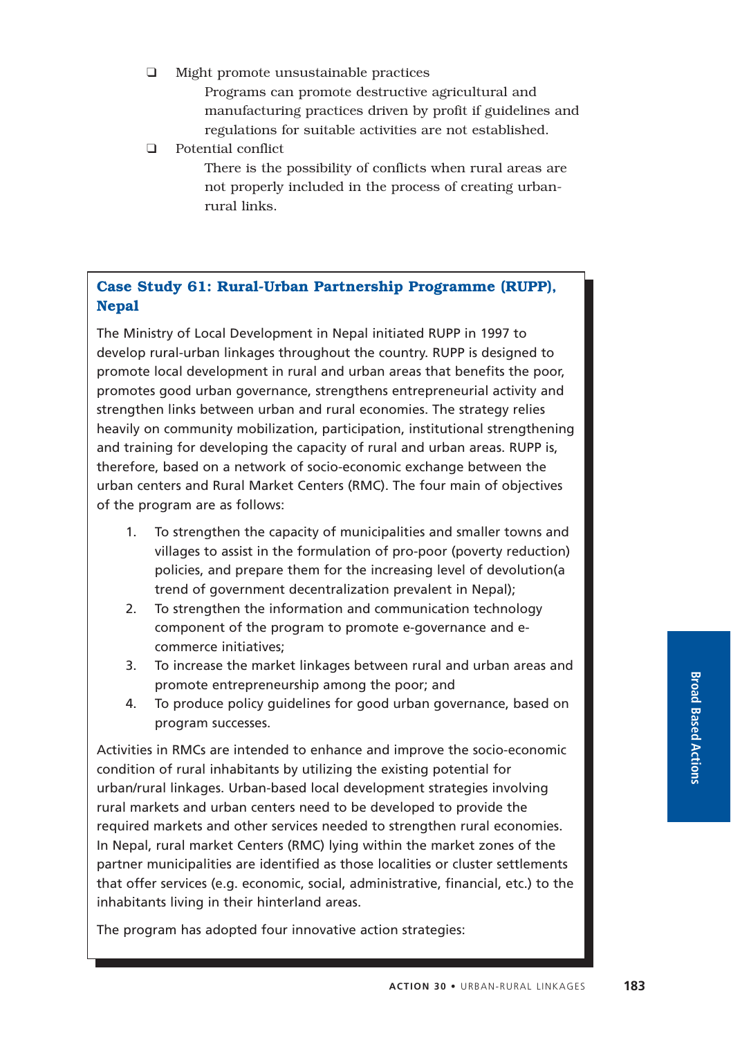- ❑ Might promote unsustainable practices Programs can promote destructive agricultural and manufacturing practices driven by profit if guidelines and regulations for suitable activities are not established.
- ❑ Potential conflict
	- There is the possibility of conflicts when rural areas are not properly included in the process of creating urbanrural links.

# **Case Study 61: Rural-Urban Partnership Programme (RUPP), Nepal**

The Ministry of Local Development in Nepal initiated RUPP in 1997 to develop rural-urban linkages throughout the country. RUPP is designed to promote local development in rural and urban areas that benefits the poor, promotes good urban governance, strengthens entrepreneurial activity and strengthen links between urban and rural economies. The strategy relies heavily on community mobilization, participation, institutional strengthening and training for developing the capacity of rural and urban areas. RUPP is, therefore, based on a network of socio-economic exchange between the urban centers and Rural Market Centers (RMC). The four main of objectives of the program are as follows:

- 1. To strengthen the capacity of municipalities and smaller towns and villages to assist in the formulation of pro-poor (poverty reduction) policies, and prepare them for the increasing level of devolution(a trend of government decentralization prevalent in Nepal);
- 2. To strengthen the information and communication technology component of the program to promote e-governance and ecommerce initiatives;
- 3. To increase the market linkages between rural and urban areas and promote entrepreneurship among the poor; and
- 4. To produce policy guidelines for good urban governance, based on program successes.

Activities in RMCs are intended to enhance and improve the socio-economic condition of rural inhabitants by utilizing the existing potential for urban/rural linkages. Urban-based local development strategies involving rural markets and urban centers need to be developed to provide the required markets and other services needed to strengthen rural economies. In Nepal, rural market Centers (RMC) lying within the market zones of the partner municipalities are identified as those localities or cluster settlements that offer services (e.g. economic, social, administrative, financial, etc.) to the inhabitants living in their hinterland areas.

The program has adopted four innovative action strategies: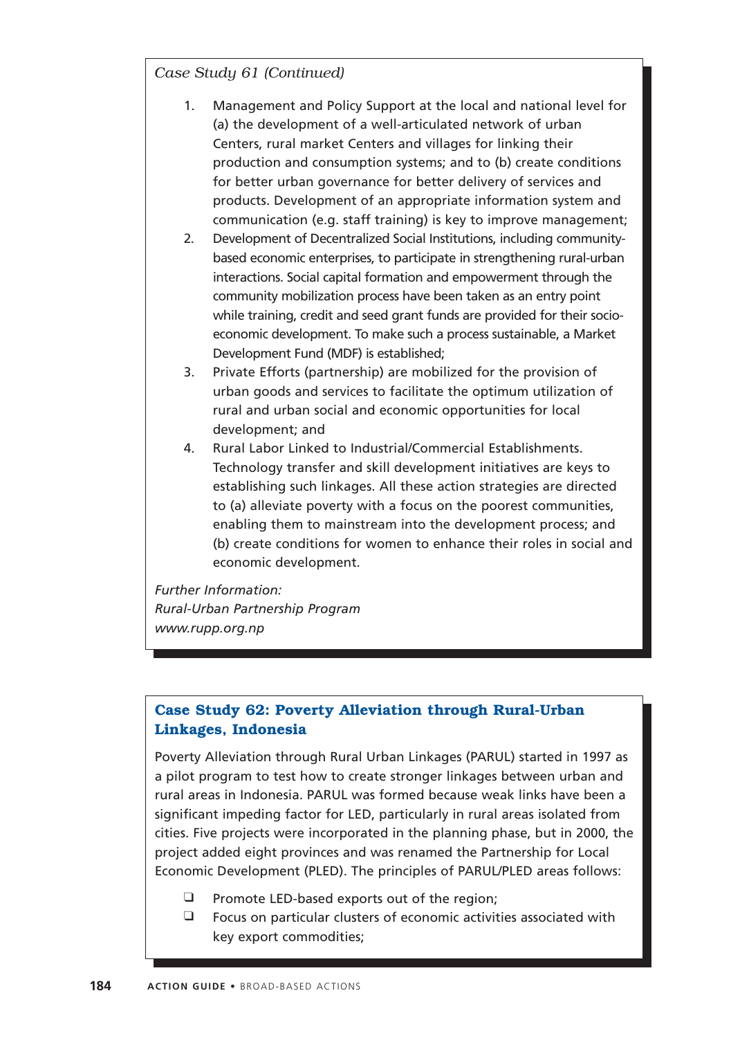*Case Study 61 (Continued)*

- 1. Management and Policy Support at the local and national level for (a) the development of a well-articulated network of urban Centers, rural market Centers and villages for linking their production and consumption systems; and to (b) create conditions for better urban governance for better delivery of services and products. Development of an appropriate information system and communication (e.g. staff training) is key to improve management;
- 2. Development of Decentralized Social Institutions, including communitybased economic enterprises, to participate in strengthening rural-urban interactions. Social capital formation and empowerment through the community mobilization process have been taken as an entry point while training, credit and seed grant funds are provided for their socioeconomic development. To make such a process sustainable, a Market Development Fund (MDF) is established;
- 3. Private Efforts (partnership) are mobilized for the provision of urban goods and services to facilitate the optimum utilization of rural and urban social and economic opportunities for local development; and
- 4. Rural Labor Linked to Industrial/Commercial Establishments. Technology transfer and skill development initiatives are keys to establishing such linkages. All these action strategies are directed to (a) alleviate poverty with a focus on the poorest communities, enabling them to mainstream into the development process; and (b) create conditions for women to enhance their roles in social and economic development.

*Further Information: Rural-Urban Partnership Program www.rupp.org.np*

# **Case Study 62: Poverty Alleviation through Rural-Urban Linkages, Indonesia**

Poverty Alleviation through Rural Urban Linkages (PARUL) started in 1997 as a pilot program to test how to create stronger linkages between urban and rural areas in Indonesia. PARUL was formed because weak links have been a significant impeding factor for LED, particularly in rural areas isolated from cities. Five projects were incorporated in the planning phase, but in 2000, the project added eight provinces and was renamed the Partnership for Local Economic Development (PLED). The principles of PARUL/PLED areas follows:

- ❑ Promote LED-based exports out of the region;
- ❑ Focus on particular clusters of economic activities associated with key export commodities;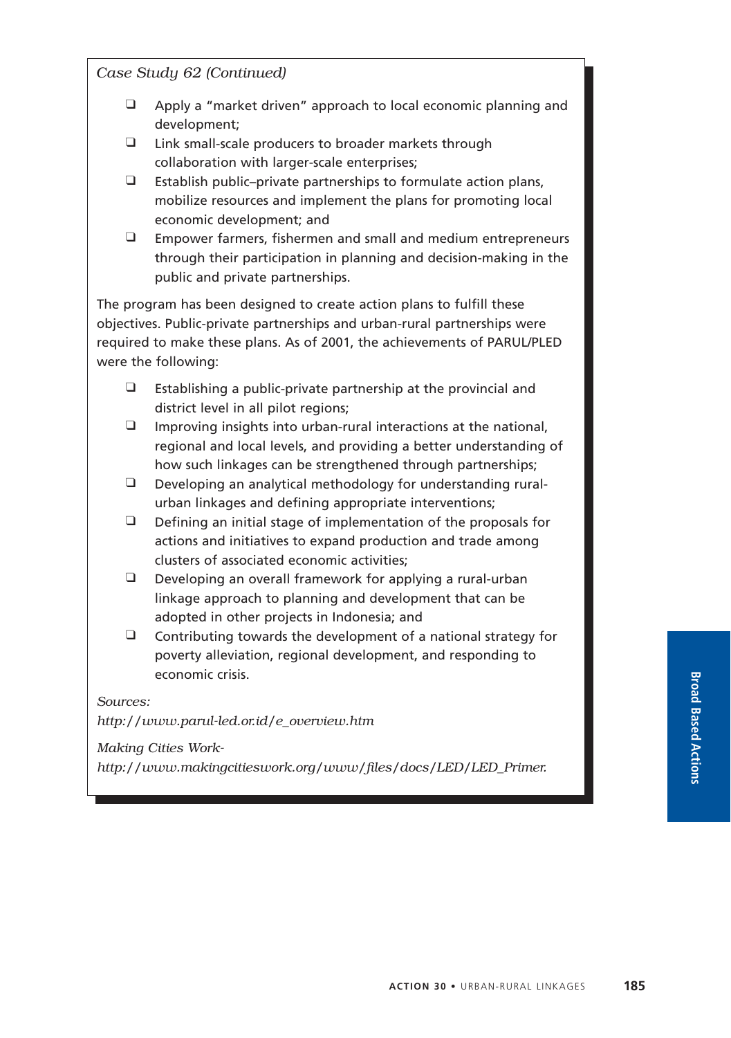*Case Study 62 (Continued)*

- ❑ Apply a "market driven" approach to local economic planning and development;
- ❑ Link small-scale producers to broader markets through collaboration with larger-scale enterprises;
- ❑ Establish public–private partnerships to formulate action plans, mobilize resources and implement the plans for promoting local economic development; and
- ❑ Empower farmers, fishermen and small and medium entrepreneurs through their participation in planning and decision-making in the public and private partnerships.

The program has been designed to create action plans to fulfill these objectives. Public-private partnerships and urban-rural partnerships were required to make these plans. As of 2001, the achievements of PARUL/PLED were the following:

- $\Box$  Establishing a public-private partnership at the provincial and district level in all pilot regions;
- $\Box$  Improving insights into urban-rural interactions at the national, regional and local levels, and providing a better understanding of how such linkages can be strengthened through partnerships;
- ❑ Developing an analytical methodology for understanding ruralurban linkages and defining appropriate interventions;
- $\Box$  Defining an initial stage of implementation of the proposals for actions and initiatives to expand production and trade among clusters of associated economic activities;
- $\Box$  Developing an overall framework for applying a rural-urban linkage approach to planning and development that can be adopted in other projects in Indonesia; and
- $\Box$  Contributing towards the development of a national strategy for poverty alleviation, regional development, and responding to economic crisis.

*Sources:*

*http://www.parul-led.or.id/e\_overview.htm*

*Making Cities Work-*

*http://www.makingcitieswork.org/www/files/docs/LED/LED\_Primer.*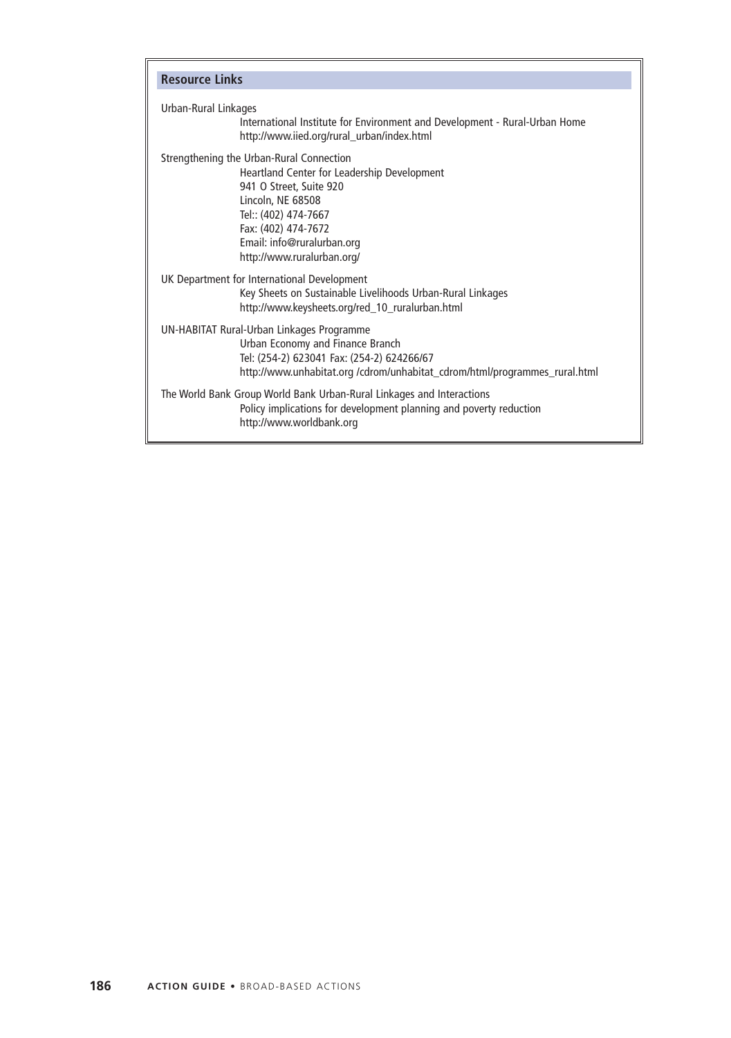| <b>Resource Links</b> |                                                                                                                                                                                                                                                    |
|-----------------------|----------------------------------------------------------------------------------------------------------------------------------------------------------------------------------------------------------------------------------------------------|
| Urban-Rural Linkages  | International Institute for Environment and Development - Rural-Urban Home<br>http://www.iied.org/rural_urban/index.html                                                                                                                           |
|                       | Strengthening the Urban-Rural Connection<br>Heartland Center for Leadership Development<br>941 O Street, Suite 920<br>Lincoln, NE 68508<br>Tel:: (402) 474-7667<br>Fax: (402) 474-7672<br>Email: info@ruralurban.org<br>http://www.ruralurban.org/ |
|                       | UK Department for International Development<br>Key Sheets on Sustainable Livelihoods Urban-Rural Linkages<br>http://www.keysheets.org/red_10_ruralurban.html                                                                                       |
|                       | UN-HABITAT Rural-Urban Linkages Programme<br>Urban Economy and Finance Branch<br>Tel: (254-2) 623041 Fax: (254-2) 624266/67<br>http://www.unhabitat.org /cdrom/unhabitat_cdrom/html/programmes_rural.html                                          |
|                       | The World Bank Group World Bank Urban-Rural Linkages and Interactions<br>Policy implications for development planning and poverty reduction<br>http://www.worldbank.org                                                                            |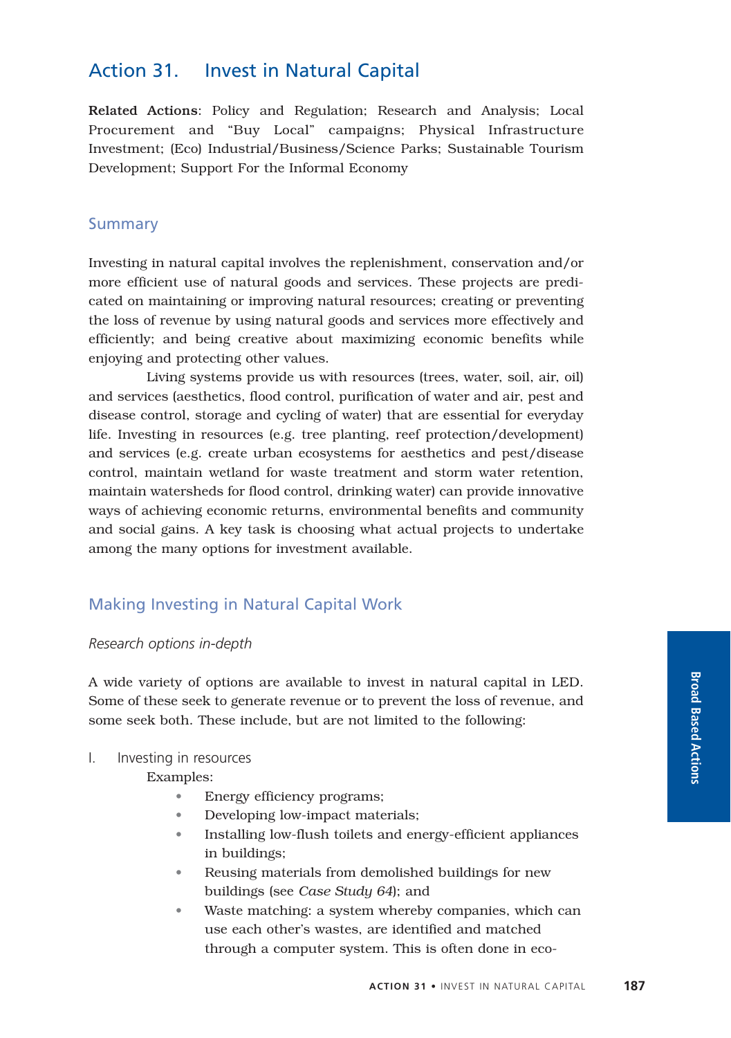# Action 31. Invest in Natural Capital

Related Actions: Policy and Regulation; Research and Analysis; Local Procurement and "Buy Local" campaigns; Physical Infrastructure Investment; (Eco) Industrial/Business/Science Parks; Sustainable Tourism Development; Support For the Informal Economy

### Summary

Investing in natural capital involves the replenishment, conservation and/or more efficient use of natural goods and services. These projects are predicated on maintaining or improving natural resources; creating or preventing the loss of revenue by using natural goods and services more effectively and efficiently; and being creative about maximizing economic benefits while enjoying and protecting other values.

Living systems provide us with resources (trees, water, soil, air, oil) and services (aesthetics, flood control, purification of water and air, pest and disease control, storage and cycling of water) that are essential for everyday life. Investing in resources (e.g. tree planting, reef protection/development) and services (e.g. create urban ecosystems for aesthetics and pest/disease control, maintain wetland for waste treatment and storm water retention, maintain watersheds for flood control, drinking water) can provide innovative ways of achieving economic returns, environmental benefits and community and social gains. A key task is choosing what actual projects to undertake among the many options for investment available.

# Making Investing in Natural Capital Work

#### *Research options in-depth*

A wide variety of options are available to invest in natural capital in LED. Some of these seek to generate revenue or to prevent the loss of revenue, and some seek both. These include, but are not limited to the following:

#### I. Investing in resources

Examples:

- Energy efficiency programs;
- Developing low-impact materials;
- Installing low-flush toilets and energy-efficient appliances in buildings;
- Reusing materials from demolished buildings for new buildings (see *Case Study 64*); and
- Waste matching: a system whereby companies, which can use each other's wastes, are identified and matched through a computer system. This is often done in eco-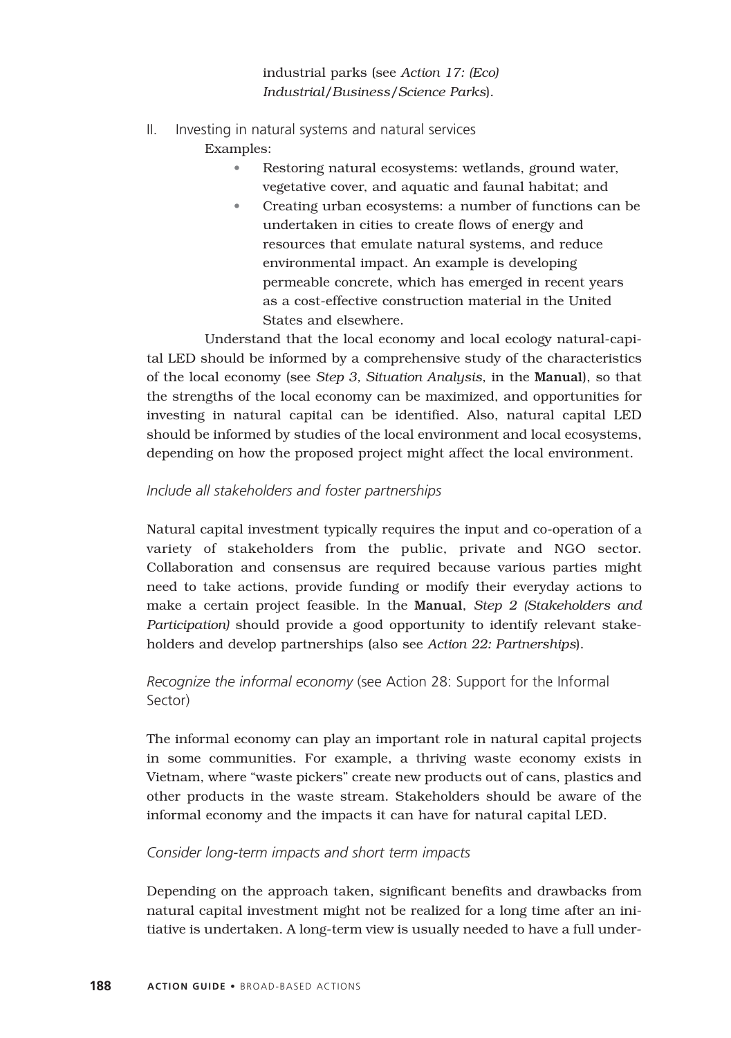industrial parks (see *Action 17: (Eco) Industrial/Business/Science Parks*).

II. Investing in natural systems and natural services

Examples:

- Restoring natural ecosystems: wetlands, ground water, vegetative cover, and aquatic and faunal habitat; and
- Creating urban ecosystems: a number of functions can be undertaken in cities to create flows of energy and resources that emulate natural systems, and reduce environmental impact. An example is developing permeable concrete, which has emerged in recent years as a cost-effective construction material in the United States and elsewhere.

Understand that the local economy and local ecology natural-capital LED should be informed by a comprehensive study of the characteristics of the local economy (see *Step 3, Situation Analysis*, in the Manual), so that the strengths of the local economy can be maximized, and opportunities for investing in natural capital can be identified. Also, natural capital LED should be informed by studies of the local environment and local ecosystems, depending on how the proposed project might affect the local environment.

## *Include all stakeholders and foster partnerships*

Natural capital investment typically requires the input and co-operation of a variety of stakeholders from the public, private and NGO sector. Collaboration and consensus are required because various parties might need to take actions, provide funding or modify their everyday actions to make a certain project feasible. In the Manual, *Step 2 (Stakeholders and Participation)* should provide a good opportunity to identify relevant stakeholders and develop partnerships (also see *Action 22: Partnerships*).

# *Recognize the informal economy* (see Action 28: Support for the Informal Sector)

The informal economy can play an important role in natural capital projects in some communities. For example, a thriving waste economy exists in Vietnam, where "waste pickers" create new products out of cans, plastics and other products in the waste stream. Stakeholders should be aware of the informal economy and the impacts it can have for natural capital LED.

### *Consider long-term impacts and short term impacts*

Depending on the approach taken, significant benefits and drawbacks from natural capital investment might not be realized for a long time after an initiative is undertaken. A long-term view is usually needed to have a full under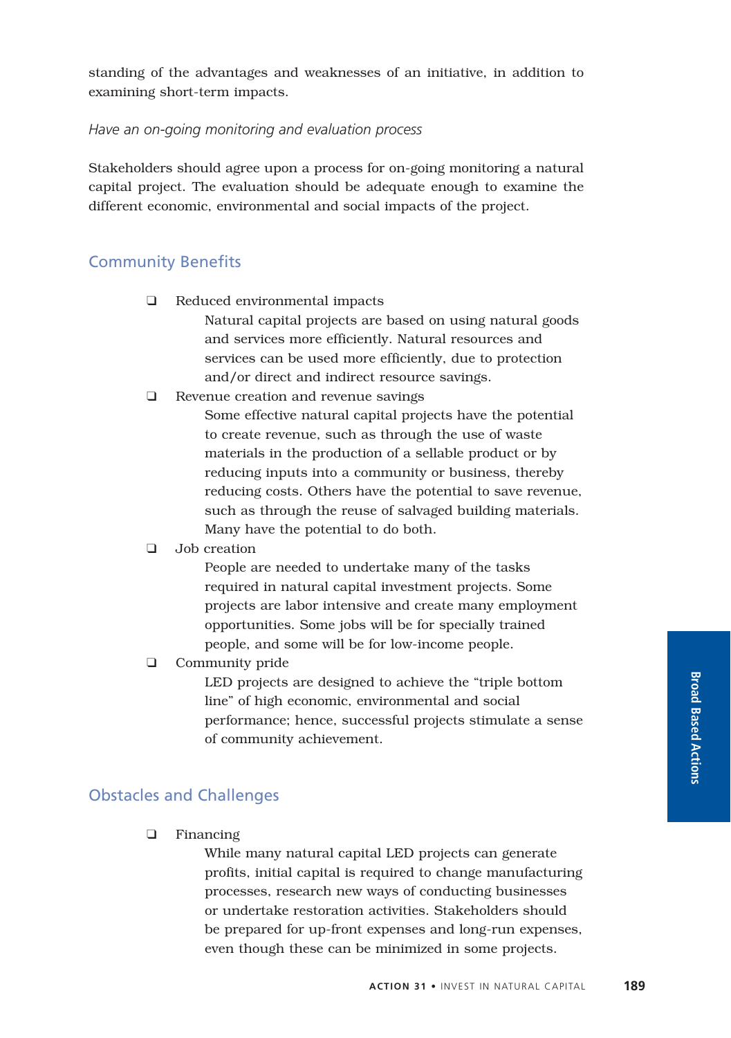standing of the advantages and weaknesses of an initiative, in addition to examining short-term impacts.

#### *Have an on-going monitoring and evaluation process*

Stakeholders should agree upon a process for on-going monitoring a natural capital project. The evaluation should be adequate enough to examine the different economic, environmental and social impacts of the project.

#### Community Benefits

❑ Reduced environmental impacts

Natural capital projects are based on using natural goods and services more efficiently. Natural resources and services can be used more efficiently, due to protection and/or direct and indirect resource savings.

❑ Revenue creation and revenue savings

Some effective natural capital projects have the potential to create revenue, such as through the use of waste materials in the production of a sellable product or by reducing inputs into a community or business, thereby reducing costs. Others have the potential to save revenue, such as through the reuse of salvaged building materials. Many have the potential to do both.

#### ❑ Job creation

People are needed to undertake many of the tasks required in natural capital investment projects. Some projects are labor intensive and create many employment opportunities. Some jobs will be for specially trained people, and some will be for low-income people.

#### ❑ Community pride

LED projects are designed to achieve the "triple bottom line" of high economic, environmental and social performance; hence, successful projects stimulate a sense of community achievement.

### Obstacles and Challenges

❑ Financing

While many natural capital LED projects can generate profits, initial capital is required to change manufacturing processes, research new ways of conducting businesses or undertake restoration activities. Stakeholders should be prepared for up-front expenses and long-run expenses, even though these can be minimized in some projects.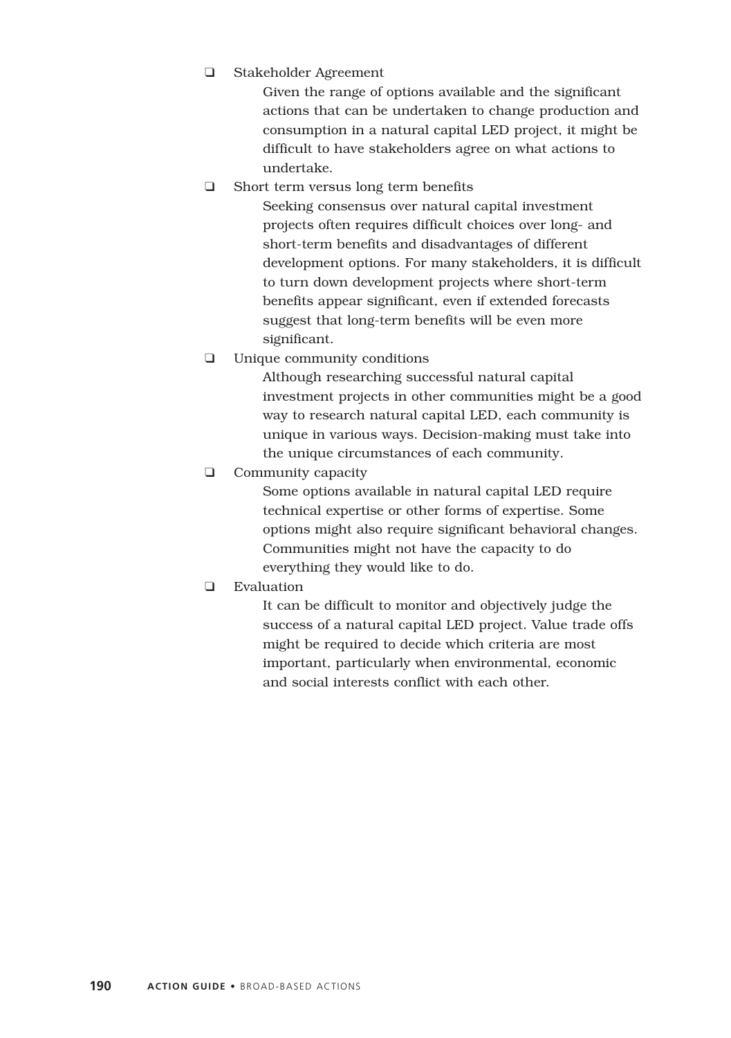❑ Stakeholder Agreement

Given the range of options available and the significant actions that can be undertaken to change production and consumption in a natural capital LED project, it might be difficult to have stakeholders agree on what actions to undertake.

❑ Short term versus long term benefits

Seeking consensus over natural capital investment projects often requires difficult choices over long- and short-term benefits and disadvantages of different development options. For many stakeholders, it is difficult to turn down development projects where short-term benefits appear significant, even if extended forecasts suggest that long-term benefits will be even more significant.

❑ Unique community conditions

Although researching successful natural capital investment projects in other communities might be a good way to research natural capital LED, each community is unique in various ways. Decision-making must take into the unique circumstances of each community.

❑ Community capacity

Some options available in natural capital LED require technical expertise or other forms of expertise. Some options might also require significant behavioral changes. Communities might not have the capacity to do everything they would like to do.

❑ Evaluation

It can be difficult to monitor and objectively judge the success of a natural capital LED project. Value trade offs might be required to decide which criteria are most important, particularly when environmental, economic and social interests conflict with each other.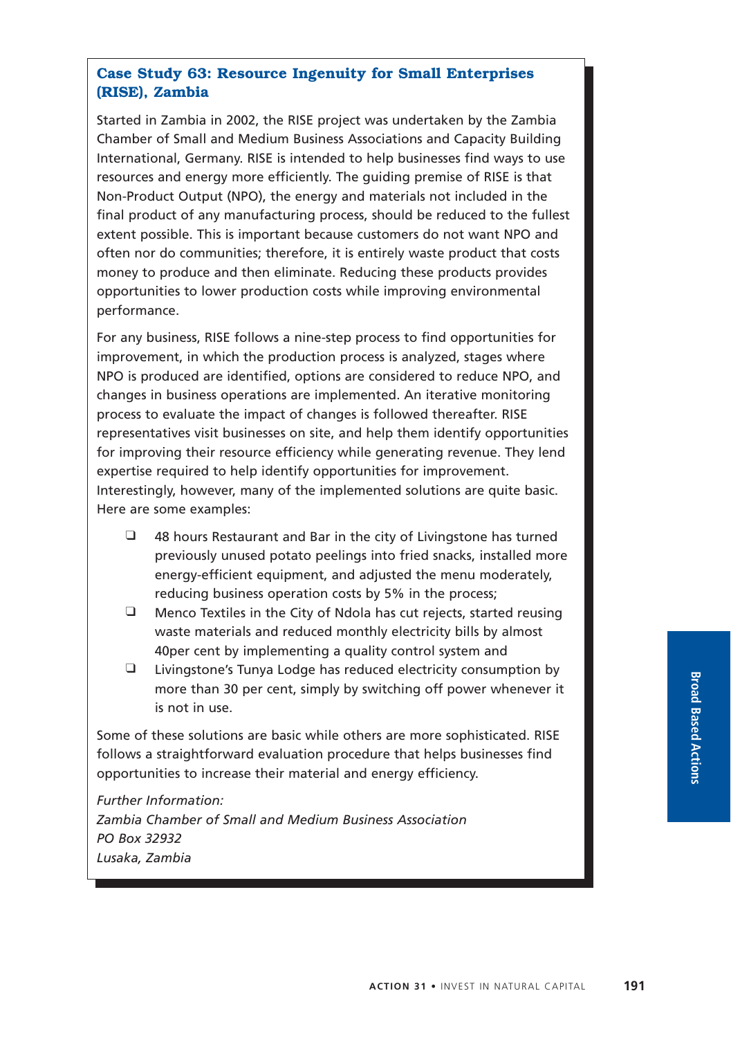# **Case Study 63: Resource Ingenuity for Small Enterprises (RISE), Zambia**

Started in Zambia in 2002, the RISE project was undertaken by the Zambia Chamber of Small and Medium Business Associations and Capacity Building International, Germany. RISE is intended to help businesses find ways to use resources and energy more efficiently. The guiding premise of RISE is that Non-Product Output (NPO), the energy and materials not included in the final product of any manufacturing process, should be reduced to the fullest extent possible. This is important because customers do not want NPO and often nor do communities; therefore, it is entirely waste product that costs money to produce and then eliminate. Reducing these products provides opportunities to lower production costs while improving environmental performance.

For any business, RISE follows a nine-step process to find opportunities for improvement, in which the production process is analyzed, stages where NPO is produced are identified, options are considered to reduce NPO, and changes in business operations are implemented. An iterative monitoring process to evaluate the impact of changes is followed thereafter. RISE representatives visit businesses on site, and help them identify opportunities for improving their resource efficiency while generating revenue. They lend expertise required to help identify opportunities for improvement. Interestingly, however, many of the implemented solutions are quite basic. Here are some examples:

- ❑ 48 hours Restaurant and Bar in the city of Livingstone has turned previously unused potato peelings into fried snacks, installed more energy-efficient equipment, and adjusted the menu moderately, reducing business operation costs by 5% in the process;
- ❑ Menco Textiles in the City of Ndola has cut rejects, started reusing waste materials and reduced monthly electricity bills by almost 40per cent by implementing a quality control system and
- ❑ Livingstone's Tunya Lodge has reduced electricity consumption by more than 30 per cent, simply by switching off power whenever it is not in use.

Some of these solutions are basic while others are more sophisticated. RISE follows a straightforward evaluation procedure that helps businesses find opportunities to increase their material and energy efficiency.

*Further Information: Zambia Chamber of Small and Medium Business Association PO Box 32932 Lusaka, Zambia*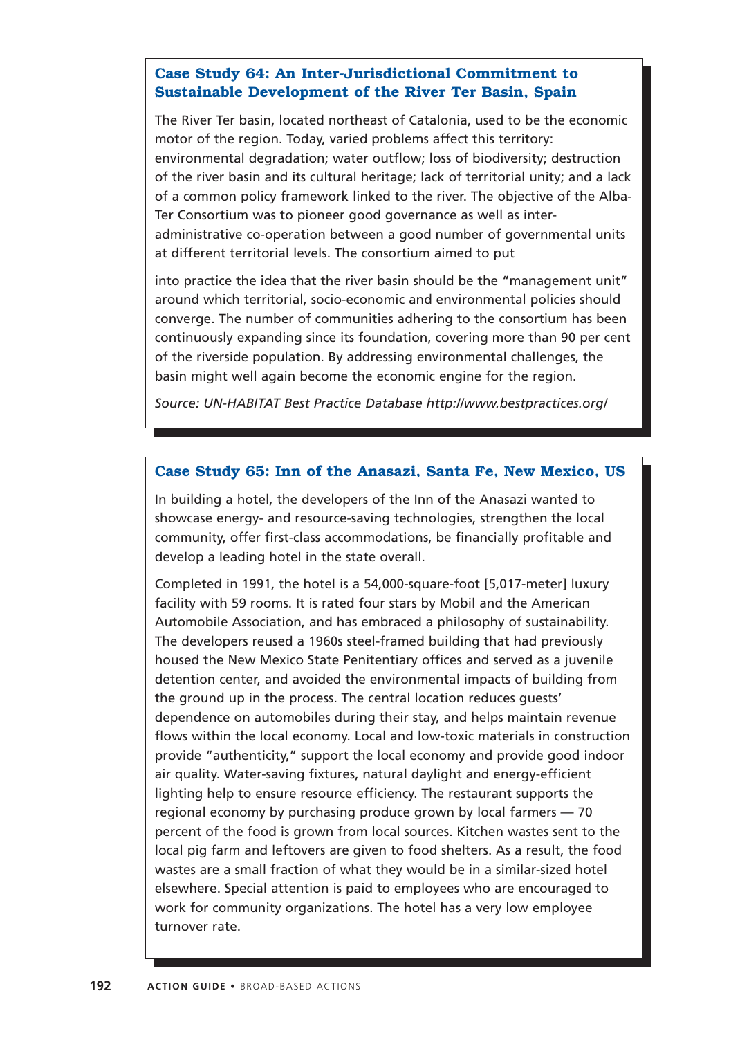## **Case Study 64: An Inter-Jurisdictional Commitment to Sustainable Development of the River Ter Basin, Spain**

The River Ter basin, located northeast of Catalonia, used to be the economic motor of the region. Today, varied problems affect this territory: environmental degradation; water outflow; loss of biodiversity; destruction of the river basin and its cultural heritage; lack of territorial unity; and a lack of a common policy framework linked to the river. The objective of the Alba-Ter Consortium was to pioneer good governance as well as interadministrative co-operation between a good number of governmental units at different territorial levels. The consortium aimed to put

into practice the idea that the river basin should be the "management unit" around which territorial, socio-economic and environmental policies should converge. The number of communities adhering to the consortium has been continuously expanding since its foundation, covering more than 90 per cent of the riverside population. By addressing environmental challenges, the basin might well again become the economic engine for the region.

*Source: UN-HABITAT Best Practice Database http://www.bestpractices.org/*

#### **Case Study 65: Inn of the Anasazi, Santa Fe, New Mexico, US**

In building a hotel, the developers of the Inn of the Anasazi wanted to showcase energy- and resource-saving technologies, strengthen the local community, offer first-class accommodations, be financially profitable and develop a leading hotel in the state overall.

Completed in 1991, the hotel is a 54,000-square-foot [5,017-meter] luxury facility with 59 rooms. It is rated four stars by Mobil and the American Automobile Association, and has embraced a philosophy of sustainability. The developers reused a 1960s steel-framed building that had previously housed the New Mexico State Penitentiary offices and served as a juvenile detention center, and avoided the environmental impacts of building from the ground up in the process. The central location reduces guests' dependence on automobiles during their stay, and helps maintain revenue flows within the local economy. Local and low-toxic materials in construction provide "authenticity," support the local economy and provide good indoor air quality. Water-saving fixtures, natural daylight and energy-efficient lighting help to ensure resource efficiency. The restaurant supports the regional economy by purchasing produce grown by local farmers — 70 percent of the food is grown from local sources. Kitchen wastes sent to the local pig farm and leftovers are given to food shelters. As a result, the food wastes are a small fraction of what they would be in a similar-sized hotel elsewhere. Special attention is paid to employees who are encouraged to work for community organizations. The hotel has a very low employee turnover rate.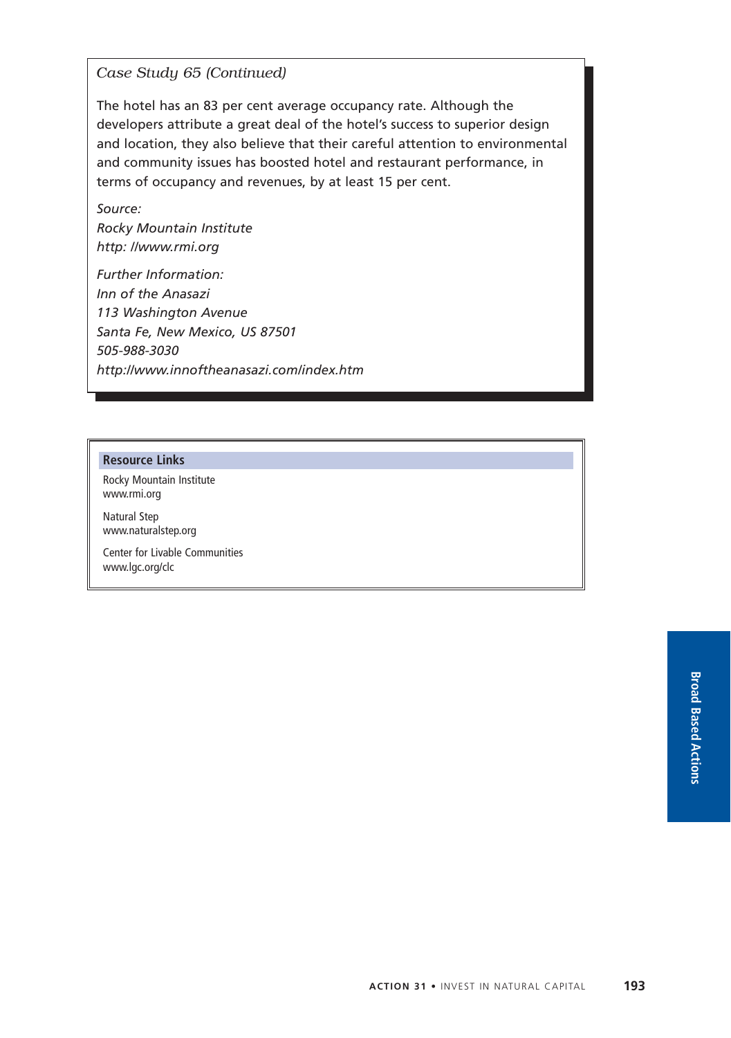*Case Study 65 (Continued)*

The hotel has an 83 per cent average occupancy rate. Although the developers attribute a great deal of the hotel's success to superior design and location, they also believe that their careful attention to environmental and community issues has boosted hotel and restaurant performance, in terms of occupancy and revenues, by at least 15 per cent.

*Source: Rocky Mountain Institute http: //www.rmi.org*

*Further Information: Inn of the Anasazi 113 Washington Avenue Santa Fe, New Mexico, US 87501 505-988-3030 http://www.innoftheanasazi.com/index.htm*

#### **Resource Links**

Rocky Mountain Institute www.rmi.org

Natural Step www.naturalstep.org

Center for Livable Communities www.lgc.org/clc

> **Broad Based Actions**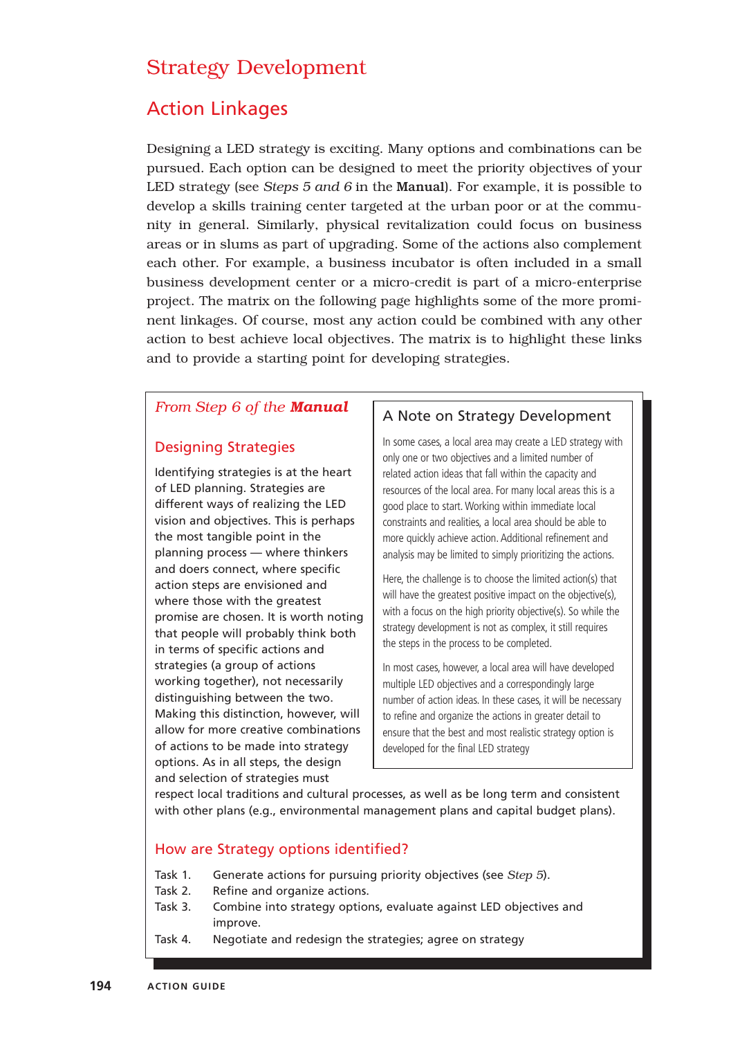# Strategy Development

# Action Linkages

Designing a LED strategy is exciting. Many options and combinations can be pursued. Each option can be designed to meet the priority objectives of your LED strategy (see *Steps 5 and 6* in the Manual). For example, it is possible to develop a skills training center targeted at the urban poor or at the community in general. Similarly, physical revitalization could focus on business areas or in slums as part of upgrading. Some of the actions also complement each other. For example, a business incubator is often included in a small business development center or a micro-credit is part of a micro-enterprise project. The matrix on the following page highlights some of the more prominent linkages. Of course, most any action could be combined with any other action to best achieve local objectives. The matrix is to highlight these links and to provide a starting point for developing strategies.

# *From Step 6 of the Manual*

## Designing Strategies

Identifying strategies is at the heart of LED planning. Strategies are different ways of realizing the LED vision and objectives. This is perhaps the most tangible point in the planning process — where thinkers and doers connect, where specific action steps are envisioned and where those with the greatest promise are chosen. It is worth noting that people will probably think both in terms of specific actions and strategies (a group of actions working together), not necessarily distinguishing between the two. Making this distinction, however, will allow for more creative combinations of actions to be made into strategy options. As in all steps, the design and selection of strategies must

#### A Note on Strategy Development

In some cases, a local area may create a LED strategy with only one or two objectives and a limited number of related action ideas that fall within the capacity and resources of the local area. For many local areas this is a good place to start. Working within immediate local constraints and realities, a local area should be able to more quickly achieve action. Additional refinement and analysis may be limited to simply prioritizing the actions.

Here, the challenge is to choose the limited action(s) that will have the greatest positive impact on the objective(s), with a focus on the high priority objective(s). So while the strategy development is not as complex, it still requires the steps in the process to be completed.

In most cases, however, a local area will have developed multiple LED objectives and a correspondingly large number of action ideas. In these cases, it will be necessary to refine and organize the actions in greater detail to ensure that the best and most realistic strategy option is developed for the final LED strategy

respect local traditions and cultural processes, as well as be long term and consistent with other plans (e.g., environmental management plans and capital budget plans).

#### How are Strategy options identified?

- Task 1. Generate actions for pursuing priority objectives (see *Step 5*).
- Task 2. Refine and organize actions.
- Task 3. Combine into strategy options, evaluate against LED objectives and improve.
- Task 4. Negotiate and redesign the strategies; agree on strategy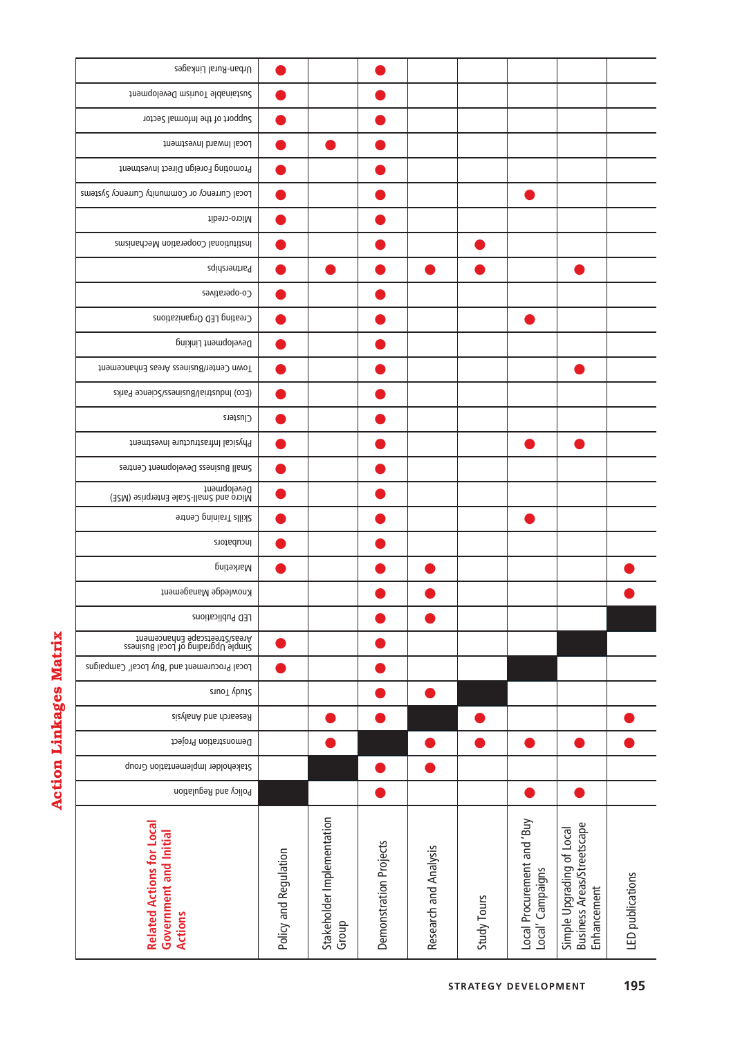| ľ<br>í |
|--------|
| O      |
|        |
|        |
|        |
| ſ<br>I |

| Urban-Rural Linkages<br>framable Tourism Development<br>Sector of the Informal Sector<br>Local Inward Investment<br>Promoting Foreign Direct Investment<br>Local Currency or Community Currency Systems<br>Micro-credit<br>Institutional Cooperation Mechanisms<br>Partnerships<br>Co-operatives<br>Creating LED Organizations<br>Development Linking<br>Town Center/Business Areas Enhancement<br>(Eco) Industrial/Business/Science Parks<br>Clusters<br>Physical Infrastructure Investment<br>Small Business Development Centres<br>Development<br>Micro and Small-Scale Enterprise (NSE)<br>Skills Training Centre<br>Incubators<br>Marketing<br>Knowledge Management<br>LED Publications<br>Simple Upgrabers Enhancement<br>Areas/Streetscape Enhancement<br>Local Procurement and 'Buy Local' Campaigns<br>StuoT vbut2<br>Riesearch and Analysis<br>Demonstration Project<br>Stakeholder Implementation Group<br>Policy and Regulation |                                                                              |                       |                                     |                        |                       |             |                                                |                                                                               |                  |
|---------------------------------------------------------------------------------------------------------------------------------------------------------------------------------------------------------------------------------------------------------------------------------------------------------------------------------------------------------------------------------------------------------------------------------------------------------------------------------------------------------------------------------------------------------------------------------------------------------------------------------------------------------------------------------------------------------------------------------------------------------------------------------------------------------------------------------------------------------------------------------------------------------------------------------------------|------------------------------------------------------------------------------|-----------------------|-------------------------------------|------------------------|-----------------------|-------------|------------------------------------------------|-------------------------------------------------------------------------------|------------------|
|                                                                                                                                                                                                                                                                                                                                                                                                                                                                                                                                                                                                                                                                                                                                                                                                                                                                                                                                             |                                                                              |                       |                                     |                        |                       |             |                                                |                                                                               |                  |
|                                                                                                                                                                                                                                                                                                                                                                                                                                                                                                                                                                                                                                                                                                                                                                                                                                                                                                                                             |                                                                              |                       |                                     |                        |                       |             |                                                |                                                                               |                  |
|                                                                                                                                                                                                                                                                                                                                                                                                                                                                                                                                                                                                                                                                                                                                                                                                                                                                                                                                             |                                                                              |                       |                                     |                        |                       |             |                                                |                                                                               |                  |
|                                                                                                                                                                                                                                                                                                                                                                                                                                                                                                                                                                                                                                                                                                                                                                                                                                                                                                                                             |                                                                              |                       |                                     |                        |                       |             |                                                |                                                                               |                  |
|                                                                                                                                                                                                                                                                                                                                                                                                                                                                                                                                                                                                                                                                                                                                                                                                                                                                                                                                             |                                                                              |                       |                                     |                        |                       |             |                                                |                                                                               |                  |
|                                                                                                                                                                                                                                                                                                                                                                                                                                                                                                                                                                                                                                                                                                                                                                                                                                                                                                                                             |                                                                              |                       |                                     |                        |                       |             |                                                |                                                                               |                  |
|                                                                                                                                                                                                                                                                                                                                                                                                                                                                                                                                                                                                                                                                                                                                                                                                                                                                                                                                             |                                                                              |                       |                                     |                        |                       |             |                                                |                                                                               |                  |
|                                                                                                                                                                                                                                                                                                                                                                                                                                                                                                                                                                                                                                                                                                                                                                                                                                                                                                                                             |                                                                              |                       |                                     |                        |                       |             |                                                |                                                                               |                  |
|                                                                                                                                                                                                                                                                                                                                                                                                                                                                                                                                                                                                                                                                                                                                                                                                                                                                                                                                             |                                                                              |                       |                                     |                        |                       |             |                                                |                                                                               |                  |
|                                                                                                                                                                                                                                                                                                                                                                                                                                                                                                                                                                                                                                                                                                                                                                                                                                                                                                                                             |                                                                              |                       |                                     |                        |                       |             |                                                |                                                                               |                  |
|                                                                                                                                                                                                                                                                                                                                                                                                                                                                                                                                                                                                                                                                                                                                                                                                                                                                                                                                             |                                                                              |                       |                                     |                        |                       |             |                                                |                                                                               |                  |
|                                                                                                                                                                                                                                                                                                                                                                                                                                                                                                                                                                                                                                                                                                                                                                                                                                                                                                                                             |                                                                              |                       |                                     |                        |                       |             |                                                |                                                                               |                  |
|                                                                                                                                                                                                                                                                                                                                                                                                                                                                                                                                                                                                                                                                                                                                                                                                                                                                                                                                             |                                                                              |                       |                                     |                        |                       |             |                                                |                                                                               |                  |
|                                                                                                                                                                                                                                                                                                                                                                                                                                                                                                                                                                                                                                                                                                                                                                                                                                                                                                                                             |                                                                              |                       |                                     |                        |                       |             |                                                |                                                                               |                  |
|                                                                                                                                                                                                                                                                                                                                                                                                                                                                                                                                                                                                                                                                                                                                                                                                                                                                                                                                             |                                                                              |                       |                                     |                        |                       |             |                                                |                                                                               |                  |
|                                                                                                                                                                                                                                                                                                                                                                                                                                                                                                                                                                                                                                                                                                                                                                                                                                                                                                                                             |                                                                              |                       |                                     |                        |                       |             |                                                |                                                                               |                  |
|                                                                                                                                                                                                                                                                                                                                                                                                                                                                                                                                                                                                                                                                                                                                                                                                                                                                                                                                             |                                                                              |                       |                                     |                        |                       |             |                                                |                                                                               |                  |
|                                                                                                                                                                                                                                                                                                                                                                                                                                                                                                                                                                                                                                                                                                                                                                                                                                                                                                                                             |                                                                              |                       |                                     |                        |                       |             |                                                |                                                                               |                  |
|                                                                                                                                                                                                                                                                                                                                                                                                                                                                                                                                                                                                                                                                                                                                                                                                                                                                                                                                             |                                                                              |                       |                                     |                        |                       |             |                                                |                                                                               |                  |
|                                                                                                                                                                                                                                                                                                                                                                                                                                                                                                                                                                                                                                                                                                                                                                                                                                                                                                                                             |                                                                              |                       |                                     |                        |                       |             |                                                |                                                                               |                  |
|                                                                                                                                                                                                                                                                                                                                                                                                                                                                                                                                                                                                                                                                                                                                                                                                                                                                                                                                             |                                                                              |                       |                                     |                        |                       |             |                                                |                                                                               |                  |
|                                                                                                                                                                                                                                                                                                                                                                                                                                                                                                                                                                                                                                                                                                                                                                                                                                                                                                                                             |                                                                              |                       |                                     |                        |                       |             |                                                |                                                                               |                  |
|                                                                                                                                                                                                                                                                                                                                                                                                                                                                                                                                                                                                                                                                                                                                                                                                                                                                                                                                             |                                                                              |                       |                                     |                        |                       |             |                                                |                                                                               |                  |
|                                                                                                                                                                                                                                                                                                                                                                                                                                                                                                                                                                                                                                                                                                                                                                                                                                                                                                                                             |                                                                              |                       |                                     |                        |                       |             |                                                |                                                                               |                  |
|                                                                                                                                                                                                                                                                                                                                                                                                                                                                                                                                                                                                                                                                                                                                                                                                                                                                                                                                             |                                                                              |                       |                                     |                        |                       |             |                                                |                                                                               |                  |
|                                                                                                                                                                                                                                                                                                                                                                                                                                                                                                                                                                                                                                                                                                                                                                                                                                                                                                                                             |                                                                              |                       |                                     |                        |                       |             |                                                |                                                                               |                  |
|                                                                                                                                                                                                                                                                                                                                                                                                                                                                                                                                                                                                                                                                                                                                                                                                                                                                                                                                             |                                                                              |                       |                                     |                        |                       |             |                                                |                                                                               |                  |
|                                                                                                                                                                                                                                                                                                                                                                                                                                                                                                                                                                                                                                                                                                                                                                                                                                                                                                                                             |                                                                              |                       |                                     |                        |                       |             |                                                |                                                                               |                  |
|                                                                                                                                                                                                                                                                                                                                                                                                                                                                                                                                                                                                                                                                                                                                                                                                                                                                                                                                             |                                                                              |                       |                                     |                        |                       |             |                                                |                                                                               |                  |
|                                                                                                                                                                                                                                                                                                                                                                                                                                                                                                                                                                                                                                                                                                                                                                                                                                                                                                                                             |                                                                              |                       |                                     |                        |                       |             |                                                |                                                                               |                  |
|                                                                                                                                                                                                                                                                                                                                                                                                                                                                                                                                                                                                                                                                                                                                                                                                                                                                                                                                             | <b>Related Actions for Local</b><br><b>Government and Initial</b><br>Actions | Policy and Regulation | Stakeholder Implementation<br>Group | Demonstration Projects | Research and Analysis | Study Tours | Local Procurement and 'Buy<br>Local' Campaigns | <b>Business Areas/Streetscape</b><br>Simple Upgrading of Local<br>Enhancement | .ED publications |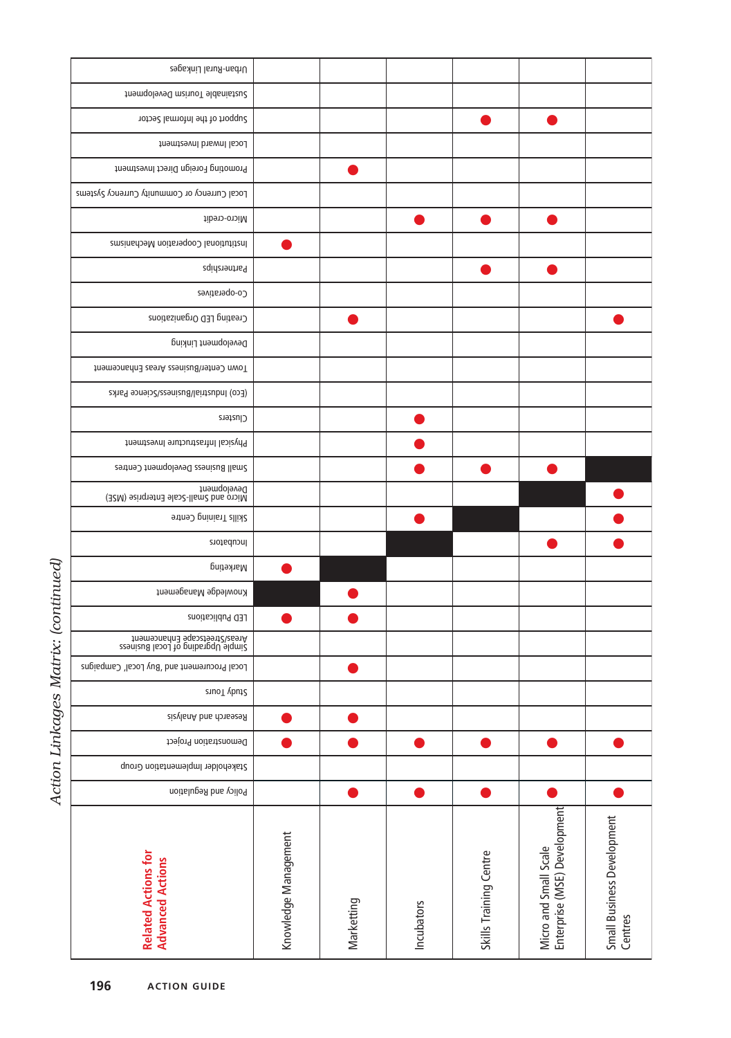| Urban-Rural Linkages                                                |                      |            |            |                        |                                                       |                                       |
|---------------------------------------------------------------------|----------------------|------------|------------|------------------------|-------------------------------------------------------|---------------------------------------|
| finamqolavaQ mainuoT aldanistau2                                    |                      |            |            |                        |                                                       |                                       |
| support of the Informal Sector                                      |                      |            |            |                        |                                                       |                                       |
| Local Inward Investment                                             |                      |            |            |                        |                                                       |                                       |
| Promoting Foreign Direct Investment                                 |                      |            |            |                        |                                                       |                                       |
| Local Currency or Community Currency Systems                        |                      |            |            |                        |                                                       |                                       |
| Micro-credit                                                        |                      |            |            |                        |                                                       |                                       |
| Institutional Cooperation Mechanisms                                |                      |            |            |                        |                                                       |                                       |
| Partnerships                                                        |                      |            |            |                        |                                                       |                                       |
| Co-operatives                                                       |                      |            |            |                        |                                                       |                                       |
| Creating LED Organizations                                          |                      |            |            |                        |                                                       |                                       |
| Development Linking                                                 |                      |            |            |                        |                                                       |                                       |
| Town Center/Business Areas Enhancement                              |                      |            |            |                        |                                                       |                                       |
| (Eco) Industrial/Business/Science Parks                             |                      |            |            |                        |                                                       |                                       |
| Clusters                                                            |                      |            |            |                        |                                                       |                                       |
| Physical Infrastructure Investment                                  |                      |            |            |                        |                                                       |                                       |
| Small Business Development Centres                                  |                      |            |            |                        |                                                       |                                       |
| Development<br>Micro and Small-Scale Enterprise (MSE)               |                      |            |            |                        |                                                       |                                       |
| Skills Training Centre                                              |                      |            |            |                        |                                                       |                                       |
| Incubators                                                          |                      |            |            |                        |                                                       |                                       |
| Marketing                                                           |                      |            |            |                        |                                                       |                                       |
| Knowledge Management                                                |                      |            |            |                        |                                                       |                                       |
| LED Publications                                                    |                      |            |            |                        |                                                       |                                       |
| Areas/Streetscape Enhancement<br>simple Upgrabing of Local Business |                      |            |            |                        |                                                       |                                       |
| Local Procurement and 'Buy Local' Campaigns                         |                      |            |            |                        |                                                       |                                       |
| StuoT vbut2                                                         |                      |            |            |                        |                                                       |                                       |
| Riesearch and Analysis                                              |                      |            |            |                        |                                                       |                                       |
| Demonstration Project                                               |                      |            |            |                        |                                                       |                                       |
| Stakeholder Implementation Group                                    |                      |            |            |                        |                                                       |                                       |
| Policy and Regulation                                               |                      |            |            |                        |                                                       |                                       |
| <b>Related Actions for</b><br><b>Advanced Actions</b>               | Knowledge Management | Marketting | Incubators | Skills Training Centre | Micro and Small Scale<br>Enterprise (MSE) Development | Small Business Development<br>Centres |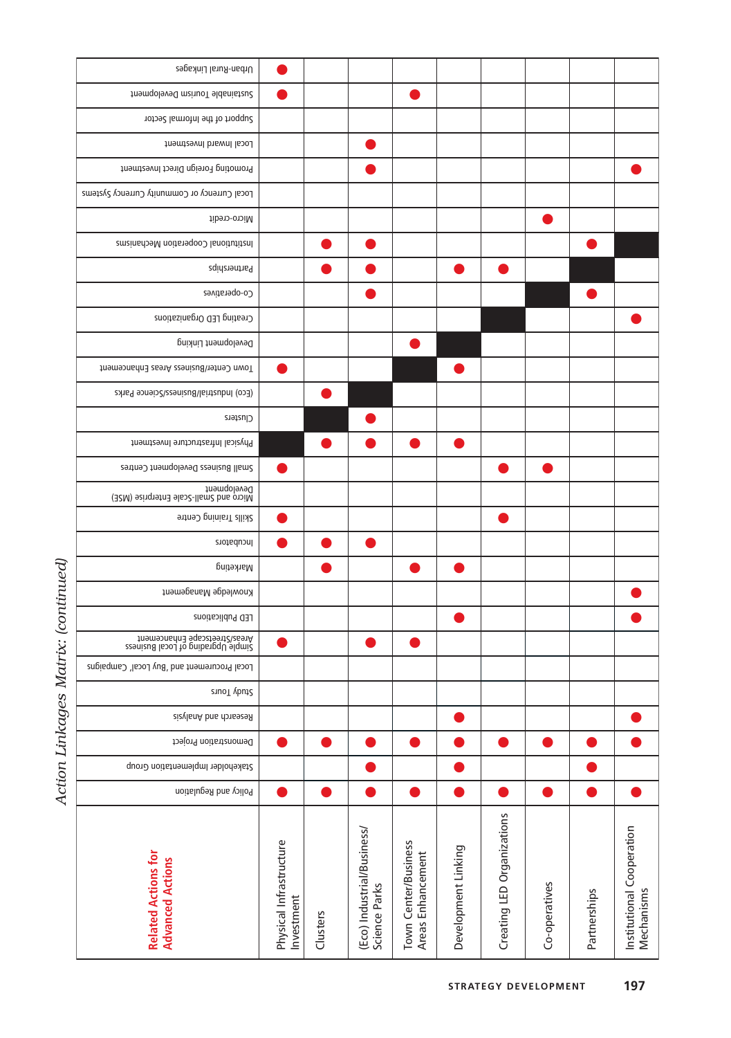| くこうしょう |   |
|--------|---|
| Ì<br>l | í |
| こくしょう  |   |
| ç      |   |

| Urban-Rural Linkages                                                |                                       |          |                                             |                                           |                     |                            |               |              |                                         |
|---------------------------------------------------------------------|---------------------------------------|----------|---------------------------------------------|-------------------------------------------|---------------------|----------------------------|---------------|--------------|-----------------------------------------|
| framaple Tourism Development                                        |                                       |          |                                             |                                           |                     |                            |               |              |                                         |
| Sector of the Informal Sector                                       |                                       |          |                                             |                                           |                     |                            |               |              |                                         |
| Local Inward Investment                                             |                                       |          |                                             |                                           |                     |                            |               |              |                                         |
| Promoting Foreign Direct Investment                                 |                                       |          |                                             |                                           |                     |                            |               |              |                                         |
| Local Currency or Community Currency Systems                        |                                       |          |                                             |                                           |                     |                            |               |              |                                         |
| Micro-credit                                                        |                                       |          |                                             |                                           |                     |                            |               |              |                                         |
| Institutional Cooperation Mechanisms                                |                                       |          |                                             |                                           |                     |                            |               |              |                                         |
| Partnerships                                                        |                                       |          |                                             |                                           |                     |                            |               |              |                                         |
| Co-operatives                                                       |                                       |          |                                             |                                           |                     |                            |               |              |                                         |
| Creating LED Organizations                                          |                                       |          |                                             |                                           |                     |                            |               |              |                                         |
| Development Linking                                                 |                                       |          |                                             |                                           |                     |                            |               |              |                                         |
| Town Center/Business Areas Enhancement                              |                                       |          |                                             |                                           |                     |                            |               |              |                                         |
| (Eco) Industrial/Business/Science Parks                             |                                       |          |                                             |                                           |                     |                            |               |              |                                         |
| Clusters                                                            |                                       |          |                                             |                                           |                     |                            |               |              |                                         |
| Physical Infrastructure Investment                                  |                                       |          |                                             |                                           |                     |                            |               |              |                                         |
| Small Business Development Centres                                  |                                       |          |                                             |                                           |                     |                            |               |              |                                         |
| Development<br>Micro and Small-Scale Enterprise (MSE)               |                                       |          |                                             |                                           |                     |                            |               |              |                                         |
| Skills Training Centre                                              |                                       |          |                                             |                                           |                     |                            |               |              |                                         |
| Incubators                                                          |                                       |          |                                             |                                           |                     |                            |               |              |                                         |
| Marketing                                                           |                                       |          |                                             |                                           |                     |                            |               |              |                                         |
| Knowledge Management                                                |                                       |          |                                             |                                           |                     |                            |               |              |                                         |
| LED Publications                                                    |                                       |          |                                             |                                           |                     |                            |               |              |                                         |
| Areas/Streetscape Enhancement<br>stenizud lesod to pribargqU elqmi2 |                                       |          |                                             |                                           |                     |                            |               |              |                                         |
| Local Procurement and 'Buy Local' Campaigns                         |                                       |          |                                             |                                           |                     |                            |               |              |                                         |
| StuoT vbut2                                                         |                                       |          |                                             |                                           |                     |                            |               |              |                                         |
| Research and Analysis                                               |                                       |          |                                             |                                           |                     |                            |               |              |                                         |
| Demonstration Project                                               |                                       |          |                                             |                                           |                     |                            |               |              |                                         |
| Stakeholder Implementation Group                                    |                                       |          |                                             |                                           |                     |                            |               |              |                                         |
| Policy and Regulation                                               |                                       |          |                                             |                                           | O                   |                            |               |              |                                         |
| <b>Related Actions for</b><br><b>Advanced Actions</b>               | Physical Infrastructure<br>Investment | Clusters | (Eco) Industrial/Business/<br>Science Parks | Town Center/Business<br>Areas Enhancement | Development Linking | Creating LED Organizations | Co-operatives | Partnerships | Institutional Cooperation<br>Mechanisms |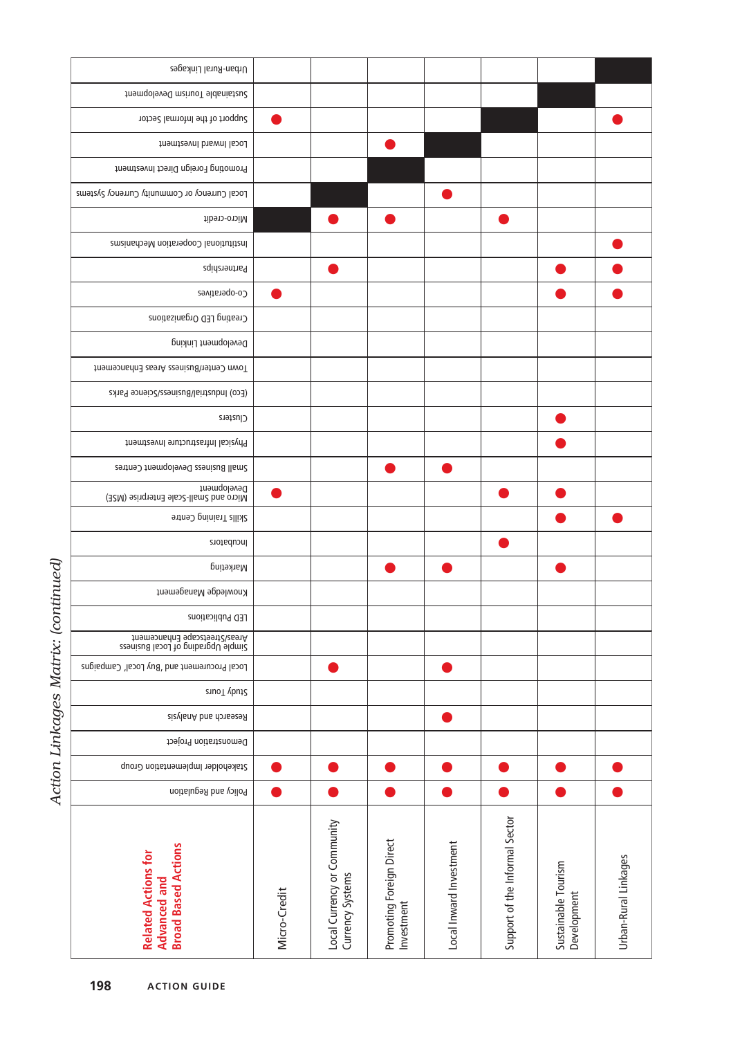| Urban-Rural Linkages                                                     |              |                                                 |                                        |                         |                                |                                    |                      |
|--------------------------------------------------------------------------|--------------|-------------------------------------------------|----------------------------------------|-------------------------|--------------------------------|------------------------------------|----------------------|
| finam Surism Development                                                 |              |                                                 |                                        |                         |                                |                                    |                      |
| Sector of the Informal Sector                                            |              |                                                 |                                        |                         |                                |                                    |                      |
| Local Inward Investment                                                  |              |                                                 |                                        |                         |                                |                                    |                      |
| Promoting Foreign Direct Investment                                      |              |                                                 |                                        |                         |                                |                                    |                      |
| Local Currency or Community Currency Systems                             |              |                                                 |                                        |                         |                                |                                    |                      |
| Micro-credit                                                             |              |                                                 |                                        |                         |                                |                                    |                      |
| Institutional Cooperation Mechanisms                                     |              |                                                 |                                        |                         |                                |                                    |                      |
| Partnerships                                                             |              |                                                 |                                        |                         |                                |                                    |                      |
| Co-operatives                                                            |              |                                                 |                                        |                         |                                |                                    |                      |
| Creating LED Organizations                                               |              |                                                 |                                        |                         |                                |                                    |                      |
| Development Linking                                                      |              |                                                 |                                        |                         |                                |                                    |                      |
| Town Center/Business Areas Enhancement                                   |              |                                                 |                                        |                         |                                |                                    |                      |
| (Eco) Industrial/Business/Science Parks                                  |              |                                                 |                                        |                         |                                |                                    |                      |
| Clusters                                                                 |              |                                                 |                                        |                         |                                |                                    |                      |
| Physical Infrastructure Investment                                       |              |                                                 |                                        |                         |                                |                                    |                      |
| Small Business Development Centres                                       |              |                                                 |                                        |                         |                                |                                    |                      |
| Development<br>Micro and Small-Scale Enterprise (MSE)                    |              |                                                 |                                        |                         |                                |                                    |                      |
| Skills Training Centre                                                   |              |                                                 |                                        |                         |                                |                                    |                      |
| Incubators                                                               |              |                                                 |                                        |                         |                                |                                    |                      |
| Marketing                                                                |              |                                                 |                                        |                         |                                |                                    |                      |
| Knowledge Management                                                     |              |                                                 |                                        |                         |                                |                                    |                      |
| LED Publications                                                         |              |                                                 |                                        |                         |                                |                                    |                      |
| Areas/Streetscape Enhancement<br>Simple Upgrading of Local Business      |              |                                                 |                                        |                         |                                |                                    |                      |
| Local Procurement and 'Buy Local' Campaigns                              |              |                                                 |                                        |                         |                                |                                    |                      |
| StuoT vbut2                                                              |              |                                                 |                                        |                         |                                |                                    |                      |
| zizylanA bna donasesA                                                    |              |                                                 |                                        |                         |                                |                                    |                      |
| Demonstration Project                                                    |              |                                                 |                                        |                         |                                |                                    |                      |
| Stakeholder Implementation Group                                         |              |                                                 |                                        |                         |                                |                                    |                      |
| Policy and Regulation                                                    |              |                                                 |                                        |                         |                                | D                                  |                      |
| <b>Broad Based Actions</b><br><b>Related Actions for</b><br>Advanced and | Micro-Credit | Local Currency or Community<br>Currency Systems | Promoting Foreign Direct<br>Investment | Local Inward Investment | Support of the Informal Sector | Sustainable Tourism<br>Development | Urban-Rural Linkages |